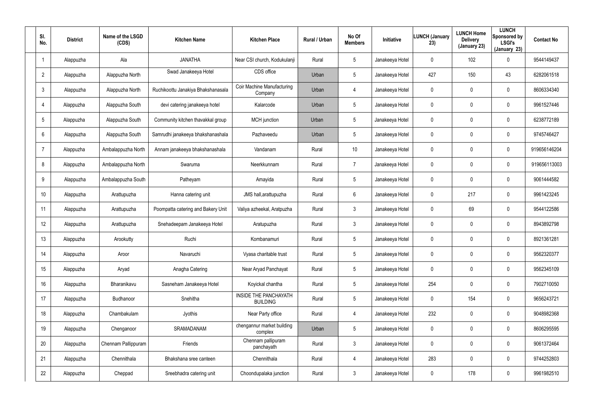| SI.<br>No.      | <b>District</b> | Name of the LSGD<br>(CDS) | <b>Kitchen Name</b>                | <b>Kitchen Place</b>                            | Rural / Urban | No Of<br><b>Members</b> | <b>Initiative</b> | <b>LUNCH (January</b><br>23) | <b>LUNCH Home</b><br><b>Delivery</b><br>(January 23) | <b>LUNCH</b><br>Sponsored by<br><b>LSGI's</b><br>(January 23) | <b>Contact No</b> |
|-----------------|-----------------|---------------------------|------------------------------------|-------------------------------------------------|---------------|-------------------------|-------------------|------------------------------|------------------------------------------------------|---------------------------------------------------------------|-------------------|
|                 | Alappuzha       | Ala                       | <b>JANATHA</b>                     | Near CSI church, Kodukulanji                    | Rural         | 5                       | Janakeeya Hotel   | 0                            | 102                                                  | 0                                                             | 9544149437        |
| $\overline{2}$  | Alappuzha       | Alappuzha North           | Swad Janakeeya Hotel               | CDS office                                      | Urban         | 5                       | Janakeeya Hotel   | 427                          | 150                                                  | 43                                                            | 6282061518        |
| 3               | Alappuzha       | Alappuzha North           | Ruchikoottu Janakiya Bhakshanasala | Coir Machine Manufacturing<br>Company           | Urban         | 4                       | Janakeeya Hotel   | 0                            | 0                                                    | 0                                                             | 8606334340        |
| $\overline{4}$  | Alappuzha       | Alappuzha South           | devi catering janakeeya hotel      | Kalarcode                                       | Urban         | 5                       | Janakeeya Hotel   | 0                            | $\mathbf 0$                                          | 0                                                             | 9961527446        |
| 5               | Alappuzha       | Alappuzha South           | Community kitchen thavakkal group  | <b>MCH</b> junction                             | Urban         | $5\phantom{.0}$         | Janakeeya Hotel   | 0                            | 0                                                    | 0                                                             | 6238772189        |
| 6               | Alappuzha       | Alappuzha South           | Samrudhi janakeeya bhakshanashala  | Pazhaveedu                                      | Urban         | 5                       | Janakeeya Hotel   | 0                            | $\mathbf 0$                                          | 0                                                             | 9745746427        |
| $\overline{7}$  | Alappuzha       | Ambalappuzha North        | Annam janakeeya bhakshanashala     | Vandanam                                        | Rural         | 10 <sup>°</sup>         | Janakeeya Hotel   | 0                            | $\mathbf 0$                                          | 0                                                             | 919656146204      |
| 8               | Alappuzha       | Ambalappuzha North        | Swaruma                            | Neerkkunnam                                     | Rural         | $\overline{7}$          | Janakeeya Hotel   | 0                            | $\mathbf 0$                                          | 0                                                             | 919656113003      |
| 9               | Alappuzha       | Ambalappuzha South        | Patheyam                           | Amayida                                         | Rural         | $5\phantom{.0}$         | Janakeeya Hotel   | $\mathbf 0$                  | $\mathbf 0$                                          | 0                                                             | 9061444582        |
| 10 <sup>°</sup> | Alappuzha       | Arattupuzha               | Hanna catering unit                | JMS hall, arattupuzha                           | Rural         | 6                       | Janakeeya Hotel   | 0                            | 217                                                  | 0                                                             | 9961423245        |
| 11              | Alappuzha       | Arattupuzha               | Poompatta catering and Bakery Unit | Valiya azheekal, Aratpuzha                      | Rural         | $\mathbf{3}$            | Janakeeya Hotel   | 0                            | 69                                                   | 0                                                             | 9544122586        |
| 12              | Alappuzha       | Arattupuzha               | Snehadeepam Janakeeya Hotel        | Aratupuzha                                      | Rural         | $\mathbf{3}$            | Janakeeya Hotel   | 0                            | $\mathbf 0$                                          | 0                                                             | 8943892798        |
| 13              | Alappuzha       | Arookutty                 | Ruchi                              | Kombanamuri                                     | Rural         | $5\phantom{.0}$         | Janakeeya Hotel   | 0                            | $\mathbf 0$                                          | 0                                                             | 8921361281        |
| 14              | Alappuzha       | Aroor                     | Navaruchi                          | Vyasa charitable trust                          | Rural         | 5                       | Janakeeya Hotel   | 0                            | $\mathbf 0$                                          | 0                                                             | 9562320377        |
| 15              | Alappuzha       | Aryad                     | Anagha Catering                    | Near Aryad Panchayat                            | Rural         | $5\phantom{.0}$         | Janakeeya Hotel   | $\mathbf 0$                  | $\mathbf 0$                                          | 0                                                             | 9562345109        |
| 16              | Alappuzha       | Bharanikavu               | Sasneham Janakeeya Hotel           | Koyickal chantha                                | Rural         | $5\phantom{.0}$         | Janakeeya Hotel   | 254                          | $\mathbf 0$                                          | 0                                                             | 7902710050        |
| 17              | Alappuzha       | Budhanoor                 | Snehitha                           | <b>INSIDE THE PANCHAYATH</b><br><b>BUILDING</b> | Rural         | $5\phantom{.0}$         | Janakeeya Hotel   | $\mathbf 0$                  | 154                                                  | 0                                                             | 9656243721        |
| 18              | Alappuzha       | Chambakulam               | Jyothis                            | Near Party office                               | Rural         | 4                       | Janakeeya Hotel   | 232                          | $\mathbf 0$                                          | 0                                                             | 9048982368        |
| 19              | Alappuzha       | Chenganoor                | SRAMADANAM                         | chengannur market building<br>complex           | Urban         | $5\overline{)}$         | Janakeeya Hotel   | 0                            | $\mathbf 0$                                          | 0                                                             | 8606295595        |
| 20              | Alappuzha       | Chennam Pallippuram       | Friends                            | Chennam pallipuram<br>panchayath                | Rural         | $\mathbf{3}$            | Janakeeya Hotel   | 0                            | $\mathbf 0$                                          | 0                                                             | 9061372464        |
| 21              | Alappuzha       | Chennithala               | Bhakshana sree canteen             | Chennithala                                     | Rural         | 4                       | Janakeeya Hotel   | 283                          | $\mathbf 0$                                          | 0                                                             | 9744252803        |
| 22              | Alappuzha       | Cheppad                   | Sreebhadra catering unit           | Choondupalaka junction                          | Rural         | $\mathfrak{Z}$          | Janakeeya Hotel   | 0                            | 178                                                  | 0                                                             | 9961982510        |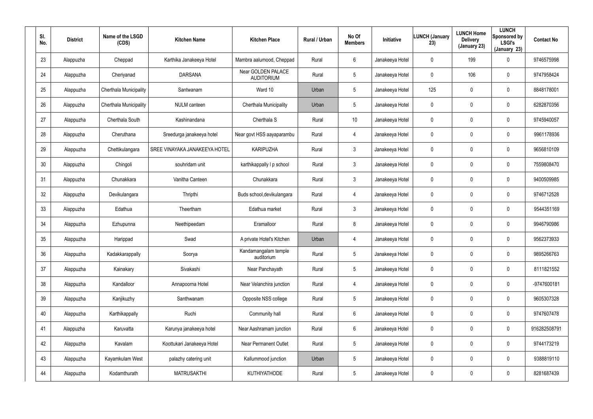| SI.<br>No. | <b>District</b> | Name of the LSGD<br>(CDS) | <b>Kitchen Name</b>           | <b>Kitchen Place</b>                    | Rural / Urban | No Of<br><b>Members</b> | Initiative      | <b>LUNCH (January</b><br>23) | <b>LUNCH Home</b><br><b>Delivery</b><br>(January 23) | <b>LUNCH</b><br>Sponsored by<br><b>LSGI's</b><br>(January 23) | <b>Contact No</b> |
|------------|-----------------|---------------------------|-------------------------------|-----------------------------------------|---------------|-------------------------|-----------------|------------------------------|------------------------------------------------------|---------------------------------------------------------------|-------------------|
| 23         | Alappuzha       | Cheppad                   | Karthika Janakeeya Hotel      | Mambra aalumood, Cheppad                | Rural         | 6                       | Janakeeya Hotel | 0                            | 199                                                  | 0                                                             | 9746575998        |
| 24         | Alappuzha       | Cheriyanad                | <b>DARSANA</b>                | Near GOLDEN PALACE<br><b>AUDITORIUM</b> | Rural         | 5                       | Janakeeya Hotel | 0                            | 106                                                  | 0                                                             | 9747958424        |
| 25         | Alappuzha       | Cherthala Municipality    | Santwanam                     | Ward 10                                 | Urban         | 5                       | Janakeeya Hotel | 125                          | $\mathbf 0$                                          | 0                                                             | 8848178001        |
| 26         | Alappuzha       | Cherthala Municipality    | <b>NULM</b> canteen           | Cherthala Municipality                  | Urban         | 5                       | Janakeeya Hotel | 0                            | $\mathbf 0$                                          | $\mathbf 0$                                                   | 6282870356        |
| 27         | Alappuzha       | Cherthala South           | Kashinandana                  | Cherthala <sub>S</sub>                  | Rural         | 10                      | Janakeeya Hotel | 0                            | $\mathbf 0$                                          | $\mathbf 0$                                                   | 9745940057        |
| 28         | Alappuzha       | Cheruthana                | Sreedurga janakeeya hotel     | Near govt HSS aayaparambu               | Rural         | 4                       | Janakeeya Hotel | 0                            | $\boldsymbol{0}$                                     | $\mathbf 0$                                                   | 9961178936        |
| 29         | Alappuzha       | Chettikulangara           | SREE VINAYAKA JANAKEEYA HOTEL | <b>KARIPUZHA</b>                        | Rural         | $\mathbf{3}$            | Janakeeya Hotel | 0                            | $\mathbf 0$                                          | $\mathbf 0$                                                   | 9656810109        |
| 30         | Alappuzha       | Chingoli                  | souhridam unit                | karthikappally I p school               | Rural         | $\mathbf{3}$            | Janakeeya Hotel | 0                            | 0                                                    | $\mathbf 0$                                                   | 7559808470        |
| 31         | Alappuzha       | Chunakkara                | Vanitha Canteen               | Chunakkara                              | Rural         | $\mathbf{3}$            | Janakeeya Hotel | 0                            | $\mathbf 0$                                          | $\mathbf 0$                                                   | 9400509985        |
| 32         | Alappuzha       | Devikulangara             | Thripthi                      | Buds school, devikulangara              | Rural         | 4                       | Janakeeya Hotel | 0                            | 0                                                    | 0                                                             | 9746712528        |
| 33         | Alappuzha       | Edathua                   | Theertham                     | Edathua market                          | Rural         | $\mathbf{3}$            | Janakeeya Hotel | 0                            | $\mathbf 0$                                          | $\mathbf 0$                                                   | 9544351169        |
| 34         | Alappuzha       | Ezhupunna                 | Neethipeedam                  | Eramalloor                              | Rural         | 8                       | Janakeeya Hotel | 0                            | 0                                                    | 0                                                             | 9946790986        |
| 35         | Alappuzha       | Harippad                  | Swad                          | A private Hotel's Kitchen               | Urban         | 4                       | Janakeeya Hotel | 0                            | $\boldsymbol{0}$                                     | 0                                                             | 9562373933        |
| 36         | Alappuzha       | Kadakkarappally           | Soorya                        | Kandamangalam temple<br>auditorium      | Rural         | 5                       | Janakeeya Hotel | 0                            | $\overline{0}$                                       | 0                                                             | 9895266763        |
| 37         | Alappuzha       | Kainakary                 | Sivakashi                     | Near Panchayath                         | Rural         | $5\phantom{.0}$         | Janakeeya Hotel | 0                            | $\pmb{0}$                                            | 0                                                             | 8111821552        |
| 38         | Alappuzha       | Kandalloor                | Annapoorna Hotel              | Near Velanchira junction                | Rural         | $\overline{4}$          | Janakeeya Hotel | 0                            | $\overline{0}$                                       | $\pmb{0}$                                                     | -9747600181       |
| 39         | Alappuzha       | Kanjikuzhy                | Santhwanam                    | Opposite NSS college                    | Rural         | $5\phantom{.0}$         | Janakeeya Hotel | 0                            | $\overline{0}$                                       | 0                                                             | 9605307328        |
| 40         | Alappuzha       | Karthikappally            | Ruchi                         | Community hall                          | Rural         | $6\phantom{.}6$         | Janakeeya Hotel | 0                            | $\overline{0}$                                       | 0                                                             | 9747607478        |
| 41         | Alappuzha       | Karuvatta                 | Karunya janakeeya hotel       | Near Aashramam junction                 | Rural         | $6\phantom{.}6$         | Janakeeya Hotel | 0                            | $\pmb{0}$                                            | 0                                                             | 916282508791      |
| 42         | Alappuzha       | Kavalam                   | Koottukari Janakeeya Hotel    | <b>Near Permanent Outlet</b>            | Rural         | 5                       | Janakeeya Hotel | 0                            | $\overline{0}$                                       | 0                                                             | 9744173219        |
| 43         | Alappuzha       | Kayamkulam West           | palazhy catering unit         | Kallummood junction                     | Urban         | 5                       | Janakeeya Hotel | 0                            | $\pmb{0}$                                            | 0                                                             | 9388819110        |
| 44         | Alappuzha       | Kodamthurath              | <b>MATRUSAKTHI</b>            | KUTHIYATHODE                            | Rural         | $5\phantom{.0}$         | Janakeeya Hotel | 0                            | $\boldsymbol{0}$                                     | 0                                                             | 8281687439        |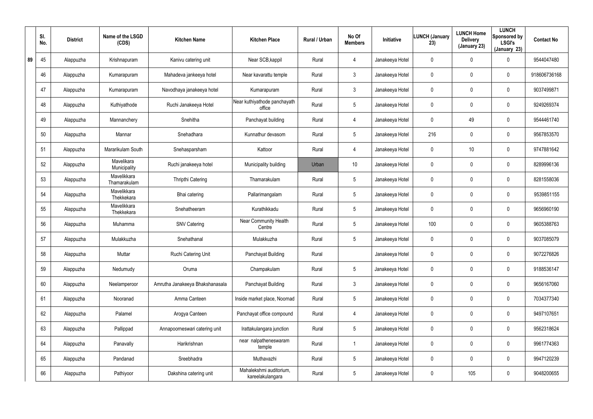|    | SI.<br>No. | <b>District</b> | Name of the LSGD<br>(CDS)   | <b>Kitchen Name</b>             | <b>Kitchen Place</b>                        | Rural / Urban | No Of<br><b>Members</b> | <b>Initiative</b> | <b>LUNCH (January</b><br>23) | <b>LUNCH Home</b><br><b>Delivery</b><br>(January 23) | <b>LUNCH</b><br>Sponsored by<br><b>LSGI's</b><br>(January 23) | <b>Contact No</b> |
|----|------------|-----------------|-----------------------------|---------------------------------|---------------------------------------------|---------------|-------------------------|-------------------|------------------------------|------------------------------------------------------|---------------------------------------------------------------|-------------------|
| 89 | 45         | Alappuzha       | Krishnapuram                | Kanivu catering unit            | Near SCB, kappil                            | Rural         | $\overline{4}$          | Janakeeya Hotel   | 0                            | 0                                                    | $\mathbf 0$                                                   | 9544047480        |
|    | 46         | Alappuzha       | Kumarapuram                 | Mahadeva jankeeya hotel         | Near kavarattu temple                       | Rural         | $\mathbf{3}$            | Janakeeya Hotel   | 0                            | 0                                                    | $\mathbf 0$                                                   | 918606736168      |
|    | 47         | Alappuzha       | Kumarapuram                 | Navodhaya janakeeya hotel       | Kumarapuram                                 | Rural         | $\mathbf{3}$            | Janakeeya Hotel   | 0                            | 0                                                    | $\mathbf 0$                                                   | 9037499871        |
|    | 48         | Alappuzha       | Kuthiyathode                | Ruchi Janakeeya Hotel           | Near kuthiyathode panchayath<br>office      | Rural         | $5\phantom{.0}$         | Janakeeya Hotel   | 0                            | 0                                                    | $\mathbf 0$                                                   | 9249269374        |
|    | 49         | Alappuzha       | Mannanchery                 | Snehitha                        | Panchayat building                          | Rural         | $\overline{4}$          | Janakeeya Hotel   | 0                            | 49                                                   | $\mathbf 0$                                                   | 9544461740        |
|    | 50         | Alappuzha       | Mannar                      | Snehadhara                      | Kunnathur devasom                           | Rural         | $5\phantom{.0}$         | Janakeeya Hotel   | 216                          | 0                                                    | $\mathbf 0$                                                   | 9567853570        |
|    | 51         | Alappuzha       | Mararikulam South           | Snehasparsham                   | Kattoor                                     | Rural         | $\overline{4}$          | Janakeeya Hotel   | 0                            | 10                                                   | $\mathbf 0$                                                   | 9747881642        |
|    | 52         | Alappuzha       | Mavelikara<br>Municipality  | Ruchi janakeeya hotel           | Municipality building                       | Urban         | 10 <sup>°</sup>         | Janakeeya Hotel   | 0                            | 0                                                    | $\mathbf 0$                                                   | 8289996136        |
|    | 53         | Alappuzha       | Mavelikkara<br>Thamarakulam | Thripthi Catering               | Thamarakulam                                | Rural         | $5\phantom{.0}$         | Janakeeya Hotel   | 0                            | 0                                                    | $\mathbf 0$                                                   | 8281558036        |
|    | 54         | Alappuzha       | Mavelikkara<br>Thekkekara   | Bhai catering                   | Pallarimangalam                             | Rural         | $5\phantom{.0}$         | Janakeeya Hotel   | 0                            | 0                                                    | $\mathbf 0$                                                   | 9539851155        |
|    | 55         | Alappuzha       | Mavelikkara<br>Thekkekara   | Snehatheeram                    | Kurathikkadu                                | Rural         | $5\phantom{.0}$         | Janakeeya Hotel   | 0                            | 0                                                    | $\mathbf 0$                                                   | 9656960190        |
|    | 56         | Alappuzha       | Muhamma                     | <b>SNV Catering</b>             | Near Community Health<br>Centre             | Rural         | $5\overline{)}$         | Janakeeya Hotel   | 100                          | 0                                                    | $\mathbf 0$                                                   | 9605388763        |
|    | 57         | Alappuzha       | Mulakkuzha                  | Snehathanal                     | Mulakkuzha                                  | Rural         | $5\phantom{.0}$         | Janakeeya Hotel   | 0                            | 0                                                    | $\mathbf 0$                                                   | 9037085079        |
|    | 58         | Alappuzha       | Muttar                      | Ruchi Catering Unit             | Panchayat Building                          | Rural         |                         | Janakeeya Hotel   | 0                            | $\mathbf 0$                                          | $\mathbf 0$                                                   | 9072276826        |
|    | 59         | Alappuzha       | Nedumudy                    | Oruma                           | Champakulam                                 | Rural         | $5\phantom{.0}$         | Janakeeya Hotel   | 0                            | 0                                                    | $\pmb{0}$                                                     | 9188536147        |
|    | 60         | Alappuzha       | Neelamperoor                | Amrutha Janakeeya Bhakshanasala | Panchayat Building                          | Rural         | $\mathfrak{Z}$          | Janakeeya Hotel   | 0                            | 0                                                    | $\pmb{0}$                                                     | 9656167060        |
|    | 61         | Alappuzha       | Nooranad                    | Amma Canteen                    | Inside market place, Noornad                | Rural         | $5\phantom{.0}$         | Janakeeya Hotel   | 0                            | 0                                                    | $\pmb{0}$                                                     | 7034377340        |
|    | 62         | Alappuzha       | Palamel                     | Arogya Canteen                  | Panchayat office compound                   | Rural         | 4                       | Janakeeya Hotel   | $\mathbf 0$                  | 0                                                    | $\mathbf 0$                                                   | 9497107651        |
|    | 63         | Alappuzha       | Pallippad                   | Annapoorneswari catering unit   | Irattakulangara junction                    | Rural         | $5\phantom{.0}$         | Janakeeya Hotel   | 0                            | 0                                                    | $\mathbf 0$                                                   | 9562318624        |
|    | 64         | Alappuzha       | Panavally                   | Harikrishnan                    | near nalpatheneswaram<br>temple             | Rural         |                         | Janakeeya Hotel   | 0                            | 0                                                    | $\mathbf 0$                                                   | 9961774363        |
|    | 65         | Alappuzha       | Pandanad                    | Sreebhadra                      | Muthavazhi                                  | Rural         | $5\phantom{.0}$         | Janakeeya Hotel   | 0                            | 0                                                    | $\mathbf 0$                                                   | 9947120239        |
|    | 66         | Alappuzha       | Pathiyoor                   | Dakshina catering unit          | Mahalekshmi auditorium,<br>kareelakulangara | Rural         | $5\phantom{.0}$         | Janakeeya Hotel   | 0                            | 105                                                  | $\pmb{0}$                                                     | 9048200655        |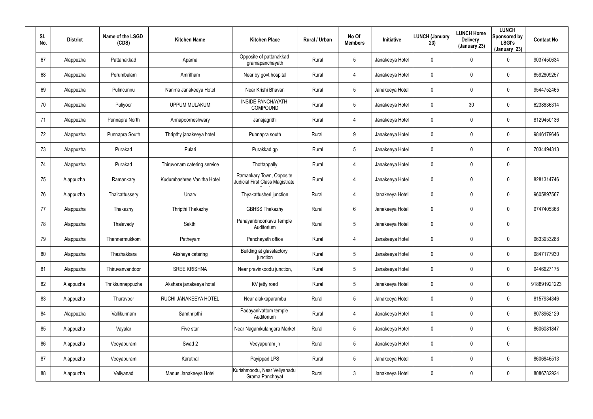| SI.<br>No. | <b>District</b> | Name of the LSGD<br>(CDS) | <b>Kitchen Name</b>         | <b>Kitchen Place</b>                                        | Rural / Urban | No Of<br><b>Members</b> | <b>Initiative</b> | <b>LUNCH (January</b><br>23) | <b>LUNCH Home</b><br><b>Delivery</b><br>(January 23) | <b>LUNCH</b><br>Sponsored by<br><b>LSGI's</b><br>(January 23) | <b>Contact No</b> |
|------------|-----------------|---------------------------|-----------------------------|-------------------------------------------------------------|---------------|-------------------------|-------------------|------------------------------|------------------------------------------------------|---------------------------------------------------------------|-------------------|
| 67         | Alappuzha       | Pattanakkad               | Aparna                      | Opposite of pattanakkad<br>gramapanchayath                  | Rural         | $5\phantom{.0}$         | Janakeeya Hotel   | 0                            | 0                                                    | $\mathbf 0$                                                   | 9037450634        |
| 68         | Alappuzha       | Perumbalam                | Amritham                    | Near by govt hospital                                       | Rural         | 4                       | Janakeeya Hotel   | 0                            | 0                                                    | $\pmb{0}$                                                     | 8592809257        |
| 69         | Alappuzha       | Pulincunnu                | Nanma Janakeeya Hotel       | Near Krishi Bhavan                                          | Rural         | $5\phantom{.0}$         | Janakeeya Hotel   | 0                            | 0                                                    | $\pmb{0}$                                                     | 9544752465        |
| 70         | Alappuzha       | Puliyoor                  | <b>UPPUM MULAKUM</b>        | <b>INSIDE PANCHAYATH</b><br>COMPOUND                        | Rural         | $5\phantom{.0}$         | Janakeeya Hotel   | 0                            | 30                                                   | $\pmb{0}$                                                     | 6238836314        |
| 71         | Alappuzha       | Punnapra North            | Annapoorneshwary            | Janajagrithi                                                | Rural         | 4                       | Janakeeya Hotel   | 0                            | 0                                                    | $\pmb{0}$                                                     | 8129450136        |
| 72         | Alappuzha       | Punnapra South            | Thripthy janakeeya hotel    | Punnapra south                                              | Rural         | 9                       | Janakeeya Hotel   | 0                            | 0                                                    | $\mathbf 0$                                                   | 9846179646        |
| 73         | Alappuzha       | Purakad                   | Pulari                      | Purakkad gp                                                 | Rural         | $5\phantom{.0}$         | Janakeeya Hotel   | 0                            | 0                                                    | $\mathbf 0$                                                   | 7034494313        |
| 74         | Alappuzha       | Purakad                   | Thiruvonam catering service | Thottappally                                                | Rural         | 4                       | Janakeeya Hotel   | 0                            | 0                                                    | $\mathbf 0$                                                   |                   |
| 75         | Alappuzha       | Ramankary                 | Kudumbashree Vanitha Hotel  | Ramankary Town, Opposite<br>Judicial First Class Magistrate | Rural         | 4                       | Janakeeya Hotel   | 0                            | 0                                                    | $\pmb{0}$                                                     | 8281314746        |
| 76         | Alappuzha       | Thaicattussery            | Unarv                       | Thyakattusheri junction                                     | Rural         | 4                       | Janakeeya Hotel   | 0                            | 0                                                    | $\mathbf 0$                                                   | 9605897567        |
| 77         | Alappuzha       | Thakazhy                  | Thripthi Thakazhy           | <b>GBHSS Thakazhy</b>                                       | Rural         | 6                       | Janakeeya Hotel   | 0                            | 0                                                    | $\mathbf 0$                                                   | 9747405368        |
| 78         | Alappuzha       | Thalavady                 | Sakthi                      | Panayanbnoorkavu Temple<br>Auditorium                       | Rural         | $5\phantom{.0}$         | Janakeeya Hotel   | 0                            | 0                                                    | $\mathbf 0$                                                   |                   |
| 79         | Alappuzha       | Thannermukkom             | Patheyam                    | Panchayath office                                           | Rural         | 4                       | Janakeeya Hotel   | 0                            | $\mathbf 0$                                          | $\mathbf 0$                                                   | 9633933288        |
| 80         | Alappuzha       | Thazhakkara               | Akshaya catering            | Building at glassfactory<br>junction                        | Rural         | $5\phantom{.0}$         | Janakeeya Hotel   | 0                            | 0                                                    | $\pmb{0}$                                                     | 9847177930        |
| 81         | Alappuzha       | Thiruvanvandoor           | <b>SREE KRISHNA</b>         | Near pravinkoodu junction,                                  | Rural         | $5\phantom{.0}$         | Janakeeya Hotel   | 0                            | 0                                                    | $\mathbf 0$                                                   | 9446627175        |
| 82         | Alappuzha       | Thrikkunnappuzha          | Akshara janakeeya hotel     | KV jetty road                                               | Rural         | $5\phantom{.0}$         | Janakeeya Hotel   | 0                            | 0                                                    | $\mathbf 0$                                                   | 918891921223      |
| 83         | Alappuzha       | Thuravoor                 | RUCHI JANAKEEYA HOTEL       | Near alakkaparambu                                          | Rural         | $5\phantom{.0}$         | Janakeeya Hotel   | 0                            | 0                                                    | $\mathbf 0$                                                   | 8157934346        |
| 84         | Alappuzha       | Vallikunnam               | Samthripthi                 | Padayanivattom temple<br>Auditorium                         | Rural         | 4                       | Janakeeya Hotel   | 0                            | 0                                                    | $\mathbf 0$                                                   | 8078962129        |
| 85         | Alappuzha       | Vayalar                   | Five star                   | Near Nagamkulangara Market                                  | Rural         | $5\phantom{.0}$         | Janakeeya Hotel   | 0                            | 0                                                    | $\mathbf 0$                                                   | 8606081847        |
| 86         | Alappuzha       | Veeyapuram                | Swad 2                      | Veeyapuram jn                                               | Rural         | $5\phantom{.0}$         | Janakeeya Hotel   | 0                            | 0                                                    | $\pmb{0}$                                                     |                   |
| 87         | Alappuzha       | Veeyapuram                | Karuthal                    | Payippad LPS                                                | Rural         | $5\phantom{.0}$         | Janakeeya Hotel   | 0                            | 0                                                    | $\mathbf 0$                                                   | 8606846513        |
| 88         | Alappuzha       | Veliyanad                 | Manus Janakeeya Hotel       | Kurishmoodu, Near Veliyanadu<br>Grama Panchayat             | Rural         | $\mathfrak{Z}$          | Janakeeya Hotel   | 0                            | 0                                                    | $\pmb{0}$                                                     | 8086782924        |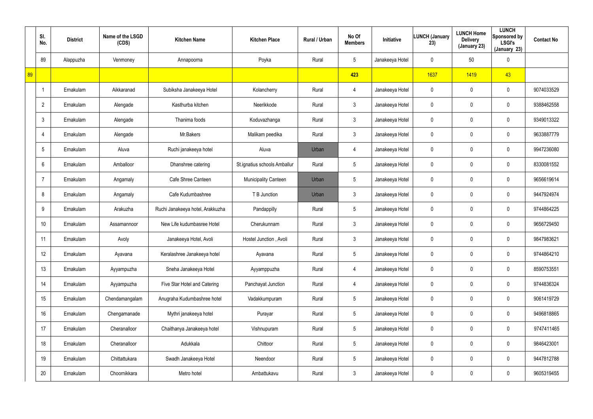|    | SI.<br>No.     | <b>District</b> | Name of the LSGD<br>(CDS) | <b>Kitchen Name</b>              | <b>Kitchen Place</b>         | Rural / Urban | No Of<br><b>Members</b> | Initiative      | <b>LUNCH (January</b><br>23) | <b>LUNCH Home</b><br><b>Delivery</b><br>(January 23) | <b>LUNCH</b><br>Sponsored by<br><b>LSGI's</b><br>(January 23) | <b>Contact No</b> |
|----|----------------|-----------------|---------------------------|----------------------------------|------------------------------|---------------|-------------------------|-----------------|------------------------------|------------------------------------------------------|---------------------------------------------------------------|-------------------|
|    | 89             | Alappuzha       | Venmoney                  | Annapoorna                       | Poyka                        | Rural         | $5\phantom{.0}$         | Janakeeya Hotel | 0                            | 50                                                   | $\mathbf 0$                                                   |                   |
| 89 |                |                 |                           |                                  |                              |               | 423                     |                 | 1637                         | 1419                                                 | 43                                                            |                   |
|    |                | Ernakulam       | Aikkaranad                | Subiksha Janakeeya Hotel         | Kolancherry                  | Rural         | 4                       | Janakeeya Hotel | 0                            | 0                                                    | $\mathbf 0$                                                   | 9074033529        |
|    | $\overline{2}$ | Ernakulam       | Alengade                  | Kasthurba kitchen                | Neerikkode                   | Rural         | $\mathbf{3}$            | Janakeeya Hotel | 0                            | 0                                                    | $\mathbf 0$                                                   | 9388462558        |
|    | 3              | Ernakulam       | Alengade                  | Thanima foods                    | Koduvazhanga                 | Rural         | $\mathfrak{Z}$          | Janakeeya Hotel | 0                            | 0                                                    | $\mathbf 0$                                                   | 9349013322        |
|    |                | Ernakulam       | Alengade                  | Mr.Bakers                        | Malikam peedika              | Rural         | $\mathfrak{Z}$          | Janakeeya Hotel | 0                            | 0                                                    | $\mathbf 0$                                                   | 9633887779        |
|    | 5              | Ernakulam       | Aluva                     | Ruchi janakeeya hotel            | Aluva                        | Urban         | 4                       | Janakeeya Hotel | 0                            | 0                                                    | $\mathbf 0$                                                   | 9947236080        |
|    | 6              | Ernakulam       | Amballoor                 | Dhanshree catering               | St.ignatius schools Amballur | Rural         | $5\phantom{.0}$         | Janakeeya Hotel | 0                            | 0                                                    | $\mathbf 0$                                                   | 8330081552        |
|    |                | Ernakulam       | Angamaly                  | Cafe Shree Canteen               | Municipality Canteen         | Urban         | $5\phantom{.0}$         | Janakeeya Hotel | 0                            | 0                                                    | $\mathbf 0$                                                   | 9656619614        |
|    | 8              | Ernakulam       | Angamaly                  | Cafe Kudumbashree                | T B Junction                 | Urban         | $\mathfrak{Z}$          | Janakeeya Hotel | 0                            | 0                                                    | $\mathbf 0$                                                   | 9447924974        |
|    | 9              | Ernakulam       | Arakuzha                  | Ruchi Janakeeya hotel, Arakkuzha | Pandappilly                  | Rural         | $5\phantom{.0}$         | Janakeeya Hotel | 0                            | 0                                                    | $\mathbf 0$                                                   | 9744864225        |
|    | 10             | Ernakulam       | Assamannoor               | New Life kudumbasree Hotel       | Cherukunnam                  | Rural         | $\mathfrak{Z}$          | Janakeeya Hotel | 0                            | 0                                                    | $\mathbf 0$                                                   | 9656729450        |
|    | 11             | Ernakulam       | Avoly                     | Janakeeya Hotel, Avoli           | Hostel Junction, Avoli       | Rural         | $\mathfrak{Z}$          | Janakeeya Hotel | 0                            | 0                                                    | $\mathbf 0$                                                   | 9847983621        |
|    | 12             | Ernakulam       | Ayavana                   | Keralashree Janakeeya hotel      | Ayavana                      | Rural         | $5\phantom{.0}$         | Janakeeya Hotel | 0                            | 0                                                    | $\pmb{0}$                                                     | 9744864210        |
|    | 13             | Ernakulam       | Ayyampuzha                | Sneha Janakeeya Hotel            | Ayyamppuzha                  | Rural         | 4                       | Janakeeya Hotel | $\pmb{0}$                    | 0                                                    | $\pmb{0}$                                                     | 8590753551        |
|    | 14             | Ernakulam       | Ayyampuzha                | Five Star Hotel and Catering     | Panchayat Junction           | Rural         | 4                       | Janakeeya Hotel | $\mathbf 0$                  | 0                                                    | $\pmb{0}$                                                     | 9744836324        |
|    | 15             | Ernakulam       | Chendamangalam            | Anugraha Kudumbashree hotel      | Vadakkumpuram                | Rural         | $5\overline{)}$         | Janakeeya Hotel | $\mathbf 0$                  | 0                                                    | $\pmb{0}$                                                     | 9061419729        |
|    | 16             | Ernakulam       | Chengamanade              | Mythri janakeeya hotel           | Purayar                      | Rural         | $5\overline{)}$         | Janakeeya Hotel | $\mathbf 0$                  | 0                                                    | $\pmb{0}$                                                     | 9496818865        |
|    | 17             | Ernakulam       | Cheranalloor              | Chaithanya Janakeeya hotel       | Vishnupuram                  | Rural         | $5\phantom{.0}$         | Janakeeya Hotel | 0                            | 0                                                    | $\pmb{0}$                                                     | 9747411465        |
|    | 18             | Ernakulam       | Cheranalloor              | Adukkala                         | Chittoor                     | Rural         | $5\phantom{.0}$         | Janakeeya Hotel | $\mathbf 0$                  | 0                                                    | $\pmb{0}$                                                     | 9846423001        |
|    | 19             | Ernakulam       | Chittattukara             | Swadh Janakeeya Hotel            | Neendoor                     | Rural         | $5\phantom{.0}$         | Janakeeya Hotel | $\boldsymbol{0}$             | 0                                                    | $\boldsymbol{0}$                                              | 9447812788        |
|    | 20             | Ernakulam       | Choornikkara              | Metro hotel                      | Ambattukavu                  | Rural         | $\mathfrak{Z}$          | Janakeeya Hotel | 0                            | 0                                                    | $\pmb{0}$                                                     | 9605319455        |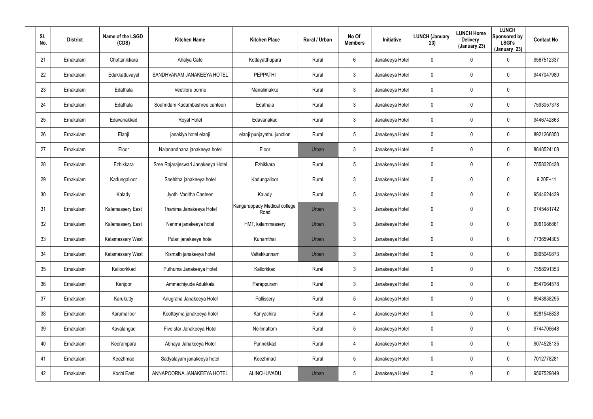| SI.<br>No. | <b>District</b> | Name of the LSGD<br>(CDS) | <b>Kitchen Name</b>                | <b>Kitchen Place</b>                 | Rural / Urban | No Of<br><b>Members</b> | Initiative      | <b>LUNCH (January</b><br>23) | <b>LUNCH Home</b><br><b>Delivery</b><br>(January 23) | <b>LUNCH</b><br>Sponsored by<br><b>LSGI's</b><br>(January 23) | <b>Contact No</b> |
|------------|-----------------|---------------------------|------------------------------------|--------------------------------------|---------------|-------------------------|-----------------|------------------------------|------------------------------------------------------|---------------------------------------------------------------|-------------------|
| 21         | Ernakulam       | Chottanikkara             | Ahalya Cafe                        | Kottayatthupara                      | Rural         | 6                       | Janakeeya Hotel | 0                            | $\mathbf 0$                                          | 0                                                             | 9567512337        |
| 22         | Ernakulam       | Edakkattuvayal            | SANDHVANAM JANAKEEYA HOTEL         | <b>PEPPATHI</b>                      | Rural         | $\mathbf{3}$            | Janakeeya Hotel | 0                            | $\mathbf 0$                                          | $\mathbf 0$                                                   | 9447047980        |
| 23         | Ernakulam       | Edathala                  | Veetiloru oonne                    | Manalimukke                          | Rural         | $\mathbf{3}$            | Janakeeya Hotel | 0                            | $\mathbf 0$                                          | 0                                                             |                   |
| 24         | Ernakulam       | Edathala                  | Souhridam Kudumbashree canteen     | Edathala                             | Rural         | $\mathbf{3}$            | Janakeeya Hotel | 0                            | $\boldsymbol{0}$                                     | $\mathbf 0$                                                   | 7593057378        |
| 25         | Ernakulam       | Edavanakkad               | Royal Hotel                        | Edavanakad                           | Rural         | $\mathbf{3}$            | Janakeeya Hotel | 0                            | $\mathbf 0$                                          | $\mathbf 0$                                                   | 9446742863        |
| 26         | Ernakulam       | Elanji                    | janakiya hotel elanji              | elanji punjayathu junction           | Rural         | 5                       | Janakeeya Hotel | 0                            | $\boldsymbol{0}$                                     | $\mathbf 0$                                                   | 8921266850        |
| 27         | Ernakulam       | Eloor                     | Nalanandhana janakeeya hotel       | Eloor                                | Urban         | $\mathbf{3}$            | Janakeeya Hotel | 0                            | $\mathbf 0$                                          | $\mathbf 0$                                                   | 8848524108        |
| 28         | Ernakulam       | Ezhikkara                 | Sree Rajarajeswari Janakeeya Hotel | Ezhikkara                            | Rural         | $5\phantom{.0}$         | Janakeeya Hotel | 0                            | 0                                                    | 0                                                             | 7558020438        |
| 29         | Ernakulam       | Kadungalloor              | Snehitha janakeeya hotel           | Kadungalloor                         | Rural         | $\mathbf{3}$            | Janakeeya Hotel | 0                            | $\mathbf 0$                                          | 0                                                             | $9.20E+11$        |
| 30         | Ernakulam       | Kalady                    | Jyothi Vanitha Canteen             | Kalady                               | Rural         | $5\phantom{.0}$         | Janakeeya Hotel | 0                            | 0                                                    | 0                                                             | 9544624439        |
| 31         | Ernakulam       | Kalamassery East          | Thanima Janakeeya Hotel            | Kangarappady Medical college<br>Road | Urban         | $\mathbf{3}$            | Janakeeya Hotel | 0                            | $\mathbf 0$                                          | 0                                                             | 9745481742        |
| 32         | Ernakulam       | Kalamassery East          | Nanma janakeeya hotel              | HMT, kalammassery                    | Urban         | $\mathbf{3}$            | Janakeeya Hotel | 0                            | 0                                                    | 0                                                             | 9061986861        |
| 33         | Ernakulam       | Kalamassery West          | Pulari janakeeya hotel             | Kunamthai                            | Urban         | $\mathbf{3}$            | Janakeeya Hotel | 0                            | $\mathbf 0$                                          | 0                                                             | 7736594305        |
| 34         | Ernakulam       | Kalamassery West          | Kismath janakeeya hotel            | Vattekkunnam                         | Urban         | $\mathfrak{Z}$          | Janakeeya Hotel | 0                            | $\mathbf 0$                                          | 0                                                             | 9895049873        |
| 35         | Ernakulam       | Kalloorkkad               | Puthuma Janakeeya Hotel            | Kallorkkad                           | Rural         | $\mathbf{3}$            | Janakeeya Hotel | 0                            | $\overline{0}$                                       | 0                                                             | 7558091353        |
| 36         | Ernakulam       | Kanjoor                   | Ammachiyude Adukkala               | Parappuram                           | Rural         | $\mathbf{3}$            | Janakeeya Hotel | 0                            | $\mathbf 0$                                          | 0                                                             | 8547064578        |
| 37         | Ernakulam       | Karukutty                 | Anugraha Janakeeya Hotel           | Pallissery                           | Rural         | $5\phantom{.0}$         | Janakeeya Hotel | 0                            | $\mathbf 0$                                          | 0                                                             | 8943838295        |
| 38         | Ernakulam       | Karumalloor               | Koottayma janakeeya hotel          | Kariyachira                          | Rural         | $\overline{4}$          | Janakeeya Hotel | 0                            | $\mathbf 0$                                          | 0                                                             | 8281548828        |
| 39         | Ernakulam       | Kavalangad                | Five star Janakeeya Hotel          | Nellimattom                          | Rural         | 5                       | Janakeeya Hotel | 0                            | $\pmb{0}$                                            | 0                                                             | 9744705648        |
| 40         | Ernakulam       | Keerampara                | Abhaya Janakeeya Hotel             | Punnekkad                            | Rural         | $\overline{4}$          | Janakeeya Hotel | 0                            | $\mathbf 0$                                          | 0                                                             | 9074528135        |
| 41         | Ernakulam       | Keezhmad                  | Sadyalayam janakeeya hotel         | Keezhmad                             | Rural         | 5                       | Janakeeya Hotel | 0                            | $\pmb{0}$                                            | 0                                                             | 7012778281        |
| 42         | Ernakulam       | Kochi East                | ANNAPOORNA JANAKEEYA HOTEL         | ALINCHUVADU                          | Urban         | $5\phantom{.0}$         | Janakeeya Hotel | 0                            | $\mathbf 0$                                          | 0                                                             | 9567529849        |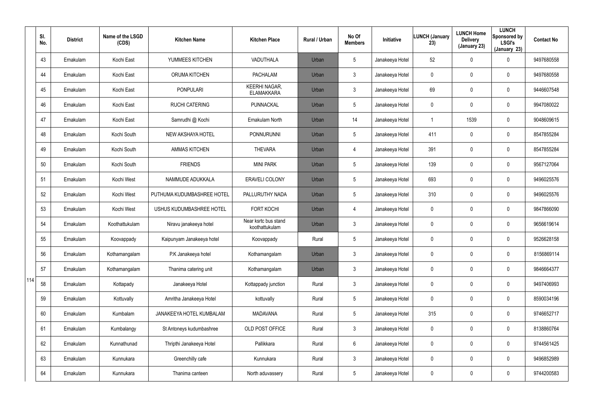|     | SI.<br>No. | <b>District</b> | Name of the LSGD<br>(CDS) | <b>Kitchen Name</b>        | <b>Kitchen Place</b>                      | Rural / Urban | No Of<br><b>Members</b> | <b>Initiative</b> | <b>LUNCH (January</b><br>23) | <b>LUNCH Home</b><br><b>Delivery</b><br>(January 23) | <b>LUNCH</b><br>Sponsored by<br><b>LSGI's</b><br>(January 23) | <b>Contact No</b> |
|-----|------------|-----------------|---------------------------|----------------------------|-------------------------------------------|---------------|-------------------------|-------------------|------------------------------|------------------------------------------------------|---------------------------------------------------------------|-------------------|
|     | 43         | Ernakulam       | Kochi East                | YUMMEES KITCHEN            | VADUTHALA                                 | Urban         | $5\overline{)}$         | Janakeeya Hotel   | 52                           | $\mathbf 0$                                          | $\mathbf 0$                                                   | 9497680558        |
|     | 44         | Ernakulam       | Kochi East                | <b>ORUMA KITCHEN</b>       | <b>PACHALAM</b>                           | Urban         | $\mathbf{3}$            | Janakeeya Hotel   | 0                            | 0                                                    | $\mathbf 0$                                                   | 9497680558        |
|     | 45         | Ernakulam       | Kochi East                | <b>PONPULARI</b>           | <b>KEERHI NAGAR,</b><br><b>ELAMAKKARA</b> | Urban         | $\mathbf{3}$            | Janakeeya Hotel   | 69                           | 0                                                    | $\mathbf 0$                                                   | 9446607548        |
|     | 46         | Ernakulam       | Kochi East                | <b>RUCHI CATERING</b>      | PUNNACKAL                                 | Urban         | $5\phantom{.0}$         | Janakeeya Hotel   | 0                            | 0                                                    | $\mathbf 0$                                                   | 9947080022        |
|     | 47         | Ernakulam       | Kochi East                | Samrudhi @ Kochi           | Ernakulam North                           | Urban         | 14                      | Janakeeya Hotel   |                              | 1539                                                 | $\mathbf 0$                                                   | 9048609615        |
|     | 48         | Ernakulam       | Kochi South               | NEW AKSHAYA HOTEL          | PONNURUNNI                                | Urban         | $5\phantom{.0}$         | Janakeeya Hotel   | 411                          | 0                                                    | $\mathbf 0$                                                   | 8547855284        |
|     | 49         | Ernakulam       | Kochi South               | <b>AMMAS KITCHEN</b>       | <b>THEVARA</b>                            | Urban         | $\overline{4}$          | Janakeeya Hotel   | 391                          | $\mathbf 0$                                          | $\mathbf 0$                                                   | 8547855284        |
|     | 50         | Ernakulam       | Kochi South               | <b>FRIENDS</b>             | <b>MINI PARK</b>                          | Urban         | $5\phantom{.0}$         | Janakeeya Hotel   | 139                          | 0                                                    | $\mathbf 0$                                                   | 9567127064        |
|     | 51         | Ernakulam       | Kochi West                | NAMMUDE ADUKKALA           | ERAVELI COLONY                            | Urban         | $5\phantom{.0}$         | Janakeeya Hotel   | 693                          | $\mathbf 0$                                          | $\mathbf 0$                                                   | 9496025576        |
|     | 52         | Ernakulam       | Kochi West                | PUTHUMA KUDUMBASHREE HOTEL | PALLURUTHY NADA                           | Urban         | $5\phantom{.0}$         | Janakeeya Hotel   | 310                          | 0                                                    | $\mathbf 0$                                                   | 9496025576        |
|     | 53         | Ernakulam       | Kochi West                | USHUS KUDUMBASHREE HOTEL   | <b>FORT KOCHI</b>                         | Urban         | $\overline{4}$          | Janakeeya Hotel   | 0                            | 0                                                    | $\mathbf 0$                                                   | 9847866090        |
|     | 54         | Ernakulam       | Koothattukulam            | Niravu janakeeya hotel     | Near ksrtc bus stand<br>koothattukulam    | Urban         | $\mathbf{3}$            | Janakeeya Hotel   | 0                            | 0                                                    | $\mathbf 0$                                                   | 9656619614        |
|     | 55         | Ernakulam       | Koovappady                | Kaipunyam Janakeeya hotel  | Koovappady                                | Rural         | $5\phantom{.0}$         | Janakeeya Hotel   | 0                            | 0                                                    | $\mathbf 0$                                                   | 9526628158        |
|     | 56         | Ernakulam       | Kothamangalam             | P.K Janakeeya hotel        | Kothamangalam                             | Urban         | 3                       | Janakeeya Hotel   | 0                            | $\mathbf 0$                                          | $\mathbf 0$                                                   | 8156869114        |
|     | 57         | Ernakulam       | Kothamangalam             | Thanima catering unit      | Kothamangalam                             | Urban         | $\mathbf{3}$            | Janakeeya Hotel   | 0                            | 0                                                    | $\pmb{0}$                                                     | 9846664377        |
| 114 | 58         | Ernakulam       | Kottapady                 | Janakeeya Hotel            | Kottappady junction                       | Rural         | $\mathbf{3}$            | Janakeeya Hotel   | $\pmb{0}$                    | 0                                                    | $\pmb{0}$                                                     | 9497406993        |
|     | 59         | Ernakulam       | Kottuvally                | Amritha Janakeeya Hotel    | kottuvally                                | Rural         | $5\phantom{.0}$         | Janakeeya Hotel   | 0                            | 0                                                    | $\pmb{0}$                                                     | 8590034196        |
|     | 60         | Ernakulam       | Kumbalam                  | JANAKEEYA HOTEL KUMBALAM   | <b>MADAVANA</b>                           | Rural         | $5\phantom{.0}$         | Janakeeya Hotel   | 315                          | $\mathbf 0$                                          | $\mathbf 0$                                                   | 9746652717        |
|     | 61         | Ernakulam       | Kumbalangy                | St Antoneys kudumbashree   | OLD POST OFFICE                           | Rural         | $\mathfrak{Z}$          | Janakeeya Hotel   | 0                            | 0                                                    | $\mathbf 0$                                                   | 8138860764        |
|     | 62         | Ernakulam       | Kunnathunad               | Thripthi Janakeeya Hotel   | Pallikkara                                | Rural         | 6                       | Janakeeya Hotel   | $\mathbf 0$                  | 0                                                    | $\mathbf 0$                                                   | 9744561425        |
|     | 63         | Ernakulam       | Kunnukara                 | Greenchilly cafe           | Kunnukara                                 | Rural         | $\mathfrak{Z}$          | Janakeeya Hotel   | 0                            | 0                                                    | $\mathbf 0$                                                   | 9496852989        |
|     | 64         | Ernakulam       | Kunnukara                 | Thanima canteen            | North aduvassery                          | Rural         | $5\phantom{.0}$         | Janakeeya Hotel   | 0                            | 0                                                    | $\pmb{0}$                                                     | 9744200583        |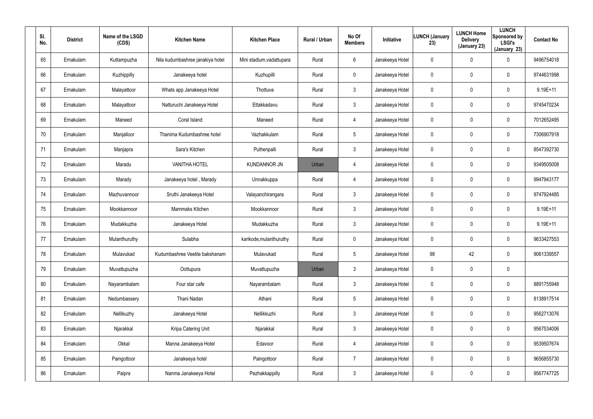| SI.<br>No. | <b>District</b> | Name of the LSGD<br>(CDS) | <b>Kitchen Name</b>              | <b>Kitchen Place</b>      | Rural / Urban | No Of<br><b>Members</b> | Initiative      | <b>LUNCH (January</b><br>23) | <b>LUNCH Home</b><br><b>Delivery</b><br>(January 23) | <b>LUNCH</b><br>Sponsored by<br><b>LSGI's</b><br>(January 23) | <b>Contact No</b> |
|------------|-----------------|---------------------------|----------------------------------|---------------------------|---------------|-------------------------|-----------------|------------------------------|------------------------------------------------------|---------------------------------------------------------------|-------------------|
| 65         | Ernakulam       | Kuttampuzha               | Nila kudumbashree janakiya hotel | Mini stadium, vadattupara | Rural         | 6                       | Janakeeya Hotel | $\mathbf 0$                  | $\mathbf 0$                                          | 0                                                             | 9496754018        |
| 66         | Ernakulam       | Kuzhippilly               | Janakeeya hotel                  | Kuzhupilli                | Rural         | $\mathbf 0$             | Janakeeya Hotel | 0                            | 0                                                    | $\mathbf 0$                                                   | 9744631998        |
| 67         | Ernakulam       | Malayattoor               | Whats app Janakeeya Hotel        | Thottuva                  | Rural         | $\mathbf{3}$            | Janakeeya Hotel | 0                            | 0                                                    | $\mathbf 0$                                                   | 9.19E+11          |
| 68         | Ernakulam       | Malayattoor               | Natturuchi Janakeeya Hotel       | Ettakkadavu               | Rural         | $\mathbf{3}$            | Janakeeya Hotel | 0                            | 0                                                    | $\mathbf 0$                                                   | 9745470234        |
| 69         | Ernakulam       | Maneed                    | Coral Island                     | Maneed                    | Rural         | $\overline{4}$          | Janakeeya Hotel | $\mathbf 0$                  | 0                                                    | $\mathbf 0$                                                   | 7012652495        |
| 70         | Ernakulam       | Manjalloor                | Thanima Kudumbashree hotel       | Vazhakkulam               | Rural         | $5\overline{)}$         | Janakeeya Hotel | 0                            | 0                                                    | $\mathbf 0$                                                   | 7306907918        |
| 71         | Ernakulam       | Manjapra                  | Sara's Kitchen                   | Puthenpalli               | Rural         | $\mathbf{3}$            | Janakeeya Hotel | 0                            | $\boldsymbol{0}$                                     | 0                                                             | 8547392730        |
| 72         | Ernakulam       | Maradu                    | <b>VANITHA HOTEL</b>             | <b>KUNDANNOR JN</b>       | Urban         | $\overline{4}$          | Janakeeya Hotel | 0                            | $\boldsymbol{0}$                                     | $\mathbf 0$                                                   | 9349505008        |
| 73         | Ernakulam       | Marady                    | Janakeeya hotel, Marady          | Unnakkuppa                | Rural         | $\overline{4}$          | Janakeeya Hotel | 0                            | $\boldsymbol{0}$                                     | 0                                                             | 9947943177        |
| 74         | Ernakulam       | Mazhuvannoor              | Sruthi Janakeeya Hotel           | Valayanchirangara         | Rural         | $\mathbf{3}$            | Janakeeya Hotel | 0                            | 0                                                    | $\mathbf 0$                                                   | 9747924485        |
| 75         | Ernakulam       | Mookkannoor               | Mammaks Kitchen                  | Mookkannoor               | Rural         | $\mathbf{3}$            | Janakeeya Hotel | 0                            | $\boldsymbol{0}$                                     | 0                                                             | $9.19E + 11$      |
| 76         | Ernakulam       | Mudakkuzha                | Janakeeya Hotel                  | Mudakkuzha                | Rural         | $\mathbf{3}$            | Janakeeya Hotel | 0                            | $\boldsymbol{0}$                                     | $\mathbf 0$                                                   | $9.19E + 11$      |
| 77         | Ernakulam       | Mulanthuruthy             | Sulabha                          | karikode, mulanthuruthy   | Rural         | $\mathbf 0$             | Janakeeya Hotel | 0                            | $\boldsymbol{0}$                                     | $\mathbf 0$                                                   | 9633427553        |
| 78         | Ernakulam       | Mulavukad                 | Kudumbashree Veetile bakshanam   | Mulavukad                 | Rural         | 5                       | Janakeeya Hotel | 98                           | 42                                                   | $\pmb{0}$                                                     | 9061339557        |
| 79         | Ernakulam       | Muvattupuzha              | Oottupura                        | Muvattupuzha              | Urban         | $\mathfrak{Z}$          | Janakeeya Hotel | $\pmb{0}$                    | $\pmb{0}$                                            | $\pmb{0}$                                                     |                   |
| 80         | Ernakulam       | Nayarambalam              | Four star cafe                   | Nayarambalam              | Rural         | $\mathfrak{Z}$          | Janakeeya Hotel | 0                            | $\pmb{0}$                                            | $\pmb{0}$                                                     | 8891755948        |
| 81         | Ernakulam       | Nedumbassery              | Thani Nadan                      | Athani                    | Rural         | $5\phantom{.0}$         | Janakeeya Hotel | $\pmb{0}$                    | $\pmb{0}$                                            | $\pmb{0}$                                                     | 8138917514        |
| 82         | Ernakulam       | Nellikuzhy                | Janakeeya Hotel                  | Nellikkuzhi               | Rural         | $\mathfrak{Z}$          | Janakeeya Hotel | 0                            | $\mathbf 0$                                          | $\pmb{0}$                                                     | 9562713076        |
| 83         | Ernakulam       | Njarakkal                 | Kripa Catering Unit              | Njarakkal                 | Rural         | $\mathbf{3}$            | Janakeeya Hotel | 0                            | $\pmb{0}$                                            | 0                                                             | 9567534006        |
| 84         | Ernakulam       | Okkal                     | Manna Janakeeya Hotel            | Edavoor                   | Rural         | $\overline{4}$          | Janakeeya Hotel | 0                            | $\mathbf 0$                                          | $\pmb{0}$                                                     | 9539507674        |
| 85         | Ernakulam       | Paingottoor               | Janakeeya hotel                  | Paingottoor               | Rural         | $\overline{7}$          | Janakeeya Hotel | 0                            | $\pmb{0}$                                            | 0                                                             | 9656855730        |
| 86         | Ernakulam       | Paipra                    | Nanma Janakeeya Hotel            | Pezhakkappilly            | Rural         | $\mathfrak{Z}$          | Janakeeya Hotel | 0                            | $\boldsymbol{0}$                                     | 0                                                             | 9567747725        |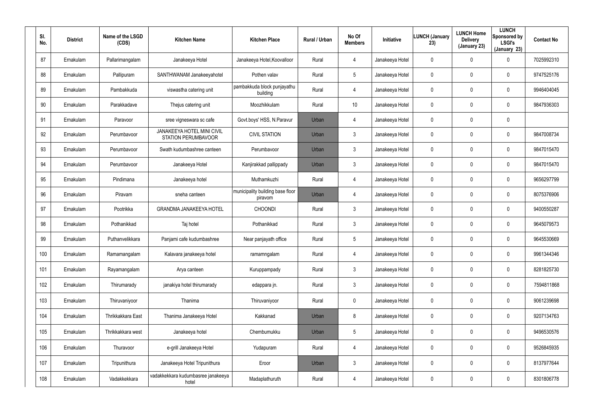| SI.<br>No. | <b>District</b> | Name of the LSGD<br>(CDS) | <b>Kitchen Name</b>                                      | <b>Kitchen Place</b>                        | Rural / Urban | No Of<br><b>Members</b> | Initiative      | <b>LUNCH (January</b><br>23) | <b>LUNCH Home</b><br><b>Delivery</b><br>(January 23) | <b>LUNCH</b><br>Sponsored by<br><b>LSGI's</b><br>(January 23) | <b>Contact No</b> |
|------------|-----------------|---------------------------|----------------------------------------------------------|---------------------------------------------|---------------|-------------------------|-----------------|------------------------------|------------------------------------------------------|---------------------------------------------------------------|-------------------|
| 87         | Ernakulam       | Pallarimangalam           | Janakeeya Hotel                                          | Janakeeya Hotel, Koovalloor                 | Rural         | $\overline{4}$          | Janakeeya Hotel | 0                            | 0                                                    | 0                                                             | 7025992310        |
| 88         | Ernakulam       | Pallipuram                | SANTHWANAM Janakeeyahotel                                | Pothen valav                                | Rural         | $5\phantom{.0}$         | Janakeeya Hotel | 0                            | 0                                                    | 0                                                             | 9747525176        |
| 89         | Ernakulam       | Pambakkuda                | viswastha catering unit                                  | pambakkuda block punjayathu<br>building     | Rural         | 4                       | Janakeeya Hotel | 0                            | 0                                                    | $\mathbf 0$                                                   | 9946404045        |
| 90         | Ernakulam       | Parakkadave               | Thejus catering unit                                     | Moozhikkulam                                | Rural         | 10                      | Janakeeya Hotel | 0                            | 0                                                    | $\mathbf 0$                                                   | 9847936303        |
| 91         | Ernakulam       | Paravoor                  | sree vigneswara sc cafe                                  | Govt.boys' HSS, N.Paravur                   | Urban         | $\overline{4}$          | Janakeeya Hotel | 0                            | $\mathbf 0$                                          | 0                                                             |                   |
| 92         | Ernakulam       | Perumbavoor               | JANAKEEYA HOTEL MINI CIVIL<br><b>STATION PERUMBAVOOR</b> | <b>CIVIL STATION</b>                        | Urban         | $\mathfrak{Z}$          | Janakeeya Hotel | 0                            | 0                                                    | $\mathbf 0$                                                   | 9847008734        |
| 93         | Ernakulam       | Perumbavoor               | Swath kudumbashree canteen                               | Perumbavoor                                 | Urban         | $\mathfrak{Z}$          | Janakeeya Hotel | 0                            | $\mathbf 0$                                          | $\mathbf 0$                                                   | 9847015470        |
| 94         | Ernakulam       | Perumbavoor               | Janakeeya Hotel                                          | Kanjirakkad pallippady                      | Urban         | $\mathfrak{Z}$          | Janakeeya Hotel | 0                            | 0                                                    | 0                                                             | 9847015470        |
| 95         | Ernakulam       | Pindimana                 | Janakeeya hotel                                          | Muthamkuzhi                                 | Rural         | 4                       | Janakeeya Hotel | 0                            | $\mathbf 0$                                          | $\mathbf 0$                                                   | 9656297799        |
| 96         | Ernakulam       | Piravam                   | sneha canteen                                            | municipality building base floor<br>piravom | Urban         | $\overline{4}$          | Janakeeya Hotel | 0                            | 0                                                    | 0                                                             | 8075376906        |
| 97         | Ernakulam       | Pootrikka                 | <b>GRANDMA JANAKEEYA HOTEL</b>                           | <b>CHOONDI</b>                              | Rural         | $\mathfrak{Z}$          | Janakeeya Hotel | 0                            | 0                                                    | $\mathbf 0$                                                   | 9400550287        |
| 98         | Ernakulam       | Pothanikkad               | Taj hotel                                                | Pothanikkad                                 | Rural         | $\mathbf{3}$            | Janakeeya Hotel | 0                            | 0                                                    | 0                                                             | 9645079573        |
| 99         | Ernakulam       | Puthanvelikkara           | Panjami cafe kudumbashree                                | Near panjayath office                       | Rural         | $5\phantom{.0}$         | Janakeeya Hotel | 0                            | 0                                                    | 0                                                             | 9645530669        |
| 100        | Ernakulam       | Ramamangalam              | Kalavara janakeeya hotel                                 | ramamngalam                                 | Rural         | 4                       | Janakeeya Hotel | 0                            | $\pmb{0}$                                            | $\pmb{0}$                                                     | 9961344346        |
| 101        | Ernakulam       | Rayamangalam              | Arya canteen                                             | Kuruppampady                                | Rural         | $\mathbf{3}$            | Janakeeya Hotel | 0                            | $\boldsymbol{0}$                                     | $\pmb{0}$                                                     | 8281825730        |
| 102        | Ernakulam       | Thirumarady               | janakiya hotel thirumarady                               | edappara jn.                                | Rural         | $\mathfrak{Z}$          | Janakeeya Hotel | 0                            | $\pmb{0}$                                            | $\pmb{0}$                                                     | 7594811868        |
| 103        | Ernakulam       | Thiruvaniyoor             | Thanima                                                  | Thiruvaniyoor                               | Rural         | $\mathbf 0$             | Janakeeya Hotel | 0                            | $\pmb{0}$                                            | $\pmb{0}$                                                     | 9061239698        |
| 104        | Ernakulam       | Thrikkakkara East         | Thanima Janakeeya Hotel                                  | Kakkanad                                    | Urban         | 8                       | Janakeeya Hotel | 0                            | $\mathbf 0$                                          | $\pmb{0}$                                                     | 9207134763        |
| 105        | Ernakulam       | Thrikkakkara west         | Janakeeya hotel                                          | Chembumukku                                 | Urban         | $5\phantom{.0}$         | Janakeeya Hotel | 0                            | $\pmb{0}$                                            | $\pmb{0}$                                                     | 9496530576        |
| 106        | Ernakulam       | Thuravoor                 | e-grill Janakeeya Hotel                                  | Yudapuram                                   | Rural         | 4                       | Janakeeya Hotel | 0                            | $\boldsymbol{0}$                                     | $\pmb{0}$                                                     | 9526845935        |
| 107        | Ernakulam       | Tripunithura              | Janakeeya Hotel Tripunithura                             | Eroor                                       | Urban         | $\mathfrak{Z}$          | Janakeeya Hotel | 0                            | $\pmb{0}$                                            | $\pmb{0}$                                                     | 8137977644        |
| 108        | Ernakulam       | Vadakkekkara              | vadakkekkara kudumbasree janakeeya<br>hotel              | Madaplathuruth                              | Rural         | 4                       | Janakeeya Hotel | 0                            | $\boldsymbol{0}$                                     | $\pmb{0}$                                                     | 8301806778        |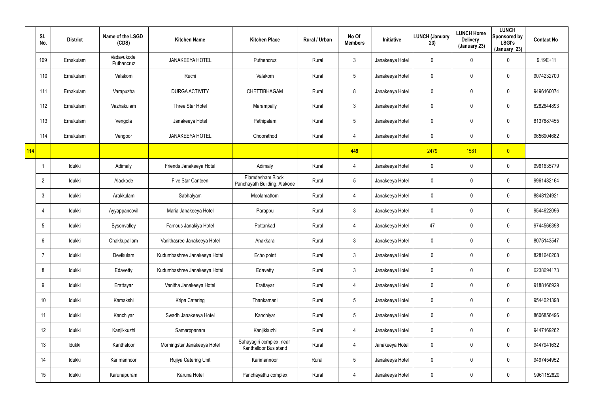|     | SI.<br>No.      | <b>District</b> | Name of the LSGD<br>(CDS) | <b>Kitchen Name</b>          | <b>Kitchen Place</b>                              | Rural / Urban | No Of<br><b>Members</b> | Initiative      | <b>LUNCH (January</b><br>23) | <b>LUNCH Home</b><br><b>Delivery</b><br>(January 23) | <b>LUNCH</b><br>Sponsored by<br><b>LSGI's</b><br>(January 23) | <b>Contact No</b> |
|-----|-----------------|-----------------|---------------------------|------------------------------|---------------------------------------------------|---------------|-------------------------|-----------------|------------------------------|------------------------------------------------------|---------------------------------------------------------------|-------------------|
|     | 109             | Ernakulam       | Vadavukode<br>Puthancruz  | <b>JANAKEEYA HOTEL</b>       | Puthencruz                                        | Rural         | $\mathfrak{Z}$          | Janakeeya Hotel | 0                            | $\mathbf 0$                                          | $\mathbf 0$                                                   | $9.19E+11$        |
|     | 110             | Ernakulam       | Valakom                   | Ruchi                        | Valakom                                           | Rural         | $5\phantom{.0}$         | Janakeeya Hotel | 0                            | $\mathbf 0$                                          | $\pmb{0}$                                                     | 9074232700        |
|     | 111             | Ernakulam       | Varapuzha                 | <b>DURGA ACTIVITY</b>        | CHETTIBHAGAM                                      | Rural         | 8                       | Janakeeya Hotel | 0                            | $\pmb{0}$                                            | $\pmb{0}$                                                     | 9496160074        |
|     | 112             | Ernakulam       | Vazhakulam                | Three Star Hotel             | Marampally                                        | Rural         | $\mathfrak{Z}$          | Janakeeya Hotel | 0                            | 0                                                    | $\mathbf 0$                                                   | 6282644893        |
|     | 113             | Ernakulam       | Vengola                   | Janakeeya Hotel              | Pathipalam                                        | Rural         | $5\phantom{.0}$         | Janakeeya Hotel | 0                            | $\pmb{0}$                                            | $\pmb{0}$                                                     | 8137887455        |
|     | 114             | Ernakulam       | Vengoor                   | <b>JANAKEEYA HOTEL</b>       | Choorathod                                        | Rural         | 4                       | Janakeeya Hotel | 0                            | $\boldsymbol{0}$                                     | $\mathbf 0$                                                   | 9656904682        |
| 114 |                 |                 |                           |                              |                                                   |               | 449                     |                 | 2479                         | 1581                                                 | $\overline{0}$                                                |                   |
|     |                 | Idukki          | Adimaly                   | Friends Janakeeya Hotel      | Adimaly                                           | Rural         | 4                       | Janakeeya Hotel | 0                            | $\mathbf 0$                                          | $\pmb{0}$                                                     | 9961635779        |
|     | $\overline{2}$  | Idukki          | Alackode                  | Five Star Canteen            | Elamdesham Block<br>Panchayath Building, Alakode  | Rural         | $5\phantom{.0}$         | Janakeeya Hotel | 0                            | $\mathbf 0$                                          | $\pmb{0}$                                                     | 9961482164        |
|     | $\mathbf{3}$    | Idukki          | Arakkulam                 | Sabhalyam                    | Moolamattom                                       | Rural         | 4                       | Janakeeya Hotel | 0                            | $\boldsymbol{0}$                                     | $\pmb{0}$                                                     | 8848124921        |
|     | 4               | Idukki          | Ayyappancovil             | Maria Janakeeya Hotel        | Parappu                                           | Rural         | $\mathfrak{Z}$          | Janakeeya Hotel | 0                            | $\pmb{0}$                                            | $\mathbf 0$                                                   | 9544622096        |
|     | $5\phantom{.0}$ | Idukki          | Bysonvalley               | Famous Janakiya Hotel        | Pottankad                                         | Rural         | 4                       | Janakeeya Hotel | 47                           | $\mathbf 0$                                          | $\mathbf 0$                                                   | 9744566398        |
|     | 6               | Idukki          | Chakkupallam              | Vanithasree Janakeeya Hotel  | Anakkara                                          | Rural         | $\mathfrak{Z}$          | Janakeeya Hotel | 0                            | $\mathbf 0$                                          | $\pmb{0}$                                                     | 8075143547        |
|     | $\overline{7}$  | Idukki          | Devikulam                 | Kudumbashree Janakeeya Hotel | Echo point                                        | Rural         | $\mathfrak{Z}$          | Janakeeya Hotel | 0                            | $\mathbf 0$                                          | $\pmb{0}$                                                     | 8281640208        |
|     | 8               | Idukki          | Edavetty                  | Kudumbashree Janakeeya Hotel | Edavetty                                          | Rural         | $\mathfrak{Z}$          | Janakeeya Hotel | 0                            | 0                                                    | $\pmb{0}$                                                     | 6238694173        |
|     | 9               | Idukki          | Erattayar                 | Vanitha Janakeeya Hotel      | Erattayar                                         | Rural         | 4                       | Janakeeya Hotel | 0                            | $\mathbf 0$                                          | $\pmb{0}$                                                     | 9188166929        |
|     | 10 <sup>°</sup> | Idukki          | Kamakshi                  | Kripa Catering               | Thankamani                                        | Rural         | $\overline{5}$          | Janakeeya Hotel | 0                            | 0                                                    | $\pmb{0}$                                                     | 9544021398        |
|     | 11              | ldukki          | Kanchiyar                 | Swadh Janakeeya Hotel        | Kanchiyar                                         | Rural         | $\overline{5}$          | Janakeeya Hotel | 0                            | $\mathbf 0$                                          | $\pmb{0}$                                                     | 8606856496        |
|     | 12              | Idukki          | Kanjikkuzhi               | Samarppanam                  | Kanjikkuzhi                                       | Rural         | 4                       | Janakeeya Hotel | 0                            | $\mathbf 0$                                          | $\pmb{0}$                                                     | 9447169262        |
|     | 13              | ldukki          | Kanthaloor                | Morningstar Janakeeya Hotel  | Sahayagiri complex, near<br>Kanthalloor Bus stand | Rural         | 4                       | Janakeeya Hotel | 0                            | $\mathbf 0$                                          | $\mathbf 0$                                                   | 9447941632        |
|     | 14              | Idukki          | Karimannoor               | Rujiya Catering Unit         | Karimannoor                                       | Rural         | $\overline{5}$          | Janakeeya Hotel | 0                            | $\mathbf 0$                                          | $\pmb{0}$                                                     | 9497454952        |
|     | 15              | ldukki          | Karunapuram               | Karuna Hotel                 | Panchayathu complex                               | Rural         | 4                       | Janakeeya Hotel | 0                            | $\mathbf 0$                                          | $\pmb{0}$                                                     | 9961152820        |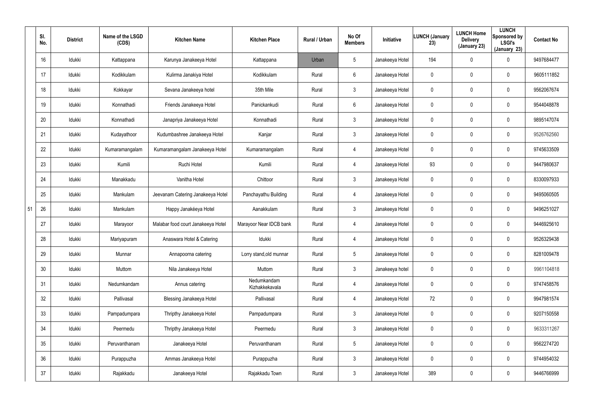|    | SI.<br>No. | <b>District</b> | Name of the LSGD<br>(CDS) | <b>Kitchen Name</b>                | <b>Kitchen Place</b>          | Rural / Urban | No Of<br><b>Members</b> | <b>Initiative</b> | <b>LUNCH (January</b><br>23) | <b>LUNCH Home</b><br><b>Delivery</b><br>(January 23) | <b>LUNCH</b><br>Sponsored by<br><b>LSGI's</b><br>(January 23) | <b>Contact No</b> |
|----|------------|-----------------|---------------------------|------------------------------------|-------------------------------|---------------|-------------------------|-------------------|------------------------------|------------------------------------------------------|---------------------------------------------------------------|-------------------|
|    | 16         | Idukki          | Kattappana                | Karunya Janakeeya Hotel            | Kattappana                    | Urban         | 5                       | Janakeeya Hotel   | 194                          | $\mathbf 0$                                          | 0                                                             | 9497684477        |
|    | 17         | Idukki          | Kodikkulam                | Kulirma Janakiya Hotel             | Kodikkulam                    | Rural         | 6                       | Janakeeya Hotel   | 0                            | $\mathbf 0$                                          | 0                                                             | 9605111852        |
|    | 18         | Idukki          | Kokkayar                  | Sevana Janakeeya hotel             | 35th Mile                     | Rural         | $\mathbf{3}$            | Janakeeya Hotel   | 0                            | $\mathsf{0}$                                         | 0                                                             | 9562067674        |
|    | 19         | Idukki          | Konnathadi                | Friends Janakeeya Hotel            | Panickankudi                  | Rural         | 6                       | Janakeeya Hotel   | 0                            | $\mathbf 0$                                          | 0                                                             | 9544048878        |
|    | 20         | Idukki          | Konnathadi                | Janapriya Janakeeya Hotel          | Konnathadi                    | Rural         | $\mathbf{3}$            | Janakeeya Hotel   | 0                            | $\mathbf 0$                                          | 0                                                             | 9895147074        |
|    | 21         | Idukki          | Kudayathoor               | Kudumbashree Janakeeya Hotel       | Kanjar                        | Rural         | $\mathbf{3}$            | Janakeeya Hotel   | 0                            | $\mathbf 0$                                          | 0                                                             | 9526762560        |
|    | 22         | Idukki          | Kumaramangalam            | Kumaramangalam Janakeeya Hotel     | Kumaramangalam                | Rural         | 4                       | Janakeeya Hotel   | 0                            | $\mathsf{0}$                                         | 0                                                             | 9745633509        |
|    | 23         | Idukki          | Kumili                    | Ruchi Hotel                        | Kumili                        | Rural         | 4                       | Janakeeya Hotel   | 93                           | $\mathbf 0$                                          | 0                                                             | 9447980637        |
|    | 24         | Idukki          | Manakkadu                 | Vanitha Hotel                      | Chittoor                      | Rural         | $\mathbf{3}$            | Janakeeya Hotel   | 0                            | $\mathbf 0$                                          | 0                                                             | 8330097933        |
|    | 25         | Idukki          | Mankulam                  | Jeevanam Catering Janakeeya Hotel  | Panchayathu Building          | Rural         | 4                       | Janakeeya Hotel   | 0                            | $\mathbf 0$                                          | 0                                                             | 9495060505        |
| 51 | 26         | Idukki          | Mankulam                  | Happy Janakéeya Hotel              | Aanakkulam                    | Rural         | $\mathbf{3}$            | Janakeeya Hotel   | 0                            | $\mathbf 0$                                          | 0                                                             | 9496251027        |
|    | 27         | Idukki          | Marayoor                  | Malabar food court Janakeeya Hotel | Marayoor Near IDCB bank       | Rural         | 4                       | Janakeeya Hotel   | 0                            | $\mathbf 0$                                          | 0                                                             | 9446925610        |
|    | 28         | Idukki          | Mariyapuram               | Anaswara Hotel & Catering          | Idukki                        | Rural         | 4                       | Janakeeya Hotel   | 0                            | $\mathbf 0$                                          | 0                                                             | 9526329438        |
|    | 29         | Idukki          | Munnar                    | Annapoorna catering                | Lorry stand, old munnar       | Rural         | 5                       | Janakeeya Hotel   | 0                            | $\mathbf 0$                                          | 0                                                             | 8281009478        |
|    | 30         | Idukki          | Muttom                    | Nila Janakeeya Hotel               | Muttom                        | Rural         | $\mathbf{3}$            | Janakeeya hotel   | 0                            | $\mathbf 0$                                          | 0                                                             | 9961104818        |
|    | 31         | Idukki          | Nedumkandam               | Annus catering                     | Nedumkandam<br>Kizhakkekavala | Rural         | 4                       | Janakeeya Hotel   | 0                            | $\mathbf 0$                                          | 0                                                             | 9747458576        |
|    | 32         | Idukki          | Pallivasal                | Blessing Janakeeya Hotel           | Pallivasal                    | Rural         | 4                       | Janakeeya Hotel   | 72                           | $\mathbf 0$                                          | 0                                                             | 9947981574        |
|    | 33         | Idukki          | Pampadumpara              | Thripthy Janakeeya Hotel           | Pampadumpara                  | Rural         | $\mathbf{3}$            | Janakeeya Hotel   | $\mathbf 0$                  | $\mathbf 0$                                          | 0                                                             | 9207150558        |
|    | 34         | Idukki          | Peermedu                  | Thripthy Janakeeya Hotel           | Peermedu                      | Rural         | $\mathbf{3}$            | Janakeeya Hotel   | 0                            | $\mathbf 0$                                          | 0                                                             | 9633311267        |
|    | 35         | Idukki          | Peruvanthanam             | Janakeeya Hotel                    | Peruvanthanam                 | Rural         | $5\phantom{.0}$         | Janakeeya Hotel   | 0                            | $\mathbf 0$                                          | 0                                                             | 9562274720        |
|    | 36         | Idukki          | Purappuzha                | Ammas Janakeeya Hotel              | Purappuzha                    | Rural         | $\mathbf{3}$            | Janakeeya Hotel   | 0                            | $\mathbf 0$                                          | 0                                                             | 9744954032        |
|    | 37         | ldukki          | Rajakkadu                 | Janakeeya Hotel                    | Rajakkadu Town                | Rural         | $\mathfrak{Z}$          | Janakeeya Hotel   | 389                          | $\pmb{0}$                                            | 0                                                             | 9446766999        |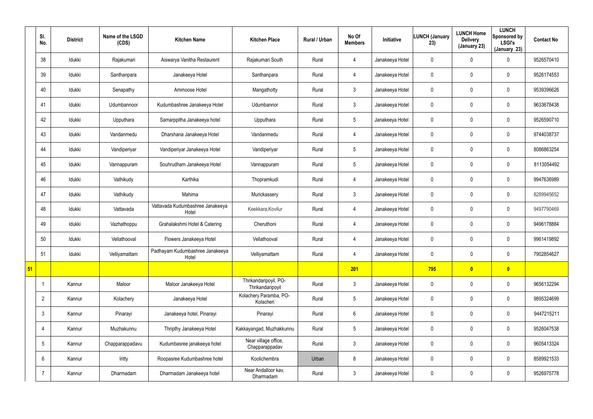|    | SI.<br>No.      | <b>District</b> | Name of the LSGD<br>(CDS) | <b>Kitchen Name</b>                       | <b>Kitchen Place</b>                      | Rural / Urban | No Of<br><b>Members</b> | Initiative      | LUNCH (January<br>23) | <b>LUNCH Home</b><br><b>Delivery</b><br>(January 23) | <b>LUNCH</b><br>Sponsored by<br><b>LSGI's</b><br>(January 23) | <b>Contact No</b> |
|----|-----------------|-----------------|---------------------------|-------------------------------------------|-------------------------------------------|---------------|-------------------------|-----------------|-----------------------|------------------------------------------------------|---------------------------------------------------------------|-------------------|
|    | 38              | Idukki          | Rajakumari                | Aiswarya Vanitha Restaurent               | Rajakumari South                          | Rural         | $\overline{4}$          | Janakeeya Hotel | $\mathbf 0$           | 0                                                    | $\mathbf 0$                                                   | 9526570410        |
|    | 39              | Idukki          | Santhanpara               | Janakeeya Hotel                           | Santhanpara                               | Rural         | $\overline{4}$          | Janakeeya Hotel | 0                     | 0                                                    | $\mathbf 0$                                                   | 9526174553        |
|    | 40              | Idukki          | Senapathy                 | Ammoose Hotel                             | Mangathotty                               | Rural         | 3 <sup>1</sup>          | Janakeeya Hotel | 0                     | 0                                                    | $\mathbf 0$                                                   | 9539396626        |
|    | 41              | ldukki          | Udumbannoor               | Kudumbashree Janakeeya Hotel              | Udumbannor                                | Rural         | $\mathbf{3}$            | Janakeeya Hotel | 0                     | 0                                                    | $\mathbf 0$                                                   | 9633678438        |
|    | 42              | ldukki          | Upputhara                 | Samarppitha Janakeeya hotel               | Upputhara                                 | Rural         | $5\phantom{.0}$         | Janakeeya Hotel | 0                     | 0                                                    | $\mathbf 0$                                                   | 9526590710        |
|    | 43              | ldukki          | Vandanmedu                | Dharshana Janakeeya Hotel                 | Vandanmedu                                | Rural         | $\overline{4}$          | Janakeeya Hotel | 0                     | 0                                                    | $\mathbf 0$                                                   | 9744038737        |
|    | 44              | Idukki          | Vandiperiyar              | Vandiperiyar Janakeeya Hotel              | Vandiperiyar                              | Rural         | $5\overline{)}$         | Janakeeya Hotel | 0                     | 0                                                    | $\mathbf 0$                                                   | 8086863254        |
|    | 45              | Idukki          | Vannappuram               | Souhrudham Janakeeya Hotel                | Vannappuram                               | Rural         | $5\phantom{.0}$         | Janakeeya Hotel | 0                     | 0                                                    | $\mathbf 0$                                                   | 8113054492        |
|    | 46              | Idukki          | Vathikudy                 | Karthika                                  | Thopramkudi                               | Rural         | $\overline{4}$          | Janakeeya Hotel | 0                     | 0                                                    | $\mathbf 0$                                                   | 9947636989        |
|    | 47              | Idukki          | Vathikudy                 | Mahima                                    | Murickassery                              | Rural         | 3                       | Janakeeya Hotel | 0                     | 0                                                    | $\mathbf 0$                                                   | 8289945652        |
|    | 48              | Idukki          | Vattavada                 | Vattavada Kudumbashree Janakeeya<br>Hotel | Keekkara, Kovilur                         | Rural         | $\overline{4}$          | Janakeeya Hotel | 0                     | 0                                                    | $\mathbf 0$                                                   | 9497790469        |
|    | 49              | Idukki          | Vazhathoppu               | Grahalakshmi Hotel & Catering             | Cheruthoni                                | Rural         | $\overline{4}$          | Janakeeya Hotel | 0                     | 0                                                    | $\mathbf 0$                                                   | 9496178884        |
|    | 50              | Idukki          | Vellathooval              | Flowers Janakeeya Hotel                   | Vellathooval                              | Rural         | 4                       | Janakeeya Hotel | 0                     | 0                                                    | $\mathbf 0$                                                   | 9961419892        |
|    | 51              | Idukki          | Velliyamattam             | Padhayam Kudumbashree Janakeeya<br>Hotel  | Velliyamattam                             | Rural         | $\overline{4}$          | Janakeeya Hotel | 0                     | 0                                                    | $\pmb{0}$                                                     | 7902854627        |
| 51 |                 |                 |                           |                                           |                                           |               | 201                     |                 | 795                   | $\bullet$                                            | $\bullet$                                                     |                   |
|    |                 | Kannur          | Maloor                    | Maloor Janakeeya Hotel                    | Thrikandaripoyil, PO-<br>Thrikandaripoyil | Rural         | $\mathbf{3}$            | Janakeeya Hotel | $\mathbf 0$           | 0                                                    | $\pmb{0}$                                                     | 9656132294        |
|    | $\overline{2}$  | Kannur          | Kolachery                 | Janakeeya Hotel                           | Kolachery Paramba, PO-<br>Kolacheri       | Rural         | $5\phantom{.0}$         | Janakeeya Hotel | 0                     | 0                                                    | $\mathbf 0$                                                   | 9895324699        |
|    | $\mathbf{3}$    | Kannur          | Pinarayi                  | Janakeeya hotel, Pinarayi                 | Pinarayi                                  | Rural         | $6\phantom{.}6$         | Janakeeya Hotel | $\mathbf 0$           | 0                                                    | $\mathbf 0$                                                   | 9447215211        |
|    | 4               | Kannur          | Muzhakunnu                | Thripthy Janakeeya Hotel                  | Kakkayangad, Muzhakkunnu                  | Rural         | $5\phantom{.0}$         | Janakeeya Hotel | 0                     | 0                                                    | $\mathbf 0$                                                   | 9526047538        |
|    | $5\overline{)}$ | Kannur          | Chapparappadavu           | Kudumbasree janakeeya hotel               | Near village office,<br>Chapparappadav    | Rural         | 3 <sup>1</sup>          | Janakeeya Hotel | $\mathbf 0$           | 0                                                    | $\pmb{0}$                                                     | 9605413324        |
|    | 6               | Kannur          | Iritty                    | Roopasree Kudumbashree hotel              | Koolichembra                              | Urban         | 8                       | Janakeeya Hotel | 0                     | 0                                                    | $\mathbf 0$                                                   | 8589921533        |
|    | -7              | Kannur          | Dharmadam                 | Dharmadam Janakeeya hotel                 | Near Andalloor kav,<br>Dharmadam          | Rural         | $\mathfrak{Z}$          | Janakeeya Hotel | 0                     | 0                                                    | $\pmb{0}$                                                     | 9526975778        |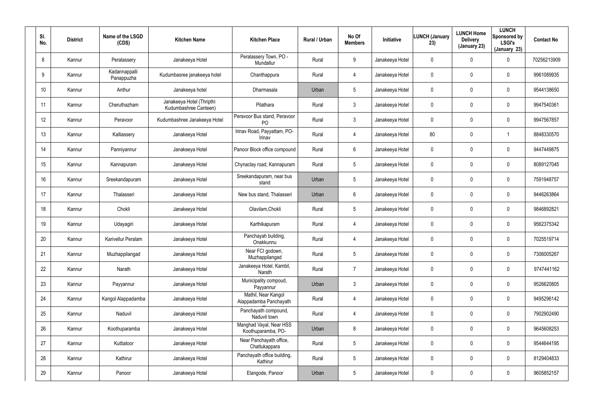| SI.<br>No.      | <b>District</b> | Name of the LSGD<br>(CDS)   | <b>Kitchen Name</b>                                | <b>Kitchen Place</b>                           | Rural / Urban | No Of<br><b>Members</b> | Initiative      | <b>LUNCH (January</b><br>23) | <b>LUNCH Home</b><br><b>Delivery</b><br>(January 23) | <b>LUNCH</b><br>Sponsored by<br><b>LSGI's</b><br>(January 23) | <b>Contact No</b> |
|-----------------|-----------------|-----------------------------|----------------------------------------------------|------------------------------------------------|---------------|-------------------------|-----------------|------------------------------|------------------------------------------------------|---------------------------------------------------------------|-------------------|
| 8               | Kannur          | Peralassery                 | Janakeeya Hotel                                    | Peralassery Town, PO -<br>Mundallur            | Rural         | 9                       | Janakeeya Hotel | 0                            | 0                                                    | 0                                                             | 70256213909       |
| 9               | Kannur          | Kadannappalli<br>Panappuzha | Kudumbasree janakeeya hotel                        | Chanthappura                                   | Rural         | 4                       | Janakeeya Hotel | 0                            | $\mathbf 0$                                          | 0                                                             | 9961089935        |
| 10 <sup>°</sup> | Kannur          | Anthur                      | Janakeeya hotel                                    | Dharmasala                                     | Urban         | $5\phantom{.0}$         | Janakeeya Hotel | 0                            | $\mathbf 0$                                          | 0                                                             | 9544138650        |
| 11              | Kannur          | Cheruthazham                | Janakeeya Hotel (Thripthi<br>Kudumbashree Canteen) | Pilathara                                      | Rural         | 3                       | Janakeeya Hotel | 0                            | $\boldsymbol{0}$                                     | 0                                                             | 9947540361        |
| 12 <sup>°</sup> | Kannur          | Peravoor                    | Kudumbashree Janakeeya Hotel                       | Peravoor Bus stand, Peravoor<br>P <sub>O</sub> | Rural         | $\mathfrak{Z}$          | Janakeeya Hotel | 0                            | $\mathbf 0$                                          | 0                                                             | 9947567857        |
| 13              | Kannur          | Kalliassery                 | Janakeeya Hotel                                    | Irinav Road, Payyattam, PO-<br>Irinav          | Rural         | 4                       | Janakeeya Hotel | 80                           | $\mathbf 0$                                          |                                                               | 8848330570        |
| 14              | Kannur          | Panniyannur                 | Janakeeya Hotel                                    | Panoor Block office compound                   | Rural         | 6                       | Janakeeya Hotel | 0                            | $\mathbf 0$                                          | 0                                                             | 9447449875        |
| 15 <sub>2</sub> | Kannur          | Kannapuram                  | Janakeeya Hotel                                    | Chynaclay road, Kannapuram                     | Rural         | $5\overline{)}$         | Janakeeya Hotel | 0                            | $\boldsymbol{0}$                                     | 0                                                             | 8089127045        |
| 16              | Kannur          | Sreekandapuram              | Janakeeya Hotel                                    | Sreekandapuram, near bus<br>stand              | Urban         | $5\phantom{.0}$         | Janakeeya Hotel | 0                            | $\mathbf 0$                                          | 0                                                             | 7591948757        |
| 17              | Kannur          | Thalasseri                  | Janakeeya Hotel                                    | New bus stand, Thalasseri                      | Urban         | 6                       | Janakeeya Hotel | 0                            | $\mathbf 0$                                          | 0                                                             | 9446263864        |
| 18              | Kannur          | Chokli                      | Janakeeya Hotel                                    | Olavilam, Chokli                               | Rural         | $5\phantom{.0}$         | Janakeeya Hotel | 0                            | $\mathbf 0$                                          | 0                                                             | 9846892821        |
| 19              | Kannur          | Udayagiri                   | Janakeeya Hotel                                    | Karthikapuram                                  | Rural         | 4                       | Janakeeya Hotel | 0                            | $\mathbf 0$                                          | 0                                                             | 9562375342        |
| 20              | Kannur          | Karivellur Peralam          | Janakeeya Hotel                                    | Panchayah building,<br>Onakkunnu               | Rural         | 4                       | Janakeeya Hotel | 0                            | $\mathbf 0$                                          | 0                                                             | 7025519714        |
| 21              | Kannur          | Muzhappilangad              | Janakeeya Hotel                                    | Near FCI godown,<br>Muzhappilangad             | Rural         | $5\phantom{.0}$         | Janakeeya Hotel | 0                            | $\mathbf 0$                                          | 0                                                             | 7306005267        |
| 22              | Kannur          | Narath                      | Janakeeya Hotel                                    | Janakeeya Hotel, Kambil,<br>Narath             | Rural         | $\overline{7}$          | Janakeeya Hotel | $\pmb{0}$                    | $\mathbf 0$                                          | 0                                                             | 9747441162        |
| 23              | Kannur          | Payyannur                   | Janakeeya Hotel                                    | Municipality compoud,<br>Payyannur             | Urban         | $\mathbf{3}$            | Janakeeya Hotel | $\mathbf 0$                  | $\overline{0}$                                       | 0                                                             | 9526620805        |
| 24              | Kannur          | Kangol Alappadamba          | Janakeeya Hotel                                    | Mathil, Near Kangol<br>Alappadamba Panchayath  | Rural         | 4                       | Janakeeya Hotel | $\pmb{0}$                    | $\mathbf 0$                                          | 0                                                             | 9495296142        |
| 25              | Kannur          | Naduvil                     | Janakeeya Hotel                                    | Panchayath compound,<br>Naduvil town           | Rural         | $\overline{4}$          | Janakeeya Hotel | $\mathbf 0$                  | $\mathbf 0$                                          | 0                                                             | 7902902490        |
| 26              | Kannur          | Koothuparamba               | Janakeeya Hotel                                    | Manghad Vayal, Near HSS<br>Koothuparamba, PO-  | Urban         | 8                       | Janakeeya Hotel | 0                            | $\overline{0}$                                       | 0                                                             | 9645608253        |
| 27              | Kannur          | Kuttiatoor                  | Janakeeya Hotel                                    | Near Panchayath office,<br>Chattukappara       | Rural         | $5\phantom{.0}$         | Janakeeya Hotel | $\mathbf 0$                  | $\boldsymbol{0}$                                     | 0                                                             | 9544644195        |
| 28              | Kannur          | Kathirur                    | Janakeeya Hotel                                    | Panchayath office building,<br>Kathirur        | Rural         | $5\phantom{.0}$         | Janakeeya Hotel | $\pmb{0}$                    | $\boldsymbol{0}$                                     | 0                                                             | 8129404833        |
| 29              | Kannur          | Panoor                      | Janakeeya Hotel                                    | Elangode, Panoor                               | Urban         | $5\phantom{.0}$         | Janakeeya Hotel | 0                            | $\pmb{0}$                                            | 0                                                             | 9605852157        |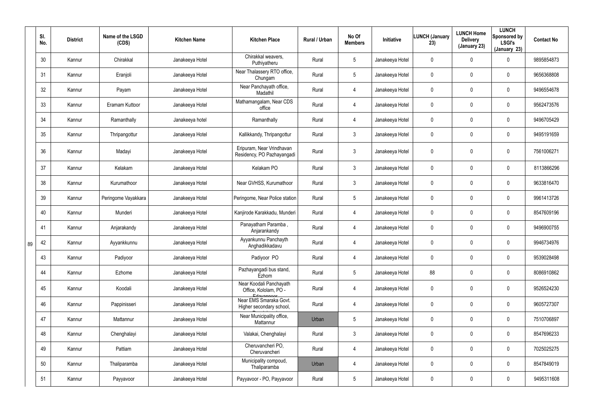|    | SI.<br>No. | <b>District</b> | Name of the LSGD<br>(CDS) | <b>Kitchen Name</b> | <b>Kitchen Place</b>                                             | Rural / Urban | No Of<br><b>Members</b> | Initiative      | <b>LUNCH (January</b><br>23) | <b>LUNCH Home</b><br><b>Delivery</b><br>(January 23) | <b>LUNCH</b><br>Sponsored by<br><b>LSGI's</b><br>(January 23) | <b>Contact No</b> |
|----|------------|-----------------|---------------------------|---------------------|------------------------------------------------------------------|---------------|-------------------------|-----------------|------------------------------|------------------------------------------------------|---------------------------------------------------------------|-------------------|
|    | 30         | Kannur          | Chirakkal                 | Janakeeya Hotel     | Chirakkal weavers,<br>Puthiyatheru                               | Rural         | $5\phantom{.0}$         | Janakeeya Hotel | 0                            | 0                                                    | $\mathbf 0$                                                   | 9895854873        |
|    | 31         | Kannur          | Eranjoli                  | Janakeeya Hotel     | Near Thalassery RTO office,<br>Chungam                           | Rural         | $5\phantom{.0}$         | Janakeeya Hotel | 0                            | 0                                                    | $\mathbf 0$                                                   | 9656368808        |
|    | 32         | Kannur          | Payam                     | Janakeeya Hotel     | Near Panchayath office,<br>Madathil                              | Rural         | $\overline{4}$          | Janakeeya Hotel | 0                            | 0                                                    | $\mathbf 0$                                                   | 9496554678        |
|    | 33         | Kannur          | Eramam Kuttoor            | Janakeeya Hotel     | Mathamangalam, Near CDS<br>office                                | Rural         | $\overline{4}$          | Janakeeya Hotel | 0                            | 0                                                    | $\mathbf 0$                                                   | 9562473576        |
|    | 34         | Kannur          | Ramanthally               | Janakeeya hotel     | Ramanthally                                                      | Rural         | $\overline{4}$          | Janakeeya Hotel | 0                            | 0                                                    | $\mathbf 0$                                                   | 9496705429        |
|    | 35         | Kannur          | Thripangottur             | Janakeeya Hotel     | Kallikkandy, Thripangottur                                       | Rural         | $\mathbf{3}$            | Janakeeya Hotel | 0                            | 0                                                    | $\mathbf 0$                                                   | 9495191659        |
|    | 36         | Kannur          | Madayi                    | Janakeeya Hotel     | Eripuram, Near Vrindhavan<br>Residency, PO Pazhayangadi          | Rural         | $\mathfrak{Z}$          | Janakeeya Hotel | 0                            | 0                                                    | $\mathbf 0$                                                   | 7561006271        |
|    | 37         | Kannur          | Kelakam                   | Janakeeya Hotel     | Kelakam PO                                                       | Rural         | $\mathbf{3}$            | Janakeeya Hotel | 0                            | 0                                                    | $\mathbf 0$                                                   | 8113866296        |
|    | 38         | Kannur          | Kurumathoor               | Janakeeya Hotel     | Near GVHSS, Kurumathoor                                          | Rural         | $\mathbf{3}$            | Janakeeya Hotel | 0                            | 0                                                    | $\mathbf 0$                                                   | 9633816470        |
|    | 39         | Kannur          | Peringome Vayakkara       | Janakeeya Hotel     | Peringome, Near Police station                                   | Rural         | $5\phantom{.0}$         | Janakeeya Hotel | 0                            | 0                                                    | $\mathbf 0$                                                   | 9961413726        |
|    | 40         | Kannur          | Munderi                   | Janakeeya Hotel     | Kanjirode Karakkadu, Munderi                                     | Rural         | $\overline{4}$          | Janakeeya Hotel | 0                            | 0                                                    | $\mathbf 0$                                                   | 8547609196        |
|    | 41         | Kannur          | Anjarakandy               | Janakeeya Hotel     | Panayatham Paramba,<br>Anjarankandy                              | Rural         | $\overline{4}$          | Janakeeya Hotel | 0                            | 0                                                    | $\pmb{0}$                                                     | 9496900755        |
| 89 | 42         | Kannur          | Ayyankkunnu               | Janakeeya Hotel     | Ayyankunnu Panchayth<br>Anghadikkadavu                           | Rural         | 4                       | Janakeeya Hotel | 0                            | 0                                                    | $\mathbf 0$                                                   | 9946734976        |
|    | 43         | Kannur          | Padiyoor                  | Janakeeya Hotel     | Padiyoor PO                                                      | Rural         | $\overline{4}$          | Janakeeya Hotel | 0                            | 0                                                    | $\pmb{0}$                                                     | 9539028498        |
|    | 44         | Kannur          | Ezhome                    | Janakeeya Hotel     | Pazhayangadi bus stand,<br>Ezhom                                 | Rural         | $5\phantom{.0}$         | Janakeeya Hotel | 88                           | 0                                                    | $\pmb{0}$                                                     | 8086910862        |
|    | 45         | Kannur          | Koodali                   | Janakeeya Hotel     | Near Koodali Panchayath<br>Office, Kololam, PO -                 | Rural         | 4                       | Janakeeya Hotel | 0                            | 0                                                    | $\pmb{0}$                                                     | 9526524230        |
|    | 46         | Kannur          | Pappinisseri              | Janakeeya Hotel     | Edavannont<br>Near EMS Smaraka Govt.<br>Higher secondary school, | Rural         | 4                       | Janakeeya Hotel | 0                            | 0                                                    | $\pmb{0}$                                                     | 9605727307        |
|    | 47         | Kannur          | Mattannur                 | Janakeeya Hotel     | Near Municipality office,<br>Mattannur                           | Urban         | $5\phantom{.0}$         | Janakeeya Hotel | 0                            | 0                                                    | $\pmb{0}$                                                     | 7510706897        |
|    | 48         | Kannur          | Chenghalayi               | Janakeeya Hotel     | Valakai, Chenghalayi                                             | Rural         | $\mathbf{3}$            | Janakeeya Hotel | 0                            | 0                                                    | $\pmb{0}$                                                     | 8547696233        |
|    | 49         | Kannur          | Pattiam                   | Janakeeya Hotel     | Cheruvancheri PO,<br>Cheruvancheri                               | Rural         | $\overline{4}$          | Janakeeya Hotel | 0                            | 0                                                    | $\pmb{0}$                                                     | 7025025275        |
|    | 50         | Kannur          | Thaliparamba              | Janakeeya Hotel     | Municipality compoud,<br>Thaliparamba                            | Urban         | $\overline{4}$          | Janakeeya Hotel | 0                            | 0                                                    | $\pmb{0}$                                                     | 8547849019        |
|    | 51         | Kannur          | Payyavoor                 | Janakeeya Hotel     | Payyavoor - PO, Payyavoor                                        | Rural         | $5\phantom{.0}$         | Janakeeya Hotel | 0                            | 0                                                    | $\pmb{0}$                                                     | 9495311608        |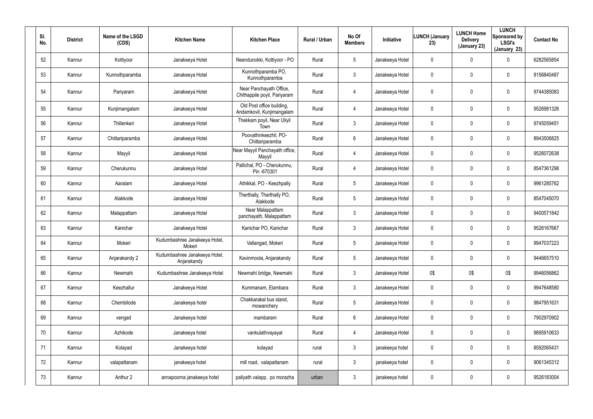| SI. | No. | <b>District</b> | Name of the LSGD<br>(CDS) | <b>Kitchen Name</b>                          | <b>Kitchen Place</b>                                    | Rural / Urban | No Of<br><b>Members</b> | Initiative      | <b>LUNCH (January</b><br>23) | <b>LUNCH Home</b><br><b>Delivery</b><br>(January 23) | <b>LUNCH</b><br>Sponsored by<br><b>LSGI's</b><br>(January 23) | <b>Contact No</b> |
|-----|-----|-----------------|---------------------------|----------------------------------------------|---------------------------------------------------------|---------------|-------------------------|-----------------|------------------------------|------------------------------------------------------|---------------------------------------------------------------|-------------------|
|     | 52  | Kannur          | Kottiyoor                 | Janakeeya Hotel                              | Neendunokki, Kottiyoor - PO                             | Rural         | $5\phantom{.0}$         | Janakeeya Hotel | 0                            | 0                                                    | $\mathbf 0$                                                   | 6282565854        |
|     | 53  | Kannur          | Kunnothparamba            | Janakeeya Hotel                              | Kunnothparamba PO,<br>Kunnothparamba                    | Rural         | 3                       | Janakeeya Hotel | 0                            | 0                                                    | $\mathbf 0$                                                   | 8156840487        |
|     | 54  | Kannur          | Pariyaram                 | Janakeeya Hotel                              | Near Panchayath Office,<br>Chithappile poyil, Pariyaram | Rural         | 4                       | Janakeeya Hotel | 0                            | 0                                                    | $\mathbf 0$                                                   | 9744385083        |
|     | 55  | Kannur          | Kunjimangalam             | Janakeeya Hotel                              | Old Post office building,<br>Andamkovil, Kunjimangalam  | Rural         | 4                       | Janakeeya Hotel | 0                            | 0                                                    | $\mathbf 0$                                                   | 9526981326        |
|     | 56  | Kannur          | Thillenkeri               | Janakeeya Hotel                              | Thekkam poyil, Near Uliyil<br>Town                      | Rural         | $\mathbf{3}$            | Janakeeya Hotel | 0                            | 0                                                    | $\mathbf 0$                                                   | 9745059451        |
|     | 57  | Kannur          | Chittariparamba           | Janakeeya Hotel                              | Poovathinkeezhil, PO-<br>Chittariparamba                | Rural         | $6\phantom{.}$          | Janakeeya Hotel | 0                            | 0                                                    | $\mathbf 0$                                                   | 8943506825        |
|     | 58  | Kannur          | Mayyil                    | Janakeeya Hotel                              | Near Mayyil Panchayath office,<br>Mayyil                | Rural         | 4                       | Janakeeya Hotel | 0                            | 0                                                    | $\pmb{0}$                                                     | 9526072638        |
|     | 59  | Kannur          | Cherukunnu                | Janakeeya Hotel                              | Pallichal, PO - Cherukunnu,<br>Pin-670301               | Rural         | 4                       | Janakeeya Hotel | 0                            | 0                                                    | $\pmb{0}$                                                     | 8547361298        |
|     | 60  | Kannur          | Aaralam                   | Janakeeya Hotel                              | Athikkal, PO - Keezhpally                               | Rural         | $5\phantom{.0}$         | Janakeeya Hotel | 0                            | 0                                                    | $\mathbf 0$                                                   | 9961285762        |
|     | 61  | Kannur          | Alakkode                  | Janakeeya Hotel                              | Therthally, Therthally PO,<br>Alakkode                  | Rural         | 5                       | Janakeeya Hotel | 0                            | 0                                                    | $\pmb{0}$                                                     | 8547045070        |
|     | 62  | Kannur          | Malappattam               | Janakeeya Hotel                              | Near Malappattam<br>panchayath, Malappattam             | Rural         | $\mathbf{3}$            | Janakeeya Hotel | 0                            | 0                                                    | $\mathbf 0$                                                   | 9400571842        |
|     | 63  | Kannur          | Kanichar                  | Janakeeya Hotel                              | Kanichar PO, Kanichar                                   | Rural         | 3                       | Janakeeya Hotel | 0                            | 0                                                    | $\pmb{0}$                                                     | 9526167667        |
|     | 64  | Kannur          | Mokeri                    | Kudumbashree Janakeeya Hotel,<br>Mokeri      | Vallangad, Mokeri                                       | Rural         | $5\phantom{.0}$         | Janakeeya Hotel | 0                            | 0                                                    | $\mathbf 0$                                                   | 9947037223        |
|     | 65  | Kannur          | Anjarakandy 2             | Kudumbashree Janakeeya Hotel,<br>Anjarakandy | Kavinmoola, Anjarakandy                                 | Rural         | $5\phantom{.0}$         | Janakeeya Hotel | $\mathbf 0$                  | $\mathbf 0$                                          | $\mathbf 0$                                                   | 9446657510        |
|     | 66  | Kannur          | Newmahi                   | Kudumbashree Janakeeya Hotel                 | Newmahi bridge, Newmahi                                 | Rural         | $\mathfrak{Z}$          | Janakeeya Hotel | 0\$                          | 0\$                                                  | 0\$                                                           | 9946056862        |
|     | 67  | Kannur          | Keezhallur                | Janakeeya Hotel                              | Kummanam, Elambara                                      | Rural         | $\mathfrak{Z}$          | Janakeeya Hotel | 0                            | $\mathbf 0$                                          | $\pmb{0}$                                                     | 9947648580        |
|     | 68  | Kannur          | Chembilode                | Janakeeya hotel                              | Chakkarakal bus stand,<br>mowanchery                    | Rural         | $5\phantom{.0}$         | Janakeeya Hotel | $\pmb{0}$                    | $\mathbf 0$                                          | $\pmb{0}$                                                     | 9847951631        |
|     | 69  | Kannur          | vengad                    | Janakeeya hotel                              | mambaram                                                | Rural         | $6\phantom{.}$          | Janakeeya Hotel | 0                            | 0                                                    | $\pmb{0}$                                                     | 7902970902        |
|     | 70  | Kannur          | Azhikode                  | Janakeeya hotel                              | vankulathvayayal                                        | Rural         | 4                       | Janakeeya Hotel | $\mathbf 0$                  | $\mathbf 0$                                          | $\pmb{0}$                                                     | 9895910633        |
|     | 71  | Kannur          | Kolayad                   | Janakeeya hotel                              | kolayad                                                 | rural         | $\mathfrak{Z}$          | janakeeya hotel | 0                            | 0                                                    | $\pmb{0}$                                                     | 8592065431        |
|     | 72  | Kannur          | valapattanam              | janakeeya hotel                              | mill road, valapattanam                                 | rural         | $\mathfrak{Z}$          | janakeeya hotel | $\mathbf 0$                  | $\mathbf 0$                                          | $\pmb{0}$                                                     | 9061345312        |
|     | 73  | Kannur          | Anthur 2                  | annapoorna janakeeya hotel                   | paliyath valapp, po morazha                             | urban         | $\mathfrak{Z}$          | janakeeya hotel | 0                            | 0                                                    | $\pmb{0}$                                                     | 9526183004        |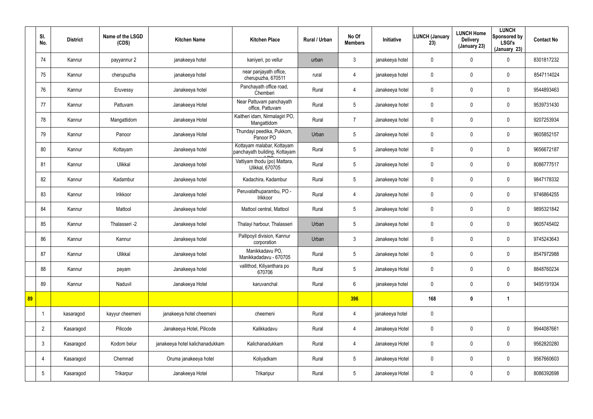|    | SI.<br>No.      | <b>District</b> | Name of the LSGD<br>(CDS) | <b>Kitchen Name</b>             | <b>Kitchen Place</b>                                        | Rural / Urban | No Of<br><b>Members</b> | Initiative      | <b>LUNCH (January</b><br>23) | <b>LUNCH Home</b><br><b>Delivery</b><br>(January 23) | <b>LUNCH</b><br>Sponsored by<br><b>LSGI's</b><br>(January 23) | <b>Contact No</b> |
|----|-----------------|-----------------|---------------------------|---------------------------------|-------------------------------------------------------------|---------------|-------------------------|-----------------|------------------------------|------------------------------------------------------|---------------------------------------------------------------|-------------------|
|    | 74              | Kannur          | payyannur 2               | janakeeya hotel                 | kaniyeri, po vellur                                         | urban         | $\mathbf{3}$            | janakeeya hotel | $\mathbf 0$                  | 0                                                    | $\mathbf 0$                                                   | 8301817232        |
|    | 75              | Kannur          | cherupuzha                | janakeeya hotel                 | near panjayath office,<br>cherupuzha, 670511                | rural         | 4                       | janakeeya hotel | 0                            | $\mathbf 0$                                          | $\mathbf 0$                                                   | 8547114024        |
|    | 76              | Kannur          | Eruvessy                  | Janakeeya hotel                 | Panchayath office road,<br>Chemberi                         | Rural         | $\overline{4}$          | Janakeeya hotel | 0                            | 0                                                    | $\pmb{0}$                                                     | 9544893463        |
|    | 77              | Kannur          | Pattuvam                  | Janakeeya Hotel                 | Near Pattuvam panchayath<br>office, Pattuvam                | Rural         | $5\overline{)}$         | Janakeeya hotel | 0                            | 0                                                    | $\pmb{0}$                                                     | 9539731430        |
|    | 78              | Kannur          | Mangattidom               | Janakeeya Hotel                 | Kaitheri idam, Nirmalagiri PO,<br>Mangattidom               | Rural         | $\overline{7}$          | Janakeeya hotel | $\mathbf 0$                  | $\mathbf 0$                                          | $\pmb{0}$                                                     | 9207253934        |
|    | 79              | Kannur          | Panoor                    | Janakeeya Hotel                 | Thundayi peedika, Pukkom,<br>Panoor PO                      | Urban         | $5\phantom{.0}$         | Janakeeya hotel | 0                            | 0                                                    | $\pmb{0}$                                                     | 9605852157        |
|    | 80              | Kannur          | Kottayam                  | Janakeeya hotel                 | Kottayam malabar, Kottayam<br>panchayath building, Kottayam | Rural         | $5\phantom{.0}$         | Janakeeya hotel | $\mathbf 0$                  | 0                                                    | $\pmb{0}$                                                     | 9656672187        |
|    | 81              | Kannur          | Ulikkal                   | Janakeeya hotel                 | Vattiyam thodu (po) Mattara,<br>Ulikkal, 670705             | Rural         | $5\overline{)}$         | Janakeeya hotel | 0                            | 0                                                    | $\pmb{0}$                                                     | 8086777517        |
|    | 82              | Kannur          | Kadambur                  | Janakeeya hotel                 | Kadachira, Kadambur                                         | Rural         | $5\phantom{.0}$         | Janakeeya hotel | $\mathbf 0$                  | 0                                                    | $\pmb{0}$                                                     | 9847178332        |
|    | 83              | Kannur          | Irikkoor                  | Janakeeya hotel                 | Peruvalathuparambu, PO -<br>Irikkoor                        | Rural         | $\overline{4}$          | Janakeeya hotel | $\mathbf 0$                  | 0                                                    | $\mathbf 0$                                                   | 9746864255        |
|    | 84              | Kannur          | Mattool                   | Janakeeya hotel                 | Mattool central, Mattool                                    | Rural         | $5\overline{)}$         | Janakeeya hotel | $\mathbf 0$                  | 0                                                    | $\mathbf 0$                                                   | 9895321842        |
|    | 85              | Kannur          | Thalasseri -2             | Janakeeya hotel                 | Thalayi harbour, Thalasseri                                 | Urban         | $5\overline{)}$         | Janakeeya hotel | $\mathbf 0$                  | 0                                                    | $\mathbf 0$                                                   | 9605745402        |
|    | 86              | Kannur          | Kannur                    | Janakeeya hotel                 | Pallipoyil division, Kannur<br>corporation                  | Urban         | $\mathbf{3}$            | Janakeeya hotel | 0                            | 0                                                    | $\mathbf 0$                                                   | 9745243643        |
|    | 87              | Kannur          | Ulikkal                   | Janakeeya hotel                 | Manikkadavu PO,<br>Manikkadadavu - 670705                   | Rural         | $5\phantom{.0}$         | Janakeeya hotel | $\pmb{0}$                    | $\pmb{0}$                                            | $\pmb{0}$                                                     | 8547972988        |
|    | 88              | Kannur          | payam                     | Janakeeya hotel                 | vallithod, Kiliyanthara po<br>670706                        | Rural         | $5\overline{)}$         | Janakeeya Hotel | $\pmb{0}$                    | $\mathbf 0$                                          | $\pmb{0}$                                                     | 8848760234        |
|    | 89              | Kannur          | Naduvil                   | Janakeeya Hotel                 | karuvanchal                                                 | Rural         | $6\overline{6}$         | janakeeya hotel | $\pmb{0}$                    | $\mathbf 0$                                          | $\pmb{0}$                                                     | 9495191934        |
| 89 |                 |                 |                           |                                 |                                                             |               | 396                     |                 | 168                          | $\boldsymbol{0}$                                     | $\mathbf{1}$                                                  |                   |
|    | $\overline{1}$  | kasaragod       | kayyur cheemeni           | janakeeya hotel cheemeni        | cheemeni                                                    | Rural         | $\overline{4}$          | janakeeya hotel | $\pmb{0}$                    |                                                      |                                                               |                   |
|    | $\overline{2}$  | Kasaragod       | Pilicode                  | Janakeeya Hotel, Pilicode       | Kalikkadavu                                                 | Rural         | $\overline{4}$          | Janakeeya Hotel | $\pmb{0}$                    | $\mathbf 0$                                          | $\mathbf 0$                                                   | 9944087661        |
|    | $\mathbf{3}$    | Kasaragod       | Kodom belur               | janakeeya hotel kalichanadukkam | Kalichanadukkam                                             | Rural         | $\overline{4}$          | Janakeeya Hotel | $\pmb{0}$                    | 0                                                    | $\mathsf{0}$                                                  | 9562820280        |
|    | 4               | Kasaragod       | Chemnad                   | Oruma janakeeya hotel           | Koliyadkam                                                  | Rural         | $5\overline{)}$         | Janakeeya Hotel | $\pmb{0}$                    | 0                                                    | $\mathbf 0$                                                   | 9567660603        |
|    | $5\phantom{.0}$ | Kasaragod       | Trikarpur                 | Janakeeya Hotel                 | Trikaripur                                                  | Rural         | $5\overline{)}$         | Janakeeya Hotel | 0                            | 0                                                    | $\mathsf{0}$                                                  | 8086392698        |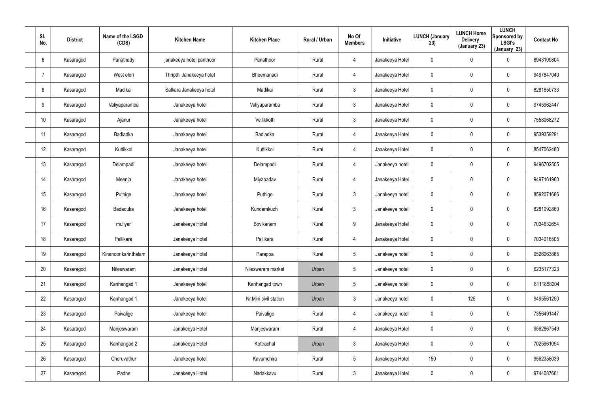| SI.<br>No.      | <b>District</b> | Name of the LSGD<br>(CDS) | <b>Kitchen Name</b>      | <b>Kitchen Place</b>  | Rural / Urban | No Of<br><b>Members</b> | Initiative      | <b>LUNCH (January</b><br>23) | <b>LUNCH Home</b><br><b>Delivery</b><br>(January 23) | <b>LUNCH</b><br>Sponsored by<br><b>LSGI's</b><br>(January 23) | <b>Contact No</b> |
|-----------------|-----------------|---------------------------|--------------------------|-----------------------|---------------|-------------------------|-----------------|------------------------------|------------------------------------------------------|---------------------------------------------------------------|-------------------|
| 6               | Kasaragod       | Panathady                 | janakeeya hotel panthoor | Panathoor             | Rural         | 4                       | Janakeeya Hotel | 0                            | $\mathbf 0$                                          | $\mathbf 0$                                                   | 8943109804        |
| -7              | Kasaragod       | West eleri                | Thripthi Janakeeya hotel | Bheemanadi            | Rural         | $\overline{4}$          | Janakeeya Hotel | 0                            | 0                                                    | $\mathbf 0$                                                   | 9497847040        |
| 8               | Kasaragod       | Madikai                   | Salkara Janakeeya hotel  | Madikai               | Rural         | $\mathbf{3}$            | Janakeeya Hotel | 0                            | 0                                                    | $\pmb{0}$                                                     | 8281850733        |
| 9               | Kasaragod       | Valiyaparamba             | Janakeeya hotel          | Valiyaparamba         | Rural         | $\mathbf{3}$            | Janakeeya Hotel | 0                            | $\boldsymbol{0}$                                     | $\pmb{0}$                                                     | 9745962447        |
| 10 <sup>°</sup> | Kasaragod       | Ajanur                    | Janakeeya hotel          | Vellikkoth            | Rural         | $\mathbf{3}$            | Janakeeya Hotel | 0                            | $\mathbf 0$                                          | $\pmb{0}$                                                     | 7558068272        |
| 11              | Kasaragod       | Badiadka                  | Janakeeya hotel          | <b>Badiadka</b>       | Rural         | $\overline{4}$          | Janakeeya Hotel | 0                            | $\boldsymbol{0}$                                     | $\pmb{0}$                                                     | 9539359291        |
| 12              | Kasaragod       | Kuttikkol                 | Janakeeya hotel          | Kuttikkol             | Rural         | $\overline{4}$          | Janakeeya Hotel | 0                            | $\boldsymbol{0}$                                     | $\pmb{0}$                                                     | 8547062480        |
| 13              | Kasaragod       | Delampadi                 | Janakeeya hotel          | Delampadi             | Rural         | $\overline{4}$          | Janakeeya hotel | 0                            | $\boldsymbol{0}$                                     | $\pmb{0}$                                                     | 9496702505        |
| 14              | Kasaragod       | Meenja                    | Janakeeya hotel          | Miyapadav             | Rural         | $\overline{4}$          | Janakeeya Hotel | 0                            | $\boldsymbol{0}$                                     | $\pmb{0}$                                                     | 9497161960        |
| 15              | Kasaragod       | Puthige                   | Janakeeya hotel          | Puthige               | Rural         | 3                       | Janakeeya hotel | 0                            | 0                                                    | $\mathbf 0$                                                   | 8592071686        |
| 16              | Kasaragod       | Bedaduka                  | Janakeeya hotel          | Kundamkuzhi           | Rural         | 3                       | Janakeeya hotel | 0                            | 0                                                    | $\boldsymbol{0}$                                              | 8281092860        |
| 17              | Kasaragod       | muliyar                   | Janakeeya Hotel          | Bovikanam             | Rural         | 9                       | Janakeeya Hotel | 0                            | 0                                                    | $\mathbf 0$                                                   | 7034632654        |
| 18              | Kasaragod       | Pallikara                 | Janakeeya Hotel          | Pallikara             | Rural         | 4                       | Janakeeya Hotel | 0                            | $\boldsymbol{0}$                                     | $\boldsymbol{0}$                                              | 7034016505        |
| 19              | Kasaragod       | Kinanoor karinthalam      | Janakeeya Hotel          | Parappa               | Rural         | $5\phantom{.0}$         | Janakeeya hotel | 0                            | $\pmb{0}$                                            | $\pmb{0}$                                                     | 9526063885        |
| 20              | Kasaragod       | Nileswaram                | Janakeeya Hotel          | Nileswaram market     | Urban         | $5\phantom{.0}$         | Janakeeya hotel | 0                            | $\pmb{0}$                                            | $\mathbf 0$                                                   | 6235177323        |
| 21              | Kasaragod       | Kanhangad 1               | Janakeeya hotel          | Kanhangad town        | Urban         | 5 <sub>5</sub>          | Janakeeya hotel | 0                            | $\pmb{0}$                                            | $\mathbf 0$                                                   | 8111858204        |
| 22              | Kasaragod       | Kanhangad 1               | Janakeeya hotel          | Nr.Mini civil station | Urban         | 3 <sup>5</sup>          | Janakeeya hotel | 0                            | 125                                                  | $\mathbf 0$                                                   | 9495561250        |
| 23              | Kasaragod       | Paivalige                 | Janakeeya hotel          | Paivalige             | Rural         | $\overline{4}$          | Janakeeya hotel | 0                            | $\pmb{0}$                                            | $\mathbf 0$                                                   | 7356491447        |
| 24              | Kasaragod       | Manjeswaram               | Janakeeya Hotel          | Manjeswaram           | Rural         | $\overline{4}$          | Janakeeya Hotel | 0                            | $\pmb{0}$                                            | $\mathbf 0$                                                   | 9562867549        |
| 25              | Kasaragod       | Kanhangad 2               | Janakeeya Hotel          | Kottrachal            | Urban         | 3 <sup>5</sup>          | Janakeeya Hotel | 0                            | 0                                                    | $\mathbf 0$                                                   | 7025961094        |
| 26              | Kasaragod       | Cheruvathur               | Janakeeya hotel          | Kavumchira            | Rural         | 5 <sub>5</sub>          | Janakeeya Hotel | 150                          | 0                                                    | $\mathbf 0$                                                   | 9562358039        |
| 27              | Kasaragod       | Padne                     | Janakeeya Hotel          | Nadakkavu             | Rural         | $\mathbf{3}$            | Janakeeya Hotel | 0                            | 0                                                    | $\bf{0}$                                                      | 9744087661        |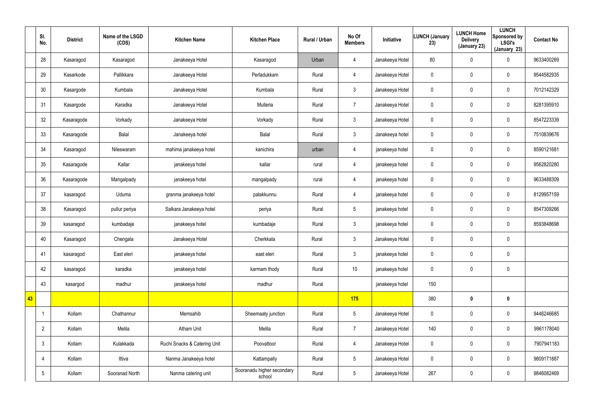|    | SI.<br>No.      | <b>District</b> | Name of the LSGD<br>(CDS) | <b>Kitchen Name</b>          | <b>Kitchen Place</b>                 | Rural / Urban | No Of<br><b>Members</b> | Initiative      | <b>LUNCH (January</b><br>23) | <b>LUNCH Home</b><br><b>Delivery</b><br>(January 23) | <b>LUNCH</b><br>Sponsored by<br><b>LSGI's</b><br>(January 23) | <b>Contact No</b> |
|----|-----------------|-----------------|---------------------------|------------------------------|--------------------------------------|---------------|-------------------------|-----------------|------------------------------|------------------------------------------------------|---------------------------------------------------------------|-------------------|
|    | 28              | Kasaragod       | Kasaragod                 | Janakeeya Hotel              | Kasaragod                            | Urban         | 4                       | Janakeeya Hotel | 80                           | 0                                                    | $\mathbf 0$                                                   | 9633400269        |
|    | 29              | Kasarkode       | Pallikkara                | Janakeeya Hotel              | Perladukkam                          | Rural         | 4                       | Janakeeya Hotel | $\mathbf 0$                  | 0                                                    | $\mathbf 0$                                                   | 9544582935        |
|    | 30              | Kasargode       | Kumbala                   | Janakeeya Hotel              | Kumbala                              | Rural         | 3                       | Janakeeya Hotel | 0                            | $\mathbf 0$                                          | $\pmb{0}$                                                     | 7012142329        |
|    | 31              | Kasargode       | Karadka                   | Janakeeya Hotel              | Mulleria                             | Rural         | $\overline{7}$          | Janakeeya Hotel | $\mathbf 0$                  | $\mathbf 0$                                          | $\mathbf 0$                                                   | 8281395910        |
|    | 32              | Kasaragode      | Vorkady                   | Janakeeya Hotel              | Vorkady                              | Rural         | 3 <sup>5</sup>          | Janakeeya Hotel | $\pmb{0}$                    | $\mathbf 0$                                          | $\mathbf 0$                                                   | 8547223339        |
|    | 33              | Kasaragode      | Balal                     | Janakeeya hotel              | Balal                                | Rural         | $\mathbf{3}$            | Janakeeya hotel | $\mathbf 0$                  | $\mathbf 0$                                          | $\mathbf 0$                                                   | 7510839676        |
|    | 34              | Kasaragod       | Nileswaram                | mahima janakeeya hotel       | kanichira                            | urban         | $\overline{4}$          | janakeeya hotel | $\pmb{0}$                    | $\mathbf 0$                                          | $\mathbf 0$                                                   | 8590121681        |
|    | 35              | Kasaragode      | Kallar                    | janakeeya hotel              | kallar                               | rural         | 4                       | janakeeya hotel | $\mathbf 0$                  | 0                                                    | $\mathbf 0$                                                   | 9562820280        |
|    | 36              | Kasaragode      | Mangalpady                | janakeeya hotel              | mangalpady                           | rural         | $\overline{4}$          | janakeeya hotel | $\pmb{0}$                    | $\mathbf 0$                                          | $\pmb{0}$                                                     | 9633488309        |
|    | 37              | kasaragod       | Uduma                     | granma janakeeya hotel       | palakkunnu                           | Rural         | 4                       | janakeeya hotel | $\mathbf 0$                  | 0                                                    | $\mathbf 0$                                                   | 8129957159        |
|    | 38              | Kasaragod       | pullur periya             | Salkara Janakeeya hotel      | periya                               | Rural         | $5\overline{)}$         | janakeeya hotel | 0                            | 0                                                    | $\pmb{0}$                                                     | 8547309266        |
|    | 39              | kasaragod       | kumbadaje                 | janakeeya hotel              | kumbadaje                            | Rural         | 3                       | janakeeya hotel | $\mathbf 0$                  | 0                                                    | $\mathbf 0$                                                   | 8593848698        |
|    | 40              | Kasaragod       | Chengala                  | Janakeeya Hotel              | Cherkkala                            | Rural         | 3                       | Janakeeya Hotel | 0                            | 0                                                    | $\pmb{0}$                                                     |                   |
|    | 41              | kasaragod       | East eleri                | janakeeya hotel              | east eleri                           | Rural         | $\mathbf{3}$            | janakeeya hotel | $\pmb{0}$                    | $\pmb{0}$                                            | $\pmb{0}$                                                     |                   |
|    | 42              | kasaragod       | karadka                   | janakeeya hotel              | karmam thody                         | Rural         | 10 <sup>°</sup>         | janakeeya hotel | $\pmb{0}$                    | $\mathbf 0$                                          | $\mathbf 0$                                                   |                   |
|    | 43              | kasargod        | madhur                    | janakeeya hotel              | madhur                               | Rural         |                         | janakeeya hotel | 150                          |                                                      |                                                               |                   |
| 43 |                 |                 |                           |                              |                                      |               | 175                     |                 | 380                          | $\boldsymbol{0}$                                     | $\mathbf 0$                                                   |                   |
|    |                 | Kollam          | Chathannur                | Memsahib                     | Sheemaaty junction                   | Rural         | $5\overline{)}$         | Janakeeya Hotel | $\mathbf 0$                  | 0                                                    | $\mathbf 0$                                                   | 9446246685        |
|    | $\overline{2}$  | Kollam          | Melila                    | Atham Unit                   | Melila                               | Rural         | $\overline{7}$          | Janakeeya Hotel | 140                          | $\mathbf 0$                                          | $\mathbf 0$                                                   | 9961178040        |
|    | $\mathbf{3}$    | Kollam          | Kulakkada                 | Ruchi Snacks & Catering Unit | Poovattoor                           | Rural         | $\overline{4}$          | Janakeeya Hotel | $\mathbf 0$                  | 0                                                    | $\mathbf 0$                                                   | 7907941183        |
|    | $\overline{4}$  | Kollam          | Ittiva                    | Nanma Janakeeya hotel        | Kattampally                          | Rural         | $5\overline{)}$         | Janakeeya Hotel | $\mathbf 0$                  | 0                                                    | $\mathbf 0$                                                   | 9809171887        |
|    | $5\phantom{.0}$ | Kollam          | Sooranad North            | Nanma catering unit          | Sooranadu higher secondary<br>school | Rural         | 5 <sub>5</sub>          | Janakeeya Hotel | 267                          | 0                                                    | $\bf{0}$                                                      | 9846082469        |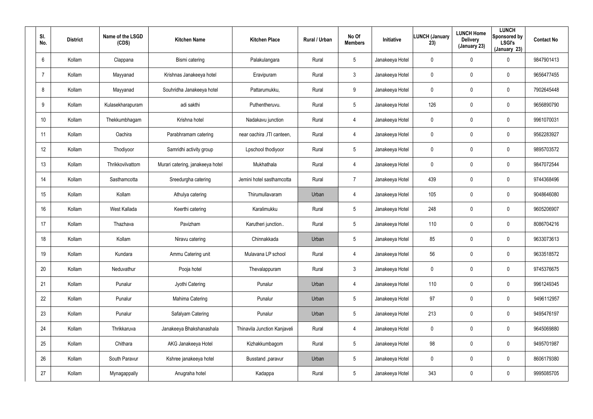| SI.<br>No. | <b>District</b> | Name of the LSGD<br>(CDS) | <b>Kitchen Name</b>              | <b>Kitchen Place</b>         | Rural / Urban | No Of<br><b>Members</b> | Initiative      | <b>LUNCH (January</b><br>23) | <b>LUNCH Home</b><br><b>Delivery</b><br>(January 23) | <b>LUNCH</b><br>Sponsored by<br><b>LSGI's</b><br>(January 23) | <b>Contact No</b> |
|------------|-----------------|---------------------------|----------------------------------|------------------------------|---------------|-------------------------|-----------------|------------------------------|------------------------------------------------------|---------------------------------------------------------------|-------------------|
| 6          | Kollam          | Clappana                  | Bismi catering                   | Palakulangara                | Rural         | 5                       | Janakeeya Hotel | 0                            | $\pmb{0}$                                            | 0                                                             | 9847901413        |
| 7          | Kollam          | Mayyanad                  | Krishnas Janakeeya hotel         | Eravipuram                   | Rural         | $\mathbf{3}$            | Janakeeya Hotel | 0                            | $\mathbf 0$                                          | 0                                                             | 9656477455        |
| 8          | Kollam          | Mayyanad                  | Souhridha Janakeeya hotel        | Pattarumukku,                | Rural         | 9                       | Janakeeya Hotel | 0                            | $\boldsymbol{0}$                                     | 0                                                             | 7902645448        |
| 9          | Kollam          | Kulasekharapuram          | adi sakthi                       | Puthentheruvu.               | Rural         | 5                       | Janakeeya Hotel | 126                          | $\mathbf 0$                                          | $\mathbf 0$                                                   | 9656890790        |
| 10         | Kollam          | Thekkumbhagam             | Krishna hotel                    | Nadakavu junction            | Rural         | $\overline{4}$          | Janakeeya Hotel | 0                            | $\mathbf 0$                                          | 0                                                             | 9961070031        |
| 11         | Kollam          | Oachira                   | Parabhramam catering             | near oachira , ITI canteen,  | Rural         | $\overline{4}$          | Janakeeya Hotel | 0                            | $\mathbf 0$                                          | $\mathbf 0$                                                   | 9562283927        |
| 12         | Kollam          | Thodiyoor                 | Samridhi activity group          | Lpschool thodiyoor           | Rural         | $5\phantom{.0}$         | Janakeeya Hotel | 0                            | $\mathbf 0$                                          | $\mathbf 0$                                                   | 9895703572        |
| 13         | Kollam          | Thrikkovilvattom          | Murari catering, janakeeya hotel | Mukhathala                   | Rural         | 4                       | Janakeeya Hotel | 0                            | $\mathbf 0$                                          | 0                                                             | 9847072544        |
| 14         | Kollam          | Sasthamcotta              | Sreedurgha catering              | Jemini hotel sasthamcotta    | Rural         | $\overline{7}$          | Janakeeya Hotel | 439                          | $\overline{0}$                                       | $\mathbf 0$                                                   | 9744368496        |
| 15         | Kollam          | Kollam                    | Athulya catering                 | Thirumullavaram              | Urban         | 4                       | Janakeeya Hotel | 105                          | 0                                                    | 0                                                             | 9048646080        |
| 16         | Kollam          | West Kallada              | Keerthi catering                 | Karalimukku                  | Rural         | $5\phantom{.0}$         | Janakeeya Hotel | 248                          | $\overline{0}$                                       | $\mathbf 0$                                                   | 9605206907        |
| 17         | Kollam          | Thazhava                  | Pavizham                         | Karutheri junction           | Rural         | $5\overline{)}$         | Janakeeya Hotel | 110                          | $\boldsymbol{0}$                                     | 0                                                             | 8086704216        |
| 18         | Kollam          | Kollam                    | Niravu catering                  | Chinnakkada                  | Urban         | $5\overline{)}$         | Janakeeya Hotel | 85                           | $\overline{0}$                                       | 0                                                             | 9633073613        |
| 19         | Kollam          | Kundara                   | Ammu Catering unit               | Mulavana LP school           | Rural         | 4                       | Janakeeya Hotel | 56                           | $\mathbf 0$                                          | $\pmb{0}$                                                     | 9633518572        |
| 20         | Kollam          | Neduvathur                | Pooja hotel                      | Thevalappuram                | Rural         | $\mathbf{3}$            | Janakeeya Hotel | $\pmb{0}$                    | $\overline{0}$                                       | $\pmb{0}$                                                     | 9745376675        |
| 21         | Kollam          | Punalur                   | Jyothi Catering                  | Punalur                      | Urban         | $\overline{4}$          | Janakeeya Hotel | 110                          | $\mathbf 0$                                          | $\pmb{0}$                                                     | 9961249345        |
| 22         | Kollam          | Punalur                   | Mahima Catering                  | Punalur                      | Urban         | $5\phantom{.0}$         | Janakeeya Hotel | 97                           | $\mathbf 0$                                          | $\pmb{0}$                                                     | 9496112957        |
| 23         | Kollam          | Punalur                   | Safalyam Catering                | Punalur                      | Urban         | $5\phantom{.0}$         | Janakeeya Hotel | 213                          | $\mathbf 0$                                          | 0                                                             | 9495476197        |
| 24         | Kollam          | Thrikkaruva               | Janakeeya Bhakshanashala         | Thinavila Junction Kanjaveli | Rural         | $\overline{4}$          | Janakeeya Hotel | 0                            | $\pmb{0}$                                            | 0                                                             | 9645069880        |
| 25         | Kollam          | Chithara                  | AKG Janakeeya Hotel              | Kizhakkumbagom               | Rural         | $5\phantom{.0}$         | Janakeeya Hotel | 98                           | $\mathbf 0$                                          | 0                                                             | 9495701987        |
| 26         | Kollam          | South Paravur             | Kshree janakeeya hotel           | Busstand , paravur           | Urban         | $5\phantom{.0}$         | Janakeeya Hotel | 0                            | $\pmb{0}$                                            | 0                                                             | 8606179380        |
| 27         | Kollam          | Mynagappally              | Anugraha hotel                   | Kadappa                      | Rural         | $5\phantom{.0}$         | Janakeeya Hotel | 343                          | $\boldsymbol{0}$                                     | 0                                                             | 9995085705        |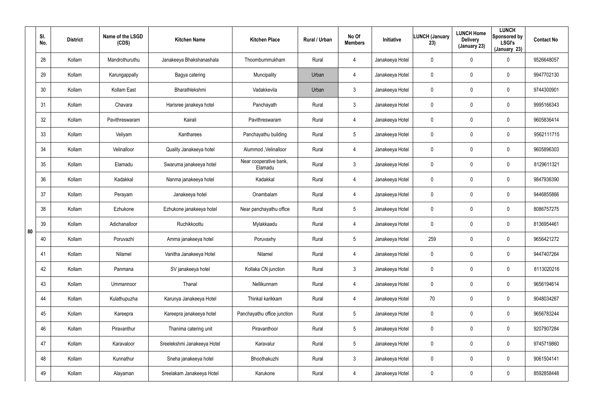|    | SI.<br>No. | <b>District</b> | Name of the LSGD<br>(CDS) | <b>Kitchen Name</b>         | <b>Kitchen Place</b>              | Rural / Urban | No Of<br><b>Members</b> | <b>Initiative</b> | <b>LUNCH (January</b><br>23) | <b>LUNCH Home</b><br><b>Delivery</b><br>(January 23) | <b>LUNCH</b><br>Sponsored by<br><b>LSGI's</b><br>(January 23) | <b>Contact No</b> |
|----|------------|-----------------|---------------------------|-----------------------------|-----------------------------------|---------------|-------------------------|-------------------|------------------------------|------------------------------------------------------|---------------------------------------------------------------|-------------------|
|    | 28         | Kollam          | Mandrothuruthu            | Janakeeya Bhakshanashala    | Thoombummukham                    | Rural         | 4                       | Janakeeya Hotel   | 0                            | 0                                                    | 0                                                             | 9526648057        |
|    | 29         | Kollam          | Karungappally             | Bagya catering              | Muncipality                       | Urban         | 4                       | Janakeeya Hotel   | 0                            | $\mathbf 0$                                          | 0                                                             | 9947702130        |
|    | 30         | Kollam          | Kollam East               | Bharathlekshmi              | Vadakkevila                       | Urban         | $\mathbf{3}$            | Janakeeya Hotel   | 0                            | 0                                                    | 0                                                             | 9744300901        |
|    | 31         | Kollam          | Chavara                   | Harisree janakeya hotel     | Panchayath                        | Rural         | $\mathbf{3}$            | Janakeeya Hotel   | 0                            | $\mathbf 0$                                          | 0                                                             | 9995166343        |
|    | 32         | Kollam          | Pavithreswaram            | Kairali                     | Pavithreswaram                    | Rural         | 4                       | Janakeeya Hotel   | 0                            | 0                                                    | 0                                                             | 9605836414        |
|    | 33         | Kollam          | Veliyam                   | Kantharees                  | Panchayathu building              | Rural         | $5\overline{)}$         | Janakeeya Hotel   | 0                            | $\mathbf 0$                                          | 0                                                             | 9562111715        |
|    | 34         | Kollam          | Velinalloor               | Quality Janakeeya hotel     | Alummod, Velinalloor              | Rural         | 4                       | Janakeeya Hotel   | $\mathbf 0$                  | $\overline{0}$                                       | 0                                                             | 9605896303        |
|    | 35         | Kollam          | Elamadu                   | Swaruma janakeeya hotel     | Near cooperative bank,<br>Elamadu | Rural         | $\mathbf{3}$            | Janakeeya Hotel   | 0                            | $\mathbf 0$                                          | 0                                                             | 8129611321        |
|    | 36         | Kollam          | Kadakkal                  | Nanma janakeeya hotel       | Kadakkal                          | Rural         | 4                       | Janakeeya Hotel   | $\mathbf 0$                  | $\mathbf 0$                                          | 0                                                             | 9847936390        |
| 80 | 37         | Kollam          | Perayam                   | Janakeeya hotel             | Onambalam                         | Rural         | 4                       | Janakeeya Hotel   | 0                            | $\mathbf 0$                                          | 0                                                             | 9446855866        |
|    | 38         | Kollam          | Ezhukone                  | Ezhukone janakeeya hotel    | Near panchayathu office           | Rural         | $5\phantom{.0}$         | Janakeeya Hotel   | $\mathbf 0$                  | $\mathbf 0$                                          | 0                                                             | 8086757275        |
|    | 39         | Kollam          | Adichanalloor             | Ruchikkoottu                | Mylakkaadu                        | Rural         | 4                       | Janakeeya Hotel   | 0                            | $\mathbf 0$                                          | 0                                                             | 8136954461        |
|    | 40         | Kollam          | Poruvazhi                 | Amma janakeeya hotel        | Poruvaxhy                         | Rural         | $5\overline{)}$         | Janakeeya Hotel   | 259                          | $\mathbf 0$                                          | 0                                                             | 9656421272        |
|    | 41         | Kollam          | Nilamel                   | Vanitha Janakeeya Hotel     | Nilamel                           | Rural         | 4                       | Janakeeya Hotel   | 0                            | $\mathbf 0$                                          | 0                                                             | 9447407264        |
|    | 42         | Kollam          | Panmana                   | SV janakeeya hotel          | Kollaka CN junction               | Rural         | $\mathbf{3}$            | Janakeeya Hotel   | $\mathbf 0$                  | $\mathbf 0$                                          | 0                                                             | 8113020216        |
|    | 43         | Kollam          | Ummannoor                 | Thanal                      | Nellikunnam                       | Rural         | 4                       | Janakeeya Hotel   | $\mathbf 0$                  | $\mathbf 0$                                          | 0                                                             | 9656194614        |
|    | 44         | Kollam          | Kulathupuzha              | Karunya Janakeeya Hotel     | Thinkal karikkam                  | Rural         | 4                       | Janakeeya Hotel   | 70                           | $\mathbf 0$                                          | 0                                                             | 9048034267        |
|    | 45         | Kollam          | Kareepra                  | Kareepra janakeeya hotel    | Panchayathu office junction       | Rural         | $5\phantom{.0}$         | Janakeeya Hotel   | $\mathbf 0$                  | $\mathbf 0$                                          | 0                                                             | 9656783244        |
|    | 46         | Kollam          | Piravanthur               | Thanima catering unit       | Piravanthoor                      | Rural         | $5\phantom{.0}$         | Janakeeya Hotel   | 0                            | $\mathbf 0$                                          | 0                                                             | 9207907284        |
|    | 47         | Kollam          | Karavaloor                | Sreelekshmi Janakeeya Hotel | Karavalur                         | Rural         | $5\phantom{.0}$         | Janakeeya Hotel   | 0                            | $\mathbf 0$                                          | 0                                                             | 9745719860        |
|    | 48         | Kollam          | Kunnathur                 | Sneha janakeeya hotel       | Bhoothakuzhi                      | Rural         | $\mathbf{3}$            | Janakeeya Hotel   | 0                            | $\mathbf 0$                                          | 0                                                             | 9061504141        |
|    | 49         | Kollam          | Alayaman                  | Sreelakam Janakeeya Hotel   | Karukone                          | Rural         | $\overline{4}$          | Janakeeya Hotel   | 0                            | $\mathbf 0$                                          | 0                                                             | 8592858448        |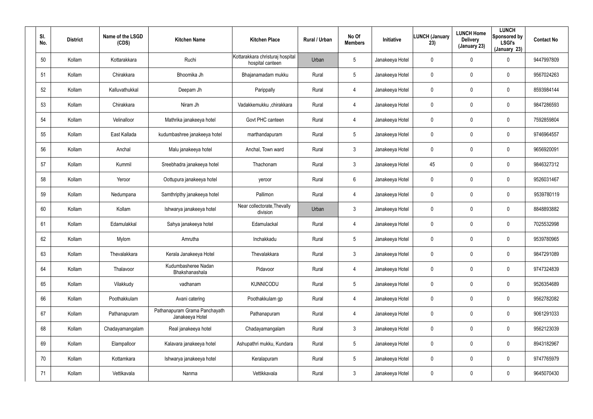| SI.<br>No. | <b>District</b> | Name of the LSGD<br>(CDS) | <b>Kitchen Name</b>                              | <b>Kitchen Place</b>                                 | Rural / Urban | No Of<br><b>Members</b> | Initiative      | <b>LUNCH (January</b><br>23) | <b>LUNCH Home</b><br><b>Delivery</b><br>(January 23) | <b>LUNCH</b><br>Sponsored by<br><b>LSGI's</b><br>(January 23) | <b>Contact No</b> |
|------------|-----------------|---------------------------|--------------------------------------------------|------------------------------------------------------|---------------|-------------------------|-----------------|------------------------------|------------------------------------------------------|---------------------------------------------------------------|-------------------|
| 50         | Kollam          | Kottarakkara              | Ruchi                                            | Kottarakkara christuraj hospital<br>hospital canteen | Urban         | $5\phantom{.0}$         | Janakeeya Hotel | 0                            | $\mathbf 0$                                          | 0                                                             | 9447997809        |
| 51         | Kollam          | Chirakkara                | Bhoomika Jh                                      | Bhajanamadam mukku                                   | Rural         | $5\phantom{.0}$         | Janakeeya Hotel | 0                            | $\mathbf 0$                                          | 0                                                             | 9567024263        |
| 52         | Kollam          | Kalluvathukkal            | Deepam Jh                                        | Parippally                                           | Rural         | 4                       | Janakeeya Hotel | 0                            | $\pmb{0}$                                            | 0                                                             | 8593984144        |
| 53         | Kollam          | Chirakkara                | Niram Jh                                         | Vadakkemukku ,chirakkara                             | Rural         | 4                       | Janakeeya Hotel | 0                            | $\mathbf 0$                                          | 0                                                             | 9847286593        |
| 54         | Kollam          | Velinalloor               | Mathrika janakeeya hotel                         | Govt PHC canteen                                     | Rural         | 4                       | Janakeeya Hotel | 0                            | $\pmb{0}$                                            | 0                                                             | 7592859804        |
| 55         | Kollam          | East Kallada              | kudumbashree janakeeya hotel                     | marthandapuram                                       | Rural         | $5\phantom{.0}$         | Janakeeya Hotel | 0                            | $\mathbf 0$                                          | 0                                                             | 9746964557        |
| 56         | Kollam          | Anchal                    | Malu janakeeya hotel                             | Anchal, Town ward                                    | Rural         | $\mathbf{3}$            | Janakeeya Hotel | $\mathbf 0$                  | $\pmb{0}$                                            | 0                                                             | 9656920091        |
| 57         | Kollam          | Kummil                    | Sreebhadra janakeeya hotel                       | Thachonam                                            | Rural         | $\mathbf{3}$            | Janakeeya Hotel | 45                           | $\mathbf 0$                                          | 0                                                             | 9846327312        |
| 58         | Kollam          | Yeroor                    | Oottupura janakeeya hotel                        | yeroor                                               | Rural         | 6                       | Janakeeya Hotel | $\mathbf 0$                  | $\mathbf 0$                                          | 0                                                             | 9526031467        |
| 59         | Kollam          | Nedumpana                 | Samthripthy janakeeya hotel                      | Pallimon                                             | Rural         | 4                       | Janakeeya Hotel | 0                            | $\mathbf 0$                                          | 0                                                             | 9539780119        |
| 60         | Kollam          | Kollam                    | Ishwarya janakeeya hotel                         | Near collectorate, Thevally<br>division              | Urban         | $\mathbf{3}$            | Janakeeya Hotel | $\mathbf 0$                  | $\mathbf 0$                                          | 0                                                             | 8848893882        |
| 61         | Kollam          | Edamulakkal               | Sahya janakeeya hotel                            | Edamulackal                                          | Rural         | 4                       | Janakeeya Hotel | 0                            | $\mathbf 0$                                          | 0                                                             | 7025532998        |
| 62         | Kollam          | Mylom                     | Amrutha                                          | Inchakkadu                                           | Rural         | $5\overline{)}$         | Janakeeya Hotel | 0                            | $\mathbf 0$                                          | 0                                                             | 9539780965        |
| 63         | Kollam          | Thevalakkara              | Kerala Janakeeya Hotel                           | Thevalakkara                                         | Rural         | $\mathfrak{Z}$          | Janakeeya Hotel | 0                            | $\overline{0}$                                       | 0                                                             | 9847291089        |
| 64         | Kollam          | Thalavoor                 | Kudumbasheree Nadan<br>Bhakshanashala            | Pidavoor                                             | Rural         | 4                       | Janakeeya Hotel | $\mathbf 0$                  | $\overline{0}$                                       | 0                                                             | 9747324839        |
| 65         | Kollam          | Vilakkudy                 | vadhanam                                         | <b>KUNNICODU</b>                                     | Rural         | $5\phantom{.0}$         | Janakeeya Hotel | 0                            | $\overline{0}$                                       | 0                                                             | 9526354689        |
| 66         | Kollam          | Poothakkulam              | Avani catering                                   | Poothakkulam gp                                      | Rural         | 4                       | Janakeeya Hotel | $\mathbf 0$                  | $\overline{0}$                                       | 0                                                             | 9562782082        |
| 67         | Kollam          | Pathanapuram              | Pathanapuram Grama Panchayath<br>Janakeeya Hotel | Pathanapuram                                         | Rural         | $\overline{4}$          | Janakeeya Hotel | 0                            | $\overline{0}$                                       | 0                                                             | 9061291033        |
| 68         | Kollam          | Chadayamangalam           | Real janakeeya hotel                             | Chadayamangalam                                      | Rural         | $\mathbf{3}$            | Janakeeya Hotel | 0                            | $\mathbf 0$                                          | 0                                                             | 9562123039        |
| 69         | Kollam          | Elampalloor               | Kalavara janakeeya hotel                         | Ashupathri mukku, Kundara                            | Rural         | $5\phantom{.0}$         | Janakeeya Hotel | 0                            | $\mathbf 0$                                          | 0                                                             | 8943182967        |
| 70         | Kollam          | Kottamkara                | Ishwarya janakeeya hotel                         | Keralapuram                                          | Rural         | $5\phantom{.0}$         | Janakeeya Hotel | 0                            | $\mathbf 0$                                          | 0                                                             | 9747765979        |
| 71         | Kollam          | Vettikavala               | Nanma                                            | Vettikkavala                                         | Rural         | $\mathfrak{Z}$          | Janakeeya Hotel | 0                            | $\boldsymbol{0}$                                     | 0                                                             | 9645070430        |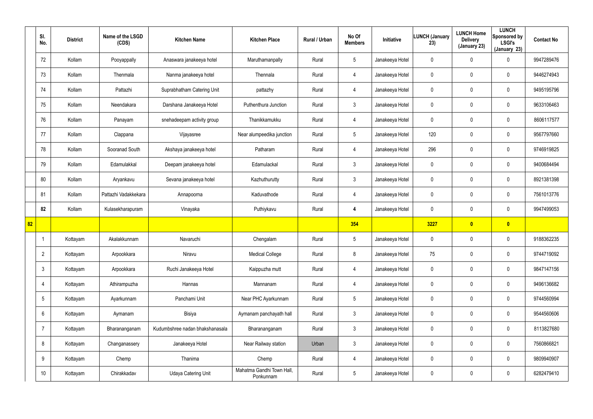|    | SI.<br>No.      | <b>District</b> | Name of the LSGD<br>(CDS) | <b>Kitchen Name</b>             | <b>Kitchen Place</b>                   | Rural / Urban | No Of<br><b>Members</b> | Initiative      | <b>LUNCH (January</b><br>23) | <b>LUNCH Home</b><br><b>Delivery</b><br>(January 23) | <b>LUNCH</b><br>Sponsored by<br><b>LSGI's</b><br>(January 23) | <b>Contact No</b> |
|----|-----------------|-----------------|---------------------------|---------------------------------|----------------------------------------|---------------|-------------------------|-----------------|------------------------------|------------------------------------------------------|---------------------------------------------------------------|-------------------|
|    | 72              | Kollam          | Pooyappally               | Anaswara janakeeya hotel        | Maruthamanpally                        | Rural         | $5\overline{)}$         | Janakeeya Hotel | 0                            | 0                                                    | $\mathbf 0$                                                   | 9947289476        |
|    | 73              | Kollam          | Thenmala                  | Nanma janakeeya hotel           | Thennala                               | Rural         | $\overline{4}$          | Janakeeya Hotel | 0                            | 0                                                    | $\mathbf 0$                                                   | 9446274943        |
|    | 74              | Kollam          | Pattazhi                  | Suprabhatham Catering Unit      | pattazhy                               | Rural         | $\overline{4}$          | Janakeeya Hotel | 0                            | 0                                                    | $\mathbf 0$                                                   | 9495195796        |
|    | 75              | Kollam          | Neendakara                | Darshana Janakeeya Hotel        | Puthenthura Junction                   | Rural         | $\mathbf{3}$            | Janakeeya Hotel | 0                            | 0                                                    | $\mathbf 0$                                                   | 9633106463        |
|    | 76              | Kollam          | Panayam                   | snehadeepam activity group      | Thanikkamukku                          | Rural         | $\overline{4}$          | Janakeeya Hotel | 0                            | 0                                                    | $\mathbf 0$                                                   | 8606117577        |
|    | 77              | Kollam          | Clappana                  | Vijayasree                      | Near alumpeedika junction              | Rural         | $5\phantom{.0}$         | Janakeeya Hotel | 120                          | 0                                                    | $\mathbf 0$                                                   | 9567797660        |
|    | 78              | Kollam          | Sooranad South            | Akshaya janakeeya hotel         | Patharam                               | Rural         | 4                       | Janakeeya Hotel | 296                          | 0                                                    | $\mathbf 0$                                                   | 9746919825        |
|    | 79              | Kollam          | Edamulakkal               | Deepam janakeeya hotel          | Edamulackal                            | Rural         | $\mathbf{3}$            | Janakeeya Hotel | 0                            | 0                                                    | $\mathbf 0$                                                   | 9400684494        |
|    | 80              | Kollam          | Aryankavu                 | Sevana janakeeya hotel          | Kazhuthurutty                          | Rural         | $\mathbf{3}$            | Janakeeya Hotel | 0                            | 0                                                    | $\mathbf 0$                                                   | 8921381398        |
|    | 81              | Kollam          | Pattazhi Vadakkekara      | Annapoorna                      | Kaduvathode                            | Rural         | $\overline{4}$          | Janakeeya Hotel | 0                            | 0                                                    | $\mathbf 0$                                                   | 7561013776        |
|    | 82              | Kollam          | Kulasekharapuram          | Vinayaka                        | Puthiykavu                             | Rural         | 4                       | Janakeeya Hotel | 0                            | 0                                                    | $\mathbf 0$                                                   | 9947499053        |
| 82 |                 |                 |                           |                                 |                                        |               | 354                     |                 | 3227                         | $\bullet$                                            | $\bullet$                                                     |                   |
|    |                 | Kottayam        | Akalakkunnam              | Navaruchi                       | Chengalam                              | Rural         | $5\phantom{.0}$         | Janakeeya Hotel | 0                            | 0                                                    | $\mathbf 0$                                                   | 9188362235        |
|    | $\overline{2}$  | Kottayam        | Arpookkara                | Niravu                          | <b>Medical College</b>                 | Rural         | 8                       | Janakeeya Hotel | 75                           | 0                                                    | $\pmb{0}$                                                     | 9744719092        |
|    | $\mathbf{3}$    | Kottayam        | Arpookkara                | Ruchi Janakeeya Hotel           | Kaippuzha mutt                         | Rural         | $\overline{4}$          | Janakeeya Hotel | $\mathbf 0$                  | 0                                                    | $\mathbf 0$                                                   | 9847147156        |
|    | $\overline{4}$  | Kottayam        | Athirampuzha              | Hannas                          | Mannanam                               | Rural         | $\overline{4}$          | Janakeeya Hotel | $\mathbf 0$                  | 0                                                    | $\mathsf{0}$                                                  | 9496136682        |
|    | $5\overline{)}$ | Kottayam        | Ayarkunnam                | Panchami Unit                   | Near PHC Ayarkunnam                    | Rural         | $5\phantom{.0}$         | Janakeeya Hotel | $\pmb{0}$                    | 0                                                    | $\mathsf{0}$                                                  | 9744560994        |
|    | $6\overline{6}$ | Kottayam        | Aymanam                   | Bisiya                          | Aymanam panchayath hall                | Rural         | 3 <sup>1</sup>          | Janakeeya Hotel | $\mathbf 0$                  | 0                                                    | $\pmb{0}$                                                     | 9544560606        |
|    | $\overline{7}$  | Kottayam        | Bharananganam             | Kudumbshree nadan bhakshanasala | Bharananganam                          | Rural         | $\mathbf{3}$            | Janakeeya Hotel | 0                            | 0                                                    | $\pmb{0}$                                                     | 8113827680        |
|    | 8               | Kottayam        | Changanassery             | Janakeeya Hotel                 | Near Railway station                   | Urban         | $\mathbf{3}$            | Janakeeya Hotel | $\mathbf 0$                  | 0                                                    | $\pmb{0}$                                                     | 7560866821        |
|    | 9               | Kottayam        | Chemp                     | Thanima                         | Chemp                                  | Rural         | 4                       | Janakeeya Hotel | 0                            | 0                                                    | $\pmb{0}$                                                     | 9809940907        |
|    | 10 <sup>°</sup> | Kottayam        | Chirakkadav               | <b>Udaya Catering Unit</b>      | Mahatma Gandhi Town Hall,<br>Ponkunnam | Rural         | $5\phantom{.0}$         | Janakeeya Hotel | 0                            | 0                                                    | $\pmb{0}$                                                     | 6282479410        |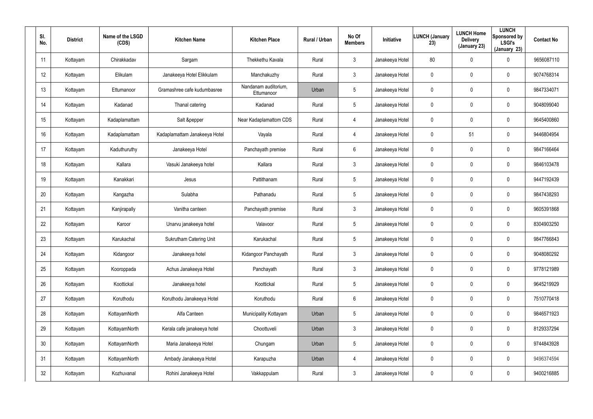| SI.<br>No.      | <b>District</b> | Name of the LSGD<br>(CDS) | <b>Kitchen Name</b>            | <b>Kitchen Place</b>               | Rural / Urban | No Of<br><b>Members</b> | Initiative      | <b>LUNCH (January</b><br>23) | <b>LUNCH Home</b><br><b>Delivery</b><br>(January 23) | <b>LUNCH</b><br>Sponsored by<br><b>LSGI's</b><br>(January 23) | <b>Contact No</b> |
|-----------------|-----------------|---------------------------|--------------------------------|------------------------------------|---------------|-------------------------|-----------------|------------------------------|------------------------------------------------------|---------------------------------------------------------------|-------------------|
| 11              | Kottayam        | Chirakkadav               | Sargam                         | Thekkethu Kavala                   | Rural         | $\mathbf{3}$            | Janakeeya Hotel | 80                           | $\pmb{0}$                                            | 0                                                             | 9656087110        |
| 12              | Kottayam        | Elikulam                  | Janakeeya Hotel Elikkulam      | Manchakuzhy                        | Rural         | 3                       | Janakeeya Hotel | 0                            | $\mathbf 0$                                          | 0                                                             | 9074768314        |
| 13              | Kottayam        | Ettumanoor                | Gramashree cafe kudumbasree    | Nandanam auditorium,<br>Ettumanoor | Urban         | $5\overline{)}$         | Janakeeya Hotel | 0                            | $\mathbf 0$                                          | 0                                                             | 9847334071        |
| 14              | Kottayam        | Kadanad                   | Thanal catering                | Kadanad                            | Rural         | $5\overline{)}$         | Janakeeya Hotel | 0                            | $\mathbf 0$                                          | 0                                                             | 9048099040        |
| 15              | Kottayam        | Kadaplamattam             | Salt &pepper                   | Near Kadaplamattom CDS             | Rural         | $\overline{4}$          | Janakeeya Hotel | 0                            | $\mathbf 0$                                          | 0                                                             | 9645400860        |
| 16              | Kottayam        | Kadaplamattam             | Kadaplamattam Janakeeya Hotel  | Vayala                             | Rural         | 4                       | Janakeeya Hotel | 0                            | 51                                                   | $\mathbf 0$                                                   | 9446804954        |
| 17              | Kottayam        | Kaduthuruthy              | Janakeeya Hotel                | Panchayath premise                 | Rural         | 6                       | Janakeeya Hotel | 0                            | $\mathbf 0$                                          | $\mathbf 0$                                                   | 9847166464        |
| 18              | Kottayam        | Kallara                   | Vasuki Janakeeya hotel         | Kallara                            | Rural         | $\mathbf{3}$            | Janakeeya Hotel | 0                            | 0                                                    | 0                                                             | 9846103478        |
| 19              | Kottayam        | Kanakkari                 | Jesus                          | Pattithanam                        | Rural         | $5\overline{)}$         | Janakeeya Hotel | 0                            | $\mathbf 0$                                          | $\mathbf 0$                                                   | 9447192439        |
| 20              | Kottayam        | Kangazha                  | Sulabha                        | Pathanadu                          | Rural         | $5\overline{)}$         | Janakeeya Hotel | 0                            | 0                                                    | 0                                                             | 9847438293        |
| 21              | Kottayam        | Kanjirapally              | Vanitha canteen                | Panchayath premise                 | Rural         | $\mathbf{3}$            | Janakeeya Hotel | 0                            | $\mathbf 0$                                          | $\mathbf 0$                                                   | 9605391868        |
| 22              | Kottayam        | Karoor                    | Unarvu janakeeya hotel         | Valavoor                           | Rural         | $5\overline{)}$         | Janakeeya Hotel | 0                            | 0                                                    | 0                                                             | 8304903250        |
| 23              | Kottayam        | Karukachal                | <b>Sukrutham Catering Unit</b> | Karukachal                         | Rural         | $5\overline{)}$         | Janakeeya Hotel | 0                            | $\boldsymbol{0}$                                     | 0                                                             | 9847766843        |
| 24              | Kottayam        | Kidangoor                 | Janakeeya hotel                | Kidangoor Panchayath               | Rural         | $\mathfrak{Z}$          | Janakeeya Hotel | 0                            | $\mathbf 0$                                          | $\pmb{0}$                                                     | 9048080292        |
| 25              | Kottayam        | Kooroppada                | Achus Janakeeya Hotel          | Panchayath                         | Rural         | $\mathbf{3}$            | Janakeeya Hotel | 0                            | $\overline{0}$                                       | $\pmb{0}$                                                     | 9778121989        |
| 26              | Kottayam        | Koottickal                | Janakeeya hotel                | Koottickal                         | Rural         | $5\phantom{.0}$         | Janakeeya Hotel | 0                            | $\pmb{0}$                                            | $\pmb{0}$                                                     | 9645219929        |
| 27              | Kottayam        | Koruthodu                 | Koruthodu Janakeeya Hotel      | Koruthodu                          | Rural         | $6\overline{6}$         | Janakeeya Hotel | 0                            | $\pmb{0}$                                            | $\pmb{0}$                                                     | 7510770418        |
| 28              | Kottayam        | KottayamNorth             | Alfa Canteen                   | Municipality Kottayam              | Urban         | $5\phantom{.0}$         | Janakeeya Hotel | 0                            | $\mathbf 0$                                          | 0                                                             | 9846571923        |
| 29              | Kottayam        | KottayamNorth             | Kerala cafe janakeeya hotel    | Choottuveli                        | Urban         | $\mathbf{3}$            | Janakeeya Hotel | 0                            | $\pmb{0}$                                            | 0                                                             | 8129337294        |
| 30 <sup>°</sup> | Kottayam        | KottayamNorth             | Maria Janakeeya Hotel          | Chungam                            | Urban         | $5\phantom{.0}$         | Janakeeya Hotel | 0                            | $\mathbf 0$                                          | 0                                                             | 9744843928        |
| 31              | Kottayam        | KottayamNorth             | Ambady Janakeeya Hotel         | Karapuzha                          | Urban         | $\overline{4}$          | Janakeeya Hotel | 0                            | $\pmb{0}$                                            | 0                                                             | 9496374594        |
| 32              | Kottayam        | Kozhuvanal                | Rohini Janakeeya Hotel         | Vakkappulam                        | Rural         | $\mathfrak{Z}$          | Janakeeya Hotel | 0                            | $\boldsymbol{0}$                                     | 0                                                             | 9400216885        |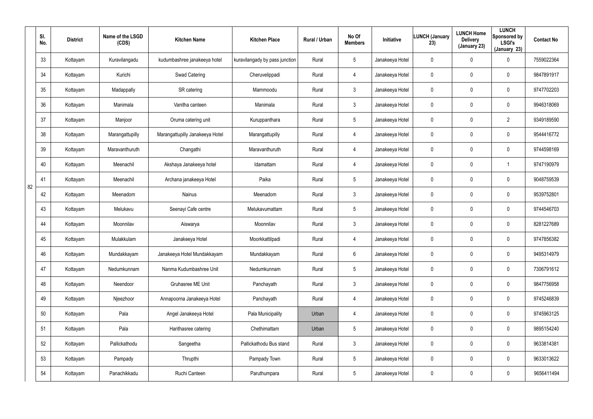|    | SI.<br>No. | <b>District</b> | Name of the LSGD<br>(CDS) | <b>Kitchen Name</b>             | <b>Kitchen Place</b>           | Rural / Urban | No Of<br><b>Members</b> | Initiative      | <b>LUNCH (January</b><br>23) | <b>LUNCH Home</b><br><b>Delivery</b><br>(January 23) | <b>LUNCH</b><br>Sponsored by<br><b>LSGI's</b><br>(January 23) | <b>Contact No</b> |
|----|------------|-----------------|---------------------------|---------------------------------|--------------------------------|---------------|-------------------------|-----------------|------------------------------|------------------------------------------------------|---------------------------------------------------------------|-------------------|
|    | 33         | Kottayam        | Kuravilangadu             | kudumbashree janakeeya hotel    | kuravilangady by pass junction | Rural         | $5\phantom{.0}$         | Janakeeya Hotel | 0                            | 0                                                    | 0                                                             | 7559022364        |
|    | 34         | Kottayam        | Kurichi                   | Swad Catering                   | Cheruvelippadi                 | Rural         | 4                       | Janakeeya Hotel | 0                            | 0                                                    | $\mathbf 0$                                                   | 9847891917        |
|    | 35         | Kottayam        | Madappally                | SR catering                     | Mammoodu                       | Rural         | $\mathfrak{Z}$          | Janakeeya Hotel | 0                            | 0                                                    | $\mathbf 0$                                                   | 9747702203        |
|    | 36         | Kottayam        | Manimala                  | Vanitha canteen                 | Manimala                       | Rural         | $\mathfrak{Z}$          | Janakeeya Hotel | 0                            | 0                                                    | $\mathbf 0$                                                   | 9946318069        |
|    | 37         | Kottayam        | Manjoor                   | Oruma catering unit             | Kuruppanthara                  | Rural         | $5\phantom{.0}$         | Janakeeya Hotel | 0                            | 0                                                    | $\overline{2}$                                                | 9349189590        |
|    | 38         | Kottayam        | Marangattupilly           | Marangattupilly Janakeeya Hotel | Marangattupilly                | Rural         | 4                       | Janakeeya Hotel | 0                            | 0                                                    | $\mathbf 0$                                                   | 9544416772        |
|    | 39         | Kottayam        | Maravanthuruth            | Changathi                       | Maravanthuruth                 | Rural         | 4                       | Janakeeya Hotel | 0                            | 0                                                    | $\mathbf 0$                                                   | 9744598169        |
|    | 40         | Kottayam        | Meenachil                 | Akshaya Janakeeya hotel         | Idamattam                      | Rural         | 4                       | Janakeeya Hotel | 0                            | 0                                                    |                                                               | 9747190979        |
| 82 | 41         | Kottayam        | Meenachil                 | Archana janakeeya Hotel         | Paika                          | Rural         | $5\phantom{.0}$         | Janakeeya Hotel | 0                            | 0                                                    | $\mathbf 0$                                                   | 9048759539        |
|    | 42         | Kottayam        | Meenadom                  | Nainus                          | Meenadom                       | Rural         | $\mathbf{3}$            | Janakeeya Hotel | 0                            | 0                                                    | $\mathbf 0$                                                   | 9539752801        |
|    | 43         | Kottayam        | Melukavu                  | Seenayi Cafe centre             | Melukavumattam                 | Rural         | $5\phantom{.0}$         | Janakeeya Hotel | 0                            | 0                                                    | $\mathbf 0$                                                   | 9744546703        |
|    | 44         | Kottayam        | Moonnilav                 | Aiswarya                        | Moonnilav                      | Rural         | $\mathfrak{Z}$          | Janakeeya Hotel | 0                            | 0                                                    | $\mathbf 0$                                                   | 8281227689        |
|    | 45         | Kottayam        | Mulakkulam                | Janakeeya Hotel                 | Moorkkattilpadi                | Rural         | 4                       | Janakeeya Hotel | 0                            | 0                                                    | $\mathbf 0$                                                   | 9747856382        |
|    | 46         | Kottayam        | Mundakkayam               | Janakeeya Hotel Mundakkayam     | Mundakkayam                    | Rural         | 6                       | Janakeeya Hotel | 0                            | 0                                                    | $\pmb{0}$                                                     | 9495314979        |
|    | 47         | Kottayam        | Nedumkunnam               | Nanma Kudumbashree Unit         | Nedumkunnam                    | Rural         | $5\phantom{.0}$         | Janakeeya Hotel | $\pmb{0}$                    | $\mathbf 0$                                          | $\pmb{0}$                                                     | 7306791612        |
|    | 48         | Kottayam        | Neendoor                  | Gruhasree ME Unit               | Panchayath                     | Rural         | $\mathbf{3}$            | Janakeeya Hotel | $\mathbf 0$                  | $\mathbf 0$                                          | $\pmb{0}$                                                     | 9847756958        |
|    | 49         | Kottayam        | Njeezhoor                 | Annapoorna Janakeeya Hotel      | Panchayath                     | Rural         | 4                       | Janakeeya Hotel | $\mathbf 0$                  | $\mathbf 0$                                          | $\pmb{0}$                                                     | 9745246839        |
|    | 50         | Kottayam        | Pala                      | Angel Janakeeya Hotel           | Pala Municipality              | Urban         | 4                       | Janakeeya Hotel | $\mathbf 0$                  | $\mathbf 0$                                          | $\pmb{0}$                                                     | 9745963125        |
|    | 51         | Kottayam        | Pala                      | Harithasree catering            | Chethimattam                   | Urban         | $5\phantom{.0}$         | Janakeeya Hotel | 0                            | 0                                                    | $\pmb{0}$                                                     | 9895154240        |
|    | 52         | Kottayam        | Pallickathodu             | Sangeetha                       | Pallickathodu Bus stand        | Rural         | $\mathbf{3}$            | Janakeeya Hotel | $\boldsymbol{0}$             | $\mathbf 0$                                          | $\pmb{0}$                                                     | 9633814381        |
|    | 53         | Kottayam        | Pampady                   | Thrupthi                        | Pampady Town                   | Rural         | $5\phantom{.0}$         | Janakeeya Hotel | $\boldsymbol{0}$             | 0                                                    | $\boldsymbol{0}$                                              | 9633013622        |
|    | 54         | Kottayam        | Panachikkadu              | Ruchi Canteen                   | Paruthumpara                   | Rural         | $5\phantom{.0}$         | Janakeeya Hotel | 0                            | $\mathbf 0$                                          | $\pmb{0}$                                                     | 9656411494        |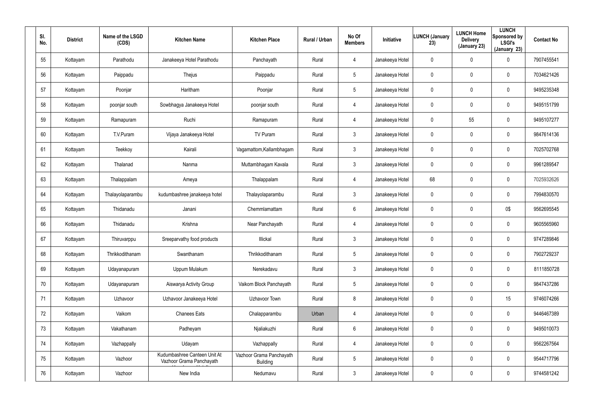| SI.<br>No. | <b>District</b> | Name of the LSGD<br>(CDS) | <b>Kitchen Name</b>                                      | <b>Kitchen Place</b>                        | Rural / Urban | No Of<br><b>Members</b> | Initiative      | <b>LUNCH (January</b><br>23) | <b>LUNCH Home</b><br><b>Delivery</b><br>(January 23) | <b>LUNCH</b><br>Sponsored by<br><b>LSGI's</b><br>(January 23) | <b>Contact No</b> |
|------------|-----------------|---------------------------|----------------------------------------------------------|---------------------------------------------|---------------|-------------------------|-----------------|------------------------------|------------------------------------------------------|---------------------------------------------------------------|-------------------|
| 55         | Kottayam        | Parathodu                 | Janakeeya Hotel Parathodu                                | Panchayath                                  | Rural         | 4                       | Janakeeya Hotel | 0                            | $\pmb{0}$                                            | 0                                                             | 7907455541        |
| 56         | Kottayam        | Paippadu                  | Thejus                                                   | Paippadu                                    | Rural         | 5                       | Janakeeya Hotel | 0                            | $\boldsymbol{0}$                                     | 0                                                             | 7034621426        |
| 57         | Kottayam        | Poonjar                   | Haritham                                                 | Poonjar                                     | Rural         | 5                       | Janakeeya Hotel | 0                            | $\boldsymbol{0}$                                     | 0                                                             | 9495235348        |
| 58         | Kottayam        | poonjar south             | Sowbhagya Janakeeya Hotel                                | poonjar south                               | Rural         | $\overline{4}$          | Janakeeya Hotel | 0                            | $\mathbf 0$                                          | 0                                                             | 9495151799        |
| 59         | Kottayam        | Ramapuram                 | Ruchi                                                    | Ramapuram                                   | Rural         | $\overline{4}$          | Janakeeya Hotel | 0                            | 55                                                   | 0                                                             | 9495107277        |
| 60         | Kottayam        | T.V.Puram                 | Vijaya Janakeeya Hotel                                   | TV Puram                                    | Rural         | $\mathbf{3}$            | Janakeeya Hotel | 0                            | $\mathbf 0$                                          | $\mathbf 0$                                                   | 9847614136        |
| 61         | Kottayam        | Teekkoy                   | Kairali                                                  | Vagamattom, Kallambhagam                    | Rural         | $\mathbf{3}$            | Janakeeya Hotel | 0                            | $\pmb{0}$                                            | 0                                                             | 7025702768        |
| 62         | Kottayam        | Thalanad                  | Nanma                                                    | Muttambhagam Kavala                         | Rural         | $\mathbf{3}$            | Janakeeya Hotel | 0                            | $\mathbf 0$                                          | $\mathbf 0$                                                   | 9961289547        |
| 63         | Kottayam        | Thalappalam               | Ameya                                                    | Thalappalam                                 | Rural         | $\overline{4}$          | Janakeeya Hotel | 68                           | $\pmb{0}$                                            | 0                                                             | 7025932626        |
| 64         | Kottayam        | Thalayolaparambu          | kudumbashree janakeeya hotel                             | Thalayolaparambu                            | Rural         | $\mathbf{3}$            | Janakeeya Hotel | 0                            | $\mathbf 0$                                          | $\mathbf 0$                                                   | 7994830570        |
| 65         | Kottayam        | Thidanadu                 | Janani                                                   | Chemmlamattam                               | Rural         | $6\phantom{.}6$         | Janakeeya Hotel | 0                            | $\mathbf 0$                                          | 0\$                                                           | 9562695545        |
| 66         | Kottayam        | Thidanadu                 | Krishna                                                  | Near Panchayath                             | Rural         | 4                       | Janakeeya Hotel | 0                            | $\mathbf 0$                                          | $\mathbf 0$                                                   | 9605565960        |
| 67         | Kottayam        | Thiruvarppu               | Sreeparvathy food products                               | Illickal                                    | Rural         | $\mathbf{3}$            | Janakeeya Hotel | 0                            | $\pmb{0}$                                            | $\mathbf 0$                                                   | 9747289846        |
| 68         | Kottayam        | Thrikkodithanam           | Swanthanam                                               | Thrikkodithanam                             | Rural         | 5                       | Janakeeya Hotel | 0                            | $\mathbf 0$                                          | $\pmb{0}$                                                     | 7902729237        |
| 69         | Kottayam        | Udayanapuram              | Uppum Mulakum                                            | Nerekadavu                                  | Rural         | $\mathbf{3}$            | Janakeeya Hotel | $\pmb{0}$                    | $\mathbf 0$                                          | $\pmb{0}$                                                     | 8111850728        |
| 70         | Kottayam        | Udayanapuram              | Aiswarya Activity Group                                  | Vaikom Block Panchayath                     | Rural         | $5\phantom{.0}$         | Janakeeya Hotel | $\pmb{0}$                    | $\mathbf 0$                                          | $\pmb{0}$                                                     | 9847437286        |
| 71         | Kottayam        | Uzhavoor                  | Uzhavoor Janakeeya Hotel                                 | Uzhavoor Town                               | Rural         | 8                       | Janakeeya Hotel | 0                            | $\mathbf 0$                                          | 15                                                            | 9746074266        |
| 72         | Kottayam        | Vaikom                    | <b>Chanees Eats</b>                                      | Chalapparambu                               | Urban         | $\overline{4}$          | Janakeeya Hotel | 0                            | $\mathbf 0$                                          | $\pmb{0}$                                                     | 9446467389        |
| 73         | Kottayam        | Vakathanam                | Padheyam                                                 | Njaliakuzhi                                 | Rural         | $6\phantom{.}6$         | Janakeeya Hotel | 0                            | $\pmb{0}$                                            | 0                                                             | 9495010073        |
| 74         | Kottayam        | Vazhappally               | Udayam                                                   | Vazhappally                                 | Rural         | $\overline{4}$          | Janakeeya Hotel | 0                            | $\mathbf 0$                                          | 0                                                             | 9562267564        |
| 75         | Kottayam        | Vazhoor                   | Kudumbashree Canteen Unit At<br>Vazhoor Grama Panchayath | Vazhoor Grama Panchayath<br><b>Building</b> | Rural         | $5\phantom{.0}$         | Janakeeya Hotel | 0                            | $\pmb{0}$                                            | 0                                                             | 9544717796        |
| 76         | Kottayam        | Vazhoor                   | New India                                                | Nedumavu                                    | Rural         | 3 <sup>1</sup>          | Janakeeya Hotel | 0                            | $\boldsymbol{0}$                                     | 0                                                             | 9744581242        |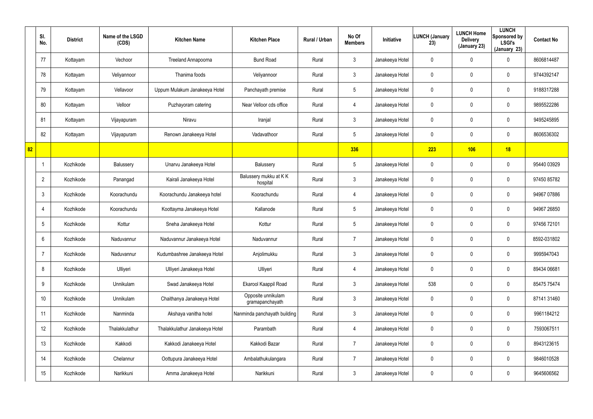|    | SI.<br>No.      | <b>District</b> | Name of the LSGD<br>(CDS) | <b>Kitchen Name</b>            | <b>Kitchen Place</b>                  | Rural / Urban | No Of<br><b>Members</b> | <b>Initiative</b> | <b>LUNCH (January</b><br>23) | <b>LUNCH Home</b><br><b>Delivery</b><br>(January 23) | <b>LUNCH</b><br>Sponsored by<br><b>LSGI's</b><br>(January 23) | <b>Contact No</b> |
|----|-----------------|-----------------|---------------------------|--------------------------------|---------------------------------------|---------------|-------------------------|-------------------|------------------------------|------------------------------------------------------|---------------------------------------------------------------|-------------------|
|    | 77              | Kottayam        | Vechoor                   | Treeland Annapoorna            | <b>Bund Road</b>                      | Rural         | $\mathbf{3}$            | Janakeeya Hotel   | 0                            | 0                                                    | $\mathbf 0$                                                   | 8606814487        |
|    | 78              | Kottayam        | Veliyannoor               | Thanima foods                  | Veliyannoor                           | Rural         | $\mathbf{3}$            | Janakeeya Hotel   | 0                            | 0                                                    | $\mathbf 0$                                                   | 9744392147        |
|    | 79              | Kottayam        | Vellavoor                 | Uppum Mulakum Janakeeya Hotel  | Panchayath premise                    | Rural         | $5\overline{)}$         | Janakeeya Hotel   | 0                            | 0                                                    | $\mathbf 0$                                                   | 9188317288        |
|    | 80              | Kottayam        | Velloor                   | Puzhayoram catering            | Near Velloor cds office               | Rural         | 4                       | Janakeeya Hotel   | 0                            | 0                                                    | $\mathbf 0$                                                   | 9895522286        |
|    | 81              | Kottayam        | Vijayapuram               | Niravu                         | Iranjal                               | Rural         | $\mathbf{3}$            | Janakeeya Hotel   | 0                            | 0                                                    | $\mathbf 0$                                                   | 9495245895        |
|    | 82              | Kottayam        | Vijayapuram               | Renown Janakeeya Hotel         | Vadavathoor                           | Rural         | $5\overline{)}$         | Janakeeya Hotel   | 0                            | 0                                                    | $\mathbf 0$                                                   | 8606536302        |
| 82 |                 |                 |                           |                                |                                       |               | 336                     |                   | 223                          | 106                                                  | 18                                                            |                   |
|    | $\mathbf 1$     | Kozhikode       | Balussery                 | Unarvu Janakeeya Hotel         | Balussery                             | Rural         | $5\phantom{.0}$         | Janakeeya Hotel   | 0                            | 0                                                    | $\mathbf 0$                                                   | 95440 03929       |
|    | $\overline{2}$  | Kozhikode       | Panangad                  | Kairali Janakeeya Hotel        | Balussery mukku at KK<br>hospital     | Rural         | $\mathbf{3}$            | Janakeeya Hotel   | 0                            | 0                                                    | $\mathbf 0$                                                   | 97450 85782       |
|    | $\mathbf{3}$    | Kozhikode       | Koorachundu               | Koorachundu Janakeeya hotel    | Koorachundu                           | Rural         | 4                       | Janakeeya Hotel   | 0                            | 0                                                    | $\mathbf 0$                                                   | 94967 07886       |
|    | 4               | Kozhikode       | Koorachundu               | Koottayma Janakeeya Hotel      | Kallanode                             | Rural         | $5\phantom{.0}$         | Janakeeya Hotel   | 0                            | 0                                                    | $\mathbf 0$                                                   | 94967 26850       |
|    | 5               | Kozhikode       | Kottur                    | Sneha Janakeeya Hotel          | Kottur                                | Rural         | $5\phantom{.0}$         | Janakeeya Hotel   | 0                            | 0                                                    | $\mathbf 0$                                                   | 97456 72101       |
|    | 6               | Kozhikode       | Naduvannur                | Naduvannur Janakeeya Hotel     | Naduvannur                            | Rural         | $\overline{7}$          | Janakeeya Hotel   | 0                            | 0                                                    | $\mathbf 0$                                                   | 8592-031802       |
|    | -7              | Kozhikode       | Naduvannur                | Kudumbashree Janakeeya Hotel   | Anjolimukku                           | Rural         | $\mathbf{3}$            | Janakeeya Hotel   | 0                            | 0                                                    | $\pmb{0}$                                                     | 9995947043        |
|    | 8               | Kozhikode       | Ulliyeri                  | Ulliyeri Janakeeya Hotel       | Ulliyeri                              | Rural         | 4                       | Janakeeya Hotel   | $\pmb{0}$                    | 0                                                    | $\pmb{0}$                                                     | 89434 06681       |
|    | 9               | Kozhikode       | Unnikulam                 | Swad Janakeeya Hotel           | Ekarool Kaappil Road                  | Rural         | $\mathbf{3}$            | Janakeeya Hotel   | 538                          | 0                                                    | $\pmb{0}$                                                     | 85475 75474       |
|    | 10 <sup>°</sup> | Kozhikode       | Unnikulam                 | Chaithanya Janakeeya Hotel     | Opposite unnikulam<br>gramapanchayath | Rural         | $\mathfrak{Z}$          | Janakeeya Hotel   | 0                            | 0                                                    | $\pmb{0}$                                                     | 87141 31460       |
|    | 11              | Kozhikode       | Nanminda                  | Akshaya vanitha hotel          | Nanminda panchayath building          | Rural         | $\mathbf{3}$            | Janakeeya Hotel   | $\mathbf 0$                  | 0                                                    | $\mathbf 0$                                                   | 9961184212        |
|    | 12              | Kozhikode       | Thalakkulathur            | Thalakkulathur Janakeeya Hotel | Parambath                             | Rural         | 4                       | Janakeeya Hotel   | 0                            | 0                                                    | $\mathbf 0$                                                   | 7593067511        |
|    | 13              | Kozhikode       | Kakkodi                   | Kakkodi Janakeeya Hotel        | Kakkodi Bazar                         | Rural         | $\overline{7}$          | Janakeeya Hotel   | $\mathbf 0$                  | 0                                                    | $\pmb{0}$                                                     | 8943123615        |
|    | 14              | Kozhikode       | Chelannur                 | Oottupura Janakeeya Hotel      | Ambalathukulangara                    | Rural         | $\overline{7}$          | Janakeeya Hotel   | 0                            | 0                                                    | $\pmb{0}$                                                     | 9846010528        |
|    | 15              | Kozhikode       | Narikkuni                 | Amma Janakeeya Hotel           | Narikkuni                             | Rural         | $\mathfrak{Z}$          | Janakeeya Hotel   | 0                            | 0                                                    | $\pmb{0}$                                                     | 9645606562        |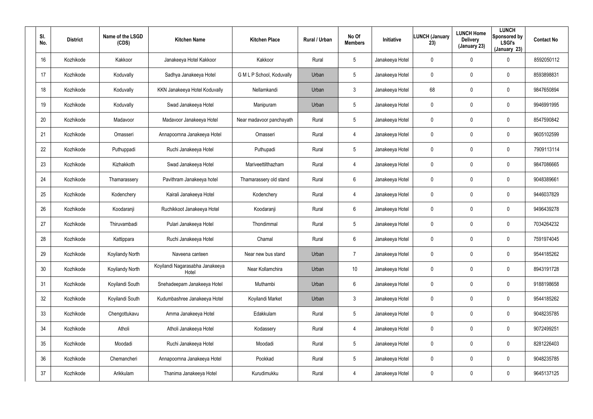| SI.<br>No. | <b>District</b> | Name of the LSGD<br>(CDS) | <b>Kitchen Name</b>                      | <b>Kitchen Place</b>      | <b>Rural / Urban</b> | No Of<br><b>Members</b> | Initiative      | <b>LUNCH (January</b><br>23) | <b>LUNCH Home</b><br><b>Delivery</b><br>(January 23) | <b>LUNCH</b><br>Sponsored by<br><b>LSGI's</b><br>(January 23) | <b>Contact No</b> |
|------------|-----------------|---------------------------|------------------------------------------|---------------------------|----------------------|-------------------------|-----------------|------------------------------|------------------------------------------------------|---------------------------------------------------------------|-------------------|
| 16         | Kozhikode       | Kakkoor                   | Janakeeya Hotel Kakkoor                  | Kakkoor                   | Rural                | 5                       | Janakeeya Hotel | 0                            | 0                                                    | 0                                                             | 8592050112        |
| 17         | Kozhikode       | Koduvally                 | Sadhya Janakeeya Hotel                   | G M L P School, Koduvally | Urban                | 5                       | Janakeeya Hotel | 0                            | $\mathbf 0$                                          | $\mathbf 0$                                                   | 8593898831        |
| 18         | Kozhikode       | Koduvally                 | KKN Janakeeya Hotel Koduvally            | Nellamkandi               | Urban                | $\mathbf{3}$            | Janakeeya Hotel | 68                           | 0                                                    | $\mathbf 0$                                                   | 9847650894        |
| 19         | Kozhikode       | Koduvally                 | Swad Janakeeya Hotel                     | Manipuram                 | Urban                | 5                       | Janakeeya Hotel | 0                            | $\mathbf 0$                                          | $\mathbf 0$                                                   | 9946991995        |
| 20         | Kozhikode       | Madavoor                  | Madavoor Janakeeya Hotel                 | Near madavoor panchayath  | Rural                | $5\overline{)}$         | Janakeeya Hotel | 0                            | 0                                                    | $\mathbf 0$                                                   | 8547590842        |
| 21         | Kozhikode       | Omasseri                  | Annapoornna Janakeeya Hotel              | Omasseri                  | Rural                | 4                       | Janakeeya Hotel | 0                            | $\mathbf 0$                                          | $\mathbf 0$                                                   | 9605102599        |
| 22         | Kozhikode       | Puthuppadi                | Ruchi Janakeeya Hotel                    | Puthupadi                 | Rural                | 5                       | Janakeeya Hotel | 0                            | 0                                                    | 0                                                             | 7909113114        |
| 23         | Kozhikode       | Kizhakkoth                | Swad Janakeeya Hotel                     | Mariveettilthazham        | Rural                | 4                       | Janakeeya Hotel | 0                            | 0                                                    | $\mathbf 0$                                                   | 9847086665        |
| 24         | Kozhikode       | Thamarassery              | Pavithram Janakeeya hotel                | Thamarassery old stand    | Rural                | 6                       | Janakeeya Hotel | 0                            | 0                                                    | 0                                                             | 9048389661        |
| 25         | Kozhikode       | Kodenchery                | Kairali Janakeeya Hotel                  | Kodenchery                | Rural                | 4                       | Janakeeya Hotel | 0                            | 0                                                    | $\mathbf 0$                                                   | 9446037829        |
| 26         | Kozhikode       | Koodaranji                | Ruchikkoot Janakeeya Hotel               | Koodaranji                | Rural                | 6                       | Janakeeya Hotel | 0                            | 0                                                    | 0                                                             | 9496439278        |
| 27         | Kozhikode       | Thiruvambadi              | Pulari Janakeeya Hotel                   | Thondimmal                | Rural                | $5\overline{)}$         | Janakeeya Hotel | 0                            | 0                                                    | $\mathbf 0$                                                   | 7034264232        |
| 28         | Kozhikode       | Kattippara                | Ruchi Janakeeya Hotel                    | Chamal                    | Rural                | 6                       | Janakeeya Hotel | 0                            | $\boldsymbol{0}$                                     | 0                                                             | 7591974045        |
| 29         | Kozhikode       | Koyilandy North           | Naveena canteen                          | Near new bus stand        | Urban                | $\overline{7}$          | Janakeeya Hotel | 0                            | $\pmb{0}$                                            | $\pmb{0}$                                                     | 9544185262        |
| 30         | Kozhikode       | Koyilandy North           | Koyilandi Nagarasabha Janakeeya<br>Hotel | Near Kollamchira          | Urban                | 10                      | Janakeeya Hotel | 0                            | $\boldsymbol{0}$                                     | $\pmb{0}$                                                     | 8943191728        |
| 31         | Kozhikode       | Koyilandi South           | Snehadeepam Janakeeya Hotel              | Muthambi                  | Urban                | $6\phantom{.0}$         | Janakeeya Hotel | 0                            | $\pmb{0}$                                            | $\pmb{0}$                                                     | 9188198658        |
| 32         | Kozhikode       | Koyilandi South           | Kudumbashree Janakeeya Hotel             | Koyilandi Market          | Urban                | $\mathbf{3}$            | Janakeeya Hotel | 0                            | $\pmb{0}$                                            | $\pmb{0}$                                                     | 9544185262        |
| 33         | Kozhikode       | Chengottukavu             | Amma Janakeeya Hotel                     | Edakkulam                 | Rural                | $5\phantom{.0}$         | Janakeeya Hotel | 0                            | $\pmb{0}$                                            | $\pmb{0}$                                                     | 9048235785        |
| 34         | Kozhikode       | Atholi                    | Atholi Janakeeya Hotel                   | Kodassery                 | Rural                | 4                       | Janakeeya Hotel | 0                            | $\pmb{0}$                                            | 0                                                             | 9072499251        |
| 35         | Kozhikode       | Moodadi                   | Ruchi Janakeeya Hotel                    | Moodadi                   | Rural                | $5\phantom{.0}$         | Janakeeya Hotel | 0                            | $\pmb{0}$                                            | $\pmb{0}$                                                     | 8281226403        |
| 36         | Kozhikode       | Chemancheri               | Annapoornna Janakeeya Hotel              | Pookkad                   | Rural                | $5\phantom{.0}$         | Janakeeya Hotel | 0                            | $\pmb{0}$                                            | 0                                                             | 9048235785        |
| 37         | Kozhikode       | Arikkulam                 | Thanima Janakeeya Hotel                  | Kurudimukku               | Rural                | 4                       | Janakeeya Hotel | 0                            | $\pmb{0}$                                            | 0                                                             | 9645137125        |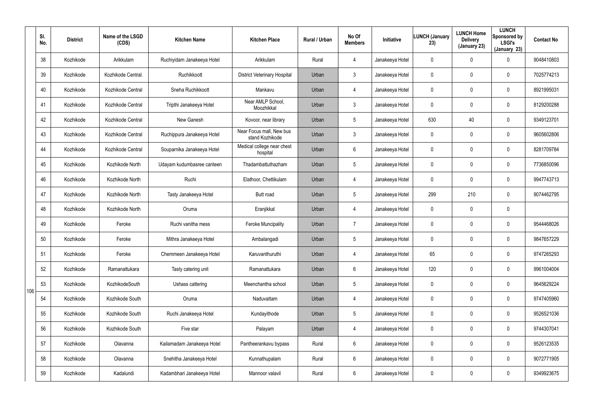|     | SI.<br>No. | <b>District</b> | Name of the LSGD<br>(CDS) | <b>Kitchen Name</b>        | <b>Kitchen Place</b>                        | Rural / Urban | No Of<br><b>Members</b> | Initiative      | <b>LUNCH (January</b><br>23) | <b>LUNCH Home</b><br><b>Delivery</b><br>(January 23) | <b>LUNCH</b><br>Sponsored by<br><b>LSGI's</b><br>(January 23) | <b>Contact No</b> |
|-----|------------|-----------------|---------------------------|----------------------------|---------------------------------------------|---------------|-------------------------|-----------------|------------------------------|------------------------------------------------------|---------------------------------------------------------------|-------------------|
|     | 38         | Kozhikode       | Arikkulam                 | Ruchiyidam Janakeeya Hotel | Arikkulam                                   | Rural         | $\overline{4}$          | Janakeeya Hotel | 0                            | 0                                                    | $\mathbf 0$                                                   | 9048410803        |
|     | 39         | Kozhikode       | Kozhikode Central.        | Ruchikkoott                | <b>District Veterinary Hospital</b>         | Urban         | $\mathbf{3}$            | Janakeeya Hotel | 0                            | 0                                                    | $\mathbf 0$                                                   | 7025774213        |
|     | 40         | Kozhikode       | Kozhikode Central         | Sneha Ruchikkoott          | Mankavu                                     | Urban         | $\overline{4}$          | Janakeeya Hotel | 0                            | 0                                                    | $\mathbf 0$                                                   | 8921995031        |
|     | 41         | Kozhikode       | Kozhikode Central         | Tripthi Janakeeya Hotel    | Near AMLP School,<br>Moozhikkal             | Urban         | $\mathbf{3}$            | Janakeeya Hotel | 0                            | 0                                                    | $\mathbf 0$                                                   | 8129200288        |
|     | 42         | Kozhikode       | Kozhikode Central         | New Ganesh                 | Kovoor, near library                        | Urban         | $5\overline{)}$         | Janakeeya Hotel | 630                          | 40                                                   | $\mathbf 0$                                                   | 9349123701        |
|     | 43         | Kozhikode       | Kozhikode Central         | Ruchippura Janakeeya Hotel | Near Focus mall, New bus<br>stand Kozhikode | Urban         | $\mathbf{3}$            | Janakeeya Hotel | 0                            | 0                                                    | $\mathbf 0$                                                   | 9605602806        |
|     | 44         | Kozhikode       | Kozhikode Central         | Souparnika Janakeeya Hotel | Medical college near chest<br>hospital      | Urban         | 6                       | Janakeeya Hotel | 0                            | 0                                                    | $\mathbf 0$                                                   | 8281709784        |
|     | 45         | Kozhikode       | Kozhikode North           | Udayam kudumbasree canteen | Thadambattuthazham                          | Urban         | $5\phantom{.0}$         | Janakeeya Hotel | 0                            | 0                                                    | $\mathbf 0$                                                   | 7736850096        |
|     | 46         | Kozhikode       | Kozhikode North           | Ruchi                      | Elathoor, Chettikulam                       | Urban         | $\overline{4}$          | Janakeeya Hotel | 0                            | 0                                                    | $\mathbf 0$                                                   | 9947743713        |
|     | 47         | Kozhikode       | Kozhikode North           | Tasty Janakeeya Hotel      | Butt road                                   | Urban         | $5\phantom{.0}$         | Janakeeya Hotel | 299                          | 210                                                  | $\mathbf 0$                                                   | 9074462795        |
|     | 48         | Kozhikode       | Kozhikode North           | Oruma                      | Eranjikkal                                  | Urban         | $\overline{4}$          | Janakeeya Hotel | 0                            | 0                                                    | $\mathbf 0$                                                   |                   |
|     | 49         | Kozhikode       | Feroke                    | Ruchi vanitha mess         | <b>Feroke Muncipality</b>                   | Urban         | 7                       | Janakeeya Hotel | 0                            | 0                                                    | $\mathbf 0$                                                   | 9544468026        |
|     | 50         | Kozhikode       | Feroke                    | Mithra Janakeeya Hotel     | Ambalangadi                                 | Urban         | $5\phantom{.0}$         | Janakeeya Hotel | 0                            | 0                                                    | $\mathbf 0$                                                   | 9847657229        |
|     | 51         | Kozhikode       | Feroke                    | Chemmeen Janakeeya Hotel   | Karuvanthuruthi                             | Urban         | 4                       | Janakeeya Hotel | 65                           | 0                                                    | $\mathbf 0$                                                   | 9747265293        |
|     | 52         | Kozhikode       | Ramanattukara             | Tasty catering unit        | Ramanattukara                               | Urban         | $6\phantom{.}$          | Janakeeya Hotel | 120                          | 0                                                    | $\pmb{0}$                                                     | 9961004004        |
| 106 | 53         | Kozhikode       | KozhikodeSouth            | Ushass cattering           | Meenchantha school                          | Urban         | $5\overline{)}$         | Janakeeya Hotel | $\mathbf 0$                  | 0                                                    | $\pmb{0}$                                                     | 9645629224        |
|     | 54         | Kozhikode       | Kozhikode South           | Oruma                      | Naduvattam                                  | Urban         | $\overline{4}$          | Janakeeya Hotel | 0                            | 0                                                    | $\pmb{0}$                                                     | 9747405960        |
|     | 55         | Kozhikode       | Kozhikode South           | Ruchi Janakeeya Hotel      | Kundayithode                                | Urban         | $5\overline{)}$         | Janakeeya Hotel | $\mathbf 0$                  | 0                                                    | $\mathbf 0$                                                   | 9526521036        |
|     | 56         | Kozhikode       | Kozhikode South           | Five star                  | Palayam                                     | Urban         | $\overline{4}$          | Janakeeya Hotel | 0                            | 0                                                    | $\mathbf 0$                                                   | 9744307041        |
|     | 57         | Kozhikode       | Olavanna                  | Kailamadam Janakeeya Hotel | Pantheerankavu bypass                       | Rural         | $6\phantom{.}$          | Janakeeya Hotel | $\mathbf 0$                  | 0                                                    | $\pmb{0}$                                                     | 9526123535        |
|     | 58         | Kozhikode       | Olavanna                  | Snehitha Janakeeya Hotel   | Kunnathupalam                               | Rural         | $6\overline{6}$         | Janakeeya Hotel | 0                            | 0                                                    | $\mathbf 0$                                                   | 9072771905        |
|     | 59         | Kozhikode       | Kadalundi                 | Kadambhari Janakeeya Hotel | Mannoor valavil                             | Rural         | $6\,$                   | Janakeeya Hotel | 0                            | 0                                                    | $\pmb{0}$                                                     | 9349923675        |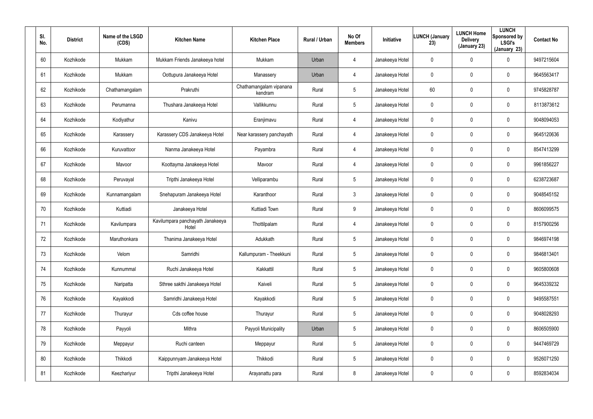| SI.<br>No. | <b>District</b> | Name of the LSGD<br>(CDS) | <b>Kitchen Name</b>                       | <b>Kitchen Place</b>               | Rural / Urban | No Of<br><b>Members</b> | Initiative      | <b>LUNCH (January</b><br>23) | <b>LUNCH Home</b><br><b>Delivery</b><br>(January 23) | <b>LUNCH</b><br>Sponsored by<br><b>LSGI's</b><br>(January 23) | <b>Contact No</b> |
|------------|-----------------|---------------------------|-------------------------------------------|------------------------------------|---------------|-------------------------|-----------------|------------------------------|------------------------------------------------------|---------------------------------------------------------------|-------------------|
| 60         | Kozhikode       | Mukkam                    | Mukkam Friends Janakeeya hotel            | Mukkam                             | Urban         | $\overline{4}$          | Janakeeya Hotel | 0                            | $\mathbf 0$                                          | 0                                                             | 9497215604        |
| 61         | Kozhikode       | Mukkam                    | Oottupura Janakeeya Hotel                 | Manassery                          | Urban         | $\overline{4}$          | Janakeeya Hotel | 0                            | $\mathbf 0$                                          | 0                                                             | 9645563417        |
| 62         | Kozhikode       | Chathamangalam            | Prakruthi                                 | Chathamangalam vipanana<br>kendram | Rural         | 5                       | Janakeeya Hotel | 60                           | $\mathbf 0$                                          | $\mathbf 0$                                                   | 9745828787        |
| 63         | Kozhikode       | Perumanna                 | Thushara Janakeeya Hotel                  | Vallikkunnu                        | Rural         | 5                       | Janakeeya Hotel | 0                            | $\mathbf 0$                                          | $\mathbf 0$                                                   | 8113873612        |
| 64         | Kozhikode       | Kodiyathur                | Kanivu                                    | Eranjimavu                         | Rural         | $\overline{4}$          | Janakeeya Hotel | 0                            | $\mathbf 0$                                          | $\mathbf 0$                                                   | 9048094053        |
| 65         | Kozhikode       | Karassery                 | Karassery CDS Janakeeya Hotel             | Near karassery panchayath          | Rural         | $\overline{4}$          | Janakeeya Hotel | 0                            | $\mathbf 0$                                          | $\mathbf 0$                                                   | 9645120636        |
| 66         | Kozhikode       | Kuruvattoor               | Nanma Janakeeya Hotel                     | Payambra                           | Rural         | $\overline{4}$          | Janakeeya Hotel | 0                            | $\mathbf 0$                                          | $\mathbf 0$                                                   | 8547413299        |
| 67         | Kozhikode       | Mavoor                    | Koottayma Janakeeya Hotel                 | Mavoor                             | Rural         | 4                       | Janakeeya Hotel | 0                            | 0                                                    | 0                                                             | 9961856227        |
| 68         | Kozhikode       | Peruvayal                 | Tripthi Janakeeya Hotel                   | Velliparambu                       | Rural         | $5\phantom{.0}$         | Janakeeya Hotel | 0                            | $\mathbf 0$                                          | $\mathbf 0$                                                   | 6238723687        |
| 69         | Kozhikode       | Kunnamangalam             | Snehapuram Janakeeya Hotel                | Karanthoor                         | Rural         | $\mathbf{3}$            | Janakeeya Hotel | 0                            | 0                                                    | 0                                                             | 9048545152        |
| 70         | Kozhikode       | Kuttiadi                  | Janakeeya Hotel                           | Kuttiadi Town                      | Rural         | 9                       | Janakeeya Hotel | 0                            | $\mathbf 0$                                          | $\mathbf 0$                                                   | 8606099575        |
| 71         | Kozhikode       | Kavilumpara               | Kavilumpara panchayath Janakeeya<br>Hotel | Thottilpalam                       | Rural         | 4                       | Janakeeya Hotel | 0                            | 0                                                    | 0                                                             | 8157900256        |
| 72         | Kozhikode       | Maruthonkara              | Thanima Janakeeya Hotel                   | Adukkath                           | Rural         | $5\overline{)}$         | Janakeeya Hotel | 0                            | $\boldsymbol{0}$                                     | 0                                                             | 9846974198        |
| 73         | Kozhikode       | Velom                     | Samridhi                                  | Kallumpuram - Theekkuni            | Rural         | 5                       | Janakeeya Hotel | 0                            | $\mathbf 0$                                          | 0                                                             | 9846813401        |
| 74         | Kozhikode       | Kunnummal                 | Ruchi Janakeeya Hotel                     | Kakkattil                          | Rural         | $5\phantom{.0}$         | Janakeeya Hotel | 0                            | $\pmb{0}$                                            | $\pmb{0}$                                                     | 9605800608        |
| 75         | Kozhikode       | Naripatta                 | Sthree sakthi Janakeeya Hotel             | Kaiveli                            | Rural         | $5\phantom{.0}$         | Janakeeya Hotel | 0                            | $\overline{0}$                                       | $\pmb{0}$                                                     | 9645339232        |
| 76         | Kozhikode       | Kayakkodi                 | Samridhi Janakeeya Hotel                  | Kayakkodi                          | Rural         | $5\phantom{.0}$         | Janakeeya Hotel | 0                            | $\pmb{0}$                                            | $\pmb{0}$                                                     | 9495587551        |
| 77         | Kozhikode       | Thurayur                  | Cds coffee house                          | Thurayur                           | Rural         | 5                       | Janakeeya Hotel | 0                            | $\overline{0}$                                       | 0                                                             | 9048028293        |
| 78         | Kozhikode       | Payyoli                   | Mithra                                    | Payyoli Municipality               | Urban         | $5\phantom{.0}$         | Janakeeya Hotel | 0                            | $\pmb{0}$                                            | 0                                                             | 8606505900        |
| 79         | Kozhikode       | Meppayur                  | Ruchi canteen                             | Meppayur                           | Rural         | 5                       | Janakeeya Hotel | 0                            | $\overline{0}$                                       | 0                                                             | 9447469729        |
| 80         | Kozhikode       | Thikkodi                  | Kaippunnyam Janakeeya Hotel               | Thikkodi                           | Rural         | $5\phantom{.0}$         | Janakeeya Hotel | 0                            | $\pmb{0}$                                            | 0                                                             | 9526071250        |
| 81         | Kozhikode       | Keezhariyur               | Tripthi Janakeeya Hotel                   | Arayanattu para                    | Rural         | 8                       | Janakeeya Hotel | 0                            | $\boldsymbol{0}$                                     | 0                                                             | 8592834034        |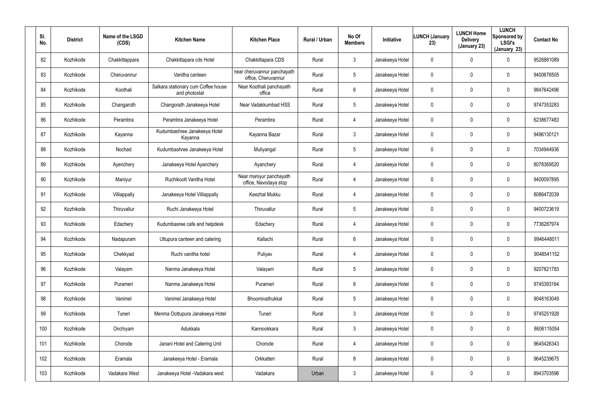| SI.<br>No. | <b>District</b> | Name of the LSGD<br>(CDS) | <b>Kitchen Name</b>                                  | <b>Kitchen Place</b>                               | Rural / Urban | No Of<br><b>Members</b> | Initiative      | <b>LUNCH (January</b><br>23) | <b>LUNCH Home</b><br><b>Delivery</b><br>(January 23) | <b>LUNCH</b><br>Sponsored by<br><b>LSGI's</b><br>(January 23) | <b>Contact No</b> |
|------------|-----------------|---------------------------|------------------------------------------------------|----------------------------------------------------|---------------|-------------------------|-----------------|------------------------------|------------------------------------------------------|---------------------------------------------------------------|-------------------|
| 82         | Kozhikode       | Chakkittappara            | Chakkittapara cds Hotel                              | Chakkittapara CDS                                  | Rural         | $\mathbf{3}$            | Janakeeya Hotel | 0                            | $\mathbf 0$                                          | 0                                                             | 9526881089        |
| 83         | Kozhikode       | Cheruvannur               | Vanitha canteen                                      | near cheruvannur panchayath<br>office, Cheruvannur | Rural         | 5                       | Janakeeya Hotel | 0                            | $\mathbf 0$                                          | $\mathbf 0$                                                   | 9400676505        |
| 84         | Kozhikode       | Koothali                  | Salkara stationary cum Coffee house<br>and photostat | Near Koothali panchayath<br>office                 | Rural         | 6                       | Janakeeya Hotel | 0                            | $\mathbf 0$                                          | $\mathbf 0$                                                   | 9847642496        |
| 85         | Kozhikode       | Changaroth                | Changorath Janakeeya Hotel                           | Near Vadakkumbad HSS                               | Rural         | 5                       | Janakeeya Hotel | 0                            | $\mathbf 0$                                          | $\mathbf 0$                                                   | 9747353283        |
| 86         | Kozhikode       | Perambra                  | Perambra Janakeeya Hotel                             | Perambra                                           | Rural         | $\overline{4}$          | Janakeeya Hotel | 0                            | $\mathbf 0$                                          | $\mathbf 0$                                                   | 6238677483        |
| 87         | Kozhikode       | Kayanna                   | Kudumbashree Janakeeya Hotel<br>Kayanna              | Kayanna Bazar                                      | Rural         | $\mathbf{3}$            | Janakeeya Hotel | 0                            | $\mathbf 0$                                          | $\mathbf 0$                                                   | 9496130121        |
| 88         | Kozhikode       | Nochad                    | Kudumbashree Janakeeya Hotel                         | Muliyangal                                         | Rural         | $5\phantom{.0}$         | Janakeeya Hotel | 0                            | $\mathbf 0$                                          | $\mathbf 0$                                                   | 7034944936        |
| 89         | Kozhikode       | Ayenchery                 | Janakeeya Hotel Ayanchery                            | Ayanchery                                          | Rural         | 4                       | Janakeeya Hotel | 0                            | 0                                                    | $\mathbf 0$                                                   | 8078369520        |
| 90         | Kozhikode       | Maniyur                   | Ruchikoott Vanitha Hotel                             | Near maniyur panchayath<br>office, Navodaya stop   | Rural         | 4                       | Janakeeya Hotel | 0                            | $\mathbf 0$                                          | $\mathbf 0$                                                   | 9400097895        |
| 91         | Kozhikode       | Villiappally              | Janakeeya Hotel Villiappally                         | Keezhal Mukku                                      | Rural         | 4                       | Janakeeya Hotel | 0                            | 0                                                    | $\mathbf 0$                                                   | 8086472039        |
| 92         | Kozhikode       | Thiruvallur               | Ruchi Janakeeya Hotel                                | Thiruvallur                                        | Rural         | 5                       | Janakeeya Hotel | 0                            | $\mathbf 0$                                          | 0                                                             | 9400723619        |
| 93         | Kozhikode       | Edachery                  | Kudumbasree cafe and helpdesk                        | Edachery                                           | Rural         | 4                       | Janakeeya Hotel | 0                            | 0                                                    | 0                                                             | 7736287974        |
| 94         | Kozhikode       | Nadapuram                 | Uttupura canteen and catering                        | Kallachi                                           | Rural         | 6                       | Janakeeya Hotel | 0                            | $\mathbf 0$                                          | 0                                                             | 9946448011        |
| 95         | Kozhikode       | Chekkyad                  | Ruchi vanitha hotel                                  | Puliyav                                            | Rural         | 4                       | Janakeeya Hotel | 0                            | $\mathbf 0$                                          | 0                                                             | 9048541152        |
| 96         | Kozhikode       | Valayam                   | Nanma Janakeeya Hotel                                | Valayam                                            | Rural         | $5\phantom{.0}$         | Janakeeya Hotel | 0                            | $\pmb{0}$                                            | $\pmb{0}$                                                     | 9207821783        |
| 97         | Kozhikode       | Purameri                  | Nanma Janakeeya Hotel                                | Purameri                                           | Rural         | $6\phantom{.}$          | Janakeeya Hotel | 0                            | $\overline{0}$                                       | $\pmb{0}$                                                     | 9745393164        |
| 98         | Kozhikode       | Vanimel                   | Vanimel Janakeeya Hotel                              | Bhoomivathukkal                                    | Rural         | $5\phantom{.0}$         | Janakeeya Hotel | 0                            | $\pmb{0}$                                            | $\pmb{0}$                                                     | 9048163049        |
| 99         | Kozhikode       | Tuneri                    | Menma Oottupura Janakeeya Hotel                      | Tuneri                                             | Rural         | 3 <sup>1</sup>          | Janakeeya Hotel | 0                            | $\mathbf 0$                                          | 0                                                             | 9745251928        |
| 100        | Kozhikode       | Onchiyam                  | Adukkala                                             | Kannookkara                                        | Rural         | 3 <sup>1</sup>          | Janakeeya Hotel | 0                            | $\pmb{0}$                                            | 0                                                             | 8606115054        |
| 101        | Kozhikode       | Chorode                   | Janani Hotel and Catering Unit                       | Chorode                                            | Rural         | $\overline{4}$          | Janakeeya Hotel | 0                            | $\mathbf 0$                                          | 0                                                             | 9645426343        |
| 102        | Kozhikode       | Eramala                   | Janakeeya Hotel - Eramala                            | Orkkatteri                                         | Rural         | 8                       | Janakeeya Hotel | 0                            | $\pmb{0}$                                            | 0                                                             | 9645239675        |
| 103        | Kozhikode       | Vadakara West             | Janakeeya Hotel - Vadakara west                      | Vadakara                                           | Urban         | $\mathfrak{Z}$          | Janakeeya Hotel | 0                            | $\boldsymbol{0}$                                     | 0                                                             | 8943703596        |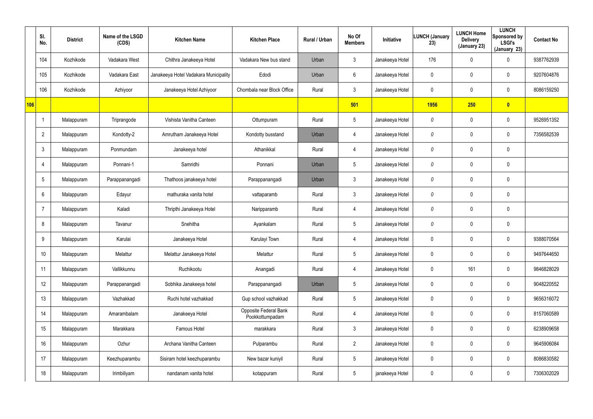|     | SI.<br>No.      | <b>District</b> | Name of the LSGD<br>(CDS) | <b>Kitchen Name</b>                   | <b>Kitchen Place</b>                     | Rural / Urban | No Of<br><b>Members</b> | Initiative      | LUNCH (January<br>23) | <b>LUNCH Home</b><br><b>Delivery</b><br>(January 23) | <b>LUNCH</b><br>Sponsored by<br><b>LSGI's</b><br>(January 23) | <b>Contact No</b> |
|-----|-----------------|-----------------|---------------------------|---------------------------------------|------------------------------------------|---------------|-------------------------|-----------------|-----------------------|------------------------------------------------------|---------------------------------------------------------------|-------------------|
|     | 104             | Kozhikode       | Vadakara West             | Chithra Janakeeya Hotel               | Vadakara New bus stand                   | Urban         | $\mathbf{3}$            | Janakeeya Hotel | 176                   | 0                                                    | $\mathbf 0$                                                   | 9387762939        |
|     | 105             | Kozhikode       | Vadakara East             | Janakeeya Hotel Vadakara Municipality | Edodi                                    | Urban         | 6                       | Janakeeya Hotel | 0                     | $\mathbf{0}$                                         | $\mathbf 0$                                                   | 9207604876        |
|     | 106             | Kozhikode       | Azhiyoor                  | Janakeeya Hotel Azhiyoor              | Chombala near Block Office               | Rural         | $\mathbf{3}$            | Janakeeya Hotel | $\mathbf 0$           | 0                                                    | $\mathbf 0$                                                   | 8086159250        |
| 106 |                 |                 |                           |                                       |                                          |               | 501                     |                 | <b>1956</b>           | 250                                                  | $\bullet$                                                     |                   |
|     |                 | Malappuram      | Triprangode               | Vishista Vanitha Canteen              | Ottumpuram                               | Rural         | $5\phantom{.0}$         | Janakeeya Hotel | 0                     | 0                                                    | $\mathbf 0$                                                   | 9526951352        |
|     | $\overline{2}$  | Malappuram      | Kondotty-2                | Amrutham Janakeeya Hotel              | Kondotty busstand                        | Urban         | $\overline{4}$          | Janakeeya Hotel | 0                     | 0                                                    | $\mathbf 0$                                                   | 7356582539        |
|     | $\mathbf{3}$    | Malappuram      | Ponmundam                 | Janakeeya hotel                       | Athanikkal                               | Rural         | $\overline{4}$          | Janakeeya Hotel | 0                     | 0                                                    | $\mathbf 0$                                                   |                   |
|     | $\overline{4}$  | Malappuram      | Ponnani-1                 | Samridhi                              | Ponnani                                  | Urban         | $5\phantom{.0}$         | Janakeeya Hotel | 0                     | 0                                                    | $\mathbf 0$                                                   |                   |
|     | $5\phantom{.0}$ | Malappuram      | Parappanangadi            | Thathoos janakeeya hotel              | Parappanangadi                           | Urban         | $\mathfrak{Z}$          | Janakeeya Hotel | 0                     | 0                                                    | $\pmb{0}$                                                     |                   |
|     | $6^{\circ}$     | Malappuram      | Edayur                    | mathuraka vanita hotel                | vattaparamb                              | Rural         | $\mathbf{3}$            | Janakeeya Hotel | 0                     | 0                                                    | $\mathbf 0$                                                   |                   |
|     | $\overline{7}$  | Malappuram      | Kaladi                    | Thripthi Janakeeya Hotel              | Naripparamb                              | Rural         | $\overline{4}$          | Janakeeya Hotel | 0                     | 0                                                    | $\boldsymbol{0}$                                              |                   |
|     | 8               | Malappuram      | Tavanur                   | Snehitha                              | Ayankalam                                | Rural         | $5\phantom{.0}$         | Janakeeya Hotel | 0                     | 0                                                    | $\mathbf 0$                                                   |                   |
|     | 9               | Malappuram      | Karulai                   | Janakeeya Hotel                       | Karulayi Town                            | Rural         | 4                       | Janakeeya Hotel | 0                     | 0                                                    | $\mathbf 0$                                                   | 9388070564        |
|     | 10              | Malappuram      | Melattur                  | Melattur Janakeeya Hotel              | Melattur                                 | Rural         | $5\phantom{.0}$         | Janakeeya Hotel | 0                     | 0                                                    | $\mathbf 0$                                                   | 9497644650        |
|     | 11              | Malappuram      | Vallikkunnu               | Ruchikootu                            | Anangadi                                 | Rural         | 4                       | Janakeeya Hotel | 0                     | 161                                                  | $\boldsymbol{0}$                                              | 9846828029        |
|     | 12              | Malappuram      | Parappanangadi            | Sobhika Janakeeya hotel               | Parappanangadi                           | Urban         | $5\overline{)}$         | Janakeeya Hotel | $\mathbf 0$           | 0                                                    | $\pmb{0}$                                                     | 9048220552        |
|     | 13              | Malappuram      | Vazhakkad                 | Ruchi hotel vazhakkad                 | Gup school vazhakkad                     | Rural         | $5\overline{)}$         | Janakeeya Hotel | 0                     | 0                                                    | $\boldsymbol{0}$                                              | 9656316072        |
|     | 14              | Malappuram      | Amarambalam               | Janakeeya Hotel                       | Opposite Federal Bank<br>Pookkottumpadam | Rural         | 4                       | Janakeeya Hotel | $\boldsymbol{0}$      | 0                                                    | $\pmb{0}$                                                     | 8157060589        |
|     | 15              | Malappuram      | Marakkara                 | Famous Hotel                          | marakkara                                | Rural         | $\mathbf{3}$            | Janakeeya Hotel | 0                     | 0                                                    | $\mathbf 0$                                                   | 6238909658        |
|     | 16              | Malappuram      | Ozhur                     | Archana Vanitha Canteen               | Pulparambu                               | Rural         | $2^{\circ}$             | Janakeeya Hotel | $\mathbf 0$           | 0                                                    | $\mathbf 0$                                                   | 9645906084        |
|     | 17              | Malappuram      | Keezhuparambu             | Sisiram hotel keezhuparambu           | New bazar kuniyil                        | Rural         | $5\,$                   | Janakeeya Hotel | 0                     | 0                                                    | $\mathbf 0$                                                   | 8086830582        |
|     | 18              | Malappuram      | Irimbiliyam               | nandanam vanita hotel                 | kotappuram                               | Rural         | $5\,$                   | janakeeya Hotel | 0                     | 0                                                    | $\pmb{0}$                                                     | 7306302029        |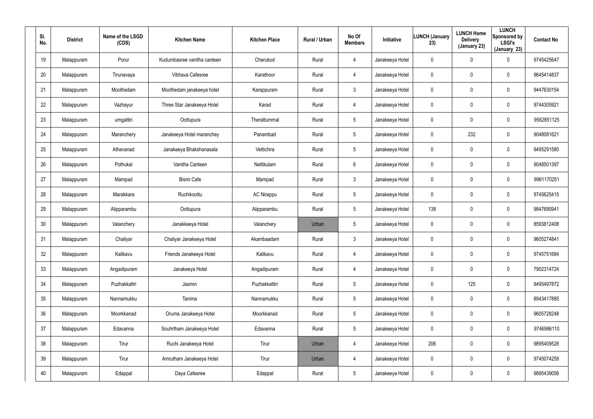| SI.<br>No. | <b>District</b> | Name of the LSGD<br>(CDS) | <b>Kitchen Name</b>         | <b>Kitchen Place</b> | Rural / Urban | No Of<br><b>Members</b> | Initiative      | <b>LUNCH (January</b><br>23) | <b>LUNCH Home</b><br><b>Delivery</b><br>(January 23) | <b>LUNCH</b><br>Sponsored by<br><b>LSGI's</b><br>(January 23) | <b>Contact No</b> |
|------------|-----------------|---------------------------|-----------------------------|----------------------|---------------|-------------------------|-----------------|------------------------------|------------------------------------------------------|---------------------------------------------------------------|-------------------|
| 19         | Malappuram      | Porur                     | Kudumbasree vanitha canteen | Cherukod             | Rural         | $\overline{4}$          | Janakeeya Hotel | 0                            | $\mathbf 0$                                          | 0                                                             | 9745425647        |
| 20         | Malappuram      | Tirunavaya                | Vibhava Cafesree            | Karathoor            | Rural         | $\overline{4}$          | Janakeeya Hotel | 0                            | $\mathbf 0$                                          | 0                                                             | 9645414837        |
| 21         | Malappuram      | Moothedam                 | Moothedam janakeeya hotel   | Karappuram           | Rural         | $\mathbf{3}$            | Janakeeya Hotel | 0                            | $\boldsymbol{0}$                                     | 0                                                             | 9447630154        |
| 22         | Malappuram      | Vazhayur                  | Three Star Janakeeya Hotel  | Karad                | Rural         | $\overline{4}$          | Janakeeya Hotel | 0                            | $\mathbf 0$                                          | 0                                                             | 9744305921        |
| 23         | Malappuram      | urngattiri                | Oottupura                   | Therattummal         | Rural         | 5                       | Janakeeya Hotel | 0                            | $\mathbf 0$                                          | 0                                                             | 9562851125        |
| 24         | Malappuram      | Maranchery                | Janakeeya Hotel maranchey   | Panambad             | Rural         | 5                       | Janakeeya Hotel | 0                            | 232                                                  | 0                                                             | 9048081621        |
| 25         | Malappuram      | Athavanad                 | Janakeeya Bhakshanasala     | Vettichira           | Rural         | $5\phantom{.0}$         | Janakeeya Hotel | 0                            | $\pmb{0}$                                            | $\mathbf 0$                                                   | 9495291580        |
| 26         | Malappuram      | Pothukal                  | Vanitha Canteen             | Nettikulam           | Rural         | 6                       | Janakeeya Hotel | 0                            | $\mathbf 0$                                          | $\mathbf 0$                                                   | 9048501397        |
| 27         | Malappuram      | Mampad                    | <b>Bismi Cafe</b>           | Mampad               | Rural         | $\mathbf{3}$            | Janakeeya Hotel | 0                            | $\mathbf 0$                                          | $\mathbf 0$                                                   | 9961170251        |
| 28         | Malappuram      | Marakkara                 | Ruchikoottu                 | <b>AC Nirappu</b>    | Rural         | $5\phantom{.0}$         | Janakeeya Hotel | 0                            | 0                                                    | $\mathbf 0$                                                   | 9745625415        |
| 29         | Malappuram      | Alipparambu               | Oottupura                   | Alipparambu          | Rural         | $5\phantom{.0}$         | Janakeeya Hotel | 138                          | $\overline{0}$                                       | $\mathbf 0$                                                   | 9847690941        |
| 30         | Malappuram      | Valanchery                | Janakkeeya Hotel            | Valanchery           | Urban         | $5\phantom{.0}$         | Janakeeya Hotel | 0                            | 0                                                    | 0                                                             | 8593812408        |
| 31         | Malappuram      | Chaliyar                  | Chaliyar Janakeeya Hotel    | Akambaadam           | Rural         | $\mathbf{3}$            | Janakeeya Hotel | 0                            | $\pmb{0}$                                            | 0                                                             | 9605274841        |
| 32         | Malappuram      | Kalikavu                  | Friends Janakeeya Hotel     | Kalikavu             | Rural         | 4                       | Janakeeya Hotel | 0                            | $\mathbf 0$                                          | $\pmb{0}$                                                     | 9745751684        |
| 33         | Malappuram      | Angadipuram               | Janakeeya Hotel             | Angadipuram          | Rural         | $\overline{4}$          | Janakeeya Hotel | $\pmb{0}$                    | $\mathbf 0$                                          | $\pmb{0}$                                                     | 7902314724        |
| 34         | Malappuram      | Puzhakkattri              | Jasmin                      | Puzhakkattiri        | Rural         | $5\phantom{.0}$         | Janakeeya Hotel | $\mathbf{0}$                 | 125                                                  | $\pmb{0}$                                                     | 9495497872        |
| 35         | Malappuram      | Nannamukku                | Tanima                      | Nannamukku           | Rural         | $5\phantom{.0}$         | Janakeeya Hotel | 0                            | $\mathbf 0$                                          | $\pmb{0}$                                                     | 8943417885        |
| 36         | Malappuram      | Moorkkanad                | Oruma Janakeeya Hotel       | Moorkkanad           | Rural         | $5\phantom{.0}$         | Janakeeya Hotel | $\mathbf{0}$                 | $\overline{0}$                                       | 0                                                             | 9605728248        |
| 37         | Malappuram      | Edavanna                  | Souhrtham Janakeeya Hotel   | Edavanna             | Rural         | $5\phantom{.0}$         | Janakeeya Hotel | 0                            | $\overline{0}$                                       | 0                                                             | 9746986110        |
| 38         | Malappuram      | Tirur                     | Ruchi Janakeeya Hotel       | Tirur                | Urban         | $\overline{4}$          | Janakeeya Hotel | 206                          | $\mathbf 0$                                          | 0                                                             | 9895409528        |
| 39         | Malappuram      | Tirur                     | Amrutham Janakeeya Hotel    | Tirur                | Urban         | $\overline{4}$          | Janakeeya Hotel | 0                            | $\overline{0}$                                       | 0                                                             | 9745074259        |
| 40         | Malappuram      | Edappal                   | Daya Cafesree               | Edappal              | Rural         | $5\phantom{.0}$         | Janakeeya Hotel | 0                            | $\boldsymbol{0}$                                     | 0                                                             | 9895439056        |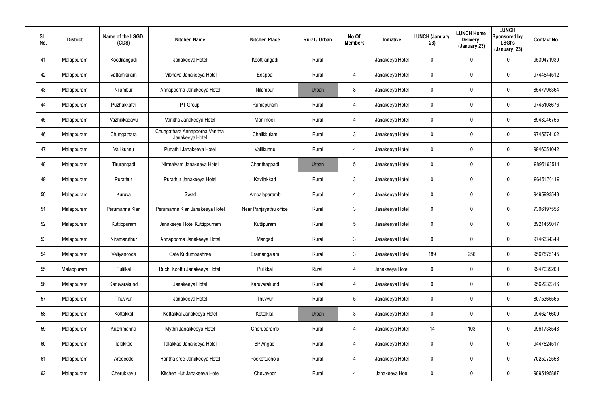| SI.<br>No. | <b>District</b> | Name of the LSGD<br>(CDS) | <b>Kitchen Name</b>                               | <b>Kitchen Place</b>   | Rural / Urban | No Of<br><b>Members</b> | Initiative      | <b>LUNCH (January</b><br>23) | <b>LUNCH Home</b><br><b>Delivery</b><br>(January 23) | <b>LUNCH</b><br>Sponsored by<br><b>LSGI's</b><br>(January 23) | <b>Contact No</b> |
|------------|-----------------|---------------------------|---------------------------------------------------|------------------------|---------------|-------------------------|-----------------|------------------------------|------------------------------------------------------|---------------------------------------------------------------|-------------------|
| 41         | Malappuram      | Koottilangadi             | Janakeeya Hotel                                   | Koottilangadi          | Rural         |                         | Janakeeya Hotel | 0                            | $\mathbf 0$                                          | 0                                                             | 9539471939        |
| 42         | Malappuram      | Vattamkulam               | Vibhava Janakeeya Hotel                           | Edappal                | Rural         | $\overline{4}$          | Janakeeya Hotel | 0                            | $\mathbf 0$                                          | $\mathbf 0$                                                   | 9744844512        |
| 43         | Malappuram      | Nilambur                  | Annapporna Janakeeya Hotel                        | Nilambur               | Urban         | 8                       | Janakeeya Hotel | 0                            | 0                                                    | $\mathbf 0$                                                   | 8547795364        |
| 44         | Malappuram      | Puzhakkattri              | PT Group                                          | Ramapuram              | Rural         | $\overline{4}$          | Janakeeya Hotel | 0                            | $\mathbf 0$                                          | $\mathbf 0$                                                   | 9745108676        |
| 45         | Malappuram      | Vazhikkadavu              | Vanitha Janakeeya Hotel                           | Manimooli              | Rural         | $\overline{4}$          | Janakeeya Hotel | 0                            | 0                                                    | $\mathbf 0$                                                   | 8943046755        |
| 46         | Malappuram      | Chungathara               | Chungathara Annapoorna Vanitha<br>Janakeeya Hotel | Chalikkulam            | Rural         | 3                       | Janakeeya Hotel | 0                            | $\mathbf 0$                                          | $\mathbf 0$                                                   | 9745674102        |
| 47         | Malappuram      | Vallikunnu                | Punathil Janakeeya Hotel                          | Vallikunnu             | Rural         | $\overline{4}$          | Janakeeya Hotel | 0                            | $\mathbf 0$                                          | $\mathbf 0$                                                   | 9946051042        |
| 48         | Malappuram      | Tirurangadi               | Nirmalyam Janakeeya Hotel                         | Chanthappadi           | Urban         | 5                       | Janakeeya Hotel | 0                            | $\mathbf 0$                                          | $\mathbf 0$                                                   | 9895168511        |
| 49         | Malappuram      | Purathur                  | Purathur Janakeeya Hotel                          | Kavilakkad             | Rural         | $\mathbf{3}$            | Janakeeya Hotel | 0                            | $\mathbf 0$                                          | 0                                                             | 9645170119        |
| 50         | Malappuram      | Kuruva                    | Swad                                              | Ambalaparamb           | Rural         | 4                       | Janakeeya Hotel | 0                            | $\mathbf 0$                                          | $\mathbf 0$                                                   | 9495993543        |
| 51         | Malappuram      | Perumanna Klari           | Perumanna Klari Janakeeya Hotel                   | Near Panjayathu office | Rural         | $\mathbf{3}$            | Janakeeya Hotel | 0                            | 0                                                    | 0                                                             | 7306197556        |
| 52         | Malappuram      | Kuttippuram               | Janakeeya Hotel Kuttippurram                      | Kuttipuram             | Rural         | 5                       | Janakeeya Hotel | 0                            | $\mathbf 0$                                          | $\mathbf 0$                                                   | 8921459017        |
| 53         | Malappuram      | Niramaruthur              | Annapporna Janakeeya Hotel                        | Mangad                 | Rural         | $\mathbf{3}$            | Janakeeya Hotel | 0                            | $\boldsymbol{0}$                                     | $\mathbf 0$                                                   | 9746334349        |
| 54         | Malappuram      | Veliyancode               | Cafe Kudumbashree                                 | Eramangalam            | Rural         | $\mathbf{3}$            | Janakeeya Hotel | 189                          | 256                                                  | $\pmb{0}$                                                     | 9567575145        |
| 55         | Malappuram      | Pulilkal                  | Ruchi Koottu Janakeeya Hotel                      | Pulikkal               | Rural         | $\overline{4}$          | Janakeeya Hotel | 0                            | $\pmb{0}$                                            | $\pmb{0}$                                                     | 9947039208        |
| 56         | Malappuram      | Karuvarakund              | Janakeeya Hotel                                   | Karuvarakund           | Rural         | $\overline{4}$          | Janakeeya Hotel | $\pmb{0}$                    | $\boldsymbol{0}$                                     | $\pmb{0}$                                                     | 9562233316        |
| 57         | Malappuram      | Thuvvur                   | Janakeeya Hotel                                   | Thuvvur                | Rural         | 5                       | Janakeeya Hotel | 0                            | $\pmb{0}$                                            | $\pmb{0}$                                                     | 8075365565        |
| 58         | Malappuram      | Kottakkal                 | Kottakkal Janakeeya Hotel                         | Kottakkal              | Urban         | $\mathbf{3}$            | Janakeeya Hotel | 0                            | $\mathbf 0$                                          | $\pmb{0}$                                                     | 9946216609        |
| 59         | Malappuram      | Kuzhimanna                | Mythri Janakkeeya Hotel                           | Cheruparamb            | Rural         | $\overline{4}$          | Janakeeya Hotel | 14                           | 103                                                  | $\pmb{0}$                                                     | 9961738543        |
| 60         | Malappuram      | Talakkad                  | Talakkad Janakeeya Hotel                          | <b>BP</b> Angadi       | Rural         | $\overline{4}$          | Janakeeya Hotel | $\pmb{0}$                    | $\mathbf 0$                                          | $\pmb{0}$                                                     | 9447824517        |
| 61         | Malappuram      | Areecode                  | Haritha sree Janakeeya Hotel                      | Pookottuchola          | Rural         | $\overline{4}$          | Janakeeya Hotel | 0                            | $\pmb{0}$                                            | $\pmb{0}$                                                     | 7025072558        |
| 62         | Malappuram      | Cherukkavu                | Kitchen Hut Janakeeya Hotel                       | Chevayoor              | Rural         | $\overline{4}$          | Janakeeya Hoel  | 0                            | $\boldsymbol{0}$                                     | 0                                                             | 9895195887        |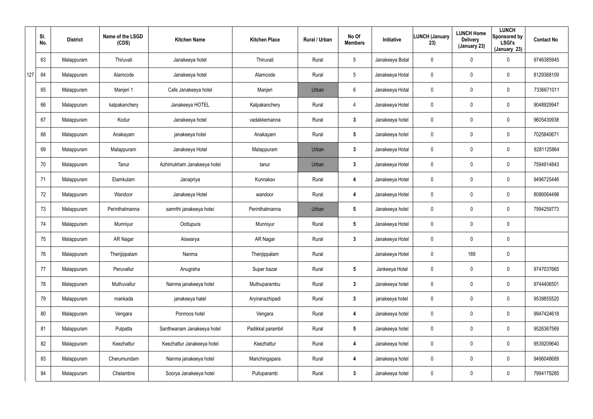|     | SI.<br>No. | <b>District</b> | Name of the LSGD<br>(CDS) | <b>Kitchen Name</b>        | <b>Kitchen Place</b> | Rural / Urban | No Of<br><b>Members</b> | Initiative      | <b>LUNCH (January</b><br>23) | <b>LUNCH Home</b><br><b>Delivery</b><br>(January 23) | <b>LUNCH</b><br>Sponsored by<br><b>LSGI's</b><br>(January 23) | <b>Contact No</b> |
|-----|------------|-----------------|---------------------------|----------------------------|----------------------|---------------|-------------------------|-----------------|------------------------------|------------------------------------------------------|---------------------------------------------------------------|-------------------|
|     | 63         | Malappuram      | Thiruvali                 | Janakeeya hotel            | Thiruvali            | Rural         | $5\overline{)}$         | Janakeeya Botal | 0                            | 0                                                    | $\mathbf 0$                                                   | 9746385945        |
| 127 | 64         | Malappuram      | Alamcode                  | Janakeeya hotel            | Alamcode             | Rural         | $5\phantom{.0}$         | Janakeeya Hotal | 0                            | 0                                                    | $\mathbf 0$                                                   | 8129368109        |
|     | 65         | Malappuram      | Manjeri 1                 | Cafe Janakeeya hotel       | Manjeri              | Urban         | 6                       | Janakeeya Hotal | 0                            | 0                                                    | $\mathbf 0$                                                   | 7336671011        |
|     | 66         | Malappuram      | kalpakanchery             | Janakeeya HOTEL            | Kalpakanchery        | Rural         | $\overline{4}$          | Janakeeya Hotel | 0                            | 0                                                    | $\mathbf 0$                                                   | 9048929947        |
|     | 67         | Malappuram      | Kodur                     | Janakeeya hotel            | vadakkemanna         | Rural         | $3\phantom{a}$          | Janakeeya hotel | 0                            | 0                                                    | $\mathbf 0$                                                   | 9605430938        |
|     | 68         | Malappuram      | Anakayam                  | janakeeya hotel            | Anakayam             | Rural         | $5\phantom{.0}$         | Janakeeya hotel | 0                            | 0                                                    | $\mathbf 0$                                                   | 7025840671        |
|     | 69         | Malappuram      | Malappuram                | Janakeeya Hotel            | Malappuram           | Urban         | $3\phantom{a}$          | Janakeeya Hotal | 0                            | 0                                                    | $\mathbf 0$                                                   | 8281125864        |
|     | 70         | Malappuram      | Tanur                     | Azhimukham Janakeeya hotel | tanur                | Urban         | $\mathbf{3}$            | Janakeeya Hotel | 0                            | 0                                                    | $\mathbf 0$                                                   | 7594914843        |
|     | 71         | Malappuram      | Elamkulam                 | Janapriya                  | Kunnakav             | Rural         | 4                       | Janakeeya Hotel | 0                            | 0                                                    | $\mathbf 0$                                                   | 9496725446        |
|     | 72         | Malappuram      | Wandoor                   | Janakeeya Hotel            | wandoor              | Rural         | 4                       | Janakeeya Hotel | 0                            | 0                                                    | $\mathbf 0$                                                   | 8086064498        |
|     | 73         | Malappuram      | Perinthalmanna            | samrthi janakeeya hotei    | Perinthalmanna       | Urban         | $5\phantom{.0}$         | Janakeeya hotel | 0                            | 0                                                    | $\mathbf 0$                                                   | 7994259773        |
|     | 74         | Malappuram      | Munniyur                  | Oottupura                  | Munniyur             | Rural         | $5\phantom{.0}$         | Janakeeya Hotel | 0                            | 0                                                    | $\mathbf 0$                                                   |                   |
|     | 75         | Malappuram      | AR Nagar                  | Aiswarya                   | AR Nagar             | Rural         | $3\phantom{a}$          | Janakeeya Hotel | 0                            | 0                                                    | $\mathbf 0$                                                   |                   |
|     | 76         | Malappuram      | Thenjippalam              | Nanma                      | Thenjippalam         | Rural         |                         | Janakeeya Hotel | 0                            | 189                                                  | $\pmb{0}$                                                     |                   |
|     | 77         | Malappuram      | Peruvallur                | Anugraha                   | Super bazar          | Rural         | $5\phantom{.0}$         | Jankeeya Hotel  | $\mathbf 0$                  | 0                                                    | $\pmb{0}$                                                     | 9747037665        |
|     | 78         | Malappuram      | Muthuvallur               | Nanma janakeeya hotel      | Muthuparambu         | Rural         | 3 <sup>1</sup>          | Janakeeya hotel | $\mathbf 0$                  | 0                                                    | $\pmb{0}$                                                     | 9744406501        |
|     | 79         | Malappuram      | mankada                   | janakeeya hatel            | Aryiranazhipadi      | Rural         | $\mathbf{3}$            | janakeeya hotel | $\mathbf 0$                  | 0                                                    | $\pmb{0}$                                                     | 9539855520        |
|     | 80         | Malappuram      | Vengara                   | Ponnoos hotel              | Vengara              | Rural         | 4                       | Janakeeya hotel | $\mathbf 0$                  | 0                                                    | $\pmb{0}$                                                     | 9947424618        |
|     | 81         | Malappuram      | Pulpatta                  | Santhwanam Janakeeya hotel | Padikkal parambil    | Rural         | $5\phantom{.0}$         | Janakeeya hotel | $\mathbf 0$                  | 0                                                    | $\pmb{0}$                                                     | 9526367569        |
|     | 82         | Malappuram      | Keezhattur                | Keezhattur Janakeeya hotel | Keezhattur           | Rural         | $\boldsymbol{4}$        | Janakeeya hotel | $\mathbf 0$                  | 0                                                    | $\pmb{0}$                                                     | 9539209640        |
|     | 83         | Malappuram      | Cherumundam               | Nanma janakeeya hotel      | Manchingapara        | Rural         | 4                       | Janakeeya hotel | $\mathbf 0$                  | 0                                                    | $\pmb{0}$                                                     | 9496048689        |
|     | 84         | Malappuram      | Chelambre                 | Soorya Janakeeya hotel     | Pulluparamb          | Rural         | $\mathbf{3}$            | Janakeeya hotel | 0                            | 0                                                    | $\pmb{0}$                                                     | 7994179285        |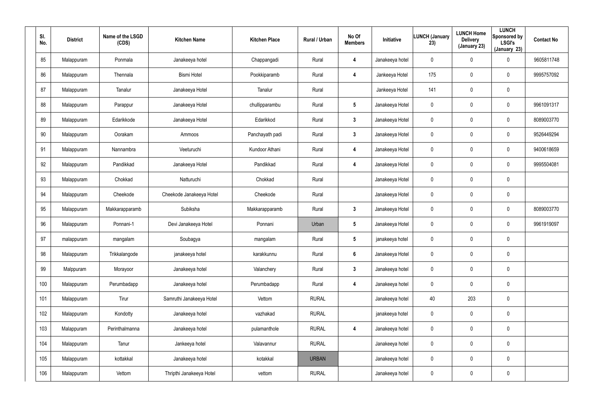| SI.<br>No. | <b>District</b> | Name of the LSGD<br>(CDS) | <b>Kitchen Name</b>      | <b>Kitchen Place</b> | Rural / Urban | No Of<br><b>Members</b> | Initiative      | <b>LUNCH (January</b><br>23) | <b>LUNCH Home</b><br><b>Delivery</b><br>(January 23) | <b>LUNCH</b><br>Sponsored by<br><b>LSGI's</b><br>(January 23) | <b>Contact No</b> |
|------------|-----------------|---------------------------|--------------------------|----------------------|---------------|-------------------------|-----------------|------------------------------|------------------------------------------------------|---------------------------------------------------------------|-------------------|
| 85         | Malappuram      | Ponmala                   | Janakeeya hotel          | Chappangadi          | Rural         | 4                       | Janakeeya hotel | 0                            | 0                                                    | $\mathbf 0$                                                   | 9605811748        |
| 86         | Malappuram      | Thennala                  | <b>Bismi Hotel</b>       | Pookkiparamb         | Rural         | 4                       | Jankeeya Hotel  | 175                          | 0                                                    | $\pmb{0}$                                                     | 9995757092        |
| 87         | Malappuram      | Tanalur                   | Janakeeya Hotel          | Tanalur              | Rural         |                         | Jankeeya Hotel  | 141                          | 0                                                    | $\pmb{0}$                                                     |                   |
| 88         | Malappuram      | Parappur                  | Janakeeya Hotel          | chullipparambu       | Rural         | $5\phantom{.0}$         | Janakeeya Hotel | 0                            | 0                                                    | $\pmb{0}$                                                     | 9961091317        |
| 89         | Malappuram      | Edarikkode                | Janakeeya Hotel          | Edarikkod            | Rural         | $\mathbf{3}$            | Janakeeya Hotel | 0                            | 0                                                    | $\pmb{0}$                                                     | 8089003770        |
| 90         | Malappuram      | Oorakam                   | Ammoos                   | Panchayath padi      | Rural         | $\mathbf{3}$            | Janakeeya Hotel | 0                            | 0                                                    | $\pmb{0}$                                                     | 9526449294        |
| 91         | Malappuram      | Nannambra                 | Veeturuchi               | Kundoor Athani       | Rural         | 4                       | Janakeeya Hotel | 0                            | 0                                                    | $\pmb{0}$                                                     | 9400618659        |
| 92         | Malappuram      | Pandikkad                 | Janakeeya Hotel          | Pandikkad            | Rural         | 4                       | Janakeeya Hotel | 0                            | 0                                                    | $\mathbf 0$                                                   | 9995504081        |
| 93         | Malappuram      | Chokkad                   | Natturuchi               | Chokkad              | Rural         |                         | Janakeeya Hotel | 0                            | 0                                                    | $\pmb{0}$                                                     |                   |
| 94         | Malappuram      | Cheekode                  | Cheekode Janakeeya Hotel | Cheekode             | Rural         |                         | Janakeeya Hotel | 0                            | 0                                                    | $\mathbf 0$                                                   |                   |
| 95         | Malappuram      | Makkarapparamb            | Subiksha                 | Makkarapparamb       | Rural         | $\mathbf{3}$            | Janakeeya Hotel | 0                            | 0                                                    | $\mathbf 0$                                                   | 8089003770        |
| 96         | Malappuram      | Ponnani-1                 | Devi Janakeeya Hotel     | Ponnani              | Urban         | $5\phantom{.0}$         | Janakeeya Hotel | 0                            | 0                                                    | $\mathbf 0$                                                   | 9961919097        |
| 97         | malappuram      | mangalam                  | Soubagya                 | mangalam             | Rural         | $5\phantom{.0}$         | janakeeya hotel | 0                            | 0                                                    | $\pmb{0}$                                                     |                   |
| 98         | Malappuram      | Trikkalangode             | janakeeya hotel          | karakkunnu           | Rural         | $6\phantom{.}$          | Janakeeya Hotel | 0                            | $\mathbf 0$                                          | $\pmb{0}$                                                     |                   |
| 99         | Malppuram       | Morayoor                  | Janakeeya hotel          | Valanchery           | Rural         | $\mathbf{3}$            | Janakeeya hotel | 0                            | $\mathbf 0$                                          | $\mathbf 0$                                                   |                   |
| 100        | Malappuram      | Perumbadapp               | Janakeeya hotel          | Perumbadapp          | Rural         | $\overline{\mathbf{4}}$ | Janakeeya hotel | $\mathbf 0$                  | $\mathbf 0$                                          | $\mathbf 0$                                                   |                   |
| 101        | Malappuram      | Tirur                     | Samruthi Janakeeya Hotel | Vettom               | <b>RURAL</b>  |                         | Janakeeya hotel | 40                           | 203                                                  | $\mathbf 0$                                                   |                   |
| 102        | Malappuram      | Kondotty                  | Janakeeya hotel          | vazhakad             | <b>RURAL</b>  |                         | janakeeya hotel | $\mathbf 0$                  | $\pmb{0}$                                            | $\pmb{0}$                                                     |                   |
| 103        | Malappuram      | Perinthalmanna            | Janakeeya hotel          | pulamanthole         | <b>RURAL</b>  | 4                       | Janakeeya hotel | 0                            | 0                                                    | $\mathbf 0$                                                   |                   |
| 104        | Malappuram      | Tanur                     | Jankeeya hotel           | Valavannur           | <b>RURAL</b>  |                         | Janakeeya hotel | $\mathbf 0$                  | $\pmb{0}$                                            | $\pmb{0}$                                                     |                   |
| 105        | Malappuram      | kottakkal                 | Janakeeya hotel          | kotakkal             | <b>URBAN</b>  |                         | Janakeeya hotel | 0                            | 0                                                    | $\mathbf 0$                                                   |                   |
| 106        | Malappuram      | Vettom                    | Thripthi Janakeeya Hotel | vettom               | <b>RURAL</b>  |                         | Janakeeya hotel | 0                            | 0                                                    | $\pmb{0}$                                                     |                   |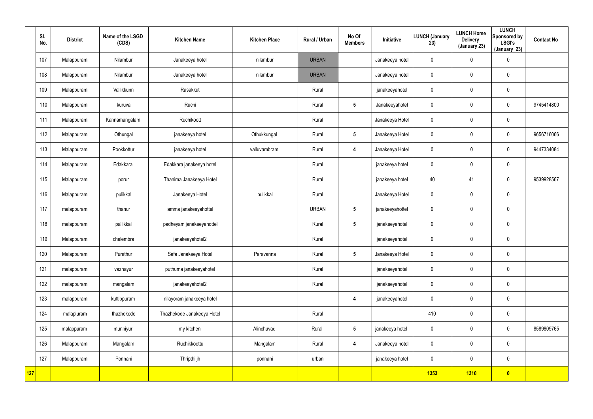|     | SI.<br>No. | <b>District</b> | Name of the LSGD<br>(CDS) | <b>Kitchen Name</b>        | <b>Kitchen Place</b> | Rural / Urban | No Of<br><b>Members</b> | Initiative      | <b>LUNCH (January</b><br>23) | <b>LUNCH Home</b><br><b>Delivery</b><br>(January 23) | <b>LUNCH</b><br>Sponsored by<br><b>LSGI's</b><br>(January 23) | <b>Contact No</b> |
|-----|------------|-----------------|---------------------------|----------------------------|----------------------|---------------|-------------------------|-----------------|------------------------------|------------------------------------------------------|---------------------------------------------------------------|-------------------|
|     | 107        | Malappuram      | Nilambur                  | Janakeeya hotel            | nilambur             | <b>URBAN</b>  |                         | Janakeeya hotel | $\mathbf 0$                  | 0                                                    | $\pmb{0}$                                                     |                   |
|     | 108        | Malappuram      | Nilambur                  | Janakeeya hotel            | nilambur             | <b>URBAN</b>  |                         | Janakeeya hotel | $\mathbf 0$                  | 0                                                    | $\mathbf 0$                                                   |                   |
|     | 109        | Malappuram      | Vallikkunn                | Rasakkut                   |                      | Rural         |                         | janakeeyahotel  | $\mathbf 0$                  | $\mathbf 0$                                          | $\mathbf 0$                                                   |                   |
|     | 110        | Malappuram      | kuruva                    | Ruchi                      |                      | Rural         | $5\phantom{.0}$         | Janakeeyahotel  | $\mathbf 0$                  | 0                                                    | $\mathbf 0$                                                   | 9745414800        |
|     | 111        | Malappuram      | Kannamangalam             | Ruchikoott                 |                      | Rural         |                         | Janakeeya Hotel | $\mathbf 0$                  | $\mathbf 0$                                          | $\mathbf 0$                                                   |                   |
|     | 112        | Malappuram      | Othungal                  | janakeeya hotel            | Othukkungal          | Rural         | $5\phantom{.0}$         | Janakeeya Hotel | 0                            | 0                                                    | $\mathbf 0$                                                   | 9656716066        |
|     | 113        | Malappuram      | Pookkottur                | janakeeya hotel            | valluvambram         | Rural         | $\boldsymbol{4}$        | Janakeeya Hotel | $\mathbf 0$                  | $\mathbf 0$                                          | $\mathbf 0$                                                   | 9447334084        |
|     | 114        | Malappuram      | Edakkara                  | Edakkara janakeeya hotel   |                      | Rural         |                         | janakeeya hotel | $\mathbf 0$                  | 0                                                    | $\mathbf 0$                                                   |                   |
|     | 115        | Malappuram      | porur                     | Thanima Janakeeya Hotel    |                      | Rural         |                         | janakeeya hotel | 40                           | 41                                                   | $\mathbf 0$                                                   | 9539928567        |
|     | 116        | Malappuram      | pulikkal                  | Janakeeya Hotel            | pulikkal             | Rural         |                         | Janakeeya Hotel | $\mathbf 0$                  | 0                                                    | $\mathbf 0$                                                   |                   |
|     | 117        | malappuram      | thanur                    | amma janakeeyahottel       |                      | <b>URBAN</b>  | $5\phantom{.0}$         | janakeeyahottel | $\mathbf 0$                  | $\mathbf 0$                                          | $\mathbf 0$                                                   |                   |
|     | 118        | malappuram      | pallikkal                 | padheyam janakeeyahottel   |                      | Rural         | $5\phantom{.0}$         | janakeeyahotel  | $\mathbf 0$                  | 0                                                    | $\mathbf 0$                                                   |                   |
|     | 119        | Malappuram      | chelembra                 | janakeeyahotel2            |                      | Rural         |                         | janakeeyahotel  | 0                            | $\mathbf 0$                                          | $\pmb{0}$                                                     |                   |
|     | 120        | Malappuram      | Purathur                  | Safa Janakeeya Hotel       | Paravanna            | Rural         | $5\phantom{.0}$         | Janakeeya Hotel | $\mathbf 0$                  | $\pmb{0}$                                            | $\pmb{0}$                                                     |                   |
|     | 121        | malappuram      | vazhayur                  | puthuma janakeeyahotel     |                      | Rural         |                         | janakeeyahotel  | $\mathbf 0$                  | $\pmb{0}$                                            | $\mathbf 0$                                                   |                   |
|     | 122        | malappuram      | mangalam                  | janakeeyahotel2            |                      | Rural         |                         | janakeeyahotel  | $\mathbf 0$                  | $\pmb{0}$                                            | $\mathbf 0$                                                   |                   |
|     | 123        | malappuram      | kuttippuram               | nilayoram janakeeya hotel  |                      |               | $\overline{\mathbf{4}}$ | janakeeyahotel  | $\mathbf 0$                  | $\pmb{0}$                                            | $\mathbf 0$                                                   |                   |
|     | 124        | malapluram      | thazhekode                | Thazhekode Janakeeya Hotel |                      | Rural         |                         |                 | 410                          | 0                                                    | $\mathbf 0$                                                   |                   |
|     | 125        | malappuram      | munniyur                  | my kitchen                 | Alinchuvad           | Rural         | $5\phantom{.0}$         | janakeeya hotel | $\mathbf 0$                  | $\mathbf 0$                                          | $\mathbf 0$                                                   | 8589809765        |
|     | 126        | Malappuram      | Mangalam                  | Ruchikkoottu               | Mangalam             | Rural         | $\overline{\mathbf{4}}$ | Janakeeya hotel | $\mathbf 0$                  | 0                                                    | $\mathbf 0$                                                   |                   |
|     | 127        | Malappuram      | Ponnani                   | Thripthi jh                | ponnani              | urban         |                         | janakeeya hotel | $\mathbf 0$                  | $\mathbf 0$                                          | $\mathbf 0$                                                   |                   |
| 127 |            |                 |                           |                            |                      |               |                         |                 | <b>1353</b>                  | <b>1310</b>                                          | $\bullet$                                                     |                   |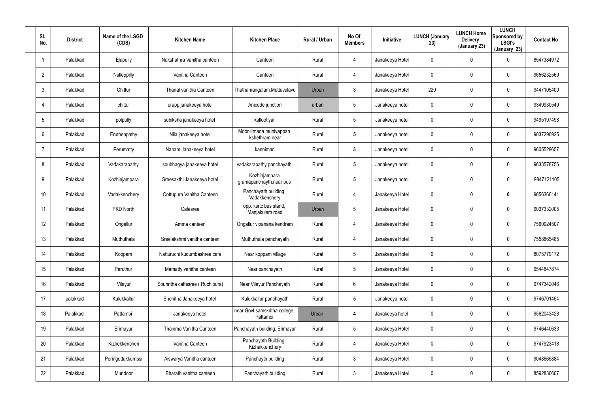| SI.<br>No.      | <b>District</b> | Name of the LSGD<br>(CDS) | <b>Kitchen Name</b>             | <b>Kitchen Place</b>                      | <b>Rural / Urban</b> | No Of<br><b>Members</b> | <b>Initiative</b> | <b>LUNCH (January</b><br>23) | <b>LUNCH Home</b><br><b>Delivery</b><br>(January 23) | <b>LUNCH</b><br>Sponsored by<br><b>LSGI's</b><br>(January 23) | <b>Contact No</b> |
|-----------------|-----------------|---------------------------|---------------------------------|-------------------------------------------|----------------------|-------------------------|-------------------|------------------------------|------------------------------------------------------|---------------------------------------------------------------|-------------------|
| $\mathbf 1$     | Palakkad        | Elapully                  | Nakshathra Vanitha canteen      | Canteen                                   | Rural                | 4                       | Janakeeya Hotel   | 0                            | $\mathbf{0}$                                         | 0                                                             | 8547384972        |
| $\overline{2}$  | Palakkad        | Nalleppilly               | Vanitha Canteen                 | Canteen                                   | Rural                | 4                       | Janakeeya Hotel   | 0                            | $\mathbf 0$                                          | 0                                                             | 9656232569        |
| $\mathbf{3}$    | Palakkad        | Chittur                   | Thanal vanitha Canteen          | Thathamangalam, Mettuvalavu               | Urban                | 3                       | Janakeeya Hotel   | 220                          | $\mathbf 0$                                          | 0                                                             | 9447105400        |
| $\overline{4}$  | Palakkad        | chittur                   | urapp janakeeya hotel           | Anicode junction                          | urban                | 5                       | Janakeeya hotel   | 0                            | $\mathbf 0$                                          | 0                                                             | 9349930549        |
| 5               | Palakkad        | polpully                  | subiksha janakeeya hotel        | kallootiyal                               | Rural                | $5\overline{)}$         | Janakeeya hotel   | 0                            | $\mathbf 0$                                          | 0                                                             | 9495197498        |
| 6               | Palakkad        | Eruthenpathy              | Nila janakeeya hotel            | Mooniilmada muniyappan<br>kshethram near  | Rural                | 5                       | Janakeeya hotel   | 0                            | $\mathbf 0$                                          | 0                                                             | 9037290925        |
| $\overline{7}$  | Palakkad        | Perumatty                 | Nanam Janakeeya hotel           | kannimari                                 | Rural                | $\mathbf{3}$            | Janakeeya hotel   | 0                            | $\mathbf 0$                                          | 0                                                             | 9605529657        |
| 8               | Palakkad        | Vadakarapathy             | soubhagya janakeeya hotel       | vadakarapathy panchayath                  | Rural                | 5                       | Janakeeya hotel   | 0                            | $\mathbf 0$                                          | 0                                                             | 9633578756        |
| 9               | Palakkad        | Kozhinjampara             | Sreesakthi Janakeeya hotel      | Kozhinjampara<br>gramapanchayth, near bus | Rural                | $5\phantom{.0}$         | Janakeeya hotel   | 0                            | $\mathbf 0$                                          | 0                                                             | 9847121105        |
| 10 <sup>°</sup> | Palakkad        | Vadakkenchery             | Oottupura Vanitha Canteen       | Panchayath building,<br>Vadakkenchery     | Rural                | 4                       | Janakeeya Hotel   | 0                            | $\mathbf 0$                                          | 0                                                             | 9656360141        |
| 11              | Palakkad        | PKD North                 | Cafesree                        | opp. ksrtc bus stand,<br>Manjakulam road  | Urban                | 5                       | Janakeeya Hotel   | 0                            | $\mathbf 0$                                          | 0                                                             | 9037332005        |
| 12 <sup>°</sup> | Palakkad        | Ongallur                  | Amma canteen                    | Ongallur vipanana kendram                 | Rural                | 4                       | Janakeeya Hotel   | 0                            | $\mathbf 0$                                          | 0                                                             | 7560924507        |
| 13              | Palakkad        | Muthuthala                | Sreelakshmi vanitha canteen     | Muthuthala panchayath                     | Rural                | 4                       | Janakeeya Hotel   | 0                            | 0                                                    | 0                                                             | 7558865485        |
| 14              | Palakkad        | Koppam                    | Natturuchi kudumbashree cafe    | Near koppam village                       | Rural                | 5                       | Janakeeya Hotel   | 0                            | $\overline{0}$                                       | 0                                                             | 8075779172        |
| 15              | Palakkad        | Paruthur                  | Mamatty vanitha canteen         | Near panchayath                           | Rural                | $5\phantom{.0}$         | Janakeeya Hotel   | 0                            | $\pmb{0}$                                            | 0                                                             | 9544847874        |
| 16              | Palakkad        | Vilayur                   | Souhritha caffesree (Ruchipura) | Near Vilayur Panchayath                   | Rural                | 6                       | Janakeeya Hotel   | 0                            | $\overline{0}$                                       | 0                                                             | 9747342046        |
| 17              | palakkad        | Kulukkallur               | Snehitha Janakeeya hotel        | Kulukkallur panchayath                    | Rural                | $5\phantom{.0}$         | Janakeeya hotel   | 0                            | $\overline{0}$                                       | 0                                                             | 9746701454        |
| 18              | Palakkad        | Pattambi                  | Janakeeya hotel                 | near Govt samskritha college,<br>Pattambi | Urban                | 4                       | Janakeeya hotel   | 0                            | $\overline{0}$                                       | 0                                                             | 9562043428        |
| 19              | Palakkad        | Erimayur                  | Thanima Vanitha Canteen         | Panchayath building, Erimayur             | Rural                | $5\phantom{.0}$         | Janakeeya Hotel   | 0                            | $\overline{0}$                                       | 0                                                             | 9746440633        |
| 20              | Palakkad        | Kizhekkencheri            | Vanitha Canteen                 | Panchayath Building,<br>Kizhakkenchery    | Rural                | 4                       | Janakeeya Hotel   | 0                            | $\overline{0}$                                       | 0                                                             | 9747923418        |
| 21              | Palakkad        | Peringottukkurrissi       | Aiswarya Vanitha canteen        | Panchayth building                        | Rural                | $\mathbf{3}$            | Janakeeya Hotel   | 0                            | $\overline{0}$                                       | 0                                                             | 9048665884        |
| 22              | Palakkad        | Mundoor                   | Bharath vanitha canteen         | Panchayath building                       | Rural                | $\mathfrak{Z}$          | Janakeeya Hotel   | 0                            | $\boldsymbol{0}$                                     | 0                                                             | 8592830607        |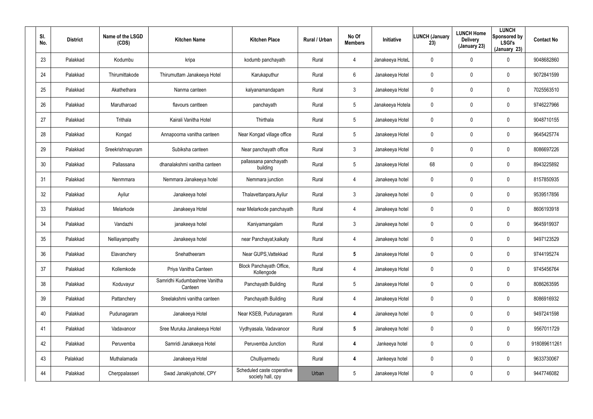| SI.<br>No. | <b>District</b> | Name of the LSGD<br>(CDS) | <b>Kitchen Name</b>                      | <b>Kitchen Place</b>                            | Rural / Urban | No Of<br><b>Members</b> | Initiative       | <b>LUNCH (January</b><br>23) | <b>LUNCH Home</b><br><b>Delivery</b><br>(January 23) | <b>LUNCH</b><br>Sponsored by<br><b>LSGI's</b><br>(January 23) | <b>Contact No</b> |
|------------|-----------------|---------------------------|------------------------------------------|-------------------------------------------------|---------------|-------------------------|------------------|------------------------------|------------------------------------------------------|---------------------------------------------------------------|-------------------|
| 23         | Palakkad        | Kodumbu                   | kripa                                    | kodumb panchayath                               | Rural         | $\overline{4}$          | Janakeeya HoteL  | 0                            | $\mathbf 0$                                          | 0                                                             | 9048682860        |
| 24         | Palakkad        | Thirumittakode            | Thirumuttam Janakeeya Hotel              | Karukaputhur                                    | Rural         | 6                       | Janakeeya Hotel  | 0                            | $\mathbf 0$                                          | 0                                                             | 9072841599        |
| 25         | Palakkad        | Akathethara               | Nanma canteen                            | kalyanamandapam                                 | Rural         | $\mathbf{3}$            | Janakeeya Hotel  | 0                            | $\mathbf 0$                                          | $\mathbf 0$                                                   | 7025563510        |
| 26         | Palakkad        | Marutharoad               | flavours cantteen                        | panchayath                                      | Rural         | 5                       | Janakeeya Hotela | 0                            | $\mathbf 0$                                          | $\mathbf 0$                                                   | 9746227966        |
| 27         | Palakkad        | Trithala                  | Kairali Vanitha Hotel                    | Thirthala                                       | Rural         | 5                       | Janakeeya Hotel  | 0                            | $\mathbf 0$                                          | $\mathbf 0$                                                   | 9048710155        |
| 28         | Palakkad        | Kongad                    | Annapoorna vanitha canteen               | Near Kongad village office                      | Rural         | $5\phantom{.0}$         | Janakeeya Hotel  | 0                            | $\mathbf 0$                                          | 0                                                             | 9645425774        |
| 29         | Palakkad        | Sreekrishnapuram          | Subiksha canteen                         | Near panchayath office                          | Rural         | $\mathbf{3}$            | Janakeeya Hotel  | 0                            | $\mathbf 0$                                          | $\mathbf 0$                                                   | 8086697226        |
| 30         | Palakkad        | Pallassana                | dhanalakshmi vanitha canteen             | pallassana panchayath<br>building               | Rural         | 5                       | Janakeeya Hotel  | 68                           | 0                                                    | 0                                                             | 8943225892        |
| 31         | Palakkad        | Nenmmara                  | Nemmara Janakeeya hotel                  | Nemmara junction                                | Rural         | $\overline{4}$          | Janakeeya hotel  | 0                            | $\mathbf 0$                                          | $\mathbf 0$                                                   | 8157850935        |
| 32         | Palakkad        | Ayilur                    | Janakeeya hotel                          | Thalavettanpara, Ayilur                         | Rural         | $\mathbf{3}$            | Janakeeya hotel  | 0                            | 0                                                    | 0                                                             | 9539517856        |
| 33         | Palakkad        | Melarkode                 | Janakeeya Hotel                          | near Melarkode panchayath                       | Rural         | 4                       | Janakeeya hotel  | 0                            | $\mathbf 0$                                          | 0                                                             | 8606193918        |
| 34         | Palakkad        | Vandazhi                  | janakeeya hotel                          | Kaniyamangalam                                  | Rural         | $\mathbf{3}$            | Janakeeya hotel  | 0                            | 0                                                    | 0                                                             | 9645919937        |
| 35         | Palakkad        | Nelliayampathy            | Janakeeya hotel                          | near Panchayat, kaikaty                         | Rural         | 4                       | Janakeeya hotel  | 0                            | $\mathbf 0$                                          | 0                                                             | 9497123529        |
| 36         | Palakkad        | Elavanchery               | Snehatheeram                             | Near GUPS, Vattekkad                            | Rural         | $5\overline{)}$         | Janakeeya Hotel  | 0                            | $\overline{0}$                                       | 0                                                             | 9744195274        |
| 37         | Palakkad        | Kollemkode                | Priya Vanitha Canteen                    | Block Panchayath Office,<br>Kollengode          | Rural         | $\overline{4}$          | Janakeeya Hotel  | 0                            | $\pmb{0}$                                            | 0                                                             | 9745456764        |
| 38         | Palakkad        | Koduvayur                 | Samridhi Kudumbashree Vanitha<br>Canteen | Panchayath Building                             | Rural         | 5                       | Janakeeya Hotel  | 0                            | $\pmb{0}$                                            | $\pmb{0}$                                                     | 8086263595        |
| 39         | Palakkad        | Pattanchery               | Sreelakshmi vanitha canteen              | Panchayath Building                             | Rural         | $\overline{4}$          | Janakeeya Hotel  | 0                            | $\pmb{0}$                                            | 0                                                             | 8086916932        |
| 40         | Palakkad        | Pudunagaram               | Janakeeya Hotel                          | Near KSEB, Pudunagaram                          | Rural         | $\boldsymbol{4}$        | Janakeeya hotel  | 0                            | $\overline{0}$                                       | 0                                                             | 9497241598        |
| 41         | Palakkad        | Vadavanoor                | Sree Muruka Janakeeya Hotel              | Vydhyasala, Vadavanoor                          | Rural         | $5\overline{)}$         | Janakeeya hotel  | 0                            | $\pmb{0}$                                            | 0                                                             | 9567011729        |
| 42         | Palakkad        | Peruvemba                 | Samridi Janakeeya Hotel                  | Peruvemba Junction                              | Rural         | $\boldsymbol{4}$        | Jankeeya hotel   | 0                            | $\pmb{0}$                                            | 0                                                             | 918089611261      |
| 43         | Palakkad        | Muthalamada               | Janakeeya Hotel                          | Chulliyarmedu                                   | Rural         | $\boldsymbol{4}$        | Jankeeya hotel   | 0                            | $\pmb{0}$                                            | 0                                                             | 9633730067        |
| 44         | Palakkad        | Cherppalasseri            | Swad Janakiyahotel, CPY                  | Scheduled caste coperative<br>society hall, cpy | Urban         | 5                       | Janakeeya Hotel  | 0                            | $\overline{0}$                                       | 0                                                             | 9447746082        |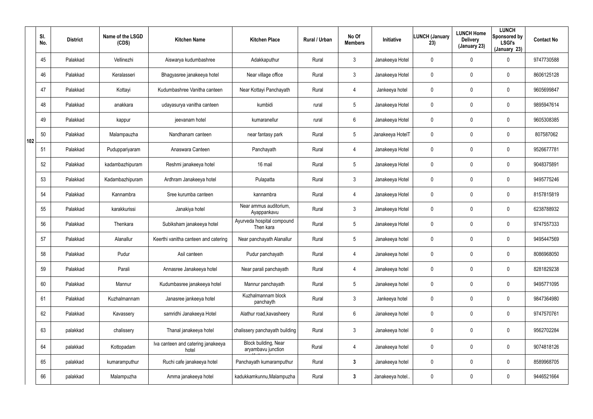|     | SI.<br>No. | <b>District</b> | Name of the LSGD<br>(CDS) | <b>Kitchen Name</b>                         | <b>Kitchen Place</b>                       | Rural / Urban | No Of<br><b>Members</b> | <b>Initiative</b> | <b>LUNCH (January</b><br>23) | <b>LUNCH Home</b><br><b>Delivery</b><br>(January 23) | <b>LUNCH</b><br>Sponsored by<br><b>LSGI's</b><br>(January 23) | <b>Contact No</b> |
|-----|------------|-----------------|---------------------------|---------------------------------------------|--------------------------------------------|---------------|-------------------------|-------------------|------------------------------|------------------------------------------------------|---------------------------------------------------------------|-------------------|
|     | 45         | Palakkad        | Vellinezhi                | Aiswarya kudumbashree                       | Adakkaputhur                               | Rural         | $\mathbf{3}$            | Janakeeya Hotel   | 0                            | 0                                                    | $\mathbf 0$                                                   | 9747730588        |
|     | 46         | Palakkad        | Keralasseri               | Bhagyasree janakeeya hotel                  | Near village office                        | Rural         | $\mathbf{3}$            | Janakeeya Hotel   | 0                            | 0                                                    | $\mathbf 0$                                                   | 8606125128        |
|     | 47         | Palakkad        | Kottayi                   | Kudumbashree Vanitha canteen                | Near Kottayi Panchayath                    | Rural         | $\overline{4}$          | Jankeeya hotel    | 0                            | 0                                                    | $\mathbf 0$                                                   | 9605699847        |
|     | 48         | Palakkad        | anakkara                  | udayasurya vanitha canteen                  | kumbidi                                    | rural         | $5\phantom{.0}$         | Janakeeya Hotel   | 0                            | 0                                                    | $\mathbf 0$                                                   | 9895947614        |
|     | 49         | Palakkad        | kappur                    | jeevanam hotel                              | kumaranellur                               | rural         | 6                       | Janakeeya Hotel   | 0                            | 0                                                    | $\mathbf 0$                                                   | 9605308385        |
| 102 | 50         | Palakkad        | Malampauzha               | Nandhanam canteen                           | near fantasy park                          | Rural         | $5\overline{)}$         | Janakeeya HotelT  | 0                            | 0                                                    | $\mathbf 0$                                                   | 807587062         |
|     | 51         | Palakkad        | Puduppariyaram            | Anaswara Canteen                            | Panchayath                                 | Rural         | $\overline{4}$          | Janakeeya Hotel   | 0                            | 0                                                    | $\mathbf 0$                                                   | 9526677781        |
|     | 52         | Palakkad        | kadambazhipuram           | Reshmi janakeeya hotel                      | 16 mail                                    | Rural         | $5\phantom{.0}$         | Janakeeya Hotel   | 0                            | 0                                                    | $\mathbf 0$                                                   | 9048375891        |
|     | 53         | Palakkad        | Kadambazhipuram           | Ardhram Janakeeya hotel                     | Pulapatta                                  | Rural         | $\mathbf{3}$            | Janakeeya Hotel   | 0                            | 0                                                    | $\mathbf 0$                                                   | 9495775246        |
|     | 54         | Palakkad        | Kannambra                 | Sree kurumba canteen                        | kannambra                                  | Rural         | 4                       | Janakeeya Hotel   | 0                            | 0                                                    | $\mathbf 0$                                                   | 8157815819        |
|     | 55         | Palakkad        | karakkurissi              | Janakiya hotel                              | Near ammus auditorium,<br>Ayappankavu      | Rural         | $\mathbf{3}$            | Janakeeya Hotel   | 0                            | 0                                                    | $\mathbf 0$                                                   | 6238788932        |
|     | 56         | Palakkad        | Thenkara                  | Subiksham janakeeya hotel                   | Ayurveda hospital compound<br>Then kara    | Rural         | $5\overline{)}$         | Janakeeya Hotel   | 0                            | 0                                                    | $\mathbf 0$                                                   | 9747557333        |
|     | 57         | Palakkad        | Alanallur                 | Keerthi vanitha canteen and catering        | Near panchayath Alanallur                  | Rural         | $5\phantom{.0}$         | Janakeeya hotel   | 0                            | 0                                                    | $\mathbf 0$                                                   | 9495447569        |
|     | 58         | Palakkad        | Pudur                     | Asil canteen                                | Pudur panchayath                           | Rural         | 4                       | Janakeeya hotel   | 0                            | 0                                                    | $\mathbf 0$                                                   | 8086968050        |
|     | 59         | Palakkad        | Parali                    | Annasree Janakeeya hotel                    | Near parali panchayath                     | Rural         | 4                       | Janakeeya hotel   | 0                            | 0                                                    | $\pmb{0}$                                                     | 8281829238        |
|     | 60         | Palakkad        | Mannur                    | Kudumbasree janakeeya hotel                 | Mannur panchayath                          | Rural         | $5\overline{)}$         | Janakeeya hotel   | $\pmb{0}$                    | 0                                                    | $\pmb{0}$                                                     | 9495771095        |
|     | 61         | Palakkad        | Kuzhalmannam              | Janasree jankeeya hotel                     | Kuzhalmannam block<br>panchayth            | Rural         | $\mathfrak{Z}$          | Jankeeya hotel    | 0                            | 0                                                    | $\pmb{0}$                                                     | 9847364980        |
|     | 62         | Palakkad        | Kavassery                 | samridhi Janakeeya Hotel                    | Alathur road, kavasheery                   | Rural         | $6\overline{6}$         | Janakeeya hotel   | $\mathbf 0$                  | 0                                                    | $\pmb{0}$                                                     | 9747570761        |
|     | 63         | palakkad        | chalissery                | Thanal janakeeya hotel                      | chalissery panchayath building             | Rural         | $\mathfrak{Z}$          | Janakeeya hotel   | 0                            | 0                                                    | $\pmb{0}$                                                     | 9562702284        |
|     | 64         | palakkad        | Kottopadam                | Iva canteen and catering janakeeya<br>hotel | Block building, Near<br>aryambavu junction | Rural         | 4                       | Janakeeya hotel   | 0                            | 0                                                    | $\mathbf 0$                                                   | 9074818126        |
|     | 65         | palakkad        | kumaramputhur             | Ruchi cafe janakeeya hotel                  | Panchayath kumaramputhur                   | Rural         | $3\phantom{a}$          | Janakeeya hotel   | $\boldsymbol{0}$             | 0                                                    | $\pmb{0}$                                                     | 8589968705        |
|     | 66         | palakkad        | Malampuzha                | Amma janakeeya hotel                        | kadukkamkunnu, Malampuzha                  | Rural         | $\mathbf{3}$            | Janakeeya hotel   | 0                            | 0                                                    | $\pmb{0}$                                                     | 9446521664        |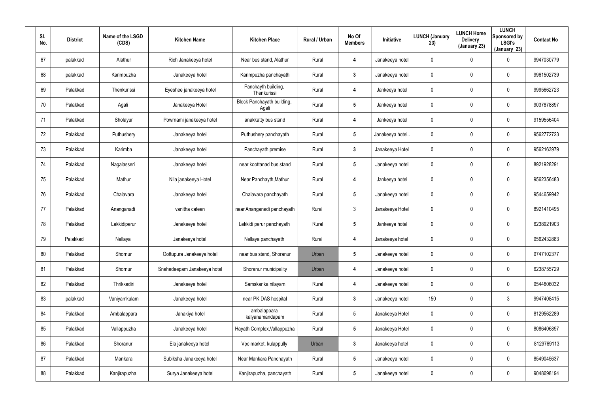| SI.<br>No. | <b>District</b> | Name of the LSGD<br>(CDS) | <b>Kitchen Name</b>         | <b>Kitchen Place</b>                | Rural / Urban | No Of<br><b>Members</b> | Initiative       | <b>LUNCH (January</b><br>23) | <b>LUNCH Home</b><br><b>Delivery</b><br>(January 23) | <b>LUNCH</b><br>Sponsored by<br><b>LSGI's</b><br>(January 23) | <b>Contact No</b> |
|------------|-----------------|---------------------------|-----------------------------|-------------------------------------|---------------|-------------------------|------------------|------------------------------|------------------------------------------------------|---------------------------------------------------------------|-------------------|
| 67         | palakkad        | Alathur                   | Rich Janakeeya hotel        | Near bus stand, Alathur             | Rural         | 4                       | Janakeeya hotel  | 0                            | $\mathbf 0$                                          | 0                                                             | 9947030779        |
| 68         | palakkad        | Karimpuzha                | Janakeeya hotel             | Karimpuzha panchayath               | Rural         | 3                       | Janakeeya hotel  | 0                            | 0                                                    | 0                                                             | 9961502739        |
| 69         | Palakkad        | Thenkurissi               | Eyeshee janakeeya hotel     | Panchayth building,<br>Thenkurissi  | Rural         | 4                       | Jankeeya hotel   | 0                            | 0                                                    | 0                                                             | 9995662723        |
| 70         | Palakkad        | Agali                     | Janakeeya Hotel             | Block Panchayath building,<br>Agali | Rural         | 5                       | Jankeeya hotel   | 0                            | 0                                                    | 0                                                             | 9037878897        |
| 71         | Palakkad        | Sholayur                  | Powrnami janakeeya hotel    | anakkatty bus stand                 | Rural         | 4                       | Jankeeya hotel   | 0                            | 0                                                    | 0                                                             | 9159556404        |
| 72         | Palakkad        | Puthushery                | Janakeeya hotel             | Puthushery panchayath               | Rural         | $5\phantom{.0}$         | Janakeeya hotel. | 0                            | 0                                                    | 0                                                             | 9562772723        |
| 73         | Palakkad        | Karimba                   | Janakeeya hotel             | Panchayath premise                  | Rural         | $\mathbf{3}$            | Janakeeya Hotel  | 0                            | $\pmb{0}$                                            | 0                                                             | 9562163979        |
| 74         | Palakkad        | Nagalasseri               | Janakeeya hotel             | near koottanad bus stand            | Rural         | 5                       | Janakeeya hotel  | 0                            | $\boldsymbol{0}$                                     | 0                                                             | 8921928291        |
| 75         | Palakkad        | Mathur                    | Nila janakeeya Hotel        | Near Panchayth, Mathur              | Rural         | 4                       | Jankeeya hotel   | 0                            | $\pmb{0}$                                            | 0                                                             | 9562356483        |
| 76         | Palakkad        | Chalavara                 | Janakeeya hotel             | Chalavara panchayath                | Rural         | 5                       | Janakeeya hotel  | 0                            | $\boldsymbol{0}$                                     | 0                                                             | 9544659942        |
| 77         | Palakkad        | Ananganadi                | vanitha cateen              | near Ananganadi panchayath          | Rural         | $\mathbf{3}$            | Janakeeya Hotel  | 0                            | $\boldsymbol{0}$                                     | 0                                                             | 8921410495        |
| 78         | Palakkad        | Lakkidiperur              | Janakeeya hotel             | Lekkidi perur panchayath            | Rural         | $5\phantom{.0}$         | Jankeeya hotel   | 0                            | $\boldsymbol{0}$                                     | 0                                                             | 6238921903        |
| 79         | Palakkad        | Nellaya                   | Janakeeya hotel             | Nellaya panchayath                  | Rural         | 4                       | Janakeeya hotel  | 0                            | $\boldsymbol{0}$                                     | 0                                                             | 9562432883        |
| 80         | Palakkad        | Shornur                   | Oottupura Janakeeya hotel   | near bus stand, Shoranur            | Urban         | $\overline{\mathbf{5}}$ | Janakeeya hotel  | 0                            | $\boldsymbol{0}$                                     | 0                                                             | 9747102377        |
| 81         | Palakkad        | Shornur                   | Snehadeepam Janakeeya hotel | Shoranur municipality               | Urban         | 4                       | Janakeeya hotel  | 0                            | $\overline{0}$                                       | 0                                                             | 6238755729        |
| 82         | Palakkad        | Thrikkadiri               | Janakeeya hotel             | Samskarika nilayam                  | Rural         | 4                       | Janakeeya hotel  | 0                            | $\boldsymbol{0}$                                     | 0                                                             | 9544806032        |
| 83         | palakkad        | Vaniyamkulam              | Janakeeya hotel             | near PK DAS hospital                | Rural         | $\mathbf{3}$            | Janakeeya hotel  | 150                          | $\pmb{0}$                                            | $\mathfrak{Z}$                                                | 9947408415        |
| 84         | Palakkad        | Ambalappara               | Janakiya hotel              | ambalappara<br>kalyanamandapam      | Rural         | $5\phantom{.0}$         | Janakeeya Hotel  | 0                            | $\overline{0}$                                       | 0                                                             | 8129562289        |
| 85         | Palakkad        | Vallappuzha               | Janakeeya hotel             | Hayath Complex, Vallappuzha         | Rural         | $5\phantom{.0}$         | Janakeeya Hotel  | 0                            | $\overline{0}$                                       | 0                                                             | 8086406897        |
| 86         | Palakkad        | Shoranur                  | Ela janakeeya hotel         | Vpc market, kulappully              | Urban         | $\mathbf{3}$            | Janakeeya hotel  | 0                            | $\mathbf 0$                                          | 0                                                             | 8129769113        |
| 87         | Palakkad        | Mankara                   | Subiksha Janakeeya hotel    | Near Mankara Panchayath             | Rural         | $5\phantom{.0}$         | Janakeeya hotel  | 0                            | $\mathbf 0$                                          | 0                                                             | 8549045637        |
| 88         | Palakkad        | Kanjirapuzha              | Surya Janakeeya hotel       | Kanjirapuzha, panchayath            | Rural         | $5\phantom{.0}$         | Janakeeya hotel  | 0                            | $\mathbf 0$                                          | 0                                                             | 9048698194        |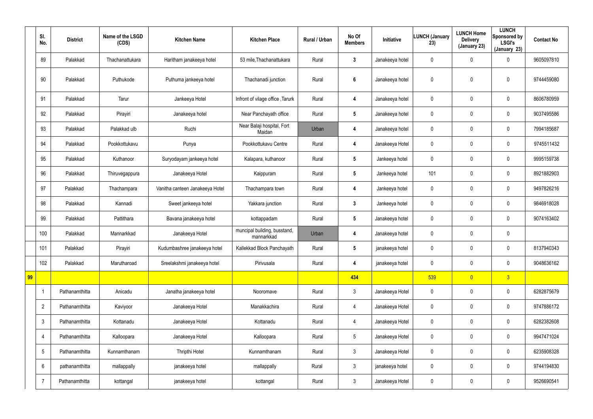|    | SI.<br>No.     | <b>District</b> | Name of the LSGD<br>(CDS) | <b>Kitchen Name</b>             | <b>Kitchen Place</b>                       | Rural / Urban | No Of<br><b>Members</b> | Initiative      | <b>LUNCH (January</b><br>23) | <b>LUNCH Home</b><br><b>Delivery</b><br>(January 23) | <b>LUNCH</b><br>Sponsored by<br><b>LSGI's</b><br>(January 23) | <b>Contact No</b> |
|----|----------------|-----------------|---------------------------|---------------------------------|--------------------------------------------|---------------|-------------------------|-----------------|------------------------------|------------------------------------------------------|---------------------------------------------------------------|-------------------|
|    | 89             | Palakkad        | Thachanattukara           | Haritham janakeeya hotel        | 53 mile, Thachanattukara                   | Rural         | $\mathbf{3}$            | Janakeeya hotel | 0                            | 0                                                    | $\boldsymbol{0}$                                              | 9605097810        |
|    | 90             | Palakkad        | Puthukode                 | Puthuma jankeeya hotel          | Thachanadi junction                        | Rural         | $6\phantom{1}$          | Janakeeya hotel | 0                            | 0                                                    | $\pmb{0}$                                                     | 9744459080        |
|    | 91             | Palakkad        | Tarur                     | Jankeeya Hotel                  | Infront of vilage office, Tarurk           | Rural         | 4                       | Janakeeya hotel | $\mathbf 0$                  | 0                                                    | $\mathbf 0$                                                   | 8606780959        |
|    | 92             | Palakkad        | Pirayiri                  | Janakeeya hotel                 | Near Panchayath office                     | Rural         | $5\phantom{.0}$         | Janakeeya hotel | 0                            | 0                                                    | $\pmb{0}$                                                     | 9037495586        |
|    | 93             | Palakkad        | Palakkad ulb              | Ruchi                           | Near Balaji hospital, Fort<br>Maidan       | Urban         | 4                       | Janakeeya hotel | $\mathbf 0$                  | 0                                                    | $\mathbf 0$                                                   | 7994185687        |
|    | 94             | Palakkad        | Pookkottukavu             | Punya                           | Pookkottukavu Centre                       | Rural         | 4                       | Janakeeya Hotel | 0                            | 0                                                    | $\pmb{0}$                                                     | 9745511432        |
|    | 95             | Palakkad        | Kuthanoor                 | Suryodayam jankeeya hotel       | Kalapara, kuthanoor                        | Rural         | $5\overline{)}$         | Jankeeya hotel  | $\mathbf 0$                  | 0                                                    | $\mathbf 0$                                                   | 9995159738        |
|    | 96             | Palakkad        | Thiruvegappura            | Janakeeya Hotel                 | Kaippuram                                  | Rural         | $5\overline{)}$         | Jankeeya hotel  | 101                          | 0                                                    | $\boldsymbol{0}$                                              | 8921882903        |
|    | 97             | Palakkad        | Thachampara               | Vanitha canteen Janakeeya Hotel | Thachampara town                           | Rural         | 4                       | Jankeeya hotel  | $\mathbf 0$                  | 0                                                    | $\mathbf 0$                                                   | 9497826216        |
|    | 98             | Palakkad        | Kannadi                   | Sweet jankeeya hotel            | Yakkara junction                           | Rural         | $\mathbf{3}$            | Jankeeya hotel  | $\mathbf 0$                  | 0                                                    | $\boldsymbol{0}$                                              | 9846918028        |
|    | 99             | Palakkad        | Pattithara                | Bavana janakeeya hotel          | kottappadam                                | Rural         | $5\phantom{.0}$         | Janakeeya hotel | 0                            | 0                                                    | $\mathbf 0$                                                   | 9074163402        |
|    | 100            | Palakkad        | Mannarkkad                | Janakeeya Hotel                 | muncipal building, busstand,<br>mannarkkad | Urban         | 4                       | Janakeeya hotel | 0                            | 0                                                    | $\pmb{0}$                                                     |                   |
|    | 101            | Palakkad        | Pirayiri                  | Kudumbashree janakeeya hotel    | Kallekkad Block Panchayath                 | Rural         | 5                       | janakeeya hotel | $\mathbf 0$                  | 0                                                    | 0                                                             | 8137940343        |
|    | 102            | Palakkad        | Marutharoad               | Sreelakshmi janakeeya hotel     | Pirivusala                                 | Rural         | 4                       | janakeeya hotel | 0                            | 0                                                    | $\mathbf 0$                                                   | 9048636162        |
| 99 |                |                 |                           |                                 |                                            |               | 434                     |                 | 539                          | $\overline{0}$                                       | 3                                                             |                   |
|    | -1             | Pathanamthitta  | Anicadu                   | Janatha janakeeya hotel         | Nooromave                                  | Rural         | $\mathbf{3}$            | Janakeeya Hotel | 0                            | 0                                                    | $\pmb{0}$                                                     | 6282875679        |
|    | $\overline{2}$ | Pathanamthitta  | Kaviyoor                  | Janakeeya Hotel                 | Manakkachira                               | Rural         | 4                       | Janakeeya Hotel | 0                            | 0                                                    | $\mathbf 0$                                                   | 9747886172        |
|    | $\mathfrak{Z}$ | Pathanamthitta  | Kottanadu                 | Janakeeya Hotel                 | Kottanadu                                  | Rural         | $\overline{4}$          | Janakeeya Hotel | 0                            | 0                                                    | $\pmb{0}$                                                     | 6282382608        |
|    | $\overline{4}$ | Pathanamthitta  | Kalloopara                | Janakeeya Hotel                 | Kalloopara                                 | Rural         | $5\phantom{.0}$         | Janakeeya Hotel | 0                            | 0                                                    | $\pmb{0}$                                                     | 9947471024        |
|    | $\sqrt{5}$     | Pathanamthitta  | Kunnamthanam              | Thripthi Hotel                  | Kunnamthanam                               | Rural         | $\mathfrak{Z}$          | Janakeeya Hotel | 0                            | 0                                                    | $\pmb{0}$                                                     | 6235908328        |
|    | 6              | pathanamthitta  | mallappally               | janakeeya hotel                 | mallappally                                | Rural         | $\mathfrak{Z}$          | janakeeya hotel | 0                            | 0                                                    | $\pmb{0}$                                                     | 9744194830        |
|    | -7             | Pathanamthitta  | kottangal                 | janakeeya hotel                 | kottangal                                  | Rural         | $\mathbf{3}$            | Janakeeya Hotel | 0                            | 0                                                    | $\boldsymbol{0}$                                              | 9526690541        |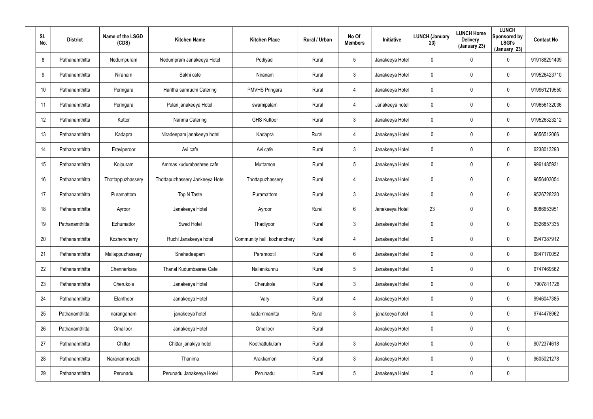| SI.<br>No. | <b>District</b> | Name of the LSGD<br>(CDS) | <b>Kitchen Name</b>             | <b>Kitchen Place</b>        | <b>Rural / Urban</b> | No Of<br><b>Members</b> | Initiative      | <b>LUNCH (January</b><br>23) | <b>LUNCH Home</b><br><b>Delivery</b><br>(January 23) | <b>LUNCH</b><br>Sponsored by<br><b>LSGI's</b><br>(January 23) | <b>Contact No</b> |
|------------|-----------------|---------------------------|---------------------------------|-----------------------------|----------------------|-------------------------|-----------------|------------------------------|------------------------------------------------------|---------------------------------------------------------------|-------------------|
| 8          | Pathanamthitta  | Nedumpuram                | Nedumpram Janakeeya Hotel       | Podiyadi                    | Rural                | $5\overline{)}$         | Janakeeya Hotel | 0                            | $\overline{0}$                                       | $\mathbf 0$                                                   | 919188291409      |
| 9          | Pathanamthitta  | Niranam                   | Sakhi cafe                      | Niranam                     | Rural                | $\mathfrak{Z}$          | Janakeeya Hotel | 0                            | $\mathbf 0$                                          | $\pmb{0}$                                                     | 919526423710      |
| 10         | Pathanamthitta  | Peringara                 | Haritha samrudhi Catering       | <b>PMVHS Pringara</b>       | Rural                | 4                       | Janakeeya Hotel | 0                            | $\pmb{0}$                                            | $\mathbf 0$                                                   | 919961219550      |
| 11         | Pathanamthitta  | Peringara                 | Pulari janakeeya Hotel          | swamipalam                  | Rural                | $\overline{4}$          | Janakeeya hotel | 0                            | $\mathbf 0$                                          | $\mathbf 0$                                                   | 919656132036      |
| 12         | Pathanamthitta  | Kuttor                    | Nanma Catering                  | <b>GHS Kuttoor</b>          | Rural                | $\mathbf{3}$            | Janakeeya Hotel | 0                            | $\pmb{0}$                                            | $\mathbf 0$                                                   | 919526323212      |
| 13         | Pathanamthitta  | Kadapra                   | Niradeepam janakeeya hotel      | Kadapra                     | Rural                | $\overline{4}$          | Janakeeya Hotel | 0                            | $\mathbf 0$                                          | $\mathbf 0$                                                   | 9656512066        |
| 14         | Pathanamthitta  | Eraviperoor               | Avi cafe                        | Avi cafe                    | Rural                | $\mathbf{3}$            | Janakeeya Hotel | 0                            | $\mathbf 0$                                          | $\mathbf 0$                                                   | 6238013293        |
| 15         | Pathanamthitta  | Koipuram                  | Ammas kudumbashree cafe         | Muttamon                    | Rural                | $5\overline{)}$         | Janakeeya Hotel | 0                            | 0                                                    | $\mathbf 0$                                                   | 9961485931        |
| 16         | Pathanamthitta  | Thottappuzhassery         | Thottapuzhassery Jankeeya Hotel | Thottapuzhassery            | Rural                | 4                       | Janakeeya Hotel | 0                            | $\overline{0}$                                       | $\mathbf 0$                                                   | 9656403054        |
| 17         | Pathanamthitta  | Puramattom                | Top N Taste                     | Puramattom                  | Rural                | $\mathbf{3}$            | Janakeeya Hotel | 0                            | $\mathbf 0$                                          | $\mathbf 0$                                                   | 9526728230        |
| 18         | Pathanamthitta  | Ayroor                    | Janakeeya Hotel                 | Ayroor                      | Rural                | 6                       | Janakeeya Hotel | 23                           | $\overline{0}$                                       | $\boldsymbol{0}$                                              | 8086653951        |
| 19         | Pathanamthitta  | Ezhumattor                | Swad Hotel                      | Thadiyoor                   | Rural                | $\mathbf{3}$            | Janakeeya Hotel | 0                            | $\mathbf 0$                                          | $\mathbf 0$                                                   | 9526857335        |
| 20         | Pathanamthitta  | Kozhencherry              | Ruchi Janakeeya hotel           | Community hall, kozhenchery | Rural                | 4                       | Janakeeya Hotel | 0                            | $\mathbf 0$                                          | $\mathbf 0$                                                   | 9947387912        |
| 21         | Pathanamthitta  | Mallappuzhassery          | Snehadeepam                     | Paramootil                  | Rural                | $6\overline{6}$         | Janakeeya Hotel | 0                            | $\mathbf 0$                                          | $\pmb{0}$                                                     | 9847170052        |
| 22         | Pathanamthitta  | Chennerkara               | Thanal Kudumbasree Cafe         | Nallanikunnu                | Rural                | $5\overline{)}$         | Janakeeya Hotel | 0                            | $\overline{0}$                                       | $\boldsymbol{0}$                                              | 9747469562        |
| 23         | Pathanamthitta  | Cherukole                 | Janakeeya Hotel                 | Cherukole                   | Rural                | $\mathbf{3}$            | Janakeeya Hotel | 0                            | $\mathbf 0$                                          | $\pmb{0}$                                                     | 7907811728        |
| 24         | Pathanamthitta  | Elanthoor                 | Janakeeya Hotel                 | Vary                        | Rural                | $\overline{4}$          | Janakeeya Hotel | 0                            | $\overline{0}$                                       | $\pmb{0}$                                                     | 9946047385        |
| 25         | Pathanamthitta  | naranganam                | janakeeya hotel                 | kadammanitta                | Rural                | $\mathfrak{Z}$          | janakeeya hotel | 0                            | $\mathbf 0$                                          | $\pmb{0}$                                                     | 9744478962        |
| 26         | Pathanamthitta  | Omalloor                  | Janakeeya Hotel                 | Omalloor                    | Rural                |                         | Janakeeya Hotel | 0                            | $\overline{0}$                                       | $\pmb{0}$                                                     |                   |
| 27         | Pathanamthitta  | Chittar                   | Chittar janakiya hotel          | Koothattukulam              | Rural                | $\mathfrak{Z}$          | Janakeeya Hotel | 0                            | $\mathbf 0$                                          | $\pmb{0}$                                                     | 9072374618        |
| 28         | Pathanamthitta  | Naranammoozhi             | Thanima                         | Arakkamon                   | Rural                | $\mathbf{3}$            | Janakeeya Hotel | 0                            | $\overline{0}$                                       | $\boldsymbol{0}$                                              | 9605021278        |
| 29         | Pathanamthitta  | Perunadu                  | Perunadu Janakeeya Hotel        | Perunadu                    | Rural                | $5\overline{)}$         | Janakeeya Hotel | 0                            | $\mathbf 0$                                          | $\pmb{0}$                                                     |                   |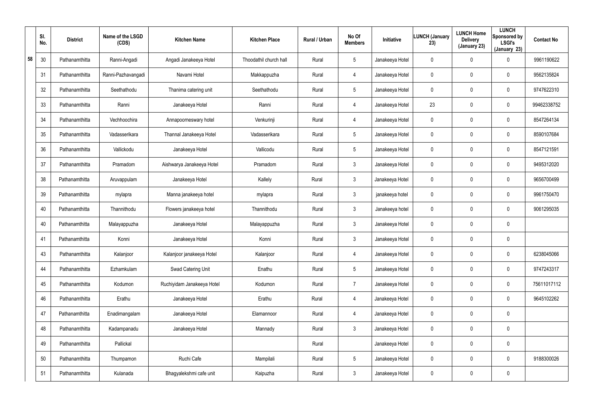|    | SI.<br>No. | <b>District</b> | Name of the LSGD<br>(CDS) | <b>Kitchen Name</b>        | <b>Kitchen Place</b>   | Rural / Urban | No Of<br><b>Members</b> | Initiative      | <b>LUNCH (January</b><br>23) | <b>LUNCH Home</b><br><b>Delivery</b><br>(January 23) | <b>LUNCH</b><br>Sponsored by<br><b>LSGI's</b><br>(January 23) | <b>Contact No</b> |
|----|------------|-----------------|---------------------------|----------------------------|------------------------|---------------|-------------------------|-----------------|------------------------------|------------------------------------------------------|---------------------------------------------------------------|-------------------|
| 58 | 30         | Pathanamthitta  | Ranni-Angadi              | Angadi Janakeeya Hotel     | Thoodathil church hall | Rural         | $5\overline{)}$         | Janakeeya Hotel | 0                            | 0                                                    | 0                                                             | 9961190622        |
|    | 31         | Pathanamthitta  | Ranni-Pazhavangadi        | Navami Hotel               | Makkappuzha            | Rural         | 4                       | Janakeeya Hotel | 0                            | $\mathbf 0$                                          | 0                                                             | 9562135824        |
|    | 32         | Pathanamthitta  | Seethathodu               | Thanima catering unit      | Seethathodu            | Rural         | $5\phantom{.0}$         | Janakeeya Hotel | 0                            | 0                                                    | 0                                                             | 9747622310        |
|    | 33         | Pathanamthitta  | Ranni                     | Janakeeya Hotel            | Ranni                  | Rural         | 4                       | Janakeeya Hotel | 23                           | $\mathbf 0$                                          | 0                                                             | 99462338752       |
|    | 34         | Pathanamthitta  | Vechhoochira              | Annapoorneswary hotel      | Venkurinji             | Rural         | 4                       | Janakeeya Hotel | 0                            | 0                                                    | 0                                                             | 8547264134        |
|    | 35         | Pathanamthitta  | Vadasserikara             | Thannal Janakeeya Hotel    | Vadasserikara          | Rural         | $5\overline{)}$         | Janakeeya Hotel | 0                            | $\mathbf 0$                                          | 0                                                             | 8590107684        |
|    | 36         | Pathanamthitta  | Vallickodu                | Janakeeya Hotel            | Vallicodu              | Rural         | $5\phantom{.0}$         | Janakeeya Hotel | $\mathbf 0$                  | $\overline{0}$                                       | 0                                                             | 8547121591        |
|    | 37         | Pathanamthitta  | Pramadom                  | Aishwarya Janakeeya Hotel  | Pramadom               | Rural         | $\mathbf{3}$            | Janakeeya Hotel | 0                            | $\mathbf 0$                                          | 0                                                             | 9495312020        |
|    | 38         | Pathanamthitta  | Aruvappulam               | Janakeeya Hotel            | Kallely                | Rural         | $\mathbf{3}$            | Janakeeya Hotel | $\mathbf 0$                  | $\overline{0}$                                       | 0                                                             | 9656700499        |
|    | 39         | Pathanamthitta  | mylapra                   | Manna janakeeya hotel      | mylapra                | Rural         | $\mathbf{3}$            | janakeeya hotel | 0                            | $\mathbf 0$                                          | 0                                                             | 9961750470        |
|    | 40         | Pathanamthitta  | Thannithodu               | Flowers janakeeya hotel    | Thannithodu            | Rural         | $\mathbf{3}$            | Janakeeya hotel | $\mathbf 0$                  | $\overline{0}$                                       | 0                                                             | 9061295035        |
|    | 40         | Pathanamthitta  | Malayappuzha              | Janakeeya Hotel            | Malayappuzha           | Rural         | $\mathbf{3}$            | Janakeeya Hotel | 0                            | $\mathbf 0$                                          | 0                                                             |                   |
|    | 41         | Pathanamthitta  | Konni                     | Janakeeya Hotel            | Konni                  | Rural         | $\mathbf{3}$            | Janakeeya Hotel | 0                            | $\mathbf 0$                                          | 0                                                             |                   |
|    | 43         | Pathanamthitta  | Kalanjoor                 | Kalanjoor janakeeya Hotel  | Kalanjoor              | Rural         | 4                       | Janakeeya Hotel | 0                            | $\mathbf 0$                                          | 0                                                             | 6238045066        |
|    | 44         | Pathanamthitta  | Ezhamkulam                | Swad Catering Unit         | Enathu                 | Rural         | $5\phantom{.0}$         | Janakeeya Hotel | $\pmb{0}$                    | $\mathbf 0$                                          | 0                                                             | 9747243317        |
|    | 45         | Pathanamthitta  | Kodumon                   | Ruchiyidam Janakeeya Hotel | Kodumon                | Rural         | $\overline{7}$          | Janakeeya Hotel | $\mathbf 0$                  | $\mathbf 0$                                          | 0                                                             | 75611017112       |
|    | 46         | Pathanamthitta  | Erathu                    | Janakeeya Hotel            | Erathu                 | Rural         | 4                       | Janakeeya Hotel | 0                            | $\mathbf 0$                                          | 0                                                             | 9645102262        |
|    | 47         | Pathanamthitta  | Enadimangalam             | Janakeeya Hotel            | Elamannoor             | Rural         | 4                       | Janakeeya Hotel | 0                            | $\mathbf 0$                                          | 0                                                             |                   |
|    | 48         | Pathanamthitta  | Kadampanadu               | Janakeeya Hotel            | Mannady                | Rural         | $\mathbf{3}$            | Janakeeya Hotel | 0                            | $\mathbf 0$                                          | 0                                                             |                   |
|    | 49         | Pathanamthitta  | Pallickal                 |                            |                        | Rural         |                         | Janakeeya Hotel | 0                            | $\mathbf 0$                                          | 0                                                             |                   |
|    | 50         | Pathanamthitta  | Thumpamon                 | Ruchi Cafe                 | Mampilali              | Rural         | $5\phantom{.0}$         | Janakeeya Hotel | 0                            | $\mathbf 0$                                          | 0                                                             | 9188300026        |
|    | 51         | Pathanamthitta  | Kulanada                  | Bhagyalekshmi cafe unit    | Kaipuzha               | Rural         | $\mathfrak{Z}$          | Janakeeya Hotel | 0                            | $\mathbf 0$                                          | 0                                                             |                   |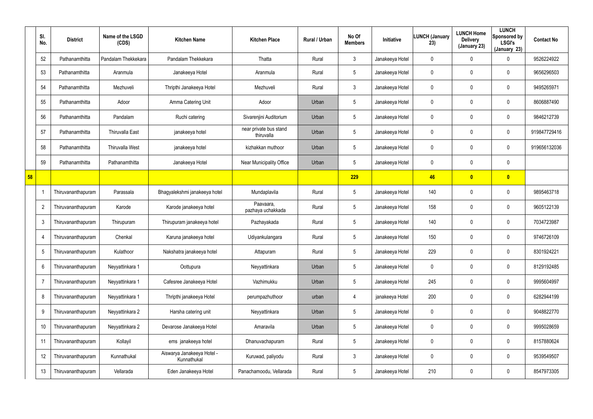|    | SI.<br>No.     | <b>District</b>    | Name of the LSGD<br>(CDS) | <b>Kitchen Name</b>                       | <b>Kitchen Place</b>                 | Rural / Urban | No Of<br><b>Members</b> | <b>Initiative</b> | <b>LUNCH (January</b><br>23) | <b>LUNCH Home</b><br><b>Delivery</b><br>(January 23) | <b>LUNCH</b><br>Sponsored by<br><b>LSGI's</b><br>(January 23) | <b>Contact No</b> |
|----|----------------|--------------------|---------------------------|-------------------------------------------|--------------------------------------|---------------|-------------------------|-------------------|------------------------------|------------------------------------------------------|---------------------------------------------------------------|-------------------|
|    | 52             | Pathanamthitta     | Pandalam Thekkekara       | Pandalam Thekkekara                       | Thatta                               | Rural         | 3                       | Janakeeya Hotel   | 0                            | 0                                                    | 0                                                             | 9526224922        |
|    | 53             | Pathanamthitta     | Aranmula                  | Janakeeya Hotel                           | Aranmula                             | Rural         | $5\phantom{.0}$         | Janakeeya Hotel   | 0                            | 0                                                    | $\mathbf 0$                                                   | 9656296503        |
|    | 54             | Pathanamthitta     | Mezhuveli                 | Thripthi Janakeeya Hotel                  | Mezhuveli                            | Rural         | $\mathbf{3}$            | Janakeeya Hotel   | 0                            | 0                                                    | $\mathbf 0$                                                   | 9495265971        |
|    | 55             | Pathanamthitta     | Adoor                     | Amma Catering Unit                        | Adoor                                | Urban         | $5\phantom{.0}$         | Janakeeya Hotel   | 0                            | 0                                                    | $\mathbf 0$                                                   | 8606887490        |
|    | 56             | Pathanamthitta     | Pandalam                  | Ruchi catering                            | Sivarenjini Auditorium               | Urban         | $5\phantom{.0}$         | Janakeeya Hotel   | 0                            | 0                                                    | $\mathbf 0$                                                   | 9846212739        |
|    | 57             | Pathanamthitta     | <b>Thiruvalla East</b>    | janakeeya hotel                           | near private bus stand<br>thiruvalla | Urban         | $5\phantom{.0}$         | Janakeeya Hotel   | 0                            | 0                                                    | $\mathbf 0$                                                   | 919847729416      |
|    | 58             | Pathanamthitta     | <b>Thiruvalla West</b>    | janakeeya hotel                           | kizhakkan muthoor                    | Urban         | $5\phantom{.0}$         | Janakeeya Hotel   | 0                            | 0                                                    | $\mathbf 0$                                                   | 919656132036      |
|    | 59             | Pathanamthitta     | Pathanamthitta            | Janakeeya Hotel                           | Near Municipality Office             | Urban         | $5\phantom{.0}$         | Janakeeya Hotel   | 0                            | 0                                                    | $\mathbf 0$                                                   |                   |
| 58 |                |                    |                           |                                           |                                      |               | 229                     |                   | 46                           | $\overline{\mathbf{0}}$                              | $\bullet$                                                     |                   |
|    |                | Thiruvananthapuram | Parassala                 | Bhagyalekshmi janakeeya hotel             | Mundaplavila                         | Rural         | $5\phantom{.0}$         | Janakeeya Hotel   | 140                          | 0                                                    | $\mathbf 0$                                                   | 9895463718        |
|    | $\overline{2}$ | Thiruvananthapuram | Karode                    | Karode janakeeya hotel                    | Paavaara,<br>pazhaya uchakkada       | Rural         | $5\phantom{.0}$         | Janakeeya Hotel   | 158                          | 0                                                    | $\mathbf 0$                                                   | 9605122139        |
|    | 3              | Thiruvananthapuram | Thirupuram                | Thirupuram janakeeya hotel                | Pazhayakada                          | Rural         | $5\phantom{.0}$         | Janakeeya Hotel   | 140                          | 0                                                    | $\mathbf 0$                                                   | 7034723987        |
|    | -4             | Thiruvananthapuram | Chenkal                   | Karuna janakeeya hotel                    | Udiyankulangara                      | Rural         | $5\phantom{.0}$         | Janakeeya Hotel   | 150                          | 0                                                    | $\mathbf 0$                                                   | 9746726109        |
|    | 5              | Thiruvananthapuram | Kulathoor                 | Nakshatra janakeeya hotel                 | Attapuram                            | Rural         | $5\phantom{.0}$         | Janakeeya Hotel   | 229                          | 0                                                    | $\mathbf 0$                                                   | 8301924221        |
|    | 6              | Thiruvananthapuram | Neyyattinkara 1           | Oottupura                                 | Neyyattinkara                        | Urban         | $5\phantom{.0}$         | Janakeeya Hotel   | $\mathbf 0$                  | $\mathbf 0$                                          | $\pmb{0}$                                                     | 8129192485        |
|    | $\overline{7}$ | Thiruvananthapuram | Neyyattinkara 1           | Cafesree Janakeeya Hotel                  | Vazhimukku                           | Urban         | $5\phantom{.0}$         | Janakeeya Hotel   | 245                          | 0                                                    | $\pmb{0}$                                                     | 9995604997        |
|    | 8              | Thiruvananthapuram | Neyyattinkara 1           | Thripthi janakeeya Hotel                  | perumpazhuthoor                      | urban         | 4                       | janakeeya Hotel   | 200                          | $\mathbf 0$                                          | $\pmb{0}$                                                     | 6282944199        |
|    | 9              | Thiruvananthapuram | Neyyattinkara 2           | Harsha catering unit                      | Neyyattinkara                        | Urban         | $5\phantom{.0}$         | Janakeeya Hotel   | 0                            | 0                                                    | $\pmb{0}$                                                     | 9048822770        |
|    | 10             | Thiruvananthapuram | Neyyattinkara 2           | Devarose Janakeeya Hotel                  | Amaravila                            | Urban         | $\overline{5}$          | Janakeeya Hotel   | 0                            | 0                                                    | $\pmb{0}$                                                     | 9995028659        |
|    | 11             | Thiruvananthapuram | Kollayil                  | ems janakeeya hotel                       | Dhanuvachapuram                      | Rural         | $5\phantom{.0}$         | Janakeeya Hotel   | 0                            | 0                                                    | $\pmb{0}$                                                     | 8157880624        |
|    | 12             | Thiruvananthapuram | Kunnathukal               | Aiswarya Janakeeya Hotel -<br>Kunnathukal | Kuruwad, paliyodu                    | Rural         | $\mathfrak{Z}$          | Janakeeya Hotel   | 0                            | 0                                                    | $\pmb{0}$                                                     | 9539549507        |
|    | 13             | Thiruvananthapuram | Vellarada                 | Eden Janakeeya Hotel                      | Panachamoodu, Vellarada              | Rural         | $5\phantom{.0}$         | Janakeeya Hotel   | 210                          | 0                                                    | $\pmb{0}$                                                     | 8547973305        |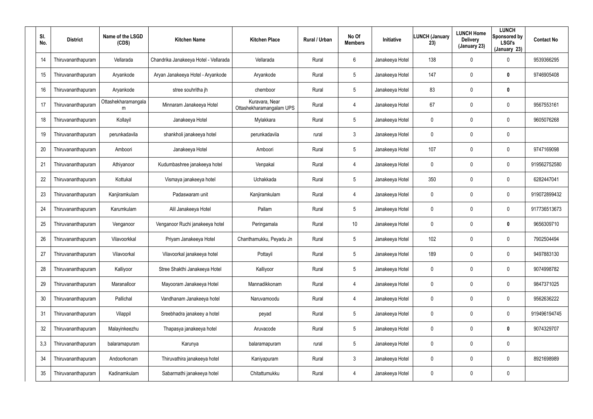| SI.<br>No. | <b>District</b>    | Name of the LSGD<br>(CDS) | <b>Kitchen Name</b>                   | <b>Kitchen Place</b>                       | <b>Rural / Urban</b> | No Of<br><b>Members</b> | Initiative      | <b>LUNCH (January</b><br>23) | <b>LUNCH Home</b><br><b>Delivery</b><br>(January 23) | <b>LUNCH</b><br>Sponsored by<br><b>LSGI's</b><br>(January 23) | <b>Contact No</b> |
|------------|--------------------|---------------------------|---------------------------------------|--------------------------------------------|----------------------|-------------------------|-----------------|------------------------------|------------------------------------------------------|---------------------------------------------------------------|-------------------|
| 14         | Thiruvananthapuram | Vellarada                 | Chandrika Janakeeya Hotel - Vellarada | Vellarada                                  | Rural                | 6                       | Janakeeya Hotel | 138                          | $\mathbf 0$                                          | $\mathbf 0$                                                   | 9539366295        |
| 15         | Thiruvananthapuram | Aryankode                 | Aryan Janakeeya Hotel - Aryankode     | Aryankode                                  | Rural                | 5                       | Janakeeya Hotel | 147                          | 0                                                    | $\mathbf 0$                                                   | 9746905408        |
| 16         | Thiruvananthapuram | Aryankode                 | stree souhritha jh                    | chemboor                                   | Rural                | 5                       | Janakeeya Hotel | 83                           | $\mathbf 0$                                          | $\boldsymbol{0}$                                              |                   |
| 17         | Thiruvananthapuram | Ottashekharamangala<br>m  | Minnaram Janakeeya Hotel              | Kuravara, Near<br>Ottashekharamangalam UPS | Rural                | 4                       | Janakeeya Hotel | 67                           | 0                                                    | $\mathbf 0$                                                   | 9567553161        |
| 18         | Thiruvananthapuram | Kollayil                  | Janakeeya Hotel                       | Mylakkara                                  | Rural                | 5                       | Janakeeya Hotel | 0                            | $\mathbf 0$                                          | $\mathbf 0$                                                   | 9605076268        |
| 19         | Thiruvananthapuram | perunkadavila             | shankholi janakeeya hotel             | perunkadavila                              | rural                | 3                       | Janakeeya Hotel | 0                            | 0                                                    | $\mathbf 0$                                                   |                   |
| 20         | Thiruvananthapuram | Amboori                   | Janakeeya Hotel                       | Amboori                                    | Rural                | $5\overline{)}$         | Janakeeya Hotel | 107                          | $\mathbf 0$                                          | $\mathbf 0$                                                   | 9747169098        |
| 21         | Thiruvananthapuram | Athiyanoor                | Kudumbashree janakeeya hotel          | Venpakal                                   | Rural                | 4                       | Janakeeya Hotel | 0                            | 0                                                    | $\mathbf 0$                                                   | 919562752580      |
| 22         | Thiruvananthapuram | Kottukal                  | Vismaya janakeeya hotel               | Uchakkada                                  | Rural                | $5\overline{)}$         | Janakeeya Hotel | 350                          | $\mathbf 0$                                          | $\mathbf 0$                                                   | 6282447041        |
| 23         | Thiruvananthapuram | Kanjiramkulam             | Padaswaram unit                       | Kanjiramkulam                              | Rural                | 4                       | Janakeeya Hotel | 0                            | $\mathbf 0$                                          | $\mathbf 0$                                                   | 919072899432      |
| 24         | Thiruvananthapuram | Karumkulam                | Alil Janakeeya Hotel                  | Pallam                                     | Rural                | $5\overline{)}$         | Janakeeya Hotel | 0                            | $\mathbf 0$                                          | $\mathbf 0$                                                   | 917736513673      |
| 25         | Thiruvananthapuram | Venganoor                 | Venganoor Ruchi janakeeya hotel       | Peringamala                                | Rural                | 10                      | Janakeeya Hotel | 0                            | $\mathbf 0$                                          | $\mathbf 0$                                                   | 9656309710        |
| 26         | Thiruvananthapuram | Vilavoorkkal              | Priyam Janakeeya Hotel                | Chanthamukku, Peyadu Jn                    | Rural                | 5                       | Janakeeya Hotel | 102                          | $\mathbf 0$                                          | $\mathbf 0$                                                   | 7902504494        |
| 27         | Thiruvananthapuram | Vilavoorkal               | Vilavoorkal janakeeya hotel           | Pottayil                                   | Rural                | 5                       | Janakeeya Hotel | 189                          | $\mathbf 0$                                          | $\boldsymbol{0}$                                              | 9497883130        |
| 28         | Thiruvananthapuram | Kalliyoor                 | Stree Shakthi Janakeeya Hotel         | Kalliyoor                                  | Rural                | $5\overline{)}$         | Janakeeya Hotel | 0                            | 0                                                    | $\boldsymbol{0}$                                              | 9074998782        |
| 29         | Thiruvananthapuram | Maranalloor               | Mayooram Janakeeya Hotel              | Mannadikkonam                              | Rural                | 4                       | Janakeeya Hotel | 0                            | $\mathbf 0$                                          | $\pmb{0}$                                                     | 9847371025        |
| 30         | Thiruvananthapuram | Pallichal                 | Vandhanam Janakeeya hotel             | Naruvamoodu                                | Rural                | 4                       | Janakeeya Hotel | 0                            | 0                                                    | $\boldsymbol{0}$                                              | 9562636222        |
| 31         | Thiruvananthapuram | Vilappil                  | Sreebhadra janakeey a hotel           | peyad                                      | Rural                | 5                       | Janakeeya Hotel | 0                            | $\mathbf 0$                                          | $\boldsymbol{0}$                                              | 919496194745      |
| 32         | Thiruvananthapuram | Malayinkeezhu             | Thapasya janakeeya hotel              | Aruvacode                                  | Rural                | 5                       | Janakeeya Hotel | 0                            | 0                                                    | $\mathbf 0$                                                   | 9074329707        |
| 3,3        | Thiruvananthapuram | balaramapuram             | Karunya                               | balaramapuram                              | rural                | 5                       | Janakeeya Hotel | 0                            | $\mathbf 0$                                          | $\pmb{0}$                                                     |                   |
| 34         | Thiruvananthapuram | Andoorkonam               | Thiruvathira janakeeya hotel          | Kaniyapuram                                | Rural                | $\mathbf{3}$            | Janakeeya Hotel | 0                            | 0                                                    | $\boldsymbol{0}$                                              | 8921698989        |
| 35         | Thiruvananthapuram | Kadinamkulam              | Sabarmathi janakeeya hotel            | Chitattumukku                              | Rural                | 4                       | Janakeeya Hotel | 0                            | $\mathbf 0$                                          | $\pmb{0}$                                                     |                   |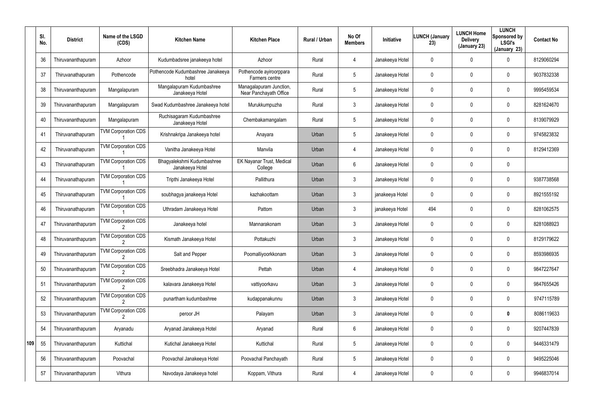|     | SI.<br>No. | <b>District</b>    | Name of the LSGD<br>(CDS)  | <b>Kitchen Name</b>                           | <b>Kitchen Place</b>                              | Rural / Urban | No Of<br><b>Members</b> | Initiative      | <b>LUNCH (January</b><br>23) | <b>LUNCH Home</b><br><b>Delivery</b><br>(January 23) | <b>LUNCH</b><br>Sponsored by<br><b>LSGI's</b><br>(January 23) | <b>Contact No</b> |
|-----|------------|--------------------|----------------------------|-----------------------------------------------|---------------------------------------------------|---------------|-------------------------|-----------------|------------------------------|------------------------------------------------------|---------------------------------------------------------------|-------------------|
|     | 36         | Thiruvananthapuram | Azhoor                     | Kudumbadsree janakeeya hotel                  | Azhoor                                            | Rural         | 4                       | Janakeeya Hotel | 0                            | 0                                                    | $\mathbf 0$                                                   | 8129060294        |
|     | 37         | Thiruvanathapuram  | Pothencode                 | Pothencode Kudumbashree Janakeeya<br>hotel    | Pothencode ayiroorppara<br>Farmers centre         | Rural         | $5\phantom{.0}$         | Janakeeya Hotel | 0                            | 0                                                    | $\mathbf 0$                                                   | 9037832338        |
|     | 38         | Thiruvananthapuram | Mangalapuram               | Mangalapuram Kudumbashree<br>Janakeeya Hotel  | Managalapuram Junction,<br>Near Panchayath Office | Rural         | $5\phantom{.0}$         | Janakeeya Hotel | 0                            | 0                                                    | $\mathbf 0$                                                   | 9995459534        |
|     | 39         | Thiruvananthapuram | Mangalapuram               | Swad Kudumbashree Janakeeya hotel             | Murukkumpuzha                                     | Rural         | 3                       | Janakeeya Hotel | 0                            | 0                                                    | $\mathbf 0$                                                   | 8281624670        |
|     | 40         | Thiruvananthapuram | Mangalapuram               | Ruchisagaram Kudumbashree<br>Janakeeya Hotel  | Chembakamangalam                                  | Rural         | $5\phantom{.0}$         | Janakeeya Hotel | 0                            | 0                                                    | $\mathbf 0$                                                   | 8139079929        |
|     | 41         | Thiruvanathapuram  | <b>TVM Corporation CDS</b> | Krishnakripa Janakeeya hotel                  | Anayara                                           | Urban         | $5\phantom{.0}$         | Janakeeya Hotel | 0                            | 0                                                    | $\mathbf 0$                                                   | 9745823832        |
|     | 42         | Thiruvanathapuram  | <b>TVM Corporation CDS</b> | Vanitha Janakeeya Hotel                       | Manvila                                           | Urban         | $\overline{4}$          | Janakeeya Hotel | 0                            | 0                                                    | $\mathbf 0$                                                   | 8129412369        |
|     | 43         | Thiruvanathapuram  | <b>TVM Corporation CDS</b> | Bhagyalekshmi Kudumbashree<br>Janakeeya Hotel | <b>EK Nayanar Trust, Medical</b><br>College       | Urban         | 6                       | Janakeeya Hotel | 0                            | 0                                                    | $\mathbf 0$                                                   |                   |
|     | 44         | Thiruvanathapuram  | <b>TVM Corporation CDS</b> | Tripthi Janakeeya Hotel                       | Pallithura                                        | Urban         | $\mathbf{3}$            | Janakeeya Hotel | 0                            | 0                                                    | $\mathbf 0$                                                   | 9387738568        |
|     | 45         | Thiruvanathapuram  | <b>TVM Corporation CDS</b> | soubhagya janakeeya Hotel                     | kazhakoottam                                      | Urban         | 3                       | janakeeya Hotel | 0                            | 0                                                    | $\mathbf 0$                                                   | 8921555192        |
|     | 46         | Thiruvanathapuram  | <b>TVM Corporation CDS</b> | Uthradam Janakeeya Hotel                      | Pattom                                            | Urban         | $\mathbf{3}$            | janakeeya Hotel | 494                          | 0                                                    | $\mathbf 0$                                                   | 8281062575        |
|     | 47         | Thiruvananthapuram | <b>TVM Corporation CDS</b> | Janakeeya hotel                               | Mannarakonam                                      | Urban         | 3                       | Janakeeya Hotel | 0                            | 0                                                    | $\mathbf 0$                                                   | 8281088923        |
|     | 48         | Thiruvananthapuram | <b>TVM Corporation CDS</b> | Kismath Janakeeya Hotel                       | Pottakuzhi                                        | Urban         | $\mathbf{3}$            | Janakeeya Hotel | 0                            | 0                                                    | $\mathbf 0$                                                   | 8129179622        |
|     | 49         | Thiruvananthapuram | <b>TVM Corporation CDS</b> | Salt and Pepper                               | Poomalliyoorkkonam                                | Urban         | 3                       | Janakeeya Hotel | 0                            | 0                                                    | $\mathbf 0$                                                   | 8593986935        |
|     | 50         | Thiruvananthapuram | <b>TVM Corporation CDS</b> | Sreebhadra Janakeeya Hotel                    | Pettah                                            | Urban         | $\overline{4}$          | Janakeeya Hotel | 0                            | 0                                                    | $\mathbf 0$                                                   | 9847227647        |
|     | 51         | Thiruvananthapuram | <b>TVM Corporation CDS</b> | kalavara Janakeeya Hotel                      | vattiyoorkavu                                     | Urban         | $\mathbf{3}$            | Janakeeya Hotel | 0                            | 0                                                    | $\mathbf 0$                                                   | 9847655426        |
|     | 52         | Thiruvananthapuram | <b>TVM Corporation CDS</b> | punartham kudumbashree                        | kudappanakunnu                                    | Urban         | $\mathbf{3}$            | Janakeeya Hotel | 0                            | 0                                                    | $\mathbf 0$                                                   | 9747115789        |
|     | 53         | Thiruvananthapuram | <b>TVM Corporation CDS</b> | peroor JH                                     | Palayam                                           | Urban         | $\mathbf{3}$            | Janakeeya Hotel | 0                            | 0                                                    | $\bm{0}$                                                      | 8086119633        |
|     | 54         | Thiruvananthapuram | Aryanadu                   | Aryanad Janakeeya Hotel                       | Aryanad                                           | Rural         | 6                       | Janakeeya Hotel | 0                            | 0                                                    | $\mathbf 0$                                                   | 9207447839        |
| 109 | 55         | Thiruvananthapuram | Kuttichal                  | Kutichal Janakeeya Hotel                      | Kuttichal                                         | Rural         | $5\phantom{.0}$         | Janakeeya Hotel | 0                            | 0                                                    | $\mathbf 0$                                                   | 9446331479        |
|     | 56         | Thiruvananthapuram | Poovachal                  | Poovachal Janakeeya Hotel                     | Poovachal Panchayath                              | Rural         | $5\phantom{.0}$         | Janakeeya Hotel | 0                            | 0                                                    | $\mathbf 0$                                                   | 9495225046        |
|     | 57         | Thiruvananthapuram | Vithura                    | Navodaya Janakeeya hotel                      | Koppam, Vithura                                   | Rural         | 4                       | Janakeeya Hotel | 0                            | 0                                                    | $\pmb{0}$                                                     | 9946837014        |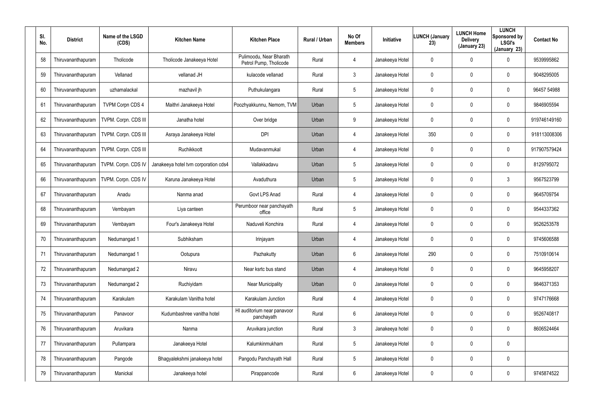| SI.<br>No. | <b>District</b>    | Name of the LSGD<br>(CDS) | <b>Kitchen Name</b>                  | <b>Kitchen Place</b>                              | <b>Rural / Urban</b> | No Of<br><b>Members</b> | Initiative      | <b>LUNCH (January</b><br>23) | <b>LUNCH Home</b><br><b>Delivery</b><br>(January 23) | <b>LUNCH</b><br>Sponsored by<br><b>LSGI's</b><br>(January 23) | <b>Contact No</b> |
|------------|--------------------|---------------------------|--------------------------------------|---------------------------------------------------|----------------------|-------------------------|-----------------|------------------------------|------------------------------------------------------|---------------------------------------------------------------|-------------------|
| 58         | Thiruvananthapuram | Tholicode                 | Tholicode Janakeeya Hotel            | Pulimoodu, Near Bharath<br>Petrol Pump, Tholicode | Rural                | 4                       | Janakeeya Hotel | 0                            | 0                                                    | 0                                                             | 9539995862        |
| 59         | Thiruvananthapuram | Vellanad                  | vellanad JH                          | kulacode vellanad                                 | Rural                | 3                       | Janakeeya Hotel | 0                            | 0                                                    | $\mathbf 0$                                                   | 9048295005        |
| 60         | Thiruvananthapuram | uzhamalackal              | mazhavil jh                          | Puthukulangara                                    | Rural                | 5                       | Janakeeya Hotel | 0                            | 0                                                    | $\mathbf 0$                                                   | 96457 54988       |
| 61         | Thiruvananthapuram | <b>TVPM Corpn CDS 4</b>   | Maithri Janakeeya Hotel              | Poozhyakkunnu, Nemom, TVM                         | Urban                | 5                       | Janakeeya Hotel | 0                            | 0                                                    | $\mathbf 0$                                                   | 9846905594        |
| 62         | Thiruvananthapuram | TVPM. Corpn. CDS III      | Janatha hotel                        | Over bridge                                       | Urban                | 9                       | Janakeeya Hotel | 0                            | 0                                                    | $\mathbf 0$                                                   | 919746149160      |
| 63         | Thiruvananthapuram | TVPM. Corpn. CDS III      | Asraya Janakeeya Hotel               | <b>DPI</b>                                        | Urban                | 4                       | Janakeeya Hotel | 350                          | 0                                                    | $\mathbf 0$                                                   | 918113008306      |
| 64         | Thiruvananthapuram | TVPM. Corpn. CDS III      | Ruchikkoott                          | Mudavanmukal                                      | Urban                | 4                       | Janakeeya Hotel | $\mathbf 0$                  | 0                                                    | $\mathbf 0$                                                   | 917907579424      |
| 65         | Thiruvananthapuram | TVPM. Corpn. CDS IV       | Janakeeya hotel tvm corporation cds4 | Vallakkadavu                                      | Urban                | 5                       | Janakeeya Hotel | 0                            | 0                                                    | 0                                                             | 8129795072        |
| 66         | Thiruvananthapuram | TVPM. Corpn. CDS IV       | Karuna Janakeeya Hotel               | Avaduthura                                        | Urban                | 5                       | Janakeeya Hotel | $\mathbf 0$                  | 0                                                    | $\mathbf{3}$                                                  | 9567523799        |
| 67         | Thiruvananthapuram | Anadu                     | Nanma anad                           | Govt LPS Anad                                     | Rural                | 4                       | Janakeeya Hotel | 0                            | 0                                                    | 0                                                             | 9645709754        |
| 68         | Thiruvananthapuram | Vembayam                  | Liya canteen                         | Perumboor near panchayath<br>office               | Rural                | 5                       | Janakeeya Hotel | $\mathbf 0$                  | 0                                                    | 0                                                             | 9544337362        |
| 69         | Thiruvananthapuram | Vembayam                  | Four's Janakeeya Hotel               | Naduveli Konchira                                 | Rural                | 4                       | Janakeeya Hotel | 0                            | 0                                                    | 0                                                             | 9526253578        |
| 70         | Thiruvananthapuram | Nedumangad 1              | Subhiksham                           | Irinjayam                                         | Urban                | 4                       | Janakeeya Hotel | $\mathbf 0$                  | 0                                                    | 0                                                             | 9745606588        |
| 71         | Thiruvananthapuram | Nedumangad 1              | Ootupura                             | Pazhakutty                                        | Urban                | $6\phantom{.}$          | Janakeeya Hotel | 290                          | $\pmb{0}$                                            | 0                                                             | 7510910614        |
| 72         | Thiruvananthapuram | Nedumangad 2              | Niravu                               | Near ksrtc bus stand                              | Urban                | 4                       | Janakeeya Hotel | $\mathbf 0$                  | $\boldsymbol{0}$                                     | 0                                                             | 9645958207        |
| 73         | Thiruvananthapuram | Nedumangad 2              | Ruchiyidam                           | <b>Near Municipality</b>                          | Urban                | $\mathbf 0$             | Janakeeya Hotel | 0                            | $\boldsymbol{0}$                                     | $\pmb{0}$                                                     | 9846371353        |
| 74         | Thiruvananthapuram | Karakulam                 | Karakulam Vanitha hotel              | Karakulam Junction                                | Rural                | 4                       | Janakeeya Hotel | $\mathbf 0$                  | $\mathbf 0$                                          | 0                                                             | 9747176668        |
| 75         | Thiruvananthapuram | Panavoor                  | Kudumbashree vanitha hotel           | HI auditorium near panavoor<br>panchayath         | Rural                | $6\overline{6}$         | Janakeeya Hotel | $\mathbf 0$                  | $\pmb{0}$                                            | 0                                                             | 9526740817        |
| 76         | Thiruvananthapuram | Aruvikara                 | Nanma                                | Aruvikara junction                                | Rural                | $\mathfrak{Z}$          | Janakeeya hotel | $\mathbf 0$                  | $\mathbf 0$                                          | 0                                                             | 8606524464        |
| 77         | Thiruvananthapuram | Pullampara                | Janakeeya Hotel                      | Kalumkinmukham                                    | Rural                | $5\phantom{.0}$         | Janakeeya Hotel | $\mathbf 0$                  | $\pmb{0}$                                            | $\pmb{0}$                                                     |                   |
| 78         | Thiruvananthapuram | Pangode                   | Bhagyalekshmi janakeeya hotel        | Pangodu Panchayath Hall                           | Rural                | 5                       | Janakeeya Hotel | $\mathbf 0$                  | $\boldsymbol{0}$                                     | 0                                                             |                   |
| 79         | Thiruvananthapuram | Manickal                  | Janakeeya hotel                      | Pirappancode                                      | Rural                | $6\phantom{.0}$         | Janakeeya Hotel | 0                            | $\boldsymbol{0}$                                     | 0                                                             | 9745874522        |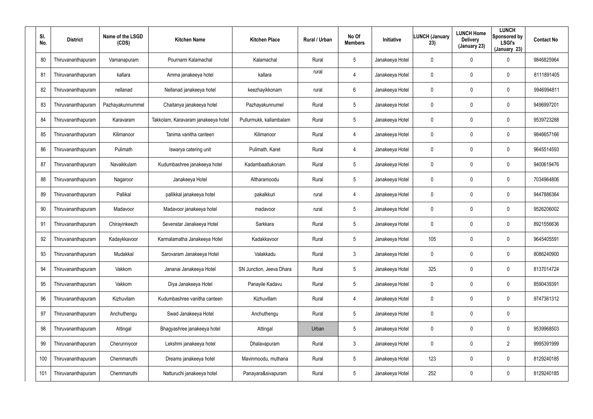| SI.<br>No. | <b>District</b>    | Name of the LSGD<br>(CDS) | <b>Kitchen Name</b>                 | <b>Kitchen Place</b>     | <b>Rural / Urban</b> | No Of<br><b>Members</b> | Initiative      | LUNCH (January<br>23) | <b>LUNCH Home</b><br><b>Delivery</b><br>(January 23) | <b>LUNCH</b><br>Sponsored by<br><b>LSGI's</b><br>(January 23) | <b>Contact No</b> |
|------------|--------------------|---------------------------|-------------------------------------|--------------------------|----------------------|-------------------------|-----------------|-----------------------|------------------------------------------------------|---------------------------------------------------------------|-------------------|
| 80         | Thiruvananthapuram | Vamanapuram               | Pournami Kalamachal                 | Kalamachal               | Rural                | 5                       | Janakeeya Hotel | 0                     | 0                                                    | 0                                                             | 9846825964        |
| 81         | Thiruvananthapuram | kallara                   | Amma janakeeya hotel                | kallara                  | rural                | 4                       | Janakeeya Hotel | 0                     | 0                                                    | $\mathbf 0$                                                   | 8111891405        |
| 82         | Thiruvananthapuram | nellanad                  | Nellanad janakeeya hotel            | keezhayikkonam           | rural                | 6                       | Janakeeya Hotel | 0                     | 0                                                    | $\mathbf 0$                                                   | 9946994811        |
| 83         | Thiruvananthapuram | Pazhayakunnummel          | Chaitanya janakeeya hotel           | Pazhayakunnumel          | Rural                | 5                       | Janakeeya Hotel | 0                     | 0                                                    | $\mathbf 0$                                                   | 9496997201        |
| 84         | Thiruvananthapuram | Karavaram                 | Takkolam, Karavaram janakeeya hotel | Pullurmukk, kallambalam  | Rural                | 5                       | Janakeeya Hotel | 0                     | 0                                                    | $\mathbf 0$                                                   | 9539723288        |
| 85         | Thiruvananthapuram | Kilimanoor                | Tanima vanitha canteen              | Kilimanoor               | Rural                | 4                       | Janakeeya Hotel | 0                     | 0                                                    | $\mathbf 0$                                                   | 9846657166        |
| 86         | Thiruvananthapuram | Pulimath                  | Iswarya catering unit               | Pulimath, Karet          | Rural                | 4                       | Janakeeya Hotel | $\mathbf 0$           | 0                                                    | $\mathbf 0$                                                   | 9645514593        |
| 87         | Thiruvananthapuram | Navaikkulam               | Kudumbashree janakeeya hotel        | Kadambaattukonam         | Rural                | 5                       | Janakeeya Hotel | 0                     | 0                                                    | $\mathbf 0$                                                   | 9400619476        |
| 88         | Thiruvananthapuram | Nagaroor                  | Janakeeya Hotel                     | Altharamoodu             | Rural                | 5                       | Janakeeya Hotel | $\mathbf 0$           | 0                                                    | $\mathbf 0$                                                   | 7034964806        |
| 89         | Thiruvananthapuram | Pallikal                  | pallikkal janakeeya hotel           | pakalkkuri               | rural                | 4                       | Janakeeya Hotel | $\mathbf 0$           | 0                                                    | $\mathbf 0$                                                   | 9447886364        |
| 90         | Thiruvananthapuram | Madavoor                  | Madavoor janakeeya hotel            | madavoor                 | rural                | 5                       | Janakeeya Hotel | $\mathbf 0$           | 0                                                    | $\mathbf 0$                                                   | 9526206002        |
| 91         | Thiruvananthapuram | Chirayinkeezh             | Sevenstar Janakeeya Hotel           | Sarkkara                 | Rural                | 5                       | Janakeeya Hotel | 0                     | 0                                                    | 0                                                             | 8921556636        |
| 92         | Thiruvananthapuram | Kadaykkavoor              | Karmalamatha Janakeeya Hotel        | Kadakkavoor              | Rural                | 5                       | Janakeeya Hotel | 105                   | $\boldsymbol{0}$                                     | 0                                                             | 9645405591        |
| 93         | Thiruvananthapuram | Mudakkal                  | Sarovaram Janakeeya Hotel           | Valakkadu                | Rural                | $\mathfrak{Z}$          | Janakeeya Hotel | 0                     | $\boldsymbol{0}$                                     | 0                                                             | 8086240900        |
| 94         | Thiruvananthapuram | Vakkom                    | Jananai Janakeeya Hotel             | SN Junction, Jeeva Dhara | Rural                | 5                       | Janakeeya Hotel | 325                   | $\boldsymbol{0}$                                     | 0                                                             | 8137014724        |
| 95         | Thiruvananthapuram | Vakkom                    | Diya Janakeeya Hotel                | Panayile Kadavu          | Rural                | 5                       | Janakeeya Hotel | 0                     | $\boldsymbol{0}$                                     | $\pmb{0}$                                                     | 8590439391        |
| 96         | Thiruvananthapuram | Kizhuvilam                | Kudumbashree vanitha canteen        | Kizhuvillam              | Rural                | 4                       | Janakeeya Hotel | 0                     | $\boldsymbol{0}$                                     | 0                                                             | 9747361312        |
| 97         | Thiruvananthapuram | Anchuthengu               | Swad Janakeeya Hotel                | Anchuthengu              | Rural                | $5\phantom{.0}$         | Janakeeya Hotel | $\mathbf 0$           | $\pmb{0}$                                            | $\pmb{0}$                                                     |                   |
| 98         | Thiruvananthapuram | Attingal                  | Bhagyashree janakeeya hotel         | Attingal                 | Urban                | 5                       | Janakeeya Hotel | $\mathbf 0$           | $\boldsymbol{0}$                                     | 0                                                             | 9539968503        |
| 99         | Thiruvananthapuram | Cherunniyoor              | Lekshmi janakeeya hotel             | Dhalavapuram             | Rural                | $\mathfrak{Z}$          | Janakeeya Hotel | $\mathbf 0$           | $\pmb{0}$                                            | $\overline{2}$                                                | 9995391999        |
| 100        | Thiruvananthapuram | Chemmaruthi               | Dreams janakeeya hotel              | Mavinmoodu, muthana      | Rural                | 5                       | Janakeeya Hotel | 123                   | $\boldsymbol{0}$                                     | 0                                                             | 8129240185        |
| 101        | Thiruvananthapuram | Chemmaruthi               | Natturuchi janakeeya hotel          | Panayara&sivapuram       | Rural                | $5\phantom{.0}$         | Janakeeya Hotel | 252                   | $\pmb{0}$                                            | 0                                                             | 8129240185        |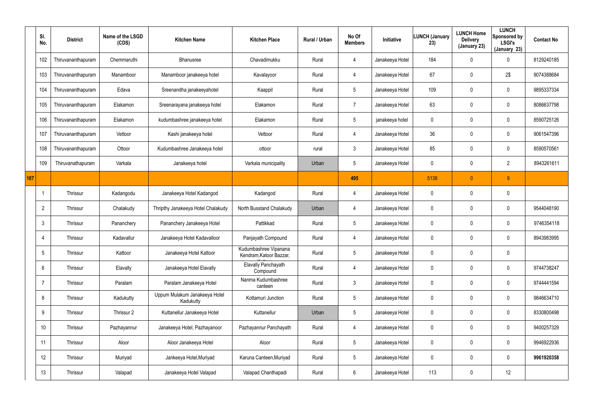|     | SI.<br>No.      | <b>District</b>    | Name of the LSGD<br>(CDS) | <b>Kitchen Name</b>                        | <b>Kitchen Place</b>                             | Rural / Urban | No Of<br><b>Members</b> | Initiative      | <b>LUNCH (January</b><br>23) | <b>LUNCH Home</b><br><b>Delivery</b><br>(January 23) | <b>LUNCH</b><br>Sponsored by<br><b>LSGI's</b><br>(January 23) | <b>Contact No</b> |
|-----|-----------------|--------------------|---------------------------|--------------------------------------------|--------------------------------------------------|---------------|-------------------------|-----------------|------------------------------|------------------------------------------------------|---------------------------------------------------------------|-------------------|
|     | 102             | Thiruvananthapuram | Chemmaruthi               | Bhanusree                                  | Chavadimukku                                     | Rural         | 4                       | Janakeeya Hotel | 184                          | 0                                                    | 0                                                             | 8129240185        |
|     | 103             | Thiruvananthapuram | Manamboor                 | Manamboor janakeeya hotel                  | Kavalayoor                                       | Rural         | 4                       | Janakeeya Hotel | 67                           | 0                                                    | 2\$                                                           | 9074388684        |
|     | 104             | Thiruvananthapuram | Edava                     | Sreenandha janakeeyahotel                  | Kaappil                                          | Rural         | $5\phantom{.0}$         | Janakeeya Hotel | 109                          | 0                                                    | $\mathbf 0$                                                   | 9895337334        |
|     | 105             | Thiruvananthapuram | Elakamon                  | Sreenarayana janakeeya hotel               | Elakamon                                         | Rural         | $\overline{7}$          | Janakeeya Hotel | 63                           | 0                                                    | $\mathbf 0$                                                   | 8086637798        |
|     | 106             | Thiruvananthapuram | Elakamon                  | kudumbashree janakeeya hotel               | Elakamon                                         | Rural         | $5\phantom{.0}$         | janakeeya hotel | 0                            | 0                                                    | $\mathbf 0$                                                   | 8590725126        |
|     | 107             | Thiruvananthapuram | Vettoor                   | Kashi janakeeya hotel                      | Vettoor                                          | Rural         | 4                       | Janakeeya Hotel | 36                           | 0                                                    | $\pmb{0}$                                                     | 9061547396        |
|     | 108             | Thiruvananthapuram | Ottoor                    | Kudumbashree Janakeeya hotel               | ottoor                                           | rural         | $\mathbf{3}$            | Janakeeya Hotel | 85                           | $\mathbf 0$                                          | $\pmb{0}$                                                     | 8590570561        |
|     | 109             | Thiruvanathapuram  | Varkala                   | Janakeeya hotel                            | Varkala municipality                             | Urban         | $5\phantom{.0}$         | Janakeeya Hotel | $\mathbf 0$                  | 0                                                    | $\overline{2}$                                                | 8943261611        |
| 107 |                 |                    |                           |                                            |                                                  |               | 495                     |                 | 5138                         | $\overline{0}$                                       | 9                                                             |                   |
|     |                 | Thrissur           | Kadangodu                 | Janakeeya Hotel Kadangod                   | Kadangod                                         | Rural         | 4                       | Janakeeya Hotel | 0                            | 0                                                    | $\pmb{0}$                                                     |                   |
|     | $\overline{2}$  | Thrissur           | Chalakudy                 | Thripthy Janakeeya Hotel Chalakudy         | North Busstand Chalakudy                         | Urban         | 4                       | Janakeeya Hotel | 0                            | 0                                                    | $\pmb{0}$                                                     | 9544048190        |
|     | 3               | Thrissur           | Pananchery                | Pananchery Janakeeya Hotel                 | Pattikkad                                        | Rural         | $5\,$                   | Janakeeya Hotel | 0                            | 0                                                    | $\boldsymbol{0}$                                              | 9746354118        |
|     | -4              | Thrissur           | Kadavallur                | Janakeeya Hotel Kadavalloor                | Panjayath Compound                               | Rural         | 4                       | Janakeeya Hotel | 0                            | 0                                                    | $\boldsymbol{0}$                                              | 8943983995        |
|     | $5\overline{)}$ | Thrissur           | Kattoor                   | Janakeeya Hotel Kattoor                    | Kudumbashree Vipanana<br>Kendram, Katoor Bazzar, | Rural         | $\sqrt{5}$              | Janakeeya Hotel | 0                            | 0                                                    | $\pmb{0}$                                                     |                   |
|     | 6               | Thrissur           | Elavally                  | Janakeeya Hotel Elavally                   | Elavally Panchayath<br>Compound                  | Rural         | $\overline{4}$          | Janakeeya Hotel | $\pmb{0}$                    | 0                                                    | $\pmb{0}$                                                     | 9744738247        |
|     | $\overline{7}$  | Thrissur           | Paralam                   | Paralam Janakeeya Hotel                    | Nanma Kudumbashree<br>canteen                    | Rural         | $\mathbf{3}$            | Janakeeya Hotel | 0                            | 0                                                    | $\pmb{0}$                                                     | 9744441594        |
|     | 8               | Thrissur           | Kadukutty                 | Uppum Mulakum Janakeeya Hotel<br>Kadukutty | Kottamuri Junction                               | Rural         | $5\phantom{.0}$         | Janakeeya Hotel | $\pmb{0}$                    | 0                                                    | $\pmb{0}$                                                     | 9846634710        |
|     | 9               | Thrissur           | Thrissur 2                | Kuttanellur Janakeeya Hotel                | Kuttanellur                                      | Urban         | $5\phantom{.0}$         | Janakeeya Hotel | 0                            | 0                                                    | $\pmb{0}$                                                     | 8330800498        |
|     | 10              | Thrissur           | Pazhayannur               | Janakeeya Hotel, Pazhayanoor               | Pazhayannur Panchayath                           | Rural         | $\overline{4}$          | Janakeeya Hotel | $\pmb{0}$                    | 0                                                    | $\pmb{0}$                                                     | 9400257329        |
|     | 11              | Thrissur           | Aloor                     | Aloor Janakeeya Hotel                      | Aloor                                            | Rural         | $5\phantom{.0}$         | Janakeeya Hotel | 0                            | 0                                                    | $\pmb{0}$                                                     | 9946922936        |
|     | 12              | Thrissur           | Muriyad                   | Jankeeya Hotel, Muriyad                    | Karuna Canteen, Muriyad                          | Rural         | $5\,$                   | Janakeeya Hotel | 0                            | 0                                                    | $\pmb{0}$                                                     | 9961920358        |
|     | 13              | Thrissur           | Valapad                   | Janakeeya Hotel Valapad                    | Valapad Chanthapadi                              | Rural         | $6\phantom{.0}$         | Janakeeya Hotel | 113                          | 0                                                    | 12                                                            |                   |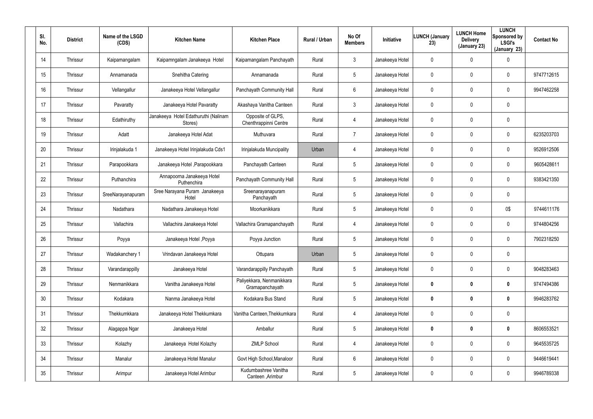| SI.<br>No. | <b>District</b> | Name of the LSGD<br>(CDS) | <b>Kitchen Name</b>                             | <b>Kitchen Place</b>                         | Rural / Urban | No Of<br><b>Members</b> | <b>Initiative</b> | <b>LUNCH (January</b><br>23) | <b>LUNCH Home</b><br><b>Delivery</b><br>(January 23) | <b>LUNCH</b><br>Sponsored by<br><b>LSGI's</b><br>(January 23) | <b>Contact No</b> |
|------------|-----------------|---------------------------|-------------------------------------------------|----------------------------------------------|---------------|-------------------------|-------------------|------------------------------|------------------------------------------------------|---------------------------------------------------------------|-------------------|
| 14         | Thrissur        | Kaipamangalam             | Kaipamngalam Janakeeya Hotel                    | Kaipamangalam Panchayath                     | Rural         | 3                       | Janakeeya Hotel   | 0                            | $\mathbf 0$                                          | $\mathbf 0$                                                   |                   |
| 15         | Thrissur        | Annamanada                | Snehitha Catering                               | Annamanada                                   | Rural         | $5\overline{)}$         | Janakeeya Hotel   | 0                            | 0                                                    | $\mathbf 0$                                                   | 9747712615        |
| 16         | Thrissur        | Vellangallur              | Janakeeya Hotel Vellangallur                    | Panchayath Community Hall                    | Rural         | 6                       | Janakeeya Hotel   | 0                            | 0                                                    | $\mathbf 0$                                                   | 9947462258        |
| 17         | Thrissur        | Pavaratty                 | Janakeeya Hotel Pavaratty                       | Akashaya Vanitha Canteen                     | Rural         | $\mathbf{3}$            | Janakeeya Hotel   | 0                            | 0                                                    | $\mathbf 0$                                                   |                   |
| 18         | Thrissur        | Edathiruthy               | Janakeeya Hotel Edathuruthi (Nalinam<br>Stores) | Opposite of GLPS,<br>Chenthrappinni Centre   | Rural         | 4                       | Janakeeya Hotel   | 0                            | 0                                                    | $\pmb{0}$                                                     |                   |
| 19         | Thrissur        | Adatt                     | Janakeeya Hotel Adat                            | Muthuvara                                    | Rural         | $\overline{7}$          | Janakeeya Hotel   | 0                            | 0                                                    | $\mathbf 0$                                                   | 6235203703        |
| 20         | Thrissur        | Irinjalakuda 1            | Janakeeya Hotel Irinjalakuda Cds1               | Irinjalakuda Muncipality                     | Urban         | 4                       | Janakeeya Hotel   | 0                            | 0                                                    | $\mathbf 0$                                                   | 9526912506        |
| 21         | Thrissur        | Parapookkara              | Janakeeya Hotel , Parapookkara                  | Panchayath Canteen                           | Rural         | $5\overline{)}$         | Janakeeya Hotel   | 0                            | 0                                                    | $\mathbf 0$                                                   | 9605428611        |
| 22         | Thrissur        | Puthanchira               | Annapoorna Janakeeya Hotel<br>Puthenchira       | Panchayath Community Hall                    | Rural         | $5\phantom{.0}$         | Janakeeya Hotel   | 0                            | 0                                                    | $\mathbf 0$                                                   | 9383421350        |
| 23         | Thrissur        | SreeNarayanapuram         | Sree Narayana Puram Janakeeya<br>Hotel          | Sreenarayanapuram<br>Panchayath              | Rural         | $5\overline{)}$         | Janakeeya Hotel   | 0                            | 0                                                    | $\mathbf 0$                                                   |                   |
| 24         | Thrissur        | Nadathara                 | Nadathara Janakeeya Hotel                       | Moorkanikkara                                | Rural         | $5\phantom{.0}$         | Janakeeya Hotel   | 0                            | 0                                                    | 0\$                                                           | 9744611176        |
| 25         | Thrissur        | Vallachira                | Vallachira Janakeeya Hotel                      | Vallachira Gramapanchayath                   | Rural         | 4                       | Janakeeya Hotel   | 0                            | 0                                                    | $\mathbf 0$                                                   | 9744804256        |
| 26         | Thrissur        | Poyya                     | Janakeeya Hotel, Poyya                          | Poyya Junction                               | Rural         | $5\phantom{.0}$         | Janakeeya Hotel   | 0                            | 0                                                    | $\mathbf 0$                                                   | 7902318250        |
| 27         | Thrissur        | Wadakanchery 1            | Vrindavan Janakeeya Hotel                       | Ottupara                                     | Urban         | 5                       | Janakeeya Hotel   | 0                            | 0                                                    | $\pmb{0}$                                                     |                   |
| 28         | Thrissur        | Varandarappilly           | Janakeeya Hotel                                 | Varandarappilly Panchayath                   | Rural         | $5\phantom{.0}$         | Janakeeya Hotel   | 0                            | 0                                                    | $\pmb{0}$                                                     | 9048283463        |
| 29         | Thrissur        | Nenmanikkara              | Vanitha Janakeeya Hotel                         | Paliyekkara, Nenmanikkara<br>Gramapanchayath | Rural         | $5\phantom{.0}$         | Janakeeya Hotel   | 0                            | 0                                                    | $\boldsymbol{0}$                                              | 9747494386        |
| 30         | Thrissur        | Kodakara                  | Nanma Janakeeya Hotel                           | Kodakara Bus Stand                           | Rural         | $5\phantom{.0}$         | Janakeeya Hotel   | 0                            | 0                                                    | $\boldsymbol{0}$                                              | 9946283762        |
| 31         | Thrissur        | Thekkumkkara              | Janakeeya Hotel Thekkumkara                     | Vanitha Canteen, Thekkumkara                 | Rural         | 4                       | Janakeeya Hotel   | 0                            | 0                                                    | $\pmb{0}$                                                     |                   |
| 32         | Thrissur        | Alagappa Ngar             | Janakeeya Hotel                                 | Amballur                                     | Rural         | $5\phantom{.0}$         | Janakeeya Hotel   | 0                            | 0                                                    | $\boldsymbol{0}$                                              | 8606553521        |
| 33         | Thrissur        | Kolazhy                   | Janakeeya Hotel Kolazhy                         | <b>ZMLP School</b>                           | Rural         | 4                       | Janakeeya Hotel   | 0                            | 0                                                    | $\pmb{0}$                                                     | 9645535725        |
| 34         | Thrissur        | Manalur                   | Janakeeya Hotel Manalur                         | Govt High School, Manaloor                   | Rural         | 6                       | Janakeeya Hotel   | 0                            | 0                                                    | $\pmb{0}$                                                     | 9446619441        |
| 35         | Thrissur        | Arimpur                   | Janakeeya Hotel Arimbur                         | Kudumbashree Vanitha<br>Canteen, Arimbur     | Rural         | $5\phantom{.0}$         | Janakeeya Hotel   | 0                            | 0                                                    | $\pmb{0}$                                                     | 9946789338        |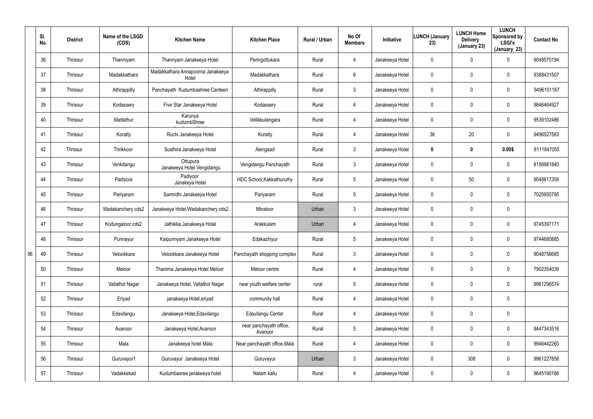|    | SI.<br>No. | <b>District</b> | Name of the LSGD<br>(CDS) | <b>Kitchen Name</b>                        | <b>Kitchen Place</b>               | Rural / Urban | No Of<br><b>Members</b> | Initiative      | <b>LUNCH (January</b><br>23) | <b>LUNCH Home</b><br><b>Delivery</b><br>(January 23) | <b>LUNCH</b><br>Sponsored by<br><b>LSGI's</b><br>(January 23) | <b>Contact No</b> |
|----|------------|-----------------|---------------------------|--------------------------------------------|------------------------------------|---------------|-------------------------|-----------------|------------------------------|------------------------------------------------------|---------------------------------------------------------------|-------------------|
|    | 36         | Thrissur        | Thanniyam                 | Thannyam Janakeeya Hotel                   | Peringottukara                     | Rural         | $\overline{4}$          | Janakeeya Hotel | 0                            | 0                                                    | $\mathbf 0$                                                   | 9048570194        |
|    | 37         | Thrissur        | Madakkathara              | Madakkathara Annapoorna Janakeeya<br>Hotel | Madakkathara                       | Rural         | 6                       | Janakeeya Hotel | 0                            | 0                                                    | $\mathbf 0$                                                   | 9388431507        |
|    | 38         | Thrissur        | Athirappilly              | Panchayath Kudumbashree Canteen            | Athirappilly                       | Rural         | $\mathbf{3}$            | Janakeeya Hotel | 0                            | 0                                                    | $\mathbf 0$                                                   | 9496151187        |
|    | 39         | Thrissur        | Kodassery                 | Five Star Janakeeya Hotel                  | Kodassery                          | Rural         | $\overline{4}$          | Janakeeya Hotel | 0                            | 0                                                    | $\mathbf 0$                                                   | 9846464927        |
|    | 40         | Thrissur        | Mattathur                 | Karunya<br>kudumbShree                     | Vellikkulangara                    | Rural         | $\overline{4}$          | Janakeeya Hotel | 0                            | 0                                                    | $\mathbf 0$                                                   | 9539102486        |
|    | 41         | Thrissur        | Koratty                   | Ruchi Janakeeya Hotel                      | Koratty                            | Rural         | $\overline{4}$          | Janakeeya Hotel | 36                           | 20                                                   | $\mathbf 0$                                                   | 9496527583        |
|    | 42         | Thrissur        | Thrikkoor                 | Susthira Janakeeya Hotel                   | Alengaad                           | Rural         | $\mathbf{3}$            | Janakeeya Hotel | 0                            | 0                                                    | 0.00\$                                                        | 8111847055        |
|    | 43         | Thrissur        | Venkitangu                | Ottupura<br>Janakeeya Hotel Vengidangu     | Vengidangu Panchayath              | Rural         | 3                       | Janakeeya Hotel | 0                            | 0                                                    | $\mathbf 0$                                                   | 8156981840        |
|    | 44         | Thrissur        | Padiyoor                  | Padiyoor<br>Janakeya Hotel                 | HDC School, Kakkathuruthy          | Rural         | $5\phantom{.0}$         | Janakeeya Hotel | 0                            | 50                                                   | $\mathbf 0$                                                   | 9048817359        |
|    | 45         | Thrissur        | Pariyaram                 | Samridhi Janakeeya Hotel                   | Pariyaram                          | Rural         | $5\phantom{.0}$         | Janakeeya Hotel | 0                            | 0                                                    | $\mathbf 0$                                                   | 7025950795        |
|    | 46         | Thrissur        | Wadakanchery cds2         | Janakeeya Hotel, Wadakanchery cds2         | Minaloor                           | Urban         | $\mathbf{3}$            | Janakeeya Hotel | 0                            | 0                                                    | $\mathbf 0$                                                   |                   |
|    | 47         | Thrissur        | Kodungaloor cds2          | Jathikka Janakeeya Hotel                   | Arakkulam                          | Urban         | $\overline{4}$          | Janakeeya Hotel | 0                            | 0                                                    | $\mathbf 0$                                                   | 9745397171        |
|    | 48         | Thrissur        | Punnayur                  | Kaipunnyam Janakeeya Hotel                 | Edakazhiyur                        | Rural         | $5\phantom{.0}$         | Janakeeya Hotel | 0                            | 0                                                    | $\mathbf 0$                                                   | 9744680885        |
| 96 | 49         | Thrissur        | Velookkara                | Velookkara Janakeeya Hotel                 | Panchayath shopping complex        | Rural         | $\mathfrak{Z}$          | Janakeeya Hotel | 0                            | 0                                                    | $\pmb{0}$                                                     | 9048756685        |
|    | 50         | Thrissur        | Meloor                    | Thanima Janakeeya Hotel Meloor             | Meloor centre                      | Rural         | $\overline{4}$          | Janakeeya Hotel | 0                            | 0                                                    | $\pmb{0}$                                                     | 7902354039        |
|    | 51         | Thrissur        | Vallathol Nagar           | Janakeeya Hotel, Vallathol Nagar           | near youth welfare center          | rural         | $5\phantom{.0}$         | Janakeeya Hotel | $\mathbf 0$                  | 0                                                    | $\pmb{0}$                                                     | 9961296574        |
|    | 52         | Thrissur        | Eriyad                    | janakeeya Hotel, eriyad                    | community hall                     | Rural         | $\overline{4}$          | Janakeeya Hotel | 0                            | 0                                                    | $\pmb{0}$                                                     |                   |
|    | 53         | Thrissur        | Edavilangu                | Janakeeya Hotel, Edavilangu                | Edavilangu Center                  | Rural         | $\overline{4}$          | Janakeeya Hotel | $\mathbf 0$                  | 0                                                    | $\pmb{0}$                                                     |                   |
|    | 54         | Thrissur        | Avanoor                   | Janakeeya Hotel, Avanoor                   | near panchayath office,<br>Avanoor | Rural         | $5\overline{)}$         | Janakeeya Hotel | 0                            | 0                                                    | $\pmb{0}$                                                     | 9447343516        |
|    | 55         | Thrissur        | Mala                      | Janakeeya hotel Mala                       | Near panchayath office, Mala       | Rural         | $\overline{4}$          | Janakeeya Hotel | $\mathbf 0$                  | 0                                                    | $\pmb{0}$                                                     | 9946442260        |
|    | 56         | Thrissur        | Guruvayur1                | Guruvayur Janakeeya Hotel                  | Guruvayur                          | Urban         | $\mathfrak{Z}$          | Janakeeya Hotel | 0                            | 308                                                  | $\pmb{0}$                                                     | 9961227858        |
|    | 57         | Thrissur        | Vadakkekad                | Kudumbasree janakeeya hotel                | Nalam kallu                        | Rural         | 4                       | Janakeeya Hotel | 0                            | 0                                                    | $\pmb{0}$                                                     | 9645190166        |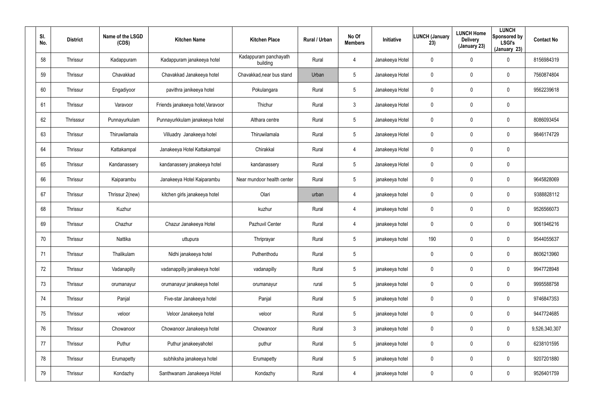| SI.<br>No. | <b>District</b> | Name of the LSGD<br>(CDS) | <b>Kitchen Name</b>               | <b>Kitchen Place</b>              | Rural / Urban | No Of<br><b>Members</b> | Initiative      | <b>LUNCH (January</b><br>23) | <b>LUNCH Home</b><br><b>Delivery</b><br>(January 23) | <b>LUNCH</b><br>Sponsored by<br><b>LSGI's</b><br>(January 23) | <b>Contact No</b> |
|------------|-----------------|---------------------------|-----------------------------------|-----------------------------------|---------------|-------------------------|-----------------|------------------------------|------------------------------------------------------|---------------------------------------------------------------|-------------------|
| 58         | Thrissur        | Kadappuram                | Kadappuram janakeeya hotel        | Kadappuram panchayath<br>building | Rural         | 4                       | Janakeeya Hotel | 0                            | $\mathbf 0$                                          | 0                                                             | 8156984319        |
| 59         | Thrissur        | Chavakkad                 | Chavakkad Janakeeya hotel         | Chavakkad, near bus stand         | Urban         | $5\phantom{.0}$         | Janakeeya Hotel | 0                            | $\pmb{0}$                                            | 0                                                             | 7560874804        |
| 60         | Thrissur        | Engadiyoor                | pavithra janikeeya hotel          | Pokulangara                       | Rural         | $5\phantom{.0}$         | Janakeeya Hotel | 0                            | $\pmb{0}$                                            | 0                                                             | 9562239618        |
| 61         | Thrissur        | Varavoor                  | Friends janakeeya hotel, Varavoor | Thichur                           | Rural         | $\mathbf{3}$            | Janakeeya Hotel | 0                            | $\mathbf 0$                                          | 0                                                             |                   |
| 62         | Thrisssur       | Punnayurkulam             | Punnayurkkulam janakeeya hotel    | Althara centre                    | Rural         | $5\phantom{.0}$         | Janakeeya Hotel | 0                            | $\pmb{0}$                                            | 0                                                             | 8086093454        |
| 63         | Thrissur        | Thiruwilamala             | Villuadry Janakeeya hotel         | Thiruwilamala                     | Rural         | $5\phantom{.0}$         | Janakeeya Hotel | 0                            | $\mathbf 0$                                          | 0                                                             | 9846174729        |
| 64         | Thrissur        | Kattakampal               | Janakeeya Hotel Kattakampal       | Chirakkal                         | Rural         | 4                       | Janakeeya Hotel | $\mathbf 0$                  | $\overline{0}$                                       | 0                                                             |                   |
| 65         | Thrissur        | Kandanassery              | kandanassery janakeeya hotel      | kandanassery                      | Rural         | $5\overline{)}$         | Janakeeya Hotel | 0                            | $\mathbf 0$                                          | 0                                                             |                   |
| 66         | Thrissur        | Kaiparambu                | Janakeeya Hotel Kaiparambu        | Near mundoor health center        | Rural         | $5\phantom{.0}$         | janakeeya hotel | $\mathbf 0$                  | $\pmb{0}$                                            | 0                                                             | 9645828069        |
| 67         | Thrissur        | Thrissur 2(new)           | kitchen girls janakeeya hotel     | Olari                             | urban         | 4                       | janakeeya hotel | 0                            | $\mathbf 0$                                          | 0                                                             | 9388828112        |
| 68         | Thrissur        | Kuzhur                    |                                   | kuzhur                            | Rural         | 4                       | janakeeya hotel | $\mathbf 0$                  | $\mathbf 0$                                          | 0                                                             | 9526566073        |
| 69         | Thrissur        | Chazhur                   | Chazur Janakeeya Hotel            | Pazhuvil Center                   | Rural         | 4                       | janakeeya hotel | 0                            | $\mathbf 0$                                          | 0                                                             | 9061946216        |
| 70         | Thrissur        | Nattika                   | uttupura                          | Thriprayar                        | Rural         | $5\overline{)}$         | janakeeya hotel | 190                          | $\overline{0}$                                       | 0                                                             | 9544055637        |
| 71         | Thrissur        | Thalikulam                | Nidhi janakeeya hotel             | Puthenthodu                       | Rural         | 5                       |                 | 0                            | $\mathbf 0$                                          | 0                                                             | 8606213960        |
| 72         | Thrissur        | Vadanapilly               | vadanappilly janakeeya hotel      | vadanapilly                       | Rural         | $5\phantom{.0}$         | janakeeya hotel | $\pmb{0}$                    | $\mathbf 0$                                          | 0                                                             | 9947728948        |
| 73         | Thrissur        | orumanayur                | orumanayur janakeeya hotel        | orumanayur                        | rural         | $5\phantom{.0}$         | janakeeya hotel | $\mathbf 0$                  | $\mathbf 0$                                          | 0                                                             | 9995588758        |
| 74         | Thrissur        | Panjal                    | Five-star Janakeeya hotel         | Panjal                            | Rural         | $5\phantom{.0}$         | janakeeya hotel | $\pmb{0}$                    | $\overline{0}$                                       | 0                                                             | 9746847353        |
| 75         | Thrissur        | veloor                    | Veloor Janakeeya hotel            | veloor                            | Rural         | $5\phantom{.0}$         | janakeeya hotel | $\mathbf 0$                  | $\mathbf 0$                                          | 0                                                             | 9447724685        |
| 76         | Thrissur        | Chowanoor                 | Chowanoor Janakeeya hotel         | Chowanoor                         | Rural         | $\mathbf{3}$            | janakeeya hotel | 0                            | $\overline{0}$                                       | 0                                                             | 9,526,340,307     |
| 77         | Thrissur        | Puthur                    | Puthur janakeeyahotel             | puthur                            | Rural         | $5\phantom{.0}$         | janakeeya hotel | $\mathbf 0$                  | $\mathbf 0$                                          | 0                                                             | 6238101595        |
| 78         | Thrissur        | Erumapetty                | subhiksha janakeeya hotel         | Erumapetty                        | Rural         | $5\phantom{.0}$         | janakeeya hotel | 0                            | $\overline{0}$                                       | 0                                                             | 9207201880        |
| 79         | Thrissur        | Kondazhy                  | Santhwanam Janakeeya Hotel        | Kondazhy                          | Rural         | $\overline{4}$          | janakeeya hotel | 0                            | $\mathbf 0$                                          | 0                                                             | 9526401759        |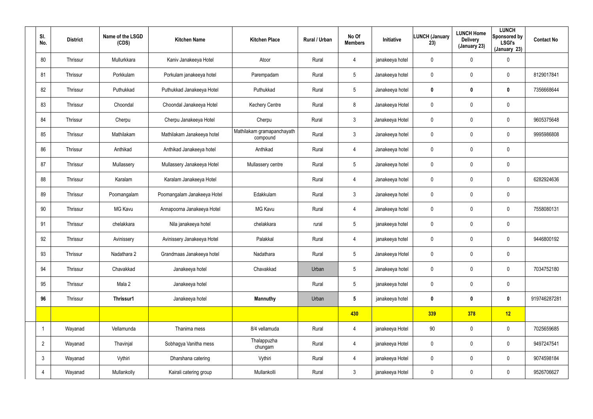| SI.<br>No.     | <b>District</b> | Name of the LSGD<br>(CDS) | <b>Kitchen Name</b>         | <b>Kitchen Place</b>                   | Rural / Urban | No Of<br><b>Members</b> | Initiative      | LUNCH (January<br>23) | <b>LUNCH Home</b><br><b>Delivery</b><br>(January 23) | <b>LUNCH</b><br>Sponsored by<br><b>LSGI's</b><br>(January 23) | <b>Contact No</b> |
|----------------|-----------------|---------------------------|-----------------------------|----------------------------------------|---------------|-------------------------|-----------------|-----------------------|------------------------------------------------------|---------------------------------------------------------------|-------------------|
| 80             | Thrissur        | Mullurkkara               | Kaniv Janakeeya Hotel       | Atoor                                  | Rural         | 4                       | janakeeya hotel | $\mathbf 0$           | 0                                                    | 0                                                             |                   |
| 81             | Thrissur        | Porkkulam                 | Porkulam janakeeya hotel    | Parempadam                             | Rural         | 5                       | Janakeeya hotel | 0                     | 0                                                    | 0                                                             | 8129017841        |
| 82             | Thrissur        | Puthukkad                 | Puthukkad Janakeeya Hotel   | Puthukkad                              | Rural         | $5\overline{)}$         | Janakeeya hotel | 0                     | $\boldsymbol{0}$                                     | $\mathbf 0$                                                   | 7356668644        |
| 83             | Thrissur        | Choondal                  | Choondal Janakeeya Hotel    | <b>Kechery Centre</b>                  | Rural         | 8                       | Janakeeya Hotel | 0                     | $\mathbf 0$                                          | $\pmb{0}$                                                     |                   |
| 84             | Thrissur        | Cherpu                    | Cherpu Janakeeya Hotel      | Cherpu                                 | Rural         | 3                       | Janakeeya Hotel | 0                     | 0                                                    | 0                                                             | 9605375648        |
| 85             | Thrissur        | Mathilakam                | Mathilakam Janakeeya hotel  | Mathilakam gramapanchayath<br>compound | Rural         | 3                       | Janakeeya hotel | 0                     | 0                                                    | 0                                                             | 9995986808        |
| 86             | Thrissur        | Anthikad                  | Anthikad Janakeeya hotel    | Anthikad                               | Rural         | 4                       | Janakeeya hotel | 0                     | 0                                                    | $\pmb{0}$                                                     |                   |
| 87             | Thrissur        | Mullassery                | Mullassery Janakeeya Hotel  | Mullassery centre                      | Rural         | 5                       | Janakeeya hotel | 0                     | 0                                                    | $\pmb{0}$                                                     |                   |
| 88             | Thrissur        | Karalam                   | Karalam Janakeeya Hotel     |                                        | Rural         | 4                       | Janakeeya hotel | 0                     | 0                                                    | 0                                                             | 6282924636        |
| 89             | Thrissur        | Poomangalam               | Poomangalam Janakeeya Hotel | Edakkulam                              | Rural         | 3                       | Janakeeya hotel | 0                     | 0                                                    | $\pmb{0}$                                                     |                   |
| 90             | Thrissur        | MG Kavu                   | Annapoorna Janakeeya Hotel  | <b>MG Kavu</b>                         | Rural         | 4                       | Janakeeya hotel | 0                     | 0                                                    | 0                                                             | 7558080131        |
| 91             | Thrissur        | chelakkara                | Nila janakeeya hotel        | chelakkara                             | rural         | $5\phantom{.0}$         | janakeeya hotel | 0                     | 0                                                    | $\pmb{0}$                                                     |                   |
| 92             | Thrissur        | Avinissery                | Avinissery Janakeeya Hotel  | Palakkal                               | Rural         | 4                       | janakeeya hotel | 0                     | 0                                                    | $\mathbf 0$                                                   | 9446800192        |
| 93             | Thrissur        | Nadathara 2               | Grandmaas Janakeeya hotel   | Nadathara                              | Rural         | 5                       | Janakeeya Hotel | 0                     | $\pmb{0}$                                            | $\pmb{0}$                                                     |                   |
| 94             | Thrissur        | Chavakkad                 | Janakeeya hotel             | Chavakkad                              | Urban         | $5\overline{)}$         | Janakeeya hotel | $\mathbf 0$           | $\mathbf 0$                                          | $\mathbf 0$                                                   | 7034752180        |
| 95             | Thrissur        | Mala 2                    | Janakeeya hotel             |                                        | Rural         | $5\phantom{.0}$         | janakeeya hotel | $\mathbf 0$           | $\mathbf 0$                                          | $\mathbf 0$                                                   |                   |
| 96             | Thrissur        | Thrissur1                 | Janakeeya hotel             | <b>Mannuthy</b>                        | Urban         | $5\phantom{.0}$         | janakeeya hotel | 0                     | $\boldsymbol{0}$                                     | $\mathbf 0$                                                   | 919746287281      |
|                |                 |                           |                             |                                        |               | 430                     |                 | 339                   | 378                                                  | 12                                                            |                   |
|                | Wayanad         | Vellamunda                | Thanima mess                | 8/4 vellamuda                          | Rural         | 4                       | janakeeya Hotel | 90                    | $\mathbf 0$                                          | $\mathbf 0$                                                   | 7025659685        |
| $\overline{2}$ | Wayanad         | Thavinjal                 | Sobhagya Vanitha mess       | Thalappuzha<br>chungam                 | Rural         | 4                       | janakeeya Hotel | $\mathbf 0$           | $\mathbf 0$                                          | $\pmb{0}$                                                     | 9497247541        |
| $\mathbf{3}$   | Wayanad         | Vythiri                   | Dharshana catering          | Vythiri                                | Rural         | 4                       | janakeeya Hotel | $\mathbf 0$           | 0                                                    | $\mathbf 0$                                                   | 9074598184        |
| $\overline{4}$ | Wayanad         | Mullankolly               | Kairali catering group      | Mullankolli                            | Rural         | $\mathbf{3}$            | janakeeya Hotel | $\mathbf 0$           | 0                                                    | $\mathsf{0}$                                                  | 9526706627        |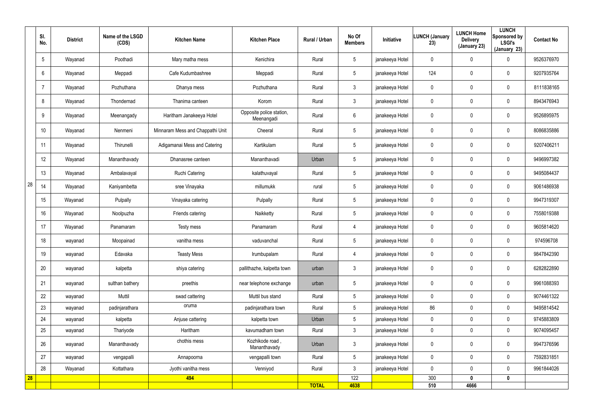|    | SI.<br>No.      | <b>District</b> | Name of the LSGD<br>(CDS) | <b>Kitchen Name</b>              | <b>Kitchen Place</b>                   | Rural / Urban | No Of<br><b>Members</b> | Initiative      | <b>LUNCH (January</b><br>23) | <b>LUNCH Home</b><br><b>Delivery</b><br>(January 23) | <b>LUNCH</b><br>Sponsored by<br><b>LSGI's</b><br>(January 23) | <b>Contact No</b> |
|----|-----------------|-----------------|---------------------------|----------------------------------|----------------------------------------|---------------|-------------------------|-----------------|------------------------------|------------------------------------------------------|---------------------------------------------------------------|-------------------|
|    | $5\overline{)}$ | Wayanad         | Poothadi                  | Mary matha mess                  | Kenichira                              | Rural         | $5\phantom{.0}$         | janakeeya Hotel | 0                            | 0                                                    | $\mathbf 0$                                                   | 9526376970        |
|    | 6               | Wayanad         | Meppadi                   | Cafe Kudumbashree                | Meppadi                                | Rural         | $5\phantom{.0}$         | janakeeya Hotel | 124                          | 0                                                    | $\mathbf 0$                                                   | 9207935764        |
|    |                 | Wayanad         | Pozhuthana                | Dhanya mess                      | Pozhuthana                             | Rural         | $\mathfrak{Z}$          | janakeeya Hotel | 0                            | 0                                                    | $\boldsymbol{0}$                                              | 8111838165        |
|    | 8               | Wayanad         | Thondernad                | Thanima canteen                  | Korom                                  | Rural         | $\mathbf{3}$            | janakeeya Hotel | 0                            | 0                                                    | $\mathbf 0$                                                   | 8943476943        |
|    | 9               | Wayanad         | Meenangady                | Haritham Janakeeya Hotel         | Opposite police station,<br>Meenangadi | Rural         | $6\phantom{.}$          | janakeeya Hotel | 0                            | 0                                                    | $\pmb{0}$                                                     | 9526895975        |
|    | 10              | Wayanad         | Nenmeni                   | Minnaram Mess and Chappathi Unit | Cheeral                                | Rural         | $5\phantom{.0}$         | janakeeya Hotel | 0                            | 0                                                    | $\mathbf 0$                                                   | 8086835886        |
|    | 11              | Wayanad         | Thirunelli                | Adigamanai Mess and Catering     | Kartikulam                             | Rural         | $5\phantom{.0}$         | janakeeya Hotel | 0                            | 0                                                    | $\mathbf 0$                                                   | 9207406211        |
|    | 12              | Wayanad         | Mananthavady              | Dhanasree canteen                | Mananthavadi                           | Urban         | $5\phantom{.0}$         | janakeeya Hotel | 0                            | 0                                                    | $\pmb{0}$                                                     | 9496997382        |
|    | 13              | Wayanad         | Ambalavayal               | Ruchi Catering                   | kalathuvayal                           | Rural         | $\sqrt{5}$              | janakeeya Hotel | 0                            | 0                                                    | $\pmb{0}$                                                     | 9495084437        |
| 28 | 14              | Wayanad         | Kaniyambetta              | sree Vinayaka                    | millumukk                              | rural         | $\sqrt{5}$              | janakeeya Hotel | 0                            | 0                                                    | $\pmb{0}$                                                     | 9061486938        |
|    | 15              | Wayanad         | Pulpally                  | Vinayaka catering                | Pulpally                               | Rural         | $5\phantom{.0}$         | janakeeya Hotel | 0                            | 0                                                    | $\mathbf 0$                                                   | 9947319307        |
|    | 16              | Wayanad         | Noolpuzha                 | Friends catering                 | Naikketty                              | Rural         | $5\phantom{.0}$         | janakeeya Hotel | 0                            | 0                                                    | $\mathbf 0$                                                   | 7558019388        |
|    | 17              | Wayanad         | Panamaram                 | Testy mess                       | Panamaram                              | Rural         | 4                       | janakeeya Hotel | 0                            | 0                                                    | $\mathbf 0$                                                   | 9605814620        |
|    | 18              | wayanad         | Moopainad                 | vanitha mess                     | vaduvanchal                            | Rural         | $\sqrt{5}$              | janakeeya Hotel | 0                            | 0                                                    | $\mathbf 0$                                                   | 974596708         |
|    | 19              | wayanad         | Edavaka                   | <b>Teasty Mess</b>               | Irumbupalam                            | Rural         | $\overline{4}$          | janakeeya Hotel | 0                            | 0                                                    | $\pmb{0}$                                                     | 9847842390        |
|    | 20              | wayanad         | kalpetta                  | shiya catering                   | pallithazhe, kalpetta town             | urban         | $\mathbf{3}$            | janakeeya Hotel | 0                            | 0                                                    | $\mathsf{0}$                                                  | 6282822890        |
|    | 21              | wayanad         | sulthan bathery           | preethis                         | near telephone exchange                | urban         | $5\phantom{.0}$         | janakeeya Hotel | 0                            | 0                                                    | $\mathbf 0$                                                   | 9961088393        |
|    | 22              | wayanad         | Muttil                    | swad cattering                   | Muttil bus stand                       | Rural         | 5 <sup>5</sup>          | janakeeya Hotel | $\mathbf 0$                  | 0                                                    | $\mathbf 0$                                                   | 9074461322        |
|    | 23              | wayanad         | padinjarathara            | oruma                            | padinjarathara town                    | Rural         | 5 <sub>5</sub>          | janakeeya Hotel | 86                           | 0                                                    | $\mathbf 0$                                                   | 9495814542        |
|    | 24              | wayanad         | kalpetta                  | Anjuse cattering                 | kalpetta town                          | Urban         | $\sqrt{5}$              | janakeeya Hotel | 0                            | 0                                                    | $\pmb{0}$                                                     | 9745883809        |
|    | 25              | wayanad         | Thariyode                 | Haritham                         | kavumadham town                        | Rural         | 3 <sup>1</sup>          | janakeeya Hotel | 0                            | 0                                                    | $\mathbf 0$                                                   | 9074095457        |
|    | 26              | wayanad         | Mananthavady              | chothis mess                     | Kozhikode road,<br>Mananthavady        | Urban         | $\mathbf{3}$            | janakeeya Hotel | 0                            | 0                                                    | $\mathbf 0$                                                   | 9947376596        |
|    | 27              | wayanad         | vengapalli                | Annapoorna                       | vengapalli town                        | Rural         | $5\phantom{.0}$         | janakeeya Hotel | 0                            | 0                                                    | $\mathbf 0$                                                   | 7592831851        |
|    | 28              | Wayanad         | Kottathara                | Jyothi vanitha mess              | Venniyod                               | Rural         | 3 <sup>1</sup>          | janakeeya Hotel | 0                            | $\pmb{0}$                                            | $\pmb{0}$                                                     | 9961844026        |
| 28 |                 |                 |                           | 494                              |                                        | <b>TOTAL</b>  | 122<br>4638             |                 | 300<br>510                   | $\mathbf{0}$<br>4666                                 | $\boldsymbol{0}$                                              |                   |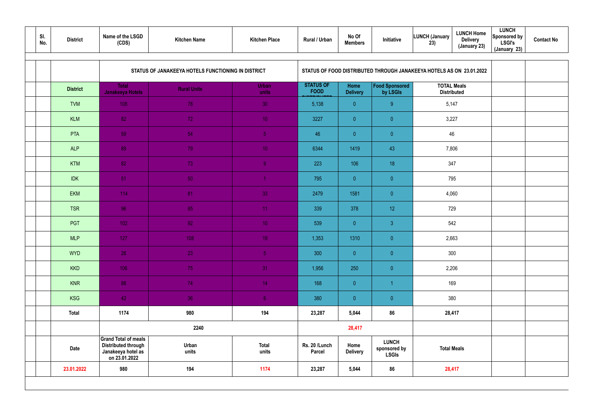| SI.<br>No. | <b>District</b> | Name of the LSGD<br>(CDS)                                                                        | <b>Kitchen Name</b>                                | <b>Kitchen Place</b>  | Rural / Urban                   | No Of<br><b>Members</b> | Initiative                                                           | LUNCH (January<br>23)                    | <b>LUNCH Home</b><br><b>Delivery</b><br>(January 23) | <b>LUNCH</b><br>Sponsored by<br><b>LSGI's</b><br>(January 23) | <b>Contact No</b> |
|------------|-----------------|--------------------------------------------------------------------------------------------------|----------------------------------------------------|-----------------------|---------------------------------|-------------------------|----------------------------------------------------------------------|------------------------------------------|------------------------------------------------------|---------------------------------------------------------------|-------------------|
|            |                 |                                                                                                  | STATUS OF JANAKEEYA HOTELS FUNCTIONING IN DISTRICT |                       |                                 |                         | STATUS OF FOOD DISTRIBUTED THROUGH JANAKEEYA HOTELS AS ON 23.01.2022 |                                          |                                                      |                                                               |                   |
|            | <b>District</b> | <b>Total</b><br><b>Janakeeya Hotels</b>                                                          | <b>Rural Units</b>                                 | <b>Urban</b><br>units | <b>STATUS OF</b><br><b>FOOD</b> | Home<br><b>Delivery</b> | Food Sponsored<br>by LSGIs                                           | <b>TOTAL Meals</b><br><b>Distributed</b> |                                                      |                                                               |                   |
|            | <b>TVM</b>      | 108                                                                                              | 78                                                 | 30                    | 5,138                           | $\overline{0}$          | 9                                                                    | 5,147                                    |                                                      |                                                               |                   |
|            | <b>KLM</b>      | 82                                                                                               | 72                                                 | 10 <sub>1</sub>       | 3227                            | $\overline{0}$          | $\overline{0}$                                                       | 3,227                                    |                                                      |                                                               |                   |
|            | <b>PTA</b>      | 59                                                                                               | 54                                                 | 5 <sub>1</sub>        | 46                              | $\overline{0}$          | $\overline{0}$                                                       | 46                                       |                                                      |                                                               |                   |
|            | <b>ALP</b>      | 89                                                                                               | 79                                                 | 10 <sub>1</sub>       | 6344                            | 1419                    | 43                                                                   | 7,806                                    |                                                      |                                                               |                   |
|            | <b>KTM</b>      | 82                                                                                               | 73                                                 | $\overline{9}$        | 223                             | 106                     | 18                                                                   | 347                                      |                                                      |                                                               |                   |
|            | <b>IDK</b>      | $-51$                                                                                            | 50                                                 |                       | 795                             | $\overline{0}$          | $\overline{0}$                                                       |                                          | 795                                                  |                                                               |                   |
|            | <b>EKM</b>      | 114                                                                                              | 81                                                 | 33                    | 2479                            | 1581                    | $\overline{0}$                                                       | 4,060                                    |                                                      |                                                               |                   |
|            | <b>TSR</b>      | 96                                                                                               | 85                                                 | 11 <sub>1</sub>       | 339                             | 378                     | 12 <sup>°</sup>                                                      |                                          | 729                                                  |                                                               |                   |
|            | PGT             | $1021$                                                                                           | 92                                                 | 10 <sup>°</sup>       | 539                             | $\overline{0}$          | $\mathbf{3}$                                                         |                                          | 542                                                  |                                                               |                   |
|            | <b>MLP</b>      | 127                                                                                              | 108                                                | 19 <sup>°</sup>       | 1,353                           | 1310                    | $\overline{0}$                                                       |                                          | 2,663                                                |                                                               |                   |
|            | <b>WYD</b>      | 28                                                                                               | 23                                                 | 5 <sub>1</sub>        | 300                             | $\overline{0}$          | $\overline{0}$                                                       |                                          | 300                                                  |                                                               |                   |
|            | <b>KKD</b>      | 106                                                                                              | 75                                                 | 31                    | 1,956                           | 250                     | $\overline{0}$                                                       |                                          | 2,206                                                |                                                               |                   |
|            | <b>KNR</b>      | 88                                                                                               | 74                                                 | 14 <sub>1</sub>       | 168                             | $\overline{0}$          |                                                                      |                                          | 169                                                  |                                                               |                   |
|            | <b>KSG</b>      | 42                                                                                               | 36                                                 | $\sqrt{6}$            | 380                             | $\overline{0}$          | $\overline{0}$                                                       |                                          | 380                                                  |                                                               |                   |
|            | <b>Total</b>    | 1174                                                                                             | 980                                                | 194                   | 23,287                          | 5,044                   | 86                                                                   |                                          | 28,417                                               |                                                               |                   |
|            |                 |                                                                                                  | 2240                                               |                       |                                 | 28,417                  |                                                                      |                                          |                                                      |                                                               |                   |
|            | Date            | <b>Grand Total of meals</b><br><b>Distributed through</b><br>Janakeeya hotel as<br>on 23.01.2022 | Urban<br>units                                     | <b>Total</b><br>units | Rs. 20 /Lunch<br><b>Parcel</b>  | Home<br><b>Delivery</b> | <b>LUNCH</b><br>sponsored by<br><b>LSGIs</b>                         |                                          | <b>Total Meals</b>                                   |                                                               |                   |
|            | 23.01.2022      | 980                                                                                              | 194                                                | 1174                  | 23,287                          | 5,044                   | 86                                                                   |                                          | 28,417                                               |                                                               |                   |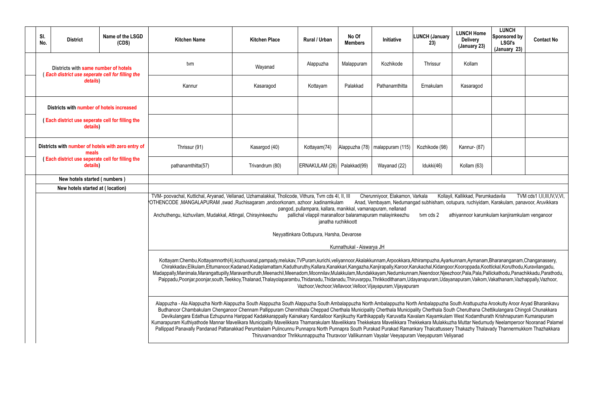| <b>LUNCH Home</b><br><b>Delivery</b><br>(January 23)                                                           | <b>LUNCH</b><br><b>Sponsored by</b><br><b>LSGI's</b><br>(January 23) | <b>Contact No</b>          |  |  |  |  |  |  |  |
|----------------------------------------------------------------------------------------------------------------|----------------------------------------------------------------------|----------------------------|--|--|--|--|--|--|--|
| Kollam                                                                                                         |                                                                      |                            |  |  |  |  |  |  |  |
| Kasaragod                                                                                                      |                                                                      |                            |  |  |  |  |  |  |  |
|                                                                                                                |                                                                      |                            |  |  |  |  |  |  |  |
|                                                                                                                |                                                                      |                            |  |  |  |  |  |  |  |
| Kannur- (87)                                                                                                   |                                                                      |                            |  |  |  |  |  |  |  |
| Kollam (63)                                                                                                    |                                                                      |                            |  |  |  |  |  |  |  |
|                                                                                                                |                                                                      |                            |  |  |  |  |  |  |  |
|                                                                                                                |                                                                      |                            |  |  |  |  |  |  |  |
| yil, Kallikkad, Perumkadavila<br>otupura, ruchiyidam, Karakulam, panavoor, Aruvikkara                          |                                                                      | TVM cds1 I,II,III,IV,V,VI, |  |  |  |  |  |  |  |
| athiyannoor karumkulam kanjiramkulam venganoor                                                                 |                                                                      |                            |  |  |  |  |  |  |  |
|                                                                                                                |                                                                      |                            |  |  |  |  |  |  |  |
|                                                                                                                |                                                                      |                            |  |  |  |  |  |  |  |
|                                                                                                                |                                                                      |                            |  |  |  |  |  |  |  |
|                                                                                                                |                                                                      |                            |  |  |  |  |  |  |  |
| rkunnam, Aymanam, Bharananganam, Changanassery,<br>oor, Kooroppada, Koottickal, Koruthodu, Kuravilangadu,      |                                                                      |                            |  |  |  |  |  |  |  |
| ezhoor,Pala,Pala,Pallickathodu,Panachikkadu,Parathodu,<br>yanapuram, Vaikom, Vakathanam, Vazhappally, Vazhoor, |                                                                      |                            |  |  |  |  |  |  |  |
|                                                                                                                |                                                                      |                            |  |  |  |  |  |  |  |
| South Arattupuzha Arookutty Aroor Aryad Bharanikavu                                                            |                                                                      |                            |  |  |  |  |  |  |  |
| outh Cheruthana Chettikulangara Chingoli Chunakkara<br>m West Kodamthurath Krishnapuram Kumarapuram            |                                                                      |                            |  |  |  |  |  |  |  |
| izha Muttar Nedumudy Neelamperoor Nooranad Palamel                                                             |                                                                      |                            |  |  |  |  |  |  |  |
| ery Thakazhy Thalavady Thannermukkom Thazhakkara<br>eliyanad                                                   |                                                                      |                            |  |  |  |  |  |  |  |
|                                                                                                                |                                                                      |                            |  |  |  |  |  |  |  |

|  | SI.<br>No.                                                                                                                                        | <b>District</b>                                                                                                                                                                                                             | Name of the LSGD<br>(CDS)                                                                                                                                                                                                                                                                                                                                                                                                                                                                                                                                                                                                                                                                                                                                        | <b>Kitchen Name</b>                                                                                                                                                                                                                                                                                                                                                                                                                                                                                                                                                                                                                                                                                                                                                                                                   | <b>Kitchen Place</b>                                                                                                                                                                                                                                                                                                                                                                                                                                                                                                                                                                                                                                                                                                         | <b>Rural / Urban</b> | No Of<br><b>Members</b>   | Initiative     | <b>LUNCH (January</b><br>23) | <b>LUNCH Home</b><br><b>Delivery</b><br>(January 23) | <b>LUNCH</b><br>Sponsored by<br><b>LSGI's</b><br>(January 23) | <b>Contact No</b> |  |  |  |
|--|---------------------------------------------------------------------------------------------------------------------------------------------------|-----------------------------------------------------------------------------------------------------------------------------------------------------------------------------------------------------------------------------|------------------------------------------------------------------------------------------------------------------------------------------------------------------------------------------------------------------------------------------------------------------------------------------------------------------------------------------------------------------------------------------------------------------------------------------------------------------------------------------------------------------------------------------------------------------------------------------------------------------------------------------------------------------------------------------------------------------------------------------------------------------|-----------------------------------------------------------------------------------------------------------------------------------------------------------------------------------------------------------------------------------------------------------------------------------------------------------------------------------------------------------------------------------------------------------------------------------------------------------------------------------------------------------------------------------------------------------------------------------------------------------------------------------------------------------------------------------------------------------------------------------------------------------------------------------------------------------------------|------------------------------------------------------------------------------------------------------------------------------------------------------------------------------------------------------------------------------------------------------------------------------------------------------------------------------------------------------------------------------------------------------------------------------------------------------------------------------------------------------------------------------------------------------------------------------------------------------------------------------------------------------------------------------------------------------------------------------|----------------------|---------------------------|----------------|------------------------------|------------------------------------------------------|---------------------------------------------------------------|-------------------|--|--|--|
|  |                                                                                                                                                   |                                                                                                                                                                                                                             |                                                                                                                                                                                                                                                                                                                                                                                                                                                                                                                                                                                                                                                                                                                                                                  | tvm                                                                                                                                                                                                                                                                                                                                                                                                                                                                                                                                                                                                                                                                                                                                                                                                                   | Wayanad                                                                                                                                                                                                                                                                                                                                                                                                                                                                                                                                                                                                                                                                                                                      | Alappuzha            | Malappuram                | Kozhikode      | Thrissur                     | Kollam                                               |                                                               |                   |  |  |  |
|  |                                                                                                                                                   |                                                                                                                                                                                                                             |                                                                                                                                                                                                                                                                                                                                                                                                                                                                                                                                                                                                                                                                                                                                                                  | Kannur                                                                                                                                                                                                                                                                                                                                                                                                                                                                                                                                                                                                                                                                                                                                                                                                                | Kasaragod                                                                                                                                                                                                                                                                                                                                                                                                                                                                                                                                                                                                                                                                                                                    | Kottayam             | Palakkad                  | Pathanamthitta | Ernakulam                    | Kasaragod                                            |                                                               |                   |  |  |  |
|  |                                                                                                                                                   |                                                                                                                                                                                                                             |                                                                                                                                                                                                                                                                                                                                                                                                                                                                                                                                                                                                                                                                                                                                                                  |                                                                                                                                                                                                                                                                                                                                                                                                                                                                                                                                                                                                                                                                                                                                                                                                                       |                                                                                                                                                                                                                                                                                                                                                                                                                                                                                                                                                                                                                                                                                                                              |                      |                           |                |                              |                                                      |                                                               |                   |  |  |  |
|  |                                                                                                                                                   | (Each district use seperate cell for filling the<br>details)<br>Districts with number of hotels with zero entry of<br>meals<br>(Each district use seperate cell for filling the<br>details)<br>New hotels started (numbers) |                                                                                                                                                                                                                                                                                                                                                                                                                                                                                                                                                                                                                                                                                                                                                                  |                                                                                                                                                                                                                                                                                                                                                                                                                                                                                                                                                                                                                                                                                                                                                                                                                       |                                                                                                                                                                                                                                                                                                                                                                                                                                                                                                                                                                                                                                                                                                                              |                      |                           |                |                              |                                                      |                                                               |                   |  |  |  |
|  |                                                                                                                                                   |                                                                                                                                                                                                                             |                                                                                                                                                                                                                                                                                                                                                                                                                                                                                                                                                                                                                                                                                                                                                                  | Thrissur (91)                                                                                                                                                                                                                                                                                                                                                                                                                                                                                                                                                                                                                                                                                                                                                                                                         | Kannur- (87)                                                                                                                                                                                                                                                                                                                                                                                                                                                                                                                                                                                                                                                                                                                 |                      |                           |                |                              |                                                      |                                                               |                   |  |  |  |
|  |                                                                                                                                                   |                                                                                                                                                                                                                             |                                                                                                                                                                                                                                                                                                                                                                                                                                                                                                                                                                                                                                                                                                                                                                  | pathanamthitta(57)                                                                                                                                                                                                                                                                                                                                                                                                                                                                                                                                                                                                                                                                                                                                                                                                    | Kozhikode (98)<br>Kottayam(74)<br>Alappuzha (78)   malappuram (115)<br>Kasargod (40)<br>ERNAKULAM (26)   Palakkad(99)<br>Trivandrum (80)<br>Wayanad (22)<br>Idukki(46)<br>Kollam (63)                                                                                                                                                                                                                                                                                                                                                                                                                                                                                                                                        |                      |                           |                |                              |                                                      |                                                               |                   |  |  |  |
|  | Districts with same number of hotels<br>(Each district use seperate cell for filling the<br>details)<br>Districts with number of hotels increased |                                                                                                                                                                                                                             |                                                                                                                                                                                                                                                                                                                                                                                                                                                                                                                                                                                                                                                                                                                                                                  |                                                                                                                                                                                                                                                                                                                                                                                                                                                                                                                                                                                                                                                                                                                                                                                                                       |                                                                                                                                                                                                                                                                                                                                                                                                                                                                                                                                                                                                                                                                                                                              |                      |                           |                |                              |                                                      |                                                               |                   |  |  |  |
|  |                                                                                                                                                   | New hotels started at (location)                                                                                                                                                                                            |                                                                                                                                                                                                                                                                                                                                                                                                                                                                                                                                                                                                                                                                                                                                                                  |                                                                                                                                                                                                                                                                                                                                                                                                                                                                                                                                                                                                                                                                                                                                                                                                                       |                                                                                                                                                                                                                                                                                                                                                                                                                                                                                                                                                                                                                                                                                                                              |                      |                           |                |                              |                                                      |                                                               |                   |  |  |  |
|  |                                                                                                                                                   |                                                                                                                                                                                                                             |                                                                                                                                                                                                                                                                                                                                                                                                                                                                                                                                                                                                                                                                                                                                                                  |                                                                                                                                                                                                                                                                                                                                                                                                                                                                                                                                                                                                                                                                                                                                                                                                                       | TVM- poovachal, Kuttichal, Aryanad, Vellanad, Uzhamalakkal, Tholicode, Vithura, Tvm cds 4I, II, III<br>Kollayil, Kallikkad, Perumkadavila<br>Cherunniyoor, Elakamon, Varkala<br>TVM cds1 I,II,III,IV,V,VI,<br>†OTHENCODE ,MANGALAPURAM ,swad ,Ruchisagaram ,andoorkonam, azhoor ,kadinamkulam<br>Anad, Vembayam, Nedumangad subhisham, ootupura, ruchiyidam, Karakulam, panavoor, Aruvikkara<br>pangod, pullampara, kallara, manikkal, vamanapuram, nellanad<br>pallichal vilappil maranalloor balaramapuram malayinkeezhu<br>Anchuthengu, kizhuvilam, Mudakkal, Attingal, Chirayinkeezhu<br>athiyannoor karumkulam kanjiramkulam venganoor<br>tvm cds 2<br>janatha ruchikkoott<br>Neyyattinkara Oottupura, Harsha, Devarose |                      |                           |                |                              |                                                      |                                                               |                   |  |  |  |
|  |                                                                                                                                                   |                                                                                                                                                                                                                             |                                                                                                                                                                                                                                                                                                                                                                                                                                                                                                                                                                                                                                                                                                                                                                  |                                                                                                                                                                                                                                                                                                                                                                                                                                                                                                                                                                                                                                                                                                                                                                                                                       |                                                                                                                                                                                                                                                                                                                                                                                                                                                                                                                                                                                                                                                                                                                              |                      | Kunnathukal - Aiswarya JH |                |                              |                                                      |                                                               |                   |  |  |  |
|  |                                                                                                                                                   |                                                                                                                                                                                                                             |                                                                                                                                                                                                                                                                                                                                                                                                                                                                                                                                                                                                                                                                                                                                                                  | Kottayam:Chembu,Kottayamnorth(4),kozhuvanal,pampady,melukav,TVPuram,kurichi,veliyannoor,Akalakkunnam,Arpookkara,Athirampuzha,Ayarkunnam,Aymanam,Bharananganam,Changanassery,<br>Chirakkadav,Elikulam,Ettumanoor,Kadanad,Kadaplamattam,Kaduthuruthy,Kallara,Kanakkari,Kangazha,Kanjirapally,Karoor,Karukachal,Kidangoor,Kooroppada,Koottickal,Koruthodu,Kuravilangadu,<br>Madappally,Manimala,Marangattupilly,Maravanthuruth,Meenachil,Meenadom,Moonnilav,Mulakkulam,Mundakkayam,Nedumkunnam,Neendoor,Njeezhoor,Pala,Pala,Pallickathodu,Panachikkadu,Parathodu,<br>Paippadu,Poonjar,poonjar,south,Teekkoy,Thalanad,Thalayolaparambu,Thidanadu,Thidanadu,Thiruvarppu,Thrikkodithanam,Udayanapuram,Udayanapuram,Vaikom,Vakathanam,Vazhappally,Vazhoor,<br>Vazhoor, Vechoor, Vellavoor, Velloor, Vijayapuram, Vijayapuram |                                                                                                                                                                                                                                                                                                                                                                                                                                                                                                                                                                                                                                                                                                                              |                      |                           |                |                              |                                                      |                                                               |                   |  |  |  |
|  |                                                                                                                                                   |                                                                                                                                                                                                                             | Alappuzha - Ala Alappuzha North Alappuzha South Alappuzha South Alappuzha South Ambalappuzha North Ambalappuzha North Ambalappuzha South Arattupuzha Arookutty Aroor Aryad Bharanikavu<br>Budhanoor Chambakulam Chenganoor Chennam Pallippuram Chennithala Cheppad Cherthala Municipality Cherthala Municipality Cherthala South Cheruthana Chettikulangara Chingoli Chunakkara<br>Kumarapuram Kuthiyathode Mannar Mavelikara Municipality Mavelikkara Thamarakulam Mavelikkara Thekkekara Mavelikkara Thekkekara Mulakkuzha Muttar Nedumudy Neelamperoor Nooranad Palamel<br>Pallippad Panavally Pandanad Pattanakkad Perumbalam Pulincunnu Punnapra North Punnapra South Purakad Purakad Ramankary Thaicattussery Thakazhy Thalavady Thannermukkom Thazhakkara | Devikulangara Edathua Ezhupunna Harippad Kadakkarappally Kainakary Kandalloor Kanjikuzhy Karthikappally Karuvatta Kavalam Kayamkulam West Kodamthurath Krishnapuram Kumarapuram<br>Thiruvanvandoor Thrikkunnappuzha Thuravoor Vallikunnam Vayalar Veeyapuram Veeyapuram Veliyanad                                                                                                                                                                                                                                                                                                                                                                                                                                                                                                                                     |                                                                                                                                                                                                                                                                                                                                                                                                                                                                                                                                                                                                                                                                                                                              |                      |                           |                |                              |                                                      |                                                               |                   |  |  |  |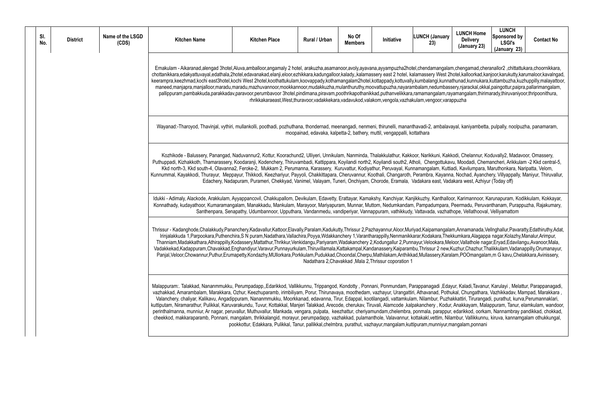am,chengamad,cheranallor2 ,chittattukara,choornikkara, 2hotel,kalloorkad,kanjoor,karukutty,karumaloor,kavalngad, .<br>hathunad,kunnukara,kuttambuzha,kuzhuppilly,malayattoor, maneed,maniaradu,mangaradu,maradumanialan,mashuruthy,maradum,mookkal,painguzhannoor,moordumbalam,nedumbalam,ne rayamangalam,thirimarady,thiruvaniyoor,thripoonithura,

wayal, kaniyambetta, pulpally, noolpuzha, panamaram, meenangadi, nen

kkodi, Chelannur, Koduvally2, Madavoor, Omassery, avu, Moodadi, Chemancheri, Arikkulam -2 Kkd central-5, ttiadi, Kavilumpara, Maruthonkara, Naripatta, Velom, Ina, Nochad, Ayanchery, Villyappally, Maniyur, Thiruvallur, adakara west, Azhiyur (Today off)

loor, Karimannoor, Karunapuram, Kodikkulam, Kokkayar, k, Peermadu, Peruvanthanam, Purappuzha, Rajakumary, Marawoor, Manadu athope, Vellathooval, Velliyamattom

lam,Annamanada,Vellnghallur,Pavaratty,Edathiruthy,Adat, ekkumkara,Alagappa nagar,Kolazhy,Manalur,Arimpur, Meloor,Vallathole nagar,Eryad,Edavilangu,Avanoor,Mala, Vadakkekad,Kadappuram,Chavakkad,Enghandiyur,Varavur,Punnayurkulam,Thiruvillamala,Kattakampal,Kandanassery,Kaiparambu,Thrissur 2 new,Kuzhur,Chazhur,Thalikkulam,Vadanappilly,Orumanayur, ralam,POOmangalam,m G kavu,Chelakkara,Avinissery,

layur, Kaladi, Tavanur, Karulayi, Melattur, Parappanagadi, marambalama, Vazhikkadav, Mampad, Marakkara, Porur, Thirunava, Porur, Thirunava, Pothukal, Chungathara, Vazhikka hakkattiri, Tirurangadi, purathut, kurva, Perumannaklari, ur, Anakkayam, Malappuram, Tanur, elamkulam, wandoor, ur, edarikkod, oorkam, Nannambray pandikkad, chokkad, lilambur, Vallikkunnu, kiruva, kannamgalam othukkungal, mangalam, ponnani,

| SI.<br>No. | <b>District</b> | Name of the LSGD<br>(CDS) | <b>Kitchen Name</b>                                                                                                                                                                                                                                                                                                                                                                                                                                                                                                                                                                                                                                                                                                                                                                                                                                                                                                                        | <b>Kitchen Place</b>                                                                                                         | Rural / Urban | No Of<br><b>Members</b> | Initiative                                                               | <b>LUNCH (January</b><br>23) | <b>LUNO</b><br>De<br>(Jan |
|------------|-----------------|---------------------------|--------------------------------------------------------------------------------------------------------------------------------------------------------------------------------------------------------------------------------------------------------------------------------------------------------------------------------------------------------------------------------------------------------------------------------------------------------------------------------------------------------------------------------------------------------------------------------------------------------------------------------------------------------------------------------------------------------------------------------------------------------------------------------------------------------------------------------------------------------------------------------------------------------------------------------------------|------------------------------------------------------------------------------------------------------------------------------|---------------|-------------------------|--------------------------------------------------------------------------|------------------------------|---------------------------|
|            |                 |                           | Ernakulam - Aikaranad,alengad 3hotel,Aluva,amballoor,angamaly 2 hotel, arakuzha,asamanoor,avoly,ayavana,ayyampuzha2hotel,chendamangalam,cheng<br>chottanikkara,edakyattuvayal,edathala,2hotel,edavanakad,elanji,eloor,ezhikkara,kadungalloor,kalady,,kalamassery east 2 hotel, kalamassery West 2hotel,kal<br>keerampra, keezhmad, kochi east3hotel, kochi West 2hotel, koothattukulam, koovappady, kothamangalam2hotel, kottappady, kottuvally, kumbalangi, kunnathunad,<br>maneed,manjapra,manjalloor,maradu,maradu,mazhuvannoor,mookkannoor,mudakkuzha,mulanthuruthy,moovattupuzha,nayarambalam,nedumbassery,njar<br>pallippuram,pambakkuda,parakkadav,paravoor,perumbavoor 3hotel,pindimana,piravam,poothrikapothanikkad,puthanvelikkara,ramamangalam,rayamang                                                                                                                                                                         | rhrikkakaraeast, West, thuravoor, vadakkekara, vadavukod, valakom, vengola, vazhakulam, vengoor, varappuzha                  |               |                         |                                                                          |                              |                           |
|            |                 |                           | Wayanad:-Tharoyod, Thavinjal, vythiri, mullankolli, poothadi, pozhuthana, thondernad, meenangadi, nenmeni, thirunelli, mananthavadi-2, ambalavayal, kar                                                                                                                                                                                                                                                                                                                                                                                                                                                                                                                                                                                                                                                                                                                                                                                    |                                                                                                                              |               |                         | moopainad, edavaka, kalpetta-2, bathery, muttil, vengappalli, kottathara |                              |                           |
|            |                 |                           | Kozhikode - Balussery, Panangad, Naduvannur2, Kottur, Koorachund2, Ulliyeri, Unnikulam, Nanminda, Thalakkulathur, Kakkoor, Narikkuni, Kakkodi, Ch<br>Puthuppadi, Kizhakkoth, Thamarassery, Koodaranji, Kodenchery, Thiruvambadi, Kattippara, Koyilandi north2, Koyilandi south2, Atholi, Chengottukavu, Mood<br>Kkd north-3, Kkd south-4, Olavanna2, Feroke-2, Mukkam 2, Perumanna, Karassery, Kuruvattur, Kodiyathur, Peruvayal, Kunnamangalam, Kuttiadi, Kav<br>Kunnummal, Kayakkodi, Thurayur, Meppayur, Thikkodi, Keezhariyur, Payyoli, Chakkittapara, Cheruvannur, Koothali, Changaroth, Perambra, Kayanna, Nocha                                                                                                                                                                                                                                                                                                                     | Edachery, Nadapuram, Purameri, Chekkyad, Vanimel, Valayam, Tuneri, Onchiyam, Chorode, Eramala, Vadakara east, Vadakara w     |               |                         |                                                                          |                              |                           |
|            |                 |                           | Idukki - Adimaly, Alackode, Arakkulam, Ayyappancovil, Chakkupallom, Devikulam, Edavetty, Erattayar, Kamakshy, Kanchiyar, Kanjikkuzhy, Kanthalloor, Karin<br>Konnathady, kudayathoor, Kumaramangalam, Manakkadu, Mankulam, Marayoor, Mariyapuram, Munnar, Muttom, Nedumkandam, Pampadumpara, Peerma                                                                                                                                                                                                                                                                                                                                                                                                                                                                                                                                                                                                                                         | Santhenpara, Senapathy, Udumbannoor, Upputhara, Vandanmedu, vandiperiyar, Vannappuram, vathikkudy, Vattavada, vazhathope, Ve |               |                         |                                                                          |                              |                           |
|            |                 |                           | Thrissur - Kadanghode, Chalakkudy, Pananchery, Kadavallur, Kattoor, Elavally, Paralam, Kadukutty, Thrissur 2, Pazhayannur, Aloor, Muriyad, Kaipamangalam, Anna<br>Irinjalakkuda 1, Parpookara, Puthenchira, SN puram, Nadathara, Vallachira, Poyya, Wdakkanchery 1, Varantharappilly, Nenmanikkarar, Kodakara, Thekkumkar<br>Thanniam, Madakkathara, Athirappilly, Kodassery, Mattathur, Thrikkur, Venkidangu, Pariyaram, Wadakanchery 2, Kodungallur 2, Punnayur, Velookara, Meloor, Vall<br>Vadakkekad, Kadappuram, Chavakkad, Enghandiyur, Varavur, Punnayurkulam, Thiruvillamala, Kattakampal, Kandanassery, Kaiparambu, Thrissur 2 new, Kuzhur, C<br>Panjal, Veloor, Chowannur, Puthur, Erumapetty, Kondazhy, MUllorkara, Porkkulam, Pudukkad, Choondal, Cherpu, Mathilakam, Anthikkad, Mullassery, Karalam, PO                                                                                                                       |                                                                                                                              |               |                         | Nadathara 2, Chavakkad, Mala 2, Thrissur coporation 1                    |                              |                           |
|            |                 |                           | Malappuram:. Talakkad, Nananmmukku, Perumpadapp,,Edarikkod, Vallikkunnu, Trippangod, Kondotty, Ponnani, Ponmundam, Parappanagadi,Edayur, Kala<br>vazhakkad, Amarambalam, Marakkara, Ozhur, Keezhuparamb, irimbiliyam, Porur, Thirunavaya, moothedam, vazhayur, Urangattiri, Athavanad, Pothukal, Ch<br>Valanchery, chaliyar, Kalikavu, Angadippuram, Nananmmukku, Moorkkanad, edavanna, Tirur, Edappal, kootilangadi, vattamkulam, Nilambur, Puzhakkattiri,<br>kuttiputam, Niramarathur, Pulikkal, Karuvarakundu, Tuvur, Kottakkal, Manjeri Talakkad, Arecode, cherukav, Tiruvali, Alamcode, kalpakanchery, Kodur, Anakka<br>perinthalmanna, munniur, Ar nagar, peruvallur, Muthuvallur, Mankada, vengara, pulpata, keezhattur, cheriyamundam,chelembra, ponmala, parappur, edarikk<br>cheekkod, makkaraparamb, Ponnani, mangalam, thrikkalangid, morayur, perumpadapp, vazhakkad, pulamanthole, Valavannur, kottakakl,vettim, Nilambur, V | pookkottur, Edakkara, Pulikkal, Tanur, pallikkal,chelmbra, purathut, vazhayur,mangalam,kuttipuram,munniyur,mangalar          |               |                         |                                                                          |                              |                           |